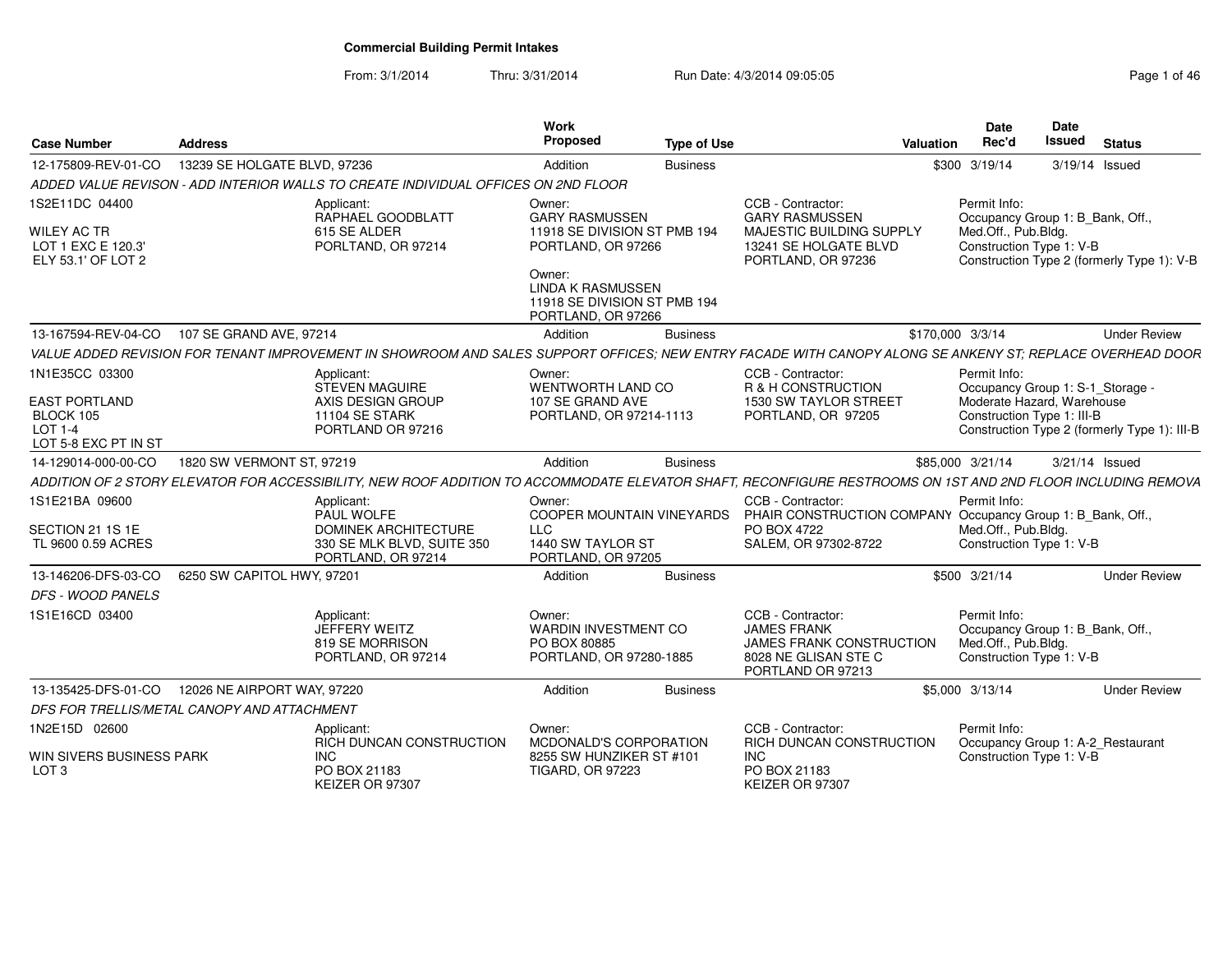From: 3/1/2014Thru: 3/31/2014 Run Date: 4/3/2014 09:05:05 Rege 1 of 46

| <b>Case Number</b>                                                               | <b>Address</b>                              |                                                                                                                                                              | Work<br>Proposed                                                                                | <b>Type of Use</b> |                                                                                                                         | <b>Valuation</b> | Date<br>Rec'd                       | Date<br><b>Issued</b>                                        | <b>Status</b>                                |
|----------------------------------------------------------------------------------|---------------------------------------------|--------------------------------------------------------------------------------------------------------------------------------------------------------------|-------------------------------------------------------------------------------------------------|--------------------|-------------------------------------------------------------------------------------------------------------------------|------------------|-------------------------------------|--------------------------------------------------------------|----------------------------------------------|
| 12-175809-REV-01-CO                                                              | 13239 SE HOLGATE BLVD, 97236                |                                                                                                                                                              | Addition                                                                                        | <b>Business</b>    |                                                                                                                         |                  | \$300 3/19/14                       | 3/19/14 Issued                                               |                                              |
|                                                                                  |                                             | ADDED VALUE REVISON - ADD INTERIOR WALLS TO CREATE INDIVIDUAL OFFICES ON 2ND FLOOR                                                                           |                                                                                                 |                    |                                                                                                                         |                  |                                     |                                                              |                                              |
| 1S2E11DC 04400<br><b>WILEY AC TR</b><br>LOT 1 EXC E 120.3'<br>ELY 53.1' OF LOT 2 |                                             | Applicant:<br>RAPHAEL GOODBLATT<br>615 SE ALDER<br>PORLTAND, OR 97214                                                                                        | Owner:<br><b>GARY RASMUSSEN</b><br>11918 SE DIVISION ST PMB 194<br>PORTLAND, OR 97266<br>Owner: |                    | CCB - Contractor:<br><b>GARY RASMUSSEN</b><br>MAJESTIC BUILDING SUPPLY<br>13241 SE HOLGATE BLVD<br>PORTLAND, OR 97236   |                  | Permit Info:<br>Med.Off., Pub.Bldg. | Occupancy Group 1: B_Bank, Off.,<br>Construction Type 1: V-B | Construction Type 2 (formerly Type 1): V-B   |
|                                                                                  |                                             |                                                                                                                                                              | <b>LINDA K RASMUSSEN</b><br>11918 SE DIVISION ST PMB 194<br>PORTLAND, OR 97266                  |                    |                                                                                                                         |                  |                                     |                                                              |                                              |
| 13-167594-REV-04-CO                                                              | 107 SE GRAND AVE, 97214                     |                                                                                                                                                              | Addition                                                                                        | <b>Business</b>    |                                                                                                                         | \$170,000 3/3/14 |                                     |                                                              | <b>Under Review</b>                          |
|                                                                                  |                                             | VALUE ADDED REVISION FOR TENANT IMPROVEMENT IN SHOWROOM AND SALES SUPPORT OFFICES; NEW ENTRY FACADE WITH CANOPY ALONG SE ANKENY ST; REPLACE OVERHEAD DOOR    |                                                                                                 |                    |                                                                                                                         |                  |                                     |                                                              |                                              |
| 1N1E35CC 03300                                                                   |                                             | Applicant:<br>STEVEN MAGUIRE                                                                                                                                 | Owner:<br>WENTWORTH LAND CO                                                                     |                    | CCB - Contractor:<br>R & H CONSTRUCTION                                                                                 |                  | Permit Info:                        | Occupancy Group 1: S-1 Storage -                             |                                              |
| <b>EAST PORTLAND</b><br>BLOCK 105<br><b>LOT 1-4</b><br>LOT 5-8 EXC PT IN ST      |                                             | AXIS DESIGN GROUP<br>11104 SE STARK<br>PORTLAND OR 97216                                                                                                     | 107 SE GRAND AVE<br>PORTLAND, OR 97214-1113                                                     |                    | 1530 SW TAYLOR STREET<br>PORTLAND, OR 97205                                                                             |                  |                                     | Moderate Hazard, Warehouse<br>Construction Type 1: III-B     | Construction Type 2 (formerly Type 1): III-B |
| 14-129014-000-00-CO                                                              | 1820 SW VERMONT ST, 97219                   |                                                                                                                                                              | Addition                                                                                        | <b>Business</b>    |                                                                                                                         |                  | \$85,000 3/21/14                    | 3/21/14 Issued                                               |                                              |
|                                                                                  |                                             | ADDITION OF 2 STORY ELEVATOR FOR ACCESSIBILITY, NEW ROOF ADDITION TO ACCOMMODATE ELEVATOR SHAFT, RECONFIGURE RESTROOMS ON 1ST AND 2ND FLOOR INCLUDING REMOVA |                                                                                                 |                    |                                                                                                                         |                  |                                     |                                                              |                                              |
| 1S1E21BA 09600                                                                   |                                             | Applicant:                                                                                                                                                   | Owner:                                                                                          |                    | CCB - Contractor:                                                                                                       |                  | Permit Info:                        |                                                              |                                              |
| SECTION 21 1S 1E<br>TL 9600 0.59 ACRES                                           |                                             | PAUL WOLFE<br>DOMINEK ARCHITECTURE<br>330 SE MLK BLVD, SUITE 350<br>PORTLAND, OR 97214                                                                       | <b>COOPER MOUNTAIN VINEYARDS</b><br><b>LLC</b><br>1440 SW TAYLOR ST<br>PORTLAND, OR 97205       |                    | PHAIR CONSTRUCTION COMPANY Occupancy Group 1: B_Bank, Off.,<br>PO BOX 4722<br>SALEM, OR 97302-8722                      |                  | Med.Off., Pub.Bldg.                 | Construction Type 1: V-B                                     |                                              |
| 13-146206-DFS-03-CO                                                              | 6250 SW CAPITOL HWY, 97201                  |                                                                                                                                                              | Addition                                                                                        | <b>Business</b>    |                                                                                                                         |                  | \$500 3/21/14                       |                                                              | <b>Under Review</b>                          |
| <b>DFS - WOOD PANELS</b>                                                         |                                             |                                                                                                                                                              |                                                                                                 |                    |                                                                                                                         |                  |                                     |                                                              |                                              |
| 1S1E16CD 03400                                                                   |                                             | Applicant:<br>JEFFERY WEITZ<br>819 SE MORRISON<br>PORTLAND, OR 97214                                                                                         | Owner:<br>WARDIN INVESTMENT CO<br>PO BOX 80885<br>PORTLAND, OR 97280-1885                       |                    | CCB - Contractor:<br><b>JAMES FRANK</b><br><b>JAMES FRANK CONSTRUCTION</b><br>8028 NE GLISAN STE C<br>PORTLAND OR 97213 |                  | Permit Info:<br>Med.Off., Pub.Bldg. | Occupancy Group 1: B Bank, Off.,<br>Construction Type 1: V-B |                                              |
| 13-135425-DFS-01-CO                                                              | 12026 NE AIRPORT WAY, 97220                 |                                                                                                                                                              | Addition                                                                                        | <b>Business</b>    |                                                                                                                         |                  | \$5,000 3/13/14                     |                                                              | <b>Under Review</b>                          |
|                                                                                  | DFS FOR TRELLIS/METAL CANOPY AND ATTACHMENT |                                                                                                                                                              |                                                                                                 |                    |                                                                                                                         |                  |                                     |                                                              |                                              |
| 1N2E15D 02600                                                                    |                                             | Applicant:<br><b>RICH DUNCAN CONSTRUCTION</b>                                                                                                                | Owner:<br>MCDONALD'S CORPORATION                                                                |                    | CCB - Contractor:<br><b>RICH DUNCAN CONSTRUCTION</b>                                                                    |                  | Permit Info:                        | Occupancy Group 1: A-2_Restaurant                            |                                              |
| WIN SIVERS BUSINESS PARK<br>LOT <sub>3</sub>                                     |                                             | INC.<br>PO BOX 21183<br>KEIZER OR 97307                                                                                                                      | 8255 SW HUNZIKER ST #101<br><b>TIGARD, OR 97223</b>                                             |                    | <b>INC</b><br>PO BOX 21183<br>KEIZER OR 97307                                                                           |                  |                                     | Construction Type 1: V-B                                     |                                              |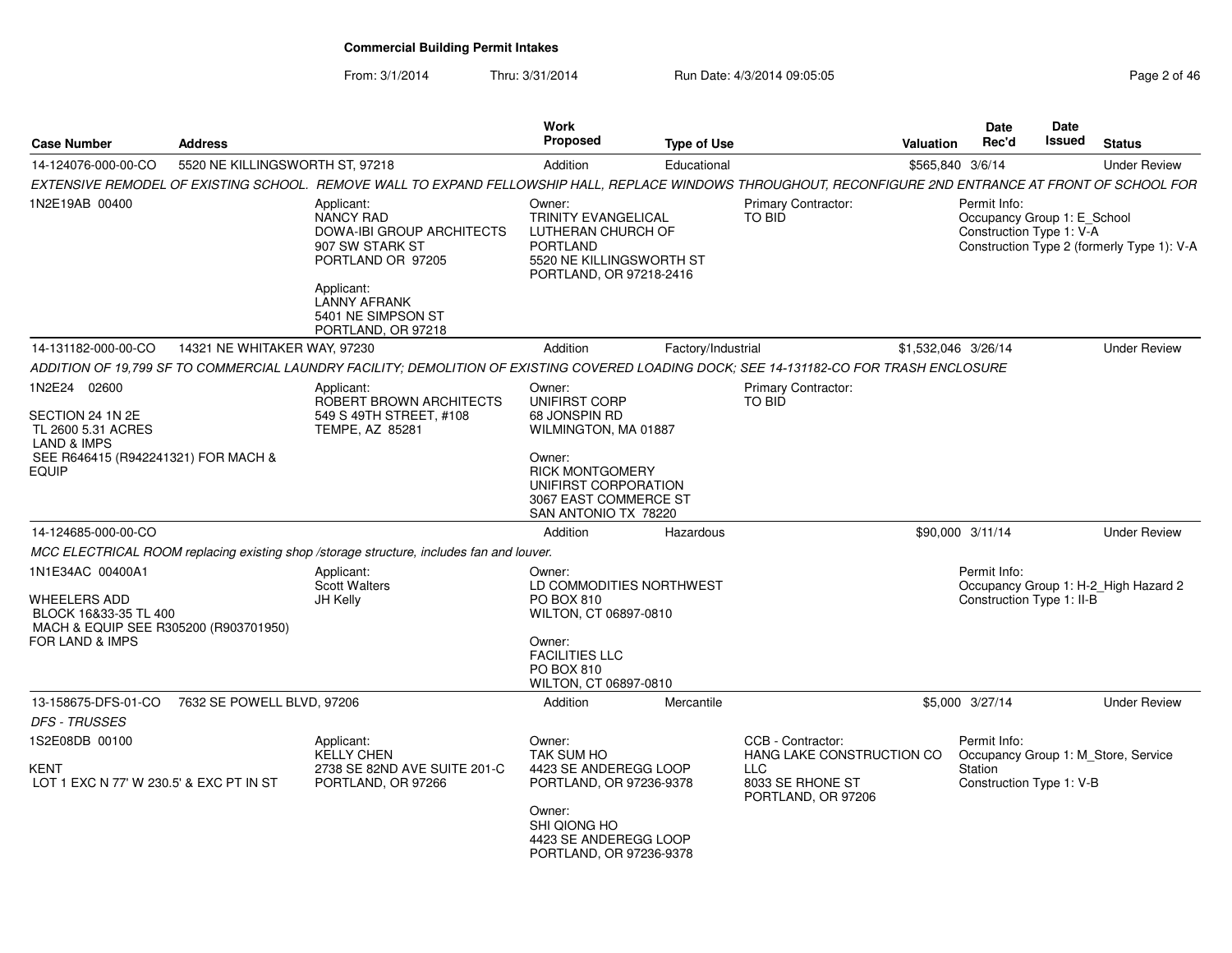From: 3/1/2014

Thru:  $3/31/2014$  Run Date:  $4/3/2014$  09:05:05 Rege 2 of 46

| <b>Case Number</b>                                                                                                                      | <b>Address</b>                  |                                                                                                                                                          | Work<br>Proposed                                                                                                                                    | <b>Type of Use</b> |                                                                                                        | Valuation           | <b>Date</b><br>Rec'd                                                    | <b>Date</b><br>Issued | <b>Status</b>                              |
|-----------------------------------------------------------------------------------------------------------------------------------------|---------------------------------|----------------------------------------------------------------------------------------------------------------------------------------------------------|-----------------------------------------------------------------------------------------------------------------------------------------------------|--------------------|--------------------------------------------------------------------------------------------------------|---------------------|-------------------------------------------------------------------------|-----------------------|--------------------------------------------|
| 14-124076-000-00-CO                                                                                                                     | 5520 NE KILLINGSWORTH ST, 97218 |                                                                                                                                                          | Addition                                                                                                                                            | Educational        |                                                                                                        | \$565,840 3/6/14    |                                                                         |                       | <b>Under Review</b>                        |
|                                                                                                                                         |                                 | EXTENSIVE REMODEL OF EXISTING SCHOOL. REMOVE WALL TO EXPAND FELLOWSHIP HALL, REPLACE WINDOWS THROUGHOUT, RECONFIGURE 2ND ENTRANCE AT FRONT OF SCHOOL FOR |                                                                                                                                                     |                    |                                                                                                        |                     |                                                                         |                       |                                            |
| 1N2E19AB 00400                                                                                                                          |                                 | Applicant:<br>NANCY RAD<br><b>DOWA-IBI GROUP ARCHITECTS</b><br>907 SW STARK ST<br>PORTLAND OR 97205<br>Applicant:                                        | Owner:<br><b>TRINITY EVANGELICAL</b><br>LUTHERAN CHURCH OF<br>PORTLAND<br>5520 NE KILLINGSWORTH ST<br>PORTLAND, OR 97218-2416                       |                    | <b>Primary Contractor:</b><br>TO BID                                                                   |                     | Permit Info:<br>Occupancy Group 1: E_School<br>Construction Type 1: V-A |                       | Construction Type 2 (formerly Type 1): V-A |
|                                                                                                                                         |                                 | <b>LANNY AFRANK</b><br>5401 NE SIMPSON ST<br>PORTLAND, OR 97218                                                                                          |                                                                                                                                                     |                    |                                                                                                        |                     |                                                                         |                       |                                            |
| 14-131182-000-00-CO                                                                                                                     | 14321 NE WHITAKER WAY, 97230    |                                                                                                                                                          | Addition                                                                                                                                            | Factory/Industrial |                                                                                                        | \$1,532,046 3/26/14 |                                                                         |                       | <b>Under Review</b>                        |
|                                                                                                                                         |                                 | ADDITION OF 19.799 SF TO COMMERCIAL LAUNDRY FACILITY: DEMOLITION OF EXISTING COVERED LOADING DOCK: SEE 14-131182-CO FOR TRASH ENCLOSURE                  |                                                                                                                                                     |                    |                                                                                                        |                     |                                                                         |                       |                                            |
| 1N2E24 02600<br>SECTION 24 1N 2E                                                                                                        |                                 | Applicant<br>ROBERT BROWN ARCHITECTS<br>549 S 49TH STREET, #108                                                                                          | Owner:<br><b>UNIFIRST CORP</b><br>68 JONSPIN RD                                                                                                     |                    | <b>Primary Contractor:</b><br>TO BID                                                                   |                     |                                                                         |                       |                                            |
| TL 2600 5.31 ACRES<br><b>LAND &amp; IMPS</b><br>SEE R646415 (R942241321) FOR MACH &                                                     |                                 | TEMPE, AZ 85281                                                                                                                                          | WILMINGTON, MA 01887<br>Owner:                                                                                                                      |                    |                                                                                                        |                     |                                                                         |                       |                                            |
| <b>EQUIP</b>                                                                                                                            |                                 |                                                                                                                                                          | <b>RICK MONTGOMERY</b><br>UNIFIRST CORPORATION<br>3067 EAST COMMERCE ST<br>SAN ANTONIO TX 78220                                                     |                    |                                                                                                        |                     |                                                                         |                       |                                            |
| 14-124685-000-00-CO                                                                                                                     |                                 |                                                                                                                                                          | Addition                                                                                                                                            | Hazardous          |                                                                                                        | \$90,000 3/11/14    |                                                                         |                       | <b>Under Review</b>                        |
|                                                                                                                                         |                                 | MCC ELECTRICAL ROOM replacing existing shop /storage structure, includes fan and louver.                                                                 |                                                                                                                                                     |                    |                                                                                                        |                     |                                                                         |                       |                                            |
| 1N1E34AC 00400A1<br><b>WHEELERS ADD</b><br>BLOCK 16&33-35 TL 400<br>MACH & EQUIP SEE R305200 (R903701950)<br><b>FOR LAND &amp; IMPS</b> |                                 | Applicant:<br><b>Scott Walters</b><br>JH Kelly                                                                                                           | Owner:<br>LD COMMODITIES NORTHWEST<br>PO BOX 810<br>WILTON, CT 06897-0810<br>Owner:<br><b>FACILITIES LLC</b><br>PO BOX 810<br>WILTON, CT 06897-0810 |                    |                                                                                                        |                     | Permit Info:<br>Construction Type 1: II-B                               |                       | Occupancy Group 1: H-2_High Hazard 2       |
| 13-158675-DFS-01-CO                                                                                                                     | 7632 SE POWELL BLVD, 97206      |                                                                                                                                                          | Addition                                                                                                                                            | Mercantile         |                                                                                                        |                     | \$5,000 3/27/14                                                         |                       | <b>Under Review</b>                        |
| <b>DFS - TRUSSES</b>                                                                                                                    |                                 |                                                                                                                                                          |                                                                                                                                                     |                    |                                                                                                        |                     |                                                                         |                       |                                            |
| 1S2E08DB 00100<br>KENT<br>LOT 1 EXC N 77' W 230.5' & EXC PT IN ST                                                                       |                                 | Applicant:<br><b>KELLY CHEN</b><br>2738 SE 82ND AVE SUITE 201-C<br>PORTLAND, OR 97266                                                                    | Owner:<br>TAK SUM HO<br>4423 SE ANDEREGG LOOP<br>PORTLAND, OR 97236-9378                                                                            |                    | CCB - Contractor:<br>HANG LAKE CONSTRUCTION CO<br><b>LLC</b><br>8033 SE RHONE ST<br>PORTLAND, OR 97206 |                     | Permit Info:<br>Station<br>Construction Type 1: V-B                     |                       | Occupancy Group 1: M_Store, Service        |
|                                                                                                                                         |                                 |                                                                                                                                                          | Owner:<br>SHI QIONG HO<br>4423 SE ANDEREGG LOOP<br>PORTLAND, OR 97236-9378                                                                          |                    |                                                                                                        |                     |                                                                         |                       |                                            |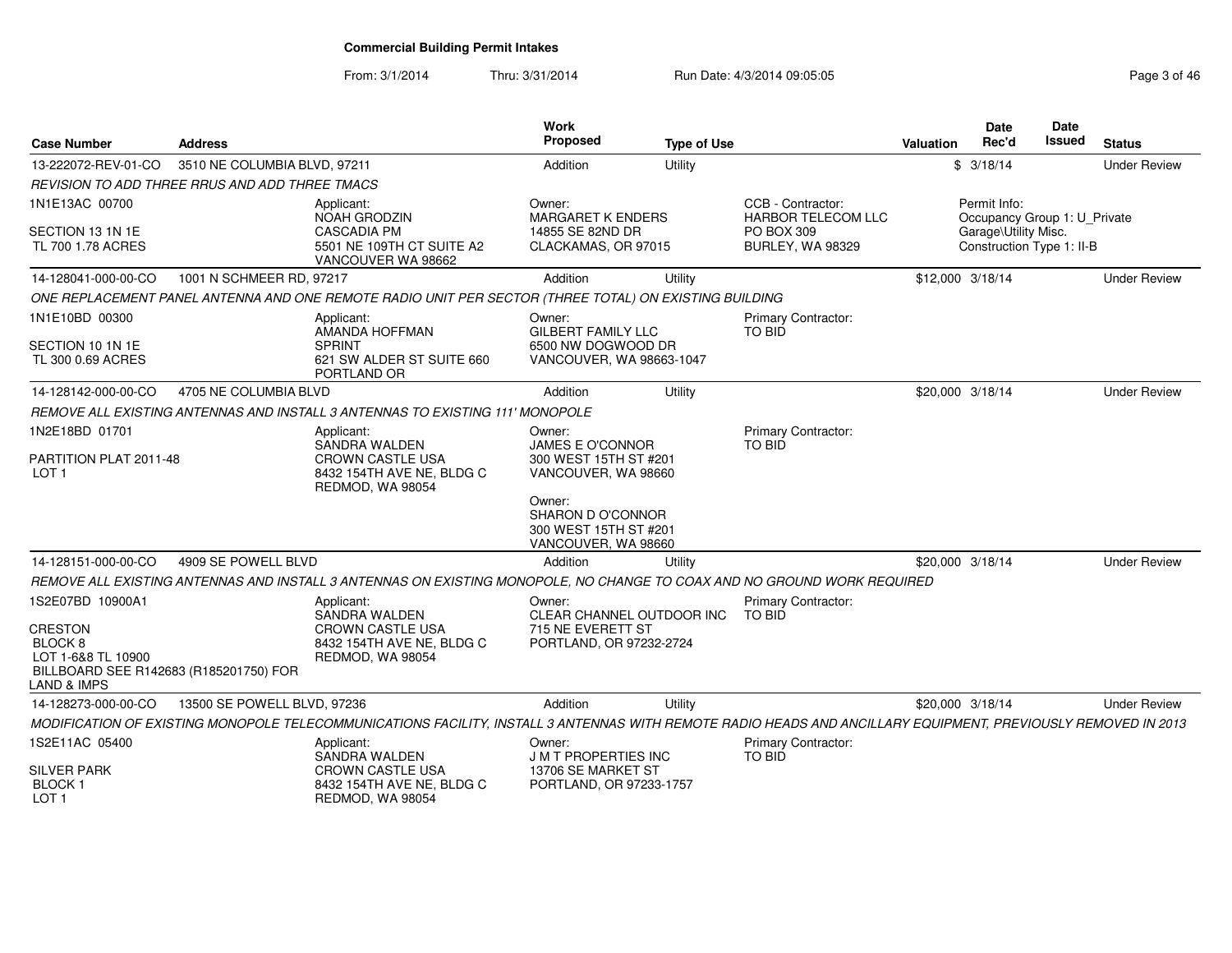From: 3/1/2014Thru: 3/31/2014 Run Date: 4/3/2014 09:05:05 Rege 3 of 46

| <b>Case Number</b>                                                          | Address                      |                                                                                                                                                               | <b>Work</b><br>Proposed                                                     | <b>Type of Use</b> |                                                | <b>Valuation</b> | <b>Date</b><br>Rec'd                              | Date<br>Issued | <b>Status</b>       |
|-----------------------------------------------------------------------------|------------------------------|---------------------------------------------------------------------------------------------------------------------------------------------------------------|-----------------------------------------------------------------------------|--------------------|------------------------------------------------|------------------|---------------------------------------------------|----------------|---------------------|
| 13-222072-REV-01-CO                                                         | 3510 NE COLUMBIA BLVD, 97211 |                                                                                                                                                               | Addition                                                                    | Utility            |                                                |                  | \$3/18/14                                         |                | <b>Under Review</b> |
| REVISION TO ADD THREE RRUS AND ADD THREE TMACS                              |                              |                                                                                                                                                               |                                                                             |                    |                                                |                  |                                                   |                |                     |
| 1N1E13AC 00700                                                              |                              | Applicant:<br><b>NOAH GRODZIN</b>                                                                                                                             | Owner:<br><b>MARGARET K ENDERS</b>                                          |                    | CCB - Contractor:<br><b>HARBOR TELECOM LLC</b> |                  | Permit Info:<br>Occupancy Group 1: U_Private      |                |                     |
| SECTION 13 1N 1E<br>TL 700 1.78 ACRES                                       |                              | <b>CASCADIA PM</b><br>5501 NE 109TH CT SUITE A2<br>VANCOUVER WA 98662                                                                                         | 14855 SE 82ND DR<br>CLACKAMAS, OR 97015                                     |                    | PO BOX 309<br>BURLEY, WA 98329                 |                  | Garage\Utility Misc.<br>Construction Type 1: II-B |                |                     |
| 14-128041-000-00-CO                                                         | 1001 N SCHMEER RD, 97217     |                                                                                                                                                               | Addition                                                                    | Utility            |                                                | \$12,000 3/18/14 |                                                   |                | <b>Under Review</b> |
|                                                                             |                              | ONE REPLACEMENT PANEL ANTENNA AND ONE REMOTE RADIO UNIT PER SECTOR (THREE TOTAL) ON EXISTING BUILDING                                                         |                                                                             |                    |                                                |                  |                                                   |                |                     |
| 1N1E10BD 00300                                                              |                              | Applicant:<br>AMANDA HOFFMAN                                                                                                                                  | Owner:<br><b>GILBERT FAMILY LLC</b>                                         |                    | <b>Primary Contractor:</b><br>TO BID           |                  |                                                   |                |                     |
| SECTION 10 1N 1E<br>TL 300 0.69 ACRES                                       |                              | <b>SPRINT</b><br>621 SW ALDER ST SUITE 660<br>PORTLAND OR                                                                                                     | 6500 NW DOGWOOD DR<br>VANCOUVER, WA 98663-1047                              |                    |                                                |                  |                                                   |                |                     |
| 14-128142-000-00-CO                                                         | 4705 NE COLUMBIA BLVD        |                                                                                                                                                               | Addition                                                                    | Utility            |                                                | \$20,000 3/18/14 |                                                   |                | <b>Under Review</b> |
|                                                                             |                              | REMOVE ALL EXISTING ANTENNAS AND INSTALL 3 ANTENNAS TO EXISTING 111' MONOPOLE                                                                                 |                                                                             |                    |                                                |                  |                                                   |                |                     |
| 1N2E18BD 01701                                                              |                              | Applicant:                                                                                                                                                    | Owner:                                                                      |                    | Primary Contractor:                            |                  |                                                   |                |                     |
| PARTITION PLAT 2011-48<br>LOT <sub>1</sub>                                  |                              | SANDRA WALDEN<br><b>CROWN CASTLE USA</b><br>8432 154TH AVE NE, BLDG C<br>REDMOD, WA 98054                                                                     | <b>JAMES E O'CONNOR</b><br>300 WEST 15TH ST #201<br>VANCOUVER, WA 98660     |                    | TO BID                                         |                  |                                                   |                |                     |
|                                                                             |                              |                                                                                                                                                               | Owner:<br>SHARON D O'CONNOR<br>300 WEST 15TH ST #201<br>VANCOUVER, WA 98660 |                    |                                                |                  |                                                   |                |                     |
| 14-128151-000-00-CO                                                         | 4909 SE POWELL BLVD          |                                                                                                                                                               | Addition                                                                    | Utility            |                                                | \$20,000 3/18/14 |                                                   |                | <b>Under Review</b> |
|                                                                             |                              | REMOVE ALL EXISTING ANTENNAS AND INSTALL 3 ANTENNAS ON EXISTING MONOPOLE, NO CHANGE TO COAX AND NO GROUND WORK REQUIRED                                       |                                                                             |                    |                                                |                  |                                                   |                |                     |
| 1S2E07BD 10900A1                                                            |                              | Applicant:                                                                                                                                                    | Owner:                                                                      |                    | Primary Contractor:                            |                  |                                                   |                |                     |
| <b>CRESTON</b>                                                              |                              | SANDRA WALDEN<br><b>CROWN CASTLE USA</b>                                                                                                                      | CLEAR CHANNEL OUTDOOR INC<br>715 NE EVERETT ST                              |                    | TO BID                                         |                  |                                                   |                |                     |
| BLOCK <sub>8</sub>                                                          |                              | 8432 154TH AVE NE, BLDG C                                                                                                                                     | PORTLAND, OR 97232-2724                                                     |                    |                                                |                  |                                                   |                |                     |
| LOT 1-6&8 TL 10900<br>BILLBOARD SEE R142683 (R185201750) FOR<br>LAND & IMPS |                              | REDMOD, WA 98054                                                                                                                                              |                                                                             |                    |                                                |                  |                                                   |                |                     |
| 14-128273-000-00-CO                                                         | 13500 SE POWELL BLVD, 97236  |                                                                                                                                                               | Addition                                                                    | Utility            |                                                | \$20,000 3/18/14 |                                                   |                | <b>Under Review</b> |
|                                                                             |                              | MODIFICATION OF EXISTING MONOPOLE TELECOMMUNICATIONS FACILITY, INSTALL 3 ANTENNAS WITH REMOTE RADIO HEADS AND ANCILLARY EQUIPMENT, PREVIOUSLY REMOVED IN 2013 |                                                                             |                    |                                                |                  |                                                   |                |                     |
| 1S2E11AC 05400                                                              |                              | Applicant:<br>SANDRA WALDEN                                                                                                                                   | Owner:<br><b>JMT PROPERTIES INC</b>                                         |                    | <b>Primary Contractor:</b><br><b>TO BID</b>    |                  |                                                   |                |                     |
| <b>SILVER PARK</b><br>BLOCK <sub>1</sub><br>LOT 1                           |                              | <b>CROWN CASTLE USA</b><br>8432 154TH AVE NE, BLDG C<br>REDMOD, WA 98054                                                                                      | 13706 SE MARKET ST<br>PORTLAND, OR 97233-1757                               |                    |                                                |                  |                                                   |                |                     |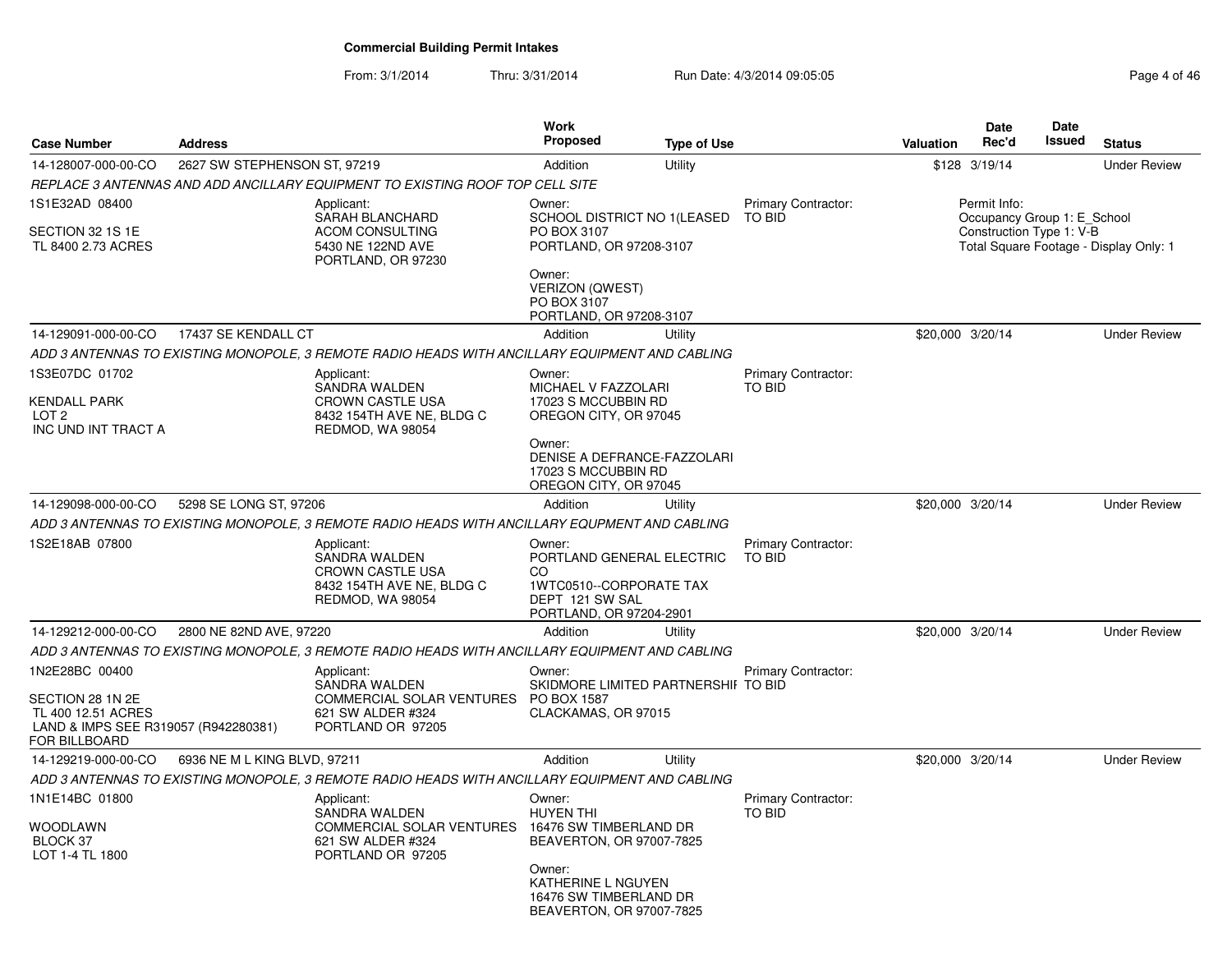From: 3/1/2014Thru: 3/31/2014 Run Date: 4/3/2014 09:05:05 Research 2010 12:05:05

| <b>Case Number</b>                                                                                                | <b>Address</b>               |                                                                                                         | <b>Work</b><br><b>Proposed</b>                                                                                                                                                | <b>Type of Use</b> |                                      | Valuation        | <b>Date</b><br>Rec'd                                                    | <b>Date</b><br>Issued | <b>Status</b>                          |
|-------------------------------------------------------------------------------------------------------------------|------------------------------|---------------------------------------------------------------------------------------------------------|-------------------------------------------------------------------------------------------------------------------------------------------------------------------------------|--------------------|--------------------------------------|------------------|-------------------------------------------------------------------------|-----------------------|----------------------------------------|
| 14-128007-000-00-CO                                                                                               | 2627 SW STEPHENSON ST, 97219 |                                                                                                         | Addition                                                                                                                                                                      | Utility            |                                      |                  | \$128 3/19/14                                                           |                       | <b>Under Review</b>                    |
|                                                                                                                   |                              | REPLACE 3 ANTENNAS AND ADD ANCILLARY EQUIPMENT TO EXISTING ROOF TOP CELL SITE                           |                                                                                                                                                                               |                    |                                      |                  |                                                                         |                       |                                        |
| 1S1E32AD 08400<br>SECTION 32 1S 1E<br>TL 8400 2.73 ACRES                                                          |                              | Applicant:<br>SARAH BLANCHARD<br><b>ACOM CONSULTING</b><br>5430 NE 122ND AVE<br>PORTLAND, OR 97230      | Owner:<br>SCHOOL DISTRICT NO 1(LEASED<br>PO BOX 3107<br>PORTLAND, OR 97208-3107<br>Owner:                                                                                     |                    | <b>Primary Contractor:</b><br>TO BID |                  | Permit Info:<br>Occupancy Group 1: E School<br>Construction Type 1: V-B |                       | Total Square Footage - Display Only: 1 |
|                                                                                                                   |                              |                                                                                                         | <b>VERIZON (QWEST)</b><br>PO BOX 3107<br>PORTLAND, OR 97208-3107                                                                                                              |                    |                                      |                  |                                                                         |                       |                                        |
| 14-129091-000-00-CO                                                                                               | 17437 SE KENDALL CT          |                                                                                                         | Addition                                                                                                                                                                      | Utility            |                                      | \$20,000 3/20/14 |                                                                         |                       | <b>Under Review</b>                    |
|                                                                                                                   |                              | ADD 3 ANTENNAS TO EXISTING MONOPOLE, 3 REMOTE RADIO HEADS WITH ANCILLARY EQUIPMENT AND CABLING          |                                                                                                                                                                               |                    |                                      |                  |                                                                         |                       |                                        |
| 1S3E07DC 01702<br><b>KENDALL PARK</b><br>LOT <sub>2</sub><br>INC UND INT TRACT A                                  |                              | Applicant:<br>SANDRA WALDEN<br><b>CROWN CASTLE USA</b><br>8432 154TH AVE NE, BLDG C<br>REDMOD, WA 98054 | Owner:<br>MICHAEL V FAZZOLARI<br>17023 S MCCUBBIN RD<br>OREGON CITY, OR 97045                                                                                                 |                    | <b>Primary Contractor:</b><br>TO BID |                  |                                                                         |                       |                                        |
|                                                                                                                   |                              |                                                                                                         | Owner:<br>DENISE A DEFRANCE-FAZZOLARI<br>17023 S MCCUBBIN RD<br>OREGON CITY, OR 97045                                                                                         |                    |                                      |                  |                                                                         |                       |                                        |
| 14-129098-000-00-CO                                                                                               | 5298 SE LONG ST, 97206       |                                                                                                         | Addition                                                                                                                                                                      | Utility            |                                      | \$20,000 3/20/14 |                                                                         |                       | <b>Under Review</b>                    |
|                                                                                                                   |                              | ADD 3 ANTENNAS TO EXISTING MONOPOLE, 3 REMOTE RADIO HEADS WITH ANCILLARY EQUPMENT AND CABLING           |                                                                                                                                                                               |                    |                                      |                  |                                                                         |                       |                                        |
| 1S2E18AB 07800                                                                                                    |                              | Applicant:<br>SANDRA WALDEN<br><b>CROWN CASTLE USA</b><br>8432 154TH AVE NE, BLDG C<br>REDMOD, WA 98054 | Owner:<br>PORTLAND GENERAL ELECTRIC<br>CO<br>1WTC0510--CORPORATE TAX<br>DEPT 121 SW SAL<br>PORTLAND, OR 97204-2901                                                            |                    | <b>Primary Contractor:</b><br>TO BID |                  |                                                                         |                       |                                        |
| 14-129212-000-00-CO                                                                                               | 2800 NE 82ND AVE, 97220      |                                                                                                         | Addition                                                                                                                                                                      | Utility            |                                      | \$20,000 3/20/14 |                                                                         |                       | <b>Under Review</b>                    |
|                                                                                                                   |                              | ADD 3 ANTENNAS TO EXISTING MONOPOLE, 3 REMOTE RADIO HEADS WITH ANCILLARY EQUIPMENT AND CABLING          |                                                                                                                                                                               |                    |                                      |                  |                                                                         |                       |                                        |
| 1N2E28BC 00400<br>SECTION 28 1N 2E<br>TL 400 12.51 ACRES<br>LAND & IMPS SEE R319057 (R942280381)<br>FOR BILLBOARD |                              | Applicant:<br>SANDRA WALDEN<br>COMMERCIAL SOLAR VENTURES<br>621 SW ALDER #324<br>PORTLAND OR 97205      | Owner:<br>SKIDMORE LIMITED PARTNERSHII TO BID<br>PO BOX 1587<br>CLACKAMAS, OR 97015                                                                                           |                    | <b>Primary Contractor:</b>           |                  |                                                                         |                       |                                        |
| 14-129219-000-00-CO                                                                                               | 6936 NE M L KING BLVD, 97211 |                                                                                                         | Addition                                                                                                                                                                      | Utility            |                                      | \$20,000 3/20/14 |                                                                         |                       | <b>Under Review</b>                    |
|                                                                                                                   |                              | ADD 3 ANTENNAS TO EXISTING MONOPOLE, 3 REMOTE RADIO HEADS WITH ANCILLARY EQUIPMENT AND CABLING          |                                                                                                                                                                               |                    |                                      |                  |                                                                         |                       |                                        |
| 1N1E14BC 01800<br>WOODLAWN<br>BLOCK 37<br>LOT 1-4 TL 1800                                                         |                              | Applicant:<br>SANDRA WALDEN<br>COMMERCIAL SOLAR VENTURES<br>621 SW ALDER #324<br>PORTLAND OR 97205      | Owner:<br><b>HUYEN THI</b><br>16476 SW TIMBERLAND DR<br>BEAVERTON, OR 97007-7825<br>Owner:<br><b>KATHERINE L NGUYEN</b><br>16476 SW TIMBERLAND DR<br>BEAVERTON, OR 97007-7825 |                    | Primary Contractor:<br><b>TO BID</b> |                  |                                                                         |                       |                                        |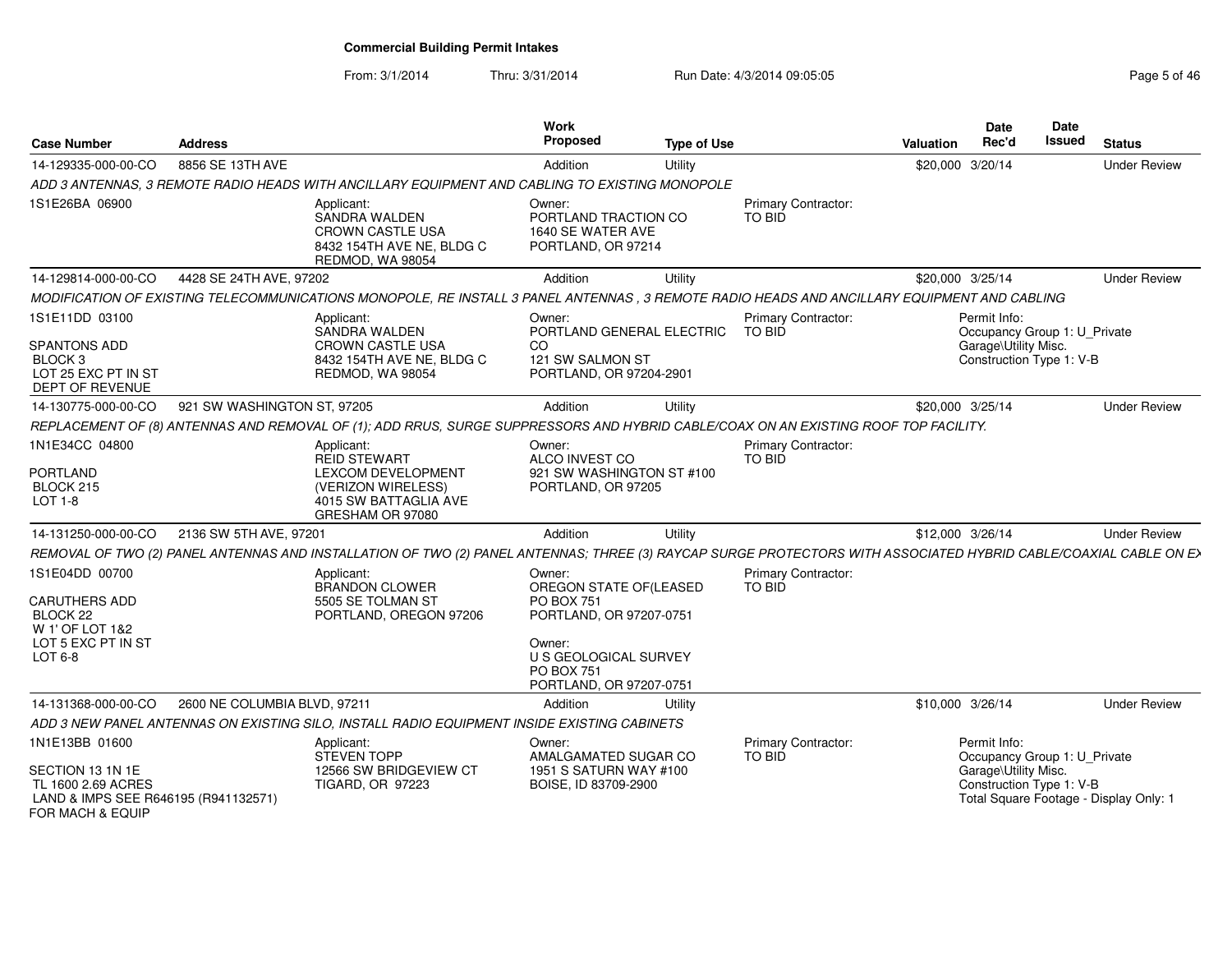From: 3/1/2014

Thru: 3/31/2014 Run Date: 4/3/2014 09:05:05 Research 2010 12:05:05

| <b>Case Number</b>                                                                                     | <b>Address</b>               |                                                                                                                                                                  | Work<br><b>Proposed</b>                                                                    | <b>Type of Use</b> |                                      | <b>Valuation</b> | <b>Date</b><br>Rec'd                                                                             | Date<br><b>Issued</b> | <b>Status</b>                          |
|--------------------------------------------------------------------------------------------------------|------------------------------|------------------------------------------------------------------------------------------------------------------------------------------------------------------|--------------------------------------------------------------------------------------------|--------------------|--------------------------------------|------------------|--------------------------------------------------------------------------------------------------|-----------------------|----------------------------------------|
| 14-129335-000-00-CO                                                                                    | 8856 SE 13TH AVE             |                                                                                                                                                                  | Addition                                                                                   | Utility            |                                      | \$20,000 3/20/14 |                                                                                                  |                       | <b>Under Review</b>                    |
|                                                                                                        |                              | ADD 3 ANTENNAS, 3 REMOTE RADIO HEADS WITH ANCILLARY EQUIPMENT AND CABLING TO EXISTING MONOPOLE                                                                   |                                                                                            |                    |                                      |                  |                                                                                                  |                       |                                        |
| 1S1E26BA 06900                                                                                         |                              | Applicant:<br>SANDRA WALDEN<br>CROWN CASTLE USA<br>8432 154TH AVE NE, BLDG C<br>REDMOD, WA 98054                                                                 | Owner:<br>PORTLAND TRACTION CO<br>1640 SE WATER AVE<br>PORTLAND, OR 97214                  |                    | Primary Contractor:<br>TO BID        |                  |                                                                                                  |                       |                                        |
| 14-129814-000-00-CO                                                                                    | 4428 SE 24TH AVE, 97202      |                                                                                                                                                                  | Addition                                                                                   | Utility            |                                      | \$20,000 3/25/14 |                                                                                                  |                       | <b>Under Review</b>                    |
|                                                                                                        |                              | MODIFICATION OF EXISTING TELECOMMUNICATIONS MONOPOLE, RE INSTALL 3 PANEL ANTENNAS, 3 REMOTE RADIO HEADS AND ANCILLARY EQUIPMENT AND CABLING                      |                                                                                            |                    |                                      |                  |                                                                                                  |                       |                                        |
| 1S1E11DD 03100<br>SPANTONS ADD<br>BLOCK <sub>3</sub><br>LOT 25 EXC PT IN ST<br>DEPT OF REVENUE         |                              | Applicant:<br>SANDRA WALDEN<br><b>CROWN CASTLE USA</b><br>8432 154TH AVE NE, BLDG C<br>REDMOD, WA 98054                                                          | Owner:<br>PORTLAND GENERAL ELECTRIC<br>CO.<br>121 SW SALMON ST<br>PORTLAND, OR 97204-2901  |                    | Primary Contractor:<br><b>TO BID</b> |                  | Permit Info:<br>Occupancy Group 1: U_Private<br>Garage\Utility Misc.<br>Construction Type 1: V-B |                       |                                        |
| 14-130775-000-00-CO                                                                                    | 921 SW WASHINGTON ST, 97205  |                                                                                                                                                                  | Addition                                                                                   | Utility            |                                      | \$20,000 3/25/14 |                                                                                                  |                       | <b>Under Review</b>                    |
|                                                                                                        |                              | REPLACEMENT OF (8) ANTENNAS AND REMOVAL OF (1); ADD RRUS, SURGE SUPPRESSORS AND HYBRID CABLE/COAX ON AN EXISTING ROOF TOP FACILITY.                              |                                                                                            |                    |                                      |                  |                                                                                                  |                       |                                        |
| 1N1E34CC 04800<br>PORTLAND                                                                             |                              | Applicant:<br><b>REID STEWART</b><br>LEXCOM DEVELOPMENT                                                                                                          | Owner:<br>ALCO INVEST CO<br>921 SW WASHINGTON ST #100                                      |                    | <b>Primary Contractor:</b><br>TO BID |                  |                                                                                                  |                       |                                        |
| BLOCK 215<br>$LOT 1-8$                                                                                 |                              | (VERIZON WIRELESS)<br>4015 SW BATTAGLIA AVE<br>GRESHAM OR 97080                                                                                                  | PORTLAND, OR 97205                                                                         |                    |                                      |                  |                                                                                                  |                       |                                        |
| 14-131250-000-00-CO                                                                                    | 2136 SW 5TH AVE, 97201       |                                                                                                                                                                  | Addition                                                                                   | Utility            |                                      | \$12,000 3/26/14 |                                                                                                  |                       | <b>Under Review</b>                    |
|                                                                                                        |                              | REMOVAL OF TWO (2) PANEL ANTENNAS AND INSTALLATION OF TWO (2) PANEL ANTENNAS; THREE (3) RAYCAP SURGE PROTECTORS WITH ASSOCIATED HYBRID CABLE/COAXIAL CABLE ON E> |                                                                                            |                    |                                      |                  |                                                                                                  |                       |                                        |
| 1S1E04DD 00700<br><b>CARUTHERS ADD</b><br>BLOCK <sub>22</sub><br>W 1' OF LOT 1&2<br>LOT 5 EXC PT IN ST |                              | Applicant:<br><b>BRANDON CLOWER</b><br>5505 SE TOLMAN ST<br>PORTLAND, OREGON 97206                                                                               | Owner:<br>OREGON STATE OF(LEASED<br><b>PO BOX 751</b><br>PORTLAND, OR 97207-0751<br>Owner: |                    | Primary Contractor:<br>TO BID        |                  |                                                                                                  |                       |                                        |
| LOT 6-8                                                                                                |                              |                                                                                                                                                                  | U S GEOLOGICAL SURVEY<br><b>PO BOX 751</b><br>PORTLAND, OR 97207-0751                      |                    |                                      |                  |                                                                                                  |                       |                                        |
| 14-131368-000-00-CO                                                                                    | 2600 NE COLUMBIA BLVD, 97211 |                                                                                                                                                                  | Addition                                                                                   | Utility            |                                      | \$10,000 3/26/14 |                                                                                                  |                       | <b>Under Review</b>                    |
|                                                                                                        |                              | ADD 3 NEW PANEL ANTENNAS ON EXISTING SILO, INSTALL RADIO EQUIPMENT INSIDE EXISTING CABINETS                                                                      |                                                                                            |                    |                                      |                  |                                                                                                  |                       |                                        |
| 1N1E13BB 01600<br>SECTION 13 1N 1E                                                                     |                              | Applicant:<br><b>STEVEN TOPP</b><br>12566 SW BRIDGEVIEW CT                                                                                                       | Owner:<br>AMALGAMATED SUGAR CO<br>1951 S SATURN WAY #100                                   |                    | Primary Contractor:<br>TO BID        |                  | Permit Info:<br>Occupancy Group 1: U_Private<br>Garage\Utility Misc.                             |                       |                                        |
| TL 1600 2.69 ACRES<br>LAND & IMPS SEE R646195 (R941132571)<br>FOR MACH & EQUIP                         |                              | <b>TIGARD, OR 97223</b>                                                                                                                                          | BOISE, ID 83709-2900                                                                       |                    |                                      |                  | Construction Type 1: V-B                                                                         |                       | Total Square Footage - Display Only: 1 |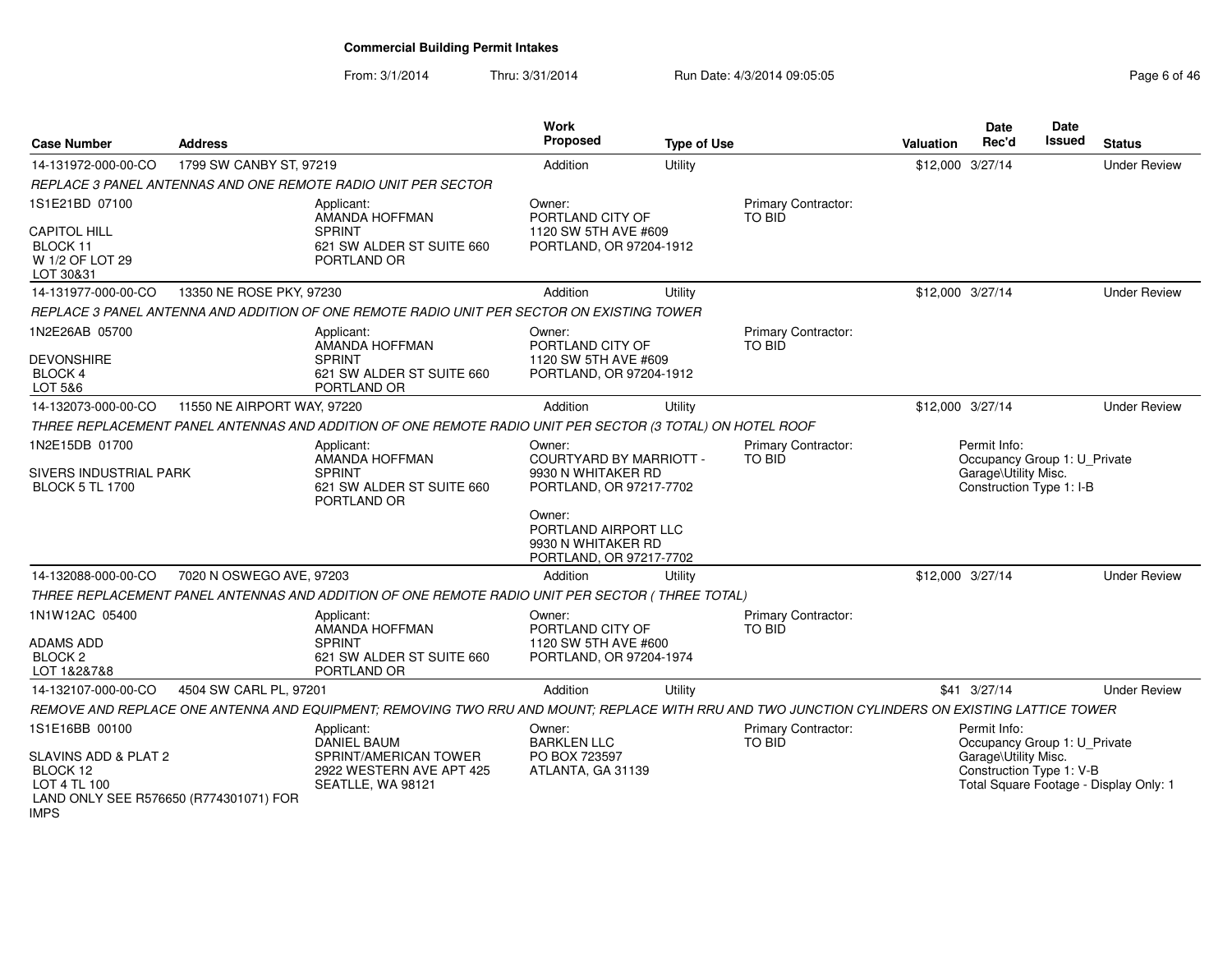From: 3/1/2014Thru: 3/31/2014 Run Date: 4/3/2014 09:05:05 Rege 6 of 46

| <b>Case Number</b>                                                                                                   | Address                     |                                                                                                                                                 | <b>Work</b><br>Proposed                                                                   | <b>Type of Use</b> |                                      | <b>Valuation</b> | Date<br>Rec'd                                                                                    | Date<br>Issued | <b>Status</b>                          |
|----------------------------------------------------------------------------------------------------------------------|-----------------------------|-------------------------------------------------------------------------------------------------------------------------------------------------|-------------------------------------------------------------------------------------------|--------------------|--------------------------------------|------------------|--------------------------------------------------------------------------------------------------|----------------|----------------------------------------|
| 14-131972-000-00-CO                                                                                                  | 1799 SW CANBY ST, 97219     |                                                                                                                                                 | Addition                                                                                  | Utility            |                                      | \$12,000 3/27/14 |                                                                                                  |                | <b>Under Review</b>                    |
|                                                                                                                      |                             | REPLACE 3 PANEL ANTENNAS AND ONE REMOTE RADIO UNIT PER SECTOR                                                                                   |                                                                                           |                    |                                      |                  |                                                                                                  |                |                                        |
| 1S1E21BD 07100                                                                                                       |                             | Applicant:<br>AMANDA HOFFMAN                                                                                                                    | Owner:<br>PORTLAND CITY OF                                                                |                    | <b>Primary Contractor:</b><br>TO BID |                  |                                                                                                  |                |                                        |
| <b>CAPITOL HILL</b><br>BLOCK 11<br>W 1/2 OF LOT 29<br>LOT 30&31                                                      |                             | <b>SPRINT</b><br>621 SW ALDER ST SUITE 660<br>PORTLAND OR                                                                                       | 1120 SW 5TH AVE #609<br>PORTLAND, OR 97204-1912                                           |                    |                                      |                  |                                                                                                  |                |                                        |
| 14-131977-000-00-CO                                                                                                  | 13350 NE ROSE PKY, 97230    |                                                                                                                                                 | Addition                                                                                  | Utility            |                                      | \$12,000 3/27/14 |                                                                                                  |                | <b>Under Review</b>                    |
|                                                                                                                      |                             | REPLACE 3 PANEL ANTENNA AND ADDITION OF ONE REMOTE RADIO UNIT PER SECTOR ON EXISTING TOWER                                                      |                                                                                           |                    |                                      |                  |                                                                                                  |                |                                        |
| 1N2E26AB 05700<br><b>DEVONSHIRE</b><br><b>BLOCK 4</b>                                                                |                             | Applicant:<br>AMANDA HOFFMAN<br><b>SPRINT</b><br>621 SW ALDER ST SUITE 660                                                                      | Owner:<br>PORTLAND CITY OF<br>1120 SW 5TH AVE #609<br>PORTLAND, OR 97204-1912             |                    | Primary Contractor:<br>TO BID        |                  |                                                                                                  |                |                                        |
| LOT 5&6                                                                                                              |                             | PORTLAND OR                                                                                                                                     |                                                                                           |                    |                                      |                  |                                                                                                  |                |                                        |
| 14-132073-000-00-CO                                                                                                  | 11550 NE AIRPORT WAY, 97220 |                                                                                                                                                 | Addition                                                                                  | Utility            |                                      | \$12,000 3/27/14 |                                                                                                  |                | <b>Under Review</b>                    |
|                                                                                                                      |                             | THREE REPLACEMENT PANEL ANTENNAS AND ADDITION OF ONE REMOTE RADIO UNIT PER SECTOR (3 TOTAL) ON HOTEL ROOF                                       |                                                                                           |                    |                                      |                  |                                                                                                  |                |                                        |
| 1N2E15DB 01700<br>SIVERS INDUSTRIAL PARK<br><b>BLOCK 5 TL 1700</b>                                                   |                             | Applicant:<br>AMANDA HOFFMAN<br><b>SPRINT</b><br>621 SW ALDER ST SUITE 660<br>PORTLAND OR                                                       | Owner:<br><b>COURTYARD BY MARRIOTT -</b><br>9930 N WHITAKER RD<br>PORTLAND, OR 97217-7702 |                    | <b>Primary Contractor:</b><br>TO BID |                  | Permit Info:<br>Occupancy Group 1: U Private<br>Garage\Utility Misc.<br>Construction Type 1: I-B |                |                                        |
|                                                                                                                      |                             |                                                                                                                                                 | Owner:<br>PORTLAND AIRPORT LLC<br>9930 N WHITAKER RD<br>PORTLAND, OR 97217-7702           |                    |                                      |                  |                                                                                                  |                |                                        |
| 14-132088-000-00-CO                                                                                                  | 7020 N OSWEGO AVE, 97203    |                                                                                                                                                 | Addition                                                                                  | Utility            |                                      | \$12,000 3/27/14 |                                                                                                  |                | <b>Under Review</b>                    |
|                                                                                                                      |                             | THREE REPLACEMENT PANEL ANTENNAS AND ADDITION OF ONE REMOTE RADIO UNIT PER SECTOR (THREE TOTAL)                                                 |                                                                                           |                    |                                      |                  |                                                                                                  |                |                                        |
| 1N1W12AC 05400<br>ADAMS ADD<br>BLOCK <sub>2</sub><br>LOT 1&2&7&8                                                     |                             | Applicant:<br>AMANDA HOFFMAN<br><b>SPRINT</b><br>621 SW ALDER ST SUITE 660<br>PORTLAND OR                                                       | Owner:<br>PORTLAND CITY OF<br>1120 SW 5TH AVE #600<br>PORTLAND, OR 97204-1974             |                    | Primary Contractor:<br>TO BID        |                  |                                                                                                  |                |                                        |
| 14-132107-000-00-CO                                                                                                  | 4504 SW CARL PL, 97201      |                                                                                                                                                 | Addition                                                                                  | Utility            |                                      |                  | \$41 3/27/14                                                                                     |                | <b>Under Review</b>                    |
|                                                                                                                      |                             | REMOVE AND REPLACE ONE ANTENNA AND EQUIPMENT; REMOVING TWO RRU AND MOUNT; REPLACE WITH RRU AND TWO JUNCTION CYLINDERS ON EXISTING LATTICE TOWER |                                                                                           |                    |                                      |                  |                                                                                                  |                |                                        |
| 1S1E16BB 00100<br>SLAVINS ADD & PLAT 2<br>BLOCK 12<br>LOT 4 TL 100<br>LAND ONLY SEE R576650 (R774301071) FOR<br>IMPS |                             | Applicant:<br><b>DANIEL BAUM</b><br>SPRINT/AMERICAN TOWER<br>2922 WESTERN AVE APT 425<br>SEATLLE, WA 98121                                      | Owner:<br><b>BARKLEN LLC</b><br>PO BOX 723597<br>ATLANTA, GA 31139                        |                    | Primary Contractor:<br>TO BID        |                  | Permit Info:<br>Occupancy Group 1: U Private<br>Garage\Utility Misc.<br>Construction Type 1: V-B |                | Total Square Footage - Display Only: 1 |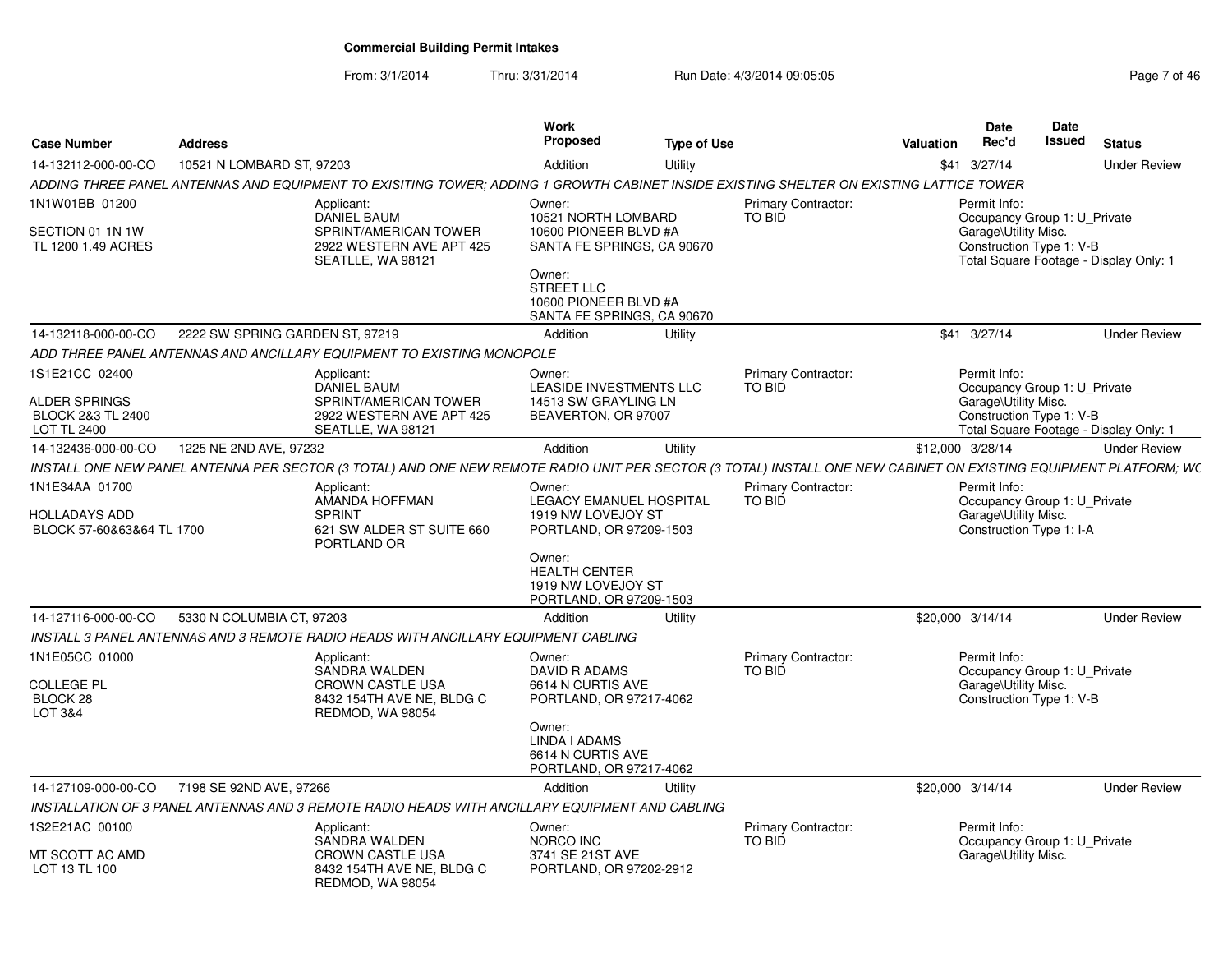From: 3/1/2014Thru: 3/31/2014 Run Date: 4/3/2014 09:05:05 Research 2010 12:05:05

| <b>Case Number</b>                                                                           | <b>Address</b>                  |                                                                                                                                                                  | Work<br><b>Proposed</b>                                                                                                                                             | <b>Type of Use</b> |                                      | Valuation        | <b>Date</b><br>Rec'd                 | Date<br><b>Issued</b>                                    | <b>Status</b>                          |
|----------------------------------------------------------------------------------------------|---------------------------------|------------------------------------------------------------------------------------------------------------------------------------------------------------------|---------------------------------------------------------------------------------------------------------------------------------------------------------------------|--------------------|--------------------------------------|------------------|--------------------------------------|----------------------------------------------------------|----------------------------------------|
| 14-132112-000-00-CO                                                                          | 10521 N LOMBARD ST, 97203       |                                                                                                                                                                  | Addition                                                                                                                                                            | Utility            |                                      |                  | \$41 3/27/14                         |                                                          | <b>Under Review</b>                    |
|                                                                                              |                                 | ADDING THREE PANEL ANTENNAS AND EQUIPMENT TO EXISITING TOWER; ADDING 1 GROWTH CABINET INSIDE EXISTING SHELTER ON EXISTING LATTICE TOWER                          |                                                                                                                                                                     |                    |                                      |                  |                                      |                                                          |                                        |
| 1N1W01BB 01200<br>SECTION 01 1N 1W<br>TL 1200 1.49 ACRES                                     |                                 | Applicant:<br><b>DANIEL BAUM</b><br>SPRINT/AMERICAN TOWER<br>2922 WESTERN AVE APT 425<br>SEATLLE, WA 98121                                                       | Owner:<br>10521 NORTH LOMBARD<br>10600 PIONEER BLVD #A<br>SANTA FE SPRINGS, CA 90670<br>Owner:<br>STREET LLC<br>10600 PIONEER BLVD #A<br>SANTA FE SPRINGS, CA 90670 |                    | Primary Contractor:<br>TO BID        |                  | Permit Info:<br>Garage\Utility Misc. | Occupancy Group 1: U_Private<br>Construction Type 1: V-B | Total Square Footage - Display Only: 1 |
| 14-132118-000-00-CO                                                                          | 2222 SW SPRING GARDEN ST, 97219 |                                                                                                                                                                  | Addition                                                                                                                                                            | Utility            |                                      |                  | \$41 3/27/14                         |                                                          | <b>Under Review</b>                    |
|                                                                                              |                                 | ADD THREE PANEL ANTENNAS AND ANCILLARY EQUIPMENT TO EXISTING MONOPOLE                                                                                            |                                                                                                                                                                     |                    |                                      |                  |                                      |                                                          |                                        |
| 1S1E21CC 02400<br><b>ALDER SPRINGS</b><br><b>BLOCK 2&amp;3 TL 2400</b><br><b>LOT TL 2400</b> |                                 | Applicant:<br><b>DANIEL BAUM</b><br>SPRINT/AMERICAN TOWER<br>2922 WESTERN AVE APT 425<br>SEATLLE, WA 98121                                                       | Owner:<br>LEASIDE INVESTMENTS LLC<br>14513 SW GRAYLING LN<br>BEAVERTON, OR 97007                                                                                    |                    | Primary Contractor:<br>TO BID        |                  | Permit Info:<br>Garage\Utility Misc. | Occupancy Group 1: U_Private<br>Construction Type 1: V-B | Total Square Footage - Display Only: 1 |
| 14-132436-000-00-CO                                                                          | 1225 NE 2ND AVE, 97232          |                                                                                                                                                                  | Addition                                                                                                                                                            | Utility            |                                      | \$12,000 3/28/14 |                                      |                                                          | <b>Under Review</b>                    |
|                                                                                              |                                 | INSTALL ONE NEW PANEL ANTENNA PER SECTOR (3 TOTAL) AND ONE NEW REMOTE RADIO UNIT PER SECTOR (3 TOTAL) INSTALL ONE NEW CABINET ON EXISTING EQUIPMENT PLATFORM; WC |                                                                                                                                                                     |                    |                                      |                  |                                      |                                                          |                                        |
| 1N1E34AA 01700<br>HOLLADAYS ADD<br>BLOCK 57-60&63&64 TL 1700                                 |                                 | Applicant:<br>AMANDA HOFFMAN<br><b>SPRINT</b><br>621 SW ALDER ST SUITE 660<br>PORTLAND OR                                                                        | Owner:<br>LEGACY EMANUEL HOSPITAL<br>1919 NW LOVEJOY ST<br>PORTLAND, OR 97209-1503<br>Owner:                                                                        |                    | <b>Primary Contractor:</b><br>TO BID |                  | Permit Info:<br>Garage\Utility Misc. | Occupancy Group 1: U_Private<br>Construction Type 1: I-A |                                        |
|                                                                                              |                                 |                                                                                                                                                                  | <b>HEALTH CENTER</b><br>1919 NW LOVEJOY ST<br>PORTLAND, OR 97209-1503                                                                                               |                    |                                      |                  |                                      |                                                          |                                        |
| 14-127116-000-00-CO                                                                          | 5330 N COLUMBIA CT, 97203       |                                                                                                                                                                  | Addition                                                                                                                                                            | Utility            |                                      | \$20,000 3/14/14 |                                      |                                                          | <b>Under Review</b>                    |
|                                                                                              |                                 | INSTALL 3 PANEL ANTENNAS AND 3 REMOTE RADIO HEADS WITH ANCILLARY EQUIPMENT CABLING                                                                               |                                                                                                                                                                     |                    |                                      |                  |                                      |                                                          |                                        |
| 1N1E05CC 01000<br><b>COLLEGE PL</b><br>BLOCK <sub>28</sub><br>LOT 3&4                        |                                 | Applicant:<br>SANDRA WALDEN<br><b>CROWN CASTLE USA</b><br>8432 154TH AVE NE, BLDG C<br>REDMOD, WA 98054                                                          | Owner:<br>DAVID R ADAMS<br>6614 N CURTIS AVE<br>PORTLAND, OR 97217-4062<br>Owner:                                                                                   |                    | Primary Contractor:<br>TO BID        |                  | Permit Info:<br>Garage\Utility Misc. | Occupancy Group 1: U_Private<br>Construction Type 1: V-B |                                        |
|                                                                                              |                                 |                                                                                                                                                                  | LINDA I ADAMS<br>6614 N CURTIS AVE<br>PORTLAND, OR 97217-4062                                                                                                       |                    |                                      |                  |                                      |                                                          |                                        |
| 14-127109-000-00-CO                                                                          | 7198 SE 92ND AVE, 97266         |                                                                                                                                                                  | Addition                                                                                                                                                            | Utility            |                                      | \$20,000 3/14/14 |                                      |                                                          | <b>Under Review</b>                    |
|                                                                                              |                                 | INSTALLATION OF 3 PANEL ANTENNAS AND 3 REMOTE RADIO HEADS WITH ANCILLARY EQUIPMENT AND CABLING                                                                   |                                                                                                                                                                     |                    |                                      |                  |                                      |                                                          |                                        |
| 1S2E21AC 00100<br>MT SCOTT AC AMD<br>LOT 13 TL 100                                           |                                 | Applicant:<br>SANDRA WALDEN<br>CROWN CASTLE USA<br>8432 154TH AVE NE, BLDG C                                                                                     | Owner:<br>NORCO INC<br>3741 SE 21ST AVE<br>PORTLAND, OR 97202-2912                                                                                                  |                    | Primary Contractor:<br>TO BID        |                  | Permit Info:<br>Garage\Utility Misc. | Occupancy Group 1: U_Private                             |                                        |
|                                                                                              |                                 | REDMOD, WA 98054                                                                                                                                                 |                                                                                                                                                                     |                    |                                      |                  |                                      |                                                          |                                        |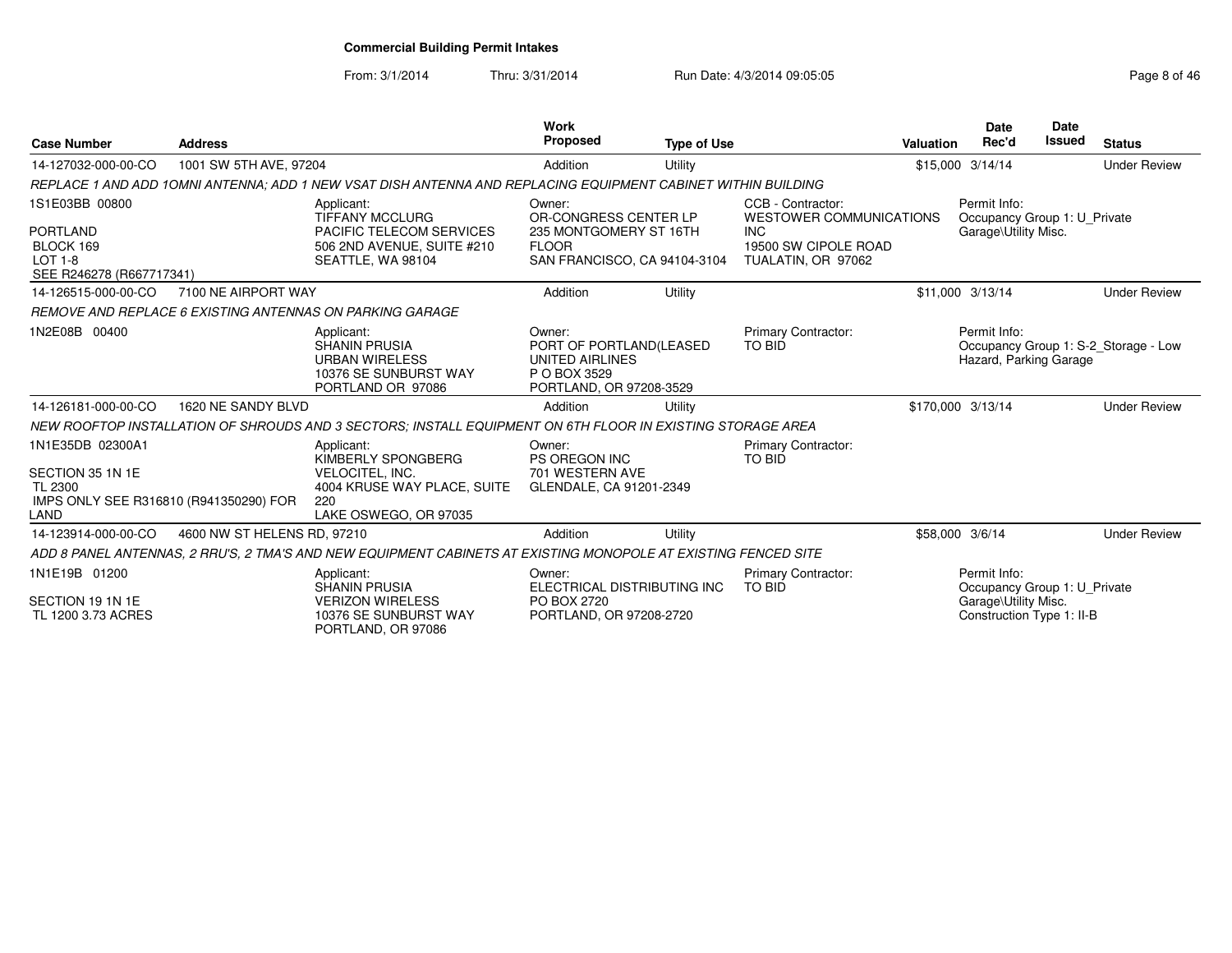From: 3/1/2014

Thru: 3/31/2014 Run Date: 4/3/2014 09:05:05 Research 2010 12:05:05

| <b>Case Number</b>                                                                                | <b>Address</b>              |                                                                                                                            | <b>Work</b><br><b>Proposed</b>                                                                            | <b>Type of Use</b> |                                                                                                                 | Valuation | <b>Date</b><br>Rec'd                                                                              | <b>Date</b><br><b>Issued</b> | <b>Status</b>                        |
|---------------------------------------------------------------------------------------------------|-----------------------------|----------------------------------------------------------------------------------------------------------------------------|-----------------------------------------------------------------------------------------------------------|--------------------|-----------------------------------------------------------------------------------------------------------------|-----------|---------------------------------------------------------------------------------------------------|------------------------------|--------------------------------------|
| 14-127032-000-00-CO                                                                               | 1001 SW 5TH AVE, 97204      |                                                                                                                            | Addition                                                                                                  | Utility            |                                                                                                                 |           | \$15,000 3/14/14                                                                                  |                              | <b>Under Review</b>                  |
|                                                                                                   |                             | REPLACE 1 AND ADD 10MNI ANTENNA: ADD 1 NEW VSAT DISH ANTENNA AND REPLACING EQUIPMENT CABINET WITHIN BUILDING               |                                                                                                           |                    |                                                                                                                 |           |                                                                                                   |                              |                                      |
| 1S1E03BB 00800<br><b>PORTLAND</b><br>BLOCK 169<br><b>LOT 1-8</b><br>SEE R246278 (R667717341)      |                             | Applicant:<br><b>TIFFANY MCCLURG</b><br><b>PACIFIC TELECOM SERVICES</b><br>506 2ND AVENUE, SUITE #210<br>SEATTLE, WA 98104 | Owner:<br>OR-CONGRESS CENTER LP<br>235 MONTGOMERY ST 16TH<br><b>FLOOR</b><br>SAN FRANCISCO, CA 94104-3104 |                    | CCB - Contractor:<br><b>WESTOWER COMMUNICATIONS</b><br><b>INC</b><br>19500 SW CIPOLE ROAD<br>TUALATIN, OR 97062 |           | Permit Info:<br>Occupancy Group 1: U Private<br>Garage\Utility Misc.                              |                              |                                      |
| 14-126515-000-00-CO                                                                               | 7100 NE AIRPORT WAY         |                                                                                                                            | Addition                                                                                                  | Utility            |                                                                                                                 |           | \$11,000 3/13/14                                                                                  |                              | <b>Under Review</b>                  |
|                                                                                                   |                             | REMOVE AND REPLACE 6 EXISTING ANTENNAS ON PARKING GARAGE                                                                   |                                                                                                           |                    |                                                                                                                 |           |                                                                                                   |                              |                                      |
| 1N2E08B 00400                                                                                     |                             | Applicant:<br><b>SHANIN PRUSIA</b><br><b>URBAN WIRELESS</b><br>10376 SE SUNBURST WAY<br>PORTLAND OR 97086                  | Owner:<br>PORT OF PORTLAND(LEASED<br>UNITED AIRLINES<br>P O BOX 3529<br>PORTLAND, OR 97208-3529           |                    | Primary Contractor:<br>TO BID                                                                                   |           | Permit Info:<br>Hazard, Parking Garage                                                            |                              | Occupancy Group 1: S-2 Storage - Low |
| 14-126181-000-00-CO                                                                               | 1620 NE SANDY BLVD          |                                                                                                                            | Addition                                                                                                  | Utility            |                                                                                                                 |           | \$170,000 3/13/14                                                                                 |                              | <b>Under Review</b>                  |
|                                                                                                   |                             | NEW ROOFTOP INSTALLATION OF SHROUDS AND 3 SECTORS; INSTALL EQUIPMENT ON 6TH FLOOR IN EXISTING STORAGE AREA                 |                                                                                                           |                    |                                                                                                                 |           |                                                                                                   |                              |                                      |
| 1N1E35DB 02300A1<br>SECTION 35 1N 1E<br>TL 2300<br>IMPS ONLY SEE R316810 (R941350290) FOR<br>LAND |                             | Applicant:<br>KIMBERLY SPONGBERG<br>VELOCITEL, INC.<br>4004 KRUSE WAY PLACE, SUITE<br>220<br>LAKE OSWEGO, OR 97035         | Owner:<br>PS OREGON INC<br>701 WESTERN AVE<br>GLENDALE, CA 91201-2349                                     |                    | <b>Primary Contractor:</b><br>TO BID                                                                            |           |                                                                                                   |                              |                                      |
| 14-123914-000-00-CO                                                                               | 4600 NW ST HELENS RD, 97210 |                                                                                                                            | Addition                                                                                                  | Utility            |                                                                                                                 |           | \$58,000 3/6/14                                                                                   |                              | <b>Under Review</b>                  |
|                                                                                                   |                             | ADD 8 PANEL ANTENNAS, 2 RRU'S, 2 TMA'S AND NEW EQUIPMENT CABINETS AT EXISTING MONOPOLE AT EXISTING FENCED SITE             |                                                                                                           |                    |                                                                                                                 |           |                                                                                                   |                              |                                      |
| 1N1E19B 01200<br>SECTION 19 1N 1E<br>TL 1200 3.73 ACRES                                           |                             | Applicant:<br><b>SHANIN PRUSIA</b><br><b>VERIZON WIRELESS</b><br>10376 SE SUNBURST WAY<br>PORTLAND, OR 97086               | Owner:<br>ELECTRICAL DISTRIBUTING INC<br>PO BOX 2720<br>PORTLAND, OR 97208-2720                           |                    | <b>Primary Contractor:</b><br><b>TO BID</b>                                                                     |           | Permit Info:<br>Occupancy Group 1: U Private<br>Garage\Utility Misc.<br>Construction Type 1: II-B |                              |                                      |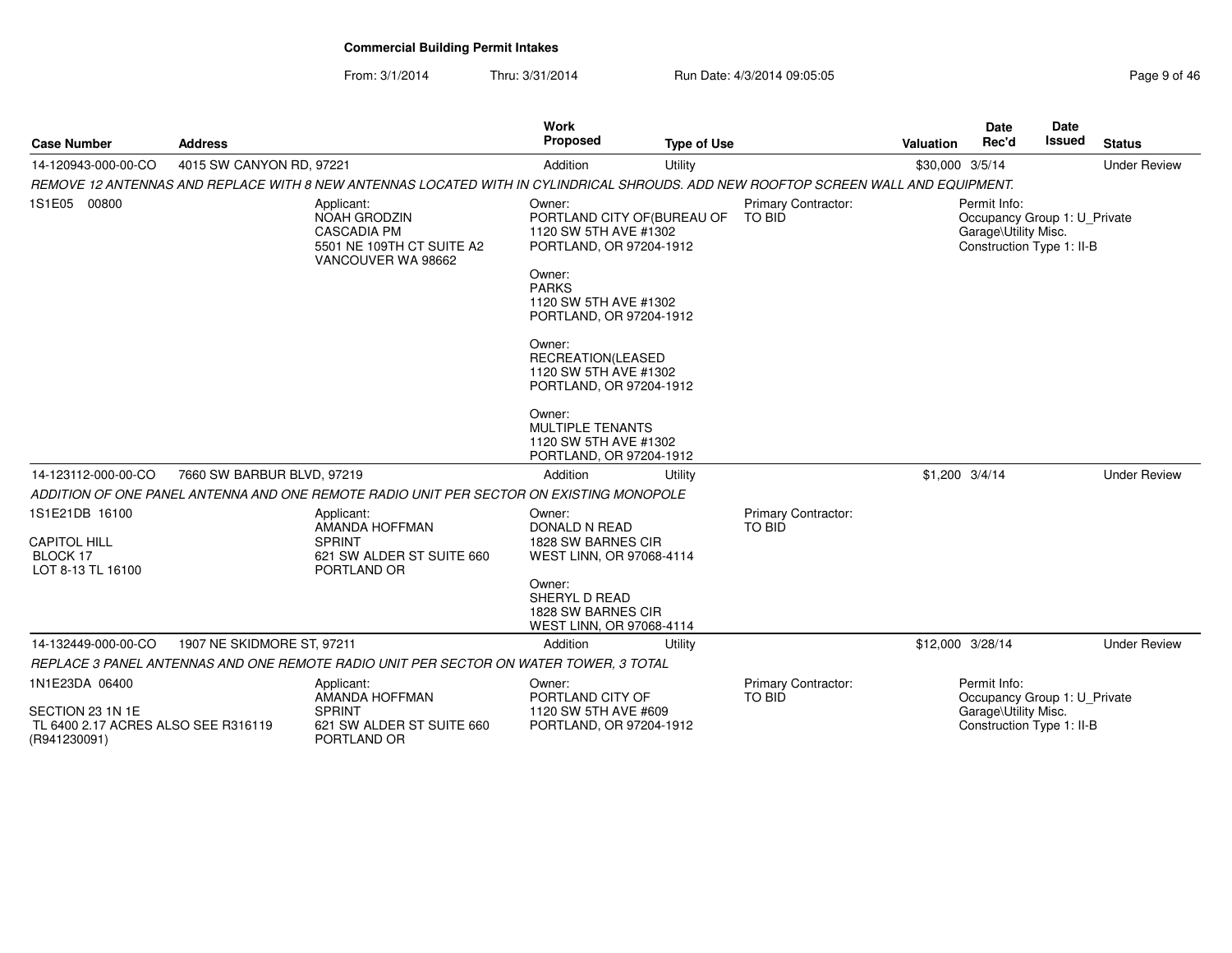From: 3/1/2014

Thru: 3/31/2014 Run Date: 4/3/2014 09:05:05 Research 2010 12:05:05

| <b>Case Number</b>                                                        | <b>Address</b>             |                                                                                                                                    | Work<br><b>Proposed</b>                                                                   | <b>Type of Use</b> |                                             | Valuation         | <b>Date</b><br>Rec'd                                                                              | <b>Date</b><br><b>Issued</b> | <b>Status</b>       |
|---------------------------------------------------------------------------|----------------------------|------------------------------------------------------------------------------------------------------------------------------------|-------------------------------------------------------------------------------------------|--------------------|---------------------------------------------|-------------------|---------------------------------------------------------------------------------------------------|------------------------------|---------------------|
| 14-120943-000-00-CO                                                       | 4015 SW CANYON RD, 97221   |                                                                                                                                    | Addition                                                                                  | Utility            |                                             | \$30,000 3/5/14   |                                                                                                   |                              | <b>Under Review</b> |
|                                                                           |                            | REMOVE 12 ANTENNAS AND REPLACE WITH 8 NEW ANTENNAS LOCATED WITH IN CYLINDRICAL SHROUDS. ADD NEW ROOFTOP SCREEN WALL AND EQUIPMENT. |                                                                                           |                    |                                             |                   |                                                                                                   |                              |                     |
| 1S1E05 00800                                                              |                            | Applicant:<br><b>NOAH GRODZIN</b><br><b>CASCADIA PM</b><br>5501 NE 109TH CT SUITE A2<br>VANCOUVER WA 98662                         | Owner:<br>PORTLAND CITY OF (BUREAU OF<br>1120 SW 5TH AVE #1302<br>PORTLAND, OR 97204-1912 |                    | <b>Primary Contractor:</b><br><b>TO BID</b> |                   | Permit Info:<br>Occupancy Group 1: U Private<br>Garage\Utility Misc.<br>Construction Type 1: II-B |                              |                     |
|                                                                           |                            |                                                                                                                                    | Owner:<br><b>PARKS</b><br>1120 SW 5TH AVE #1302<br>PORTLAND, OR 97204-1912                |                    |                                             |                   |                                                                                                   |                              |                     |
|                                                                           |                            |                                                                                                                                    | Owner:<br>RECREATION(LEASED<br>1120 SW 5TH AVE #1302<br>PORTLAND, OR 97204-1912           |                    |                                             |                   |                                                                                                   |                              |                     |
|                                                                           |                            |                                                                                                                                    | Owner:<br>MULTIPLE TENANTS<br>1120 SW 5TH AVE #1302<br>PORTLAND, OR 97204-1912            |                    |                                             |                   |                                                                                                   |                              |                     |
| 14-123112-000-00-CO                                                       | 7660 SW BARBUR BLVD, 97219 |                                                                                                                                    | Addition                                                                                  | Utility            |                                             | $$1,200$ $3/4/14$ |                                                                                                   |                              | <b>Under Review</b> |
|                                                                           |                            | ADDITION OF ONE PANEL ANTENNA AND ONE REMOTE RADIO UNIT PER SECTOR ON EXISTING MONOPOLE                                            |                                                                                           |                    |                                             |                   |                                                                                                   |                              |                     |
| 1S1E21DB 16100<br><b>CAPITOL HILL</b><br>BLOCK 17                         |                            | Applicant:<br>AMANDA HOFFMAN<br><b>SPRINT</b><br>621 SW ALDER ST SUITE 660                                                         | Owner:<br>DONALD N READ<br>1828 SW BARNES CIR<br>WEST LINN, OR 97068-4114                 |                    | <b>Primary Contractor:</b><br><b>TO BID</b> |                   |                                                                                                   |                              |                     |
| LOT 8-13 TL 16100                                                         |                            | PORTLAND OR                                                                                                                        | Owner:<br>SHERYL D READ<br>1828 SW BARNES CIR<br>WEST LINN, OR 97068-4114                 |                    |                                             |                   |                                                                                                   |                              |                     |
| 14-132449-000-00-CO                                                       | 1907 NE SKIDMORE ST, 97211 |                                                                                                                                    | Addition                                                                                  | Utility            |                                             | \$12,000 3/28/14  |                                                                                                   |                              | <b>Under Review</b> |
|                                                                           |                            | REPLACE 3 PANEL ANTENNAS AND ONE REMOTE RADIO UNIT PER SECTOR ON WATER TOWER, 3 TOTAL                                              |                                                                                           |                    |                                             |                   |                                                                                                   |                              |                     |
| 1N1E23DA 06400<br>SECTION 23 1N 1E<br>TL 6400 2.17 ACRES ALSO SEE R316119 |                            | Applicant:<br>AMANDA HOFFMAN<br><b>SPRINT</b><br>621 SW ALDER ST SUITE 660                                                         | Owner:<br>PORTLAND CITY OF<br>1120 SW 5TH AVE #609<br>PORTLAND, OR 97204-1912             |                    | <b>Primary Contractor:</b><br><b>TO BID</b> |                   | Permit Info:<br>Occupancy Group 1: U_Private<br>Garage\Utility Misc.<br>Construction Type 1: II-B |                              |                     |
| (R941230091)                                                              |                            | PORTLAND OR                                                                                                                        |                                                                                           |                    |                                             |                   |                                                                                                   |                              |                     |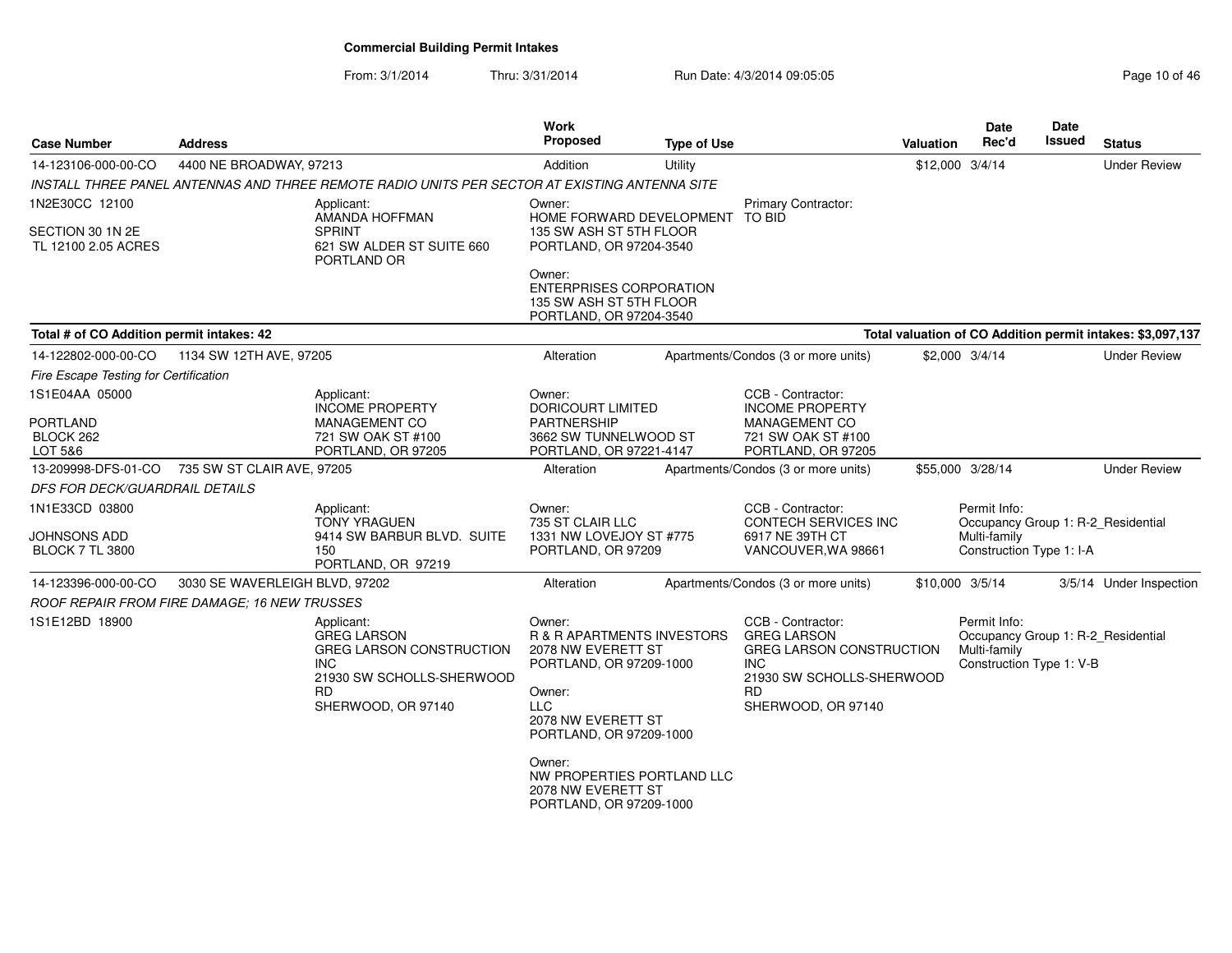From: 3/1/2014

Thru: 3/31/2014 Run Date: 4/3/2014 09:05:05 Research 2010 01:05:05

| <b>Case Number</b>                             | <b>Address</b>                 |                                                                                                          | Work<br>Proposed                                                                                 | <b>Type of Use</b> |                                                                                                                | Valuation | Date<br>Rec'd                                                                                  | Date<br>Issued | <b>Status</b>                                              |
|------------------------------------------------|--------------------------------|----------------------------------------------------------------------------------------------------------|--------------------------------------------------------------------------------------------------|--------------------|----------------------------------------------------------------------------------------------------------------|-----------|------------------------------------------------------------------------------------------------|----------------|------------------------------------------------------------|
| 14-123106-000-00-CO                            | 4400 NE BROADWAY, 97213        |                                                                                                          | Addition                                                                                         | Utility            |                                                                                                                |           | \$12,000 3/4/14                                                                                |                | <b>Under Review</b>                                        |
|                                                |                                | INSTALL THREE PANEL ANTENNAS AND THREE REMOTE RADIO UNITS PER SECTOR AT EXISTING ANTENNA SITE            |                                                                                                  |                    |                                                                                                                |           |                                                                                                |                |                                                            |
| 1N2E30CC 12100<br>SECTION 30 1N 2E             |                                | Applicant:<br>AMANDA HOFFMAN<br><b>SPRINT</b>                                                            | Owner:<br>HOME FORWARD DEVELOPMENT<br>135 SW ASH ST 5TH FLOOR                                    |                    | <b>Primary Contractor:</b><br>TO BID                                                                           |           |                                                                                                |                |                                                            |
| TL 12100 2.05 ACRES                            |                                | 621 SW ALDER ST SUITE 660<br>PORTLAND OR                                                                 | PORTLAND, OR 97204-3540                                                                          |                    |                                                                                                                |           |                                                                                                |                |                                                            |
|                                                |                                |                                                                                                          | Owner:<br><b>ENTERPRISES CORPORATION</b><br>135 SW ASH ST 5TH FLOOR<br>PORTLAND, OR 97204-3540   |                    |                                                                                                                |           |                                                                                                |                |                                                            |
| Total # of CO Addition permit intakes: 42      |                                |                                                                                                          |                                                                                                  |                    |                                                                                                                |           |                                                                                                |                | Total valuation of CO Addition permit intakes: \$3,097,137 |
| 14-122802-000-00-CO                            | 1134 SW 12TH AVE, 97205        |                                                                                                          | Alteration                                                                                       |                    | Apartments/Condos (3 or more units)                                                                            |           | \$2,000 3/4/14                                                                                 |                | <b>Under Review</b>                                        |
| <b>Fire Escape Testing for Certification</b>   |                                |                                                                                                          |                                                                                                  |                    |                                                                                                                |           |                                                                                                |                |                                                            |
| 1S1E04AA 05000                                 |                                | Applicant:<br><b>INCOME PROPERTY</b>                                                                     | Owner:<br>DORICOURT LIMITED                                                                      |                    | CCB - Contractor:<br><b>INCOME PROPERTY</b>                                                                    |           |                                                                                                |                |                                                            |
| <b>PORTLAND</b><br>BLOCK 262                   |                                | MANAGEMENT CO<br>721 SW OAK ST #100                                                                      | PARTNERSHIP<br>3662 SW TUNNELWOOD ST                                                             |                    | MANAGEMENT CO<br>721 SW OAK ST #100                                                                            |           |                                                                                                |                |                                                            |
| LOT 5&6                                        |                                | PORTLAND, OR 97205                                                                                       | PORTLAND, OR 97221-4147                                                                          |                    | PORTLAND, OR 97205                                                                                             |           |                                                                                                |                |                                                            |
| 13-209998-DFS-01-CO 735 SW ST CLAIR AVE, 97205 |                                |                                                                                                          | Alteration                                                                                       |                    | Apartments/Condos (3 or more units)                                                                            |           | \$55,000 3/28/14                                                                               |                | <b>Under Review</b>                                        |
| DFS FOR DECK/GUARDRAIL DETAILS                 |                                |                                                                                                          |                                                                                                  |                    |                                                                                                                |           |                                                                                                |                |                                                            |
| 1N1E33CD 03800                                 |                                | Applicant:<br><b>TONY YRAGUEN</b>                                                                        | Owner:<br>735 ST CLAIR LLC                                                                       |                    | CCB - Contractor:<br><b>CONTECH SERVICES INC</b>                                                               |           | Permit Info:<br>Occupancy Group 1: R-2_Residential                                             |                |                                                            |
| JOHNSONS ADD<br><b>BLOCK 7 TL 3800</b>         |                                | 9414 SW BARBUR BLVD. SUITE<br>150<br>PORTLAND, OR 97219                                                  | 1331 NW LOVEJOY ST #775<br>PORTLAND, OR 97209                                                    |                    | 6917 NE 39TH CT<br>VANCOUVER, WA 98661                                                                         |           | Multi-family<br>Construction Type 1: I-A                                                       |                |                                                            |
| 14-123396-000-00-CO                            | 3030 SE WAVERLEIGH BLVD, 97202 |                                                                                                          | Alteration                                                                                       |                    | Apartments/Condos (3 or more units)                                                                            |           | \$10,000 3/5/14                                                                                |                | 3/5/14 Under Inspection                                    |
| ROOF REPAIR FROM FIRE DAMAGE; 16 NEW TRUSSES   |                                |                                                                                                          |                                                                                                  |                    |                                                                                                                |           |                                                                                                |                |                                                            |
| 1S1E12BD 18900                                 |                                | Applicant:<br><b>GREG LARSON</b><br><b>GREG LARSON CONSTRUCTION</b><br>INC.<br>21930 SW SCHOLLS-SHERWOOD | Owner:<br><b>R &amp; R APARTMENTS INVESTORS</b><br>2078 NW EVERETT ST<br>PORTLAND, OR 97209-1000 |                    | CCB - Contractor:<br><b>GREG LARSON</b><br>GREG LARSON CONSTRUCTION<br><b>INC</b><br>21930 SW SCHOLLS-SHERWOOD |           | Permit Info:<br>Occupancy Group 1: R-2_Residential<br>Multi-family<br>Construction Type 1: V-B |                |                                                            |
|                                                |                                | RD.<br>SHERWOOD, OR 97140                                                                                | Owner:<br><b>LLC</b><br>2078 NW EVERETT ST<br>PORTLAND, OR 97209-1000                            |                    | RD.<br>SHERWOOD, OR 97140                                                                                      |           |                                                                                                |                |                                                            |
|                                                |                                |                                                                                                          | Owner:<br>NW PROPERTIES PORTLAND LLC<br>2078 NW EVERETT ST<br>PORTLAND, OR 97209-1000            |                    |                                                                                                                |           |                                                                                                |                |                                                            |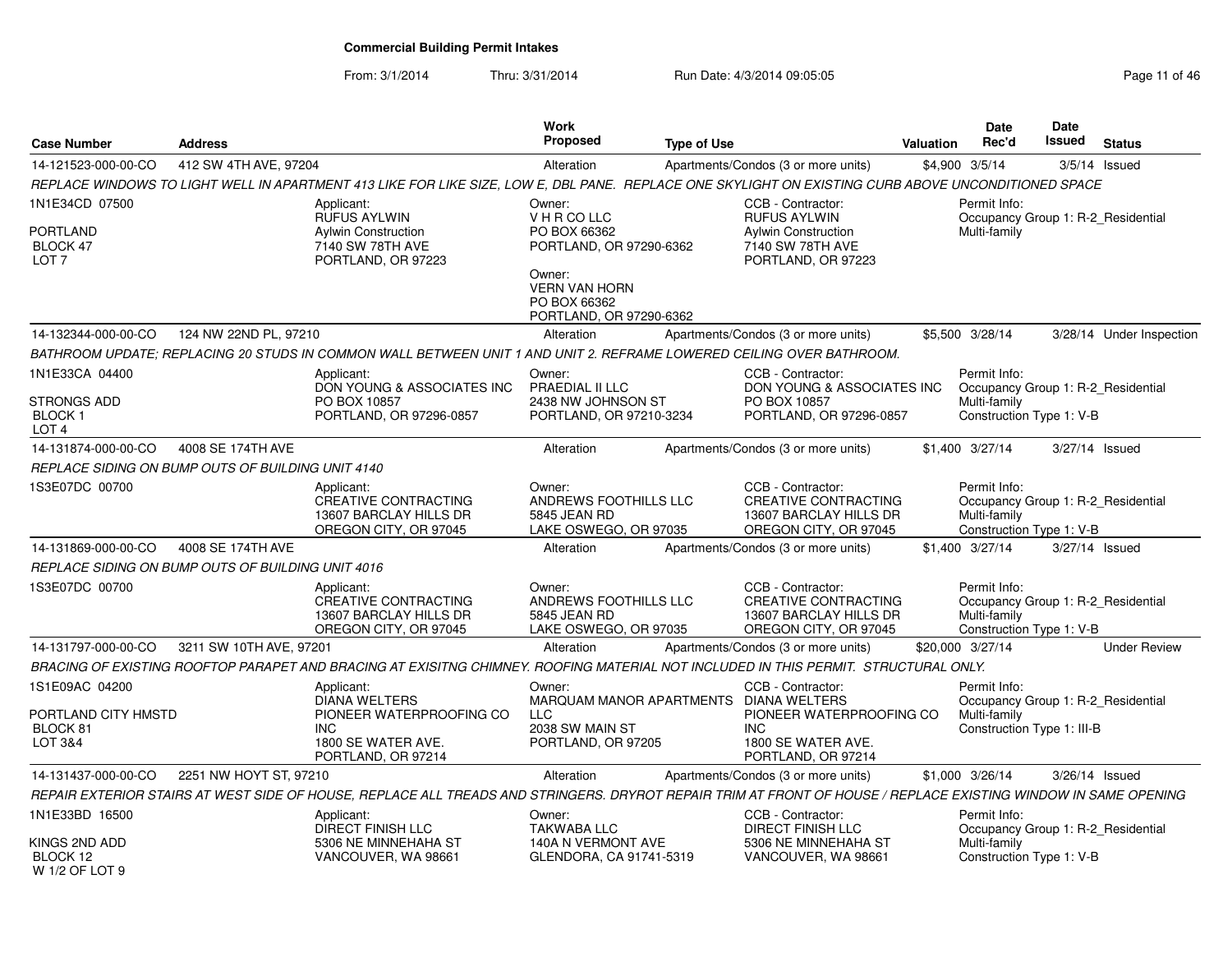From: 3/1/2014Thru: 3/31/2014 Run Date: 4/3/2014 09:05:05 Research 20 and 2008 Page 11 of 46

| <b>Case Number</b>                                                        | <b>Address</b>                                    |                                                                                                                                                                | <b>Work</b><br><b>Proposed</b>                                                                                                                 | <b>Type of Use</b> |                                                                                                           | Valuation | Date<br>Rec'd                                              | Date<br>Issued | <b>Status</b>                      |
|---------------------------------------------------------------------------|---------------------------------------------------|----------------------------------------------------------------------------------------------------------------------------------------------------------------|------------------------------------------------------------------------------------------------------------------------------------------------|--------------------|-----------------------------------------------------------------------------------------------------------|-----------|------------------------------------------------------------|----------------|------------------------------------|
| 14-121523-000-00-CO                                                       | 412 SW 4TH AVE, 97204                             |                                                                                                                                                                | Alteration                                                                                                                                     |                    | Apartments/Condos (3 or more units)                                                                       |           | \$4,900 3/5/14                                             |                | $3/5/14$ Issued                    |
|                                                                           |                                                   | REPLACE WINDOWS TO LIGHT WELL IN APARTMENT 413 LIKE FOR LIKE SIZE, LOW E, DBL PANE. REPLACE ONE SKYLIGHT ON EXISTING CURB ABOVE UNCONDITIONED SPACE            |                                                                                                                                                |                    |                                                                                                           |           |                                                            |                |                                    |
| 1N1E34CD 07500<br><b>PORTLAND</b><br>BLOCK 47<br>LOT <sub>7</sub>         |                                                   | Applicant:<br><b>RUFUS AYLWIN</b><br><b>Aylwin Construction</b><br>7140 SW 78TH AVE<br>PORTLAND, OR 97223                                                      | Owner:<br>V H R CO LLC<br>PO BOX 66362<br>PORTLAND, OR 97290-6362<br>Owner:<br><b>VERN VAN HORN</b><br>PO BOX 66362<br>PORTLAND, OR 97290-6362 |                    | CCB - Contractor:<br><b>RUFUS AYLWIN</b><br>Aylwin Construction<br>7140 SW 78TH AVE<br>PORTLAND, OR 97223 |           | Permit Info:<br>Multi-family                               |                | Occupancy Group 1: R-2_Residential |
| 14-132344-000-00-CO                                                       | 124 NW 22ND PL, 97210                             |                                                                                                                                                                | Alteration                                                                                                                                     |                    | Apartments/Condos (3 or more units)                                                                       |           | \$5.500 3/28/14                                            |                | 3/28/14 Under Inspection           |
|                                                                           |                                                   | BATHROOM UPDATE; REPLACING 20 STUDS IN COMMON WALL BETWEEN UNIT 1 AND UNIT 2. REFRAME LOWERED CEILING OVER BATHROOM.                                           |                                                                                                                                                |                    |                                                                                                           |           |                                                            |                |                                    |
| 1N1E33CA 04400<br><b>STRONGS ADD</b><br><b>BLOCK1</b><br>LOT <sub>4</sub> |                                                   | Applicant:<br>DON YOUNG & ASSOCIATES INC<br>PO BOX 10857<br>PORTLAND, OR 97296-0857                                                                            | Owner:<br>PRAEDIAL II LLC<br>2438 NW JOHNSON ST<br>PORTLAND, OR 97210-3234                                                                     |                    | CCB - Contractor:<br>DON YOUNG & ASSOCIATES INC<br>PO BOX 10857<br>PORTLAND, OR 97296-0857                |           | Permit Info:<br>Multi-family<br>Construction Type 1: V-B   |                | Occupancy Group 1: R-2_Residential |
| 14-131874-000-00-CO                                                       | 4008 SE 174TH AVE                                 |                                                                                                                                                                | Alteration                                                                                                                                     |                    | Apartments/Condos (3 or more units)                                                                       |           | \$1.400 3/27/14                                            |                | 3/27/14 Issued                     |
|                                                                           | REPLACE SIDING ON BUMP OUTS OF BUILDING UNIT 4140 |                                                                                                                                                                |                                                                                                                                                |                    |                                                                                                           |           |                                                            |                |                                    |
| 1S3E07DC 00700                                                            |                                                   | Applicant:<br>CREATIVE CONTRACTING<br>13607 BARCLAY HILLS DR<br>OREGON CITY, OR 97045                                                                          | Owner:<br>ANDREWS FOOTHILLS LLC<br>5845 JEAN RD<br>LAKE OSWEGO, OR 97035                                                                       |                    | CCB - Contractor:<br><b>CREATIVE CONTRACTING</b><br>13607 BARCLAY HILLS DR<br>OREGON CITY, OR 97045       |           | Permit Info:<br>Multi-family<br>Construction Type 1: V-B   |                | Occupancy Group 1: R-2_Residential |
| 14-131869-000-00-CO                                                       | 4008 SE 174TH AVE                                 |                                                                                                                                                                | Alteration                                                                                                                                     |                    | Apartments/Condos (3 or more units)                                                                       |           | \$1.400 3/27/14                                            |                | 3/27/14 Issued                     |
|                                                                           | REPLACE SIDING ON BUMP OUTS OF BUILDING UNIT 4016 |                                                                                                                                                                |                                                                                                                                                |                    |                                                                                                           |           |                                                            |                |                                    |
| 1S3E07DC 00700                                                            |                                                   | Applicant:<br><b>CREATIVE CONTRACTING</b><br>13607 BARCLAY HILLS DR<br>OREGON CITY, OR 97045                                                                   | Owner:<br>ANDREWS FOOTHILLS LLC<br>5845 JEAN RD<br>LAKE OSWEGO, OR 97035                                                                       |                    | CCB - Contractor:<br><b>CREATIVE CONTRACTING</b><br>13607 BARCLAY HILLS DR<br>OREGON CITY, OR 97045       |           | Permit Info:<br>Multi-family<br>Construction Type 1: V-B   |                | Occupancy Group 1: R-2 Residential |
| 14-131797-000-00-CO                                                       | 3211 SW 10TH AVE, 97201                           |                                                                                                                                                                | Alteration                                                                                                                                     |                    | Apartments/Condos (3 or more units)                                                                       |           | \$20,000 3/27/14                                           |                | <b>Under Review</b>                |
|                                                                           |                                                   | BRACING OF EXISTING ROOFTOP PARAPET AND BRACING AT EXISITNG CHIMNEY. ROOFING MATERIAL NOT INCLUDED IN THIS PERMIT. STRUCTURAL ONLY.                            |                                                                                                                                                |                    |                                                                                                           |           |                                                            |                |                                    |
| 1S1E09AC 04200<br>PORTLAND CITY HMSTD<br>BLOCK <sub>81</sub><br>LOT 3&4   |                                                   | Applicant:<br><b>DIANA WELTERS</b><br>PIONEER WATERPROOFING CO<br><b>INC</b><br>1800 SE WATER AVE.<br>PORTLAND, OR 97214                                       | Owner:<br>MARQUAM MANOR APARTMENTS DIANA WELTERS<br><b>LLC</b><br>2038 SW MAIN ST<br>PORTLAND, OR 97205                                        |                    | CCB - Contractor:<br>PIONEER WATERPROOFING CO<br><b>INC</b><br>1800 SE WATER AVE.<br>PORTLAND, OR 97214   |           | Permit Info:<br>Multi-family<br>Construction Type 1: III-B |                | Occupancy Group 1: R-2 Residential |
| 14-131437-000-00-CO                                                       | 2251 NW HOYT ST, 97210                            |                                                                                                                                                                | Alteration                                                                                                                                     |                    | Apartments/Condos (3 or more units)                                                                       |           | \$1,000 3/26/14                                            |                | 3/26/14 Issued                     |
|                                                                           |                                                   | REPAIR EXTERIOR STAIRS AT WEST SIDE OF HOUSE, REPLACE ALL TREADS AND STRINGERS. DRYROT REPAIR TRIM AT FRONT OF HOUSE / REPLACE EXISTING WINDOW IN SAME OPENING |                                                                                                                                                |                    |                                                                                                           |           |                                                            |                |                                    |
| 1N1E33BD 16500<br>KINGS 2ND ADD<br>BLOCK 12<br>W 1/2 OF LOT 9             |                                                   | Applicant:<br><b>DIRECT FINISH LLC</b><br>5306 NE MINNEHAHA ST<br>VANCOUVER, WA 98661                                                                          | Owner:<br><b>TAKWABA LLC</b><br>140A N VERMONT AVE<br>GLENDORA, CA 91741-5319                                                                  |                    | CCB - Contractor:<br><b>DIRECT FINISH LLC</b><br>5306 NE MINNEHAHA ST<br>VANCOUVER, WA 98661              |           | Permit Info:<br>Multi-family<br>Construction Type 1: V-B   |                | Occupancy Group 1: R-2_Residential |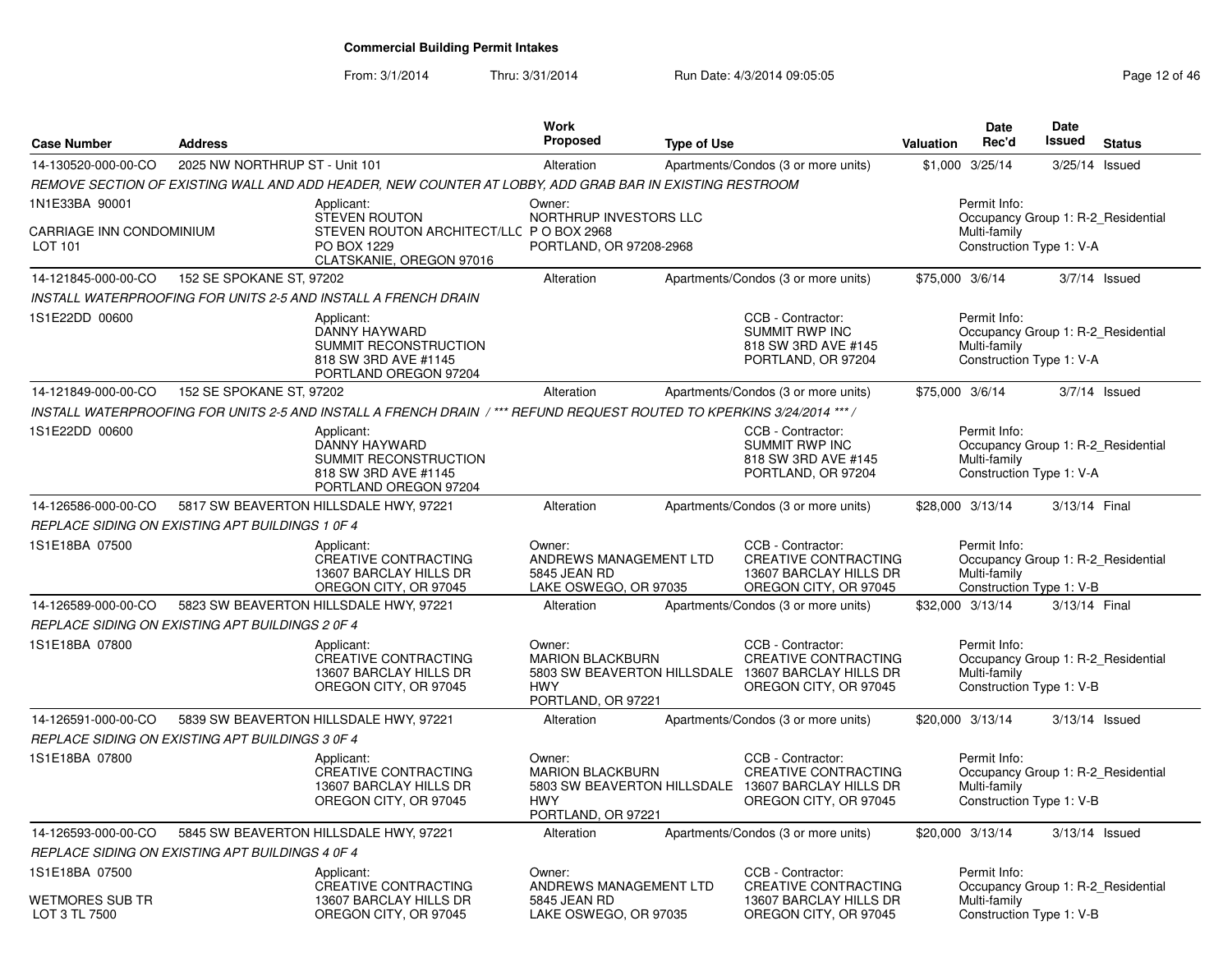From: 3/1/2014

Thru: 3/31/2014 Run Date: 4/3/2014 09:05:05 Research 2006 2014 09:05:05

| <b>Case Number</b>                                           | <b>Address</b>                                  |                                                                                                                           | <b>Work</b><br>Proposed                                                   | <b>Type of Use</b> |                                                                                                                                 | <b>Valuation</b> | <b>Date</b><br>Rec'd                                     | Date<br><b>Issued</b> | <b>Status</b>                      |
|--------------------------------------------------------------|-------------------------------------------------|---------------------------------------------------------------------------------------------------------------------------|---------------------------------------------------------------------------|--------------------|---------------------------------------------------------------------------------------------------------------------------------|------------------|----------------------------------------------------------|-----------------------|------------------------------------|
| 14-130520-000-00-CO                                          | 2025 NW NORTHRUP ST - Unit 101                  |                                                                                                                           | Alteration                                                                |                    | Apartments/Condos (3 or more units)                                                                                             |                  | \$1,000 3/25/14                                          |                       | 3/25/14 Issued                     |
|                                                              |                                                 | REMOVE SECTION OF EXISTING WALL AND ADD HEADER, NEW COUNTER AT LOBBY, ADD GRAB BAR IN EXISTING RESTROOM                   |                                                                           |                    |                                                                                                                                 |                  |                                                          |                       |                                    |
| 1N1E33BA 90001<br><b>CARRIAGE INN CONDOMINIUM</b><br>LOT 101 |                                                 | Applicant:<br><b>STEVEN ROUTON</b><br>STEVEN ROUTON ARCHITECT/LLC P O BOX 2968<br>PO BOX 1229<br>CLATSKANIE, OREGON 97016 | Owner:<br>NORTHRUP INVESTORS LLC<br>PORTLAND, OR 97208-2968               |                    |                                                                                                                                 |                  | Permit Info:<br>Multi-family<br>Construction Type 1: V-A |                       | Occupancy Group 1: R-2 Residential |
| 14-121845-000-00-CO                                          | 152 SE SPOKANE ST, 97202                        |                                                                                                                           | Alteration                                                                |                    | Apartments/Condos (3 or more units)                                                                                             | \$75,000 3/6/14  |                                                          |                       | $3/7/14$ Issued                    |
|                                                              |                                                 | INSTALL WATERPROOFING FOR UNITS 2-5 AND INSTALL A FRENCH DRAIN                                                            |                                                                           |                    |                                                                                                                                 |                  |                                                          |                       |                                    |
| 1S1E22DD 00600                                               |                                                 | Applicant:<br>DANNY HAYWARD<br>SUMMIT RECONSTRUCTION<br>818 SW 3RD AVE #1145<br>PORTLAND OREGON 97204                     |                                                                           |                    | CCB - Contractor:<br><b>SUMMIT RWP INC</b><br>818 SW 3RD AVE #145<br>PORTLAND, OR 97204                                         |                  | Permit Info:<br>Multi-family<br>Construction Type 1: V-A |                       | Occupancy Group 1: R-2 Residential |
| 14-121849-000-00-CO                                          | 152 SE SPOKANE ST, 97202                        |                                                                                                                           | Alteration                                                                |                    | Apartments/Condos (3 or more units)                                                                                             | \$75,000 3/6/14  |                                                          |                       | $3/7/14$ Issued                    |
|                                                              |                                                 | INSTALL WATERPROOFING FOR UNITS 2-5 AND INSTALL A FRENCH DRAIN /*** REFUND REQUEST ROUTED TO KPERKINS 3/24/2014 *** /     |                                                                           |                    |                                                                                                                                 |                  |                                                          |                       |                                    |
| 1S1E22DD 00600                                               |                                                 | Applicant:<br>DANNY HAYWARD<br>SUMMIT RECONSTRUCTION<br>818 SW 3RD AVE #1145<br>PORTLAND OREGON 97204                     |                                                                           |                    | CCB - Contractor:<br><b>SUMMIT RWP INC</b><br>818 SW 3RD AVE #145<br>PORTLAND, OR 97204                                         |                  | Permit Info:<br>Multi-family<br>Construction Type 1: V-A |                       | Occupancy Group 1: R-2 Residential |
| 14-126586-000-00-CO                                          |                                                 | 5817 SW BEAVERTON HILLSDALE HWY, 97221                                                                                    | Alteration                                                                |                    | Apartments/Condos (3 or more units)                                                                                             | \$28,000 3/13/14 |                                                          | 3/13/14 Final         |                                    |
|                                                              | REPLACE SIDING ON EXISTING APT BUILDINGS 1 0F 4 |                                                                                                                           |                                                                           |                    |                                                                                                                                 |                  |                                                          |                       |                                    |
| 1S1E18BA 07500                                               |                                                 | Applicant:<br><b>CREATIVE CONTRACTING</b><br>13607 BARCLAY HILLS DR<br>OREGON CITY, OR 97045                              | Owner:<br>ANDREWS MANAGEMENT LTD<br>5845 JEAN RD<br>LAKE OSWEGO, OR 97035 |                    | CCB - Contractor:<br><b>CREATIVE CONTRACTING</b><br>13607 BARCLAY HILLS DR<br>OREGON CITY, OR 97045                             |                  | Permit Info:<br>Multi-family<br>Construction Type 1: V-B |                       | Occupancy Group 1: R-2_Residential |
| 14-126589-000-00-CO                                          |                                                 | 5823 SW BEAVERTON HILLSDALE HWY, 97221                                                                                    | Alteration                                                                |                    | Apartments/Condos (3 or more units)                                                                                             | \$32,000 3/13/14 |                                                          | 3/13/14 Final         |                                    |
|                                                              | REPLACE SIDING ON EXISTING APT BUILDINGS 2 0F 4 |                                                                                                                           |                                                                           |                    |                                                                                                                                 |                  |                                                          |                       |                                    |
| 1S1E18BA 07800                                               |                                                 | Applicant:<br>CREATIVE CONTRACTING<br>13607 BARCLAY HILLS DR<br>OREGON CITY, OR 97045                                     | Owner:<br><b>MARION BLACKBURN</b><br><b>HWY</b><br>PORTLAND, OR 97221     |                    | CCB - Contractor:<br><b>CREATIVE CONTRACTING</b><br>5803 SW BEAVERTON HILLSDALE 13607 BARCLAY HILLS DR<br>OREGON CITY, OR 97045 |                  | Permit Info:<br>Multi-family<br>Construction Type 1: V-B |                       | Occupancy Group 1: R-2 Residential |
| 14-126591-000-00-CO                                          |                                                 | 5839 SW BEAVERTON HILLSDALE HWY, 97221                                                                                    | Alteration                                                                |                    | Apartments/Condos (3 or more units)                                                                                             | \$20,000 3/13/14 |                                                          |                       | 3/13/14 Issued                     |
|                                                              | REPLACE SIDING ON EXISTING APT BUILDINGS 3 OF 4 |                                                                                                                           |                                                                           |                    |                                                                                                                                 |                  |                                                          |                       |                                    |
| 1S1E18BA 07800                                               |                                                 | Applicant:<br>CREATIVE CONTRACTING<br>13607 BARCLAY HILLS DR<br>OREGON CITY, OR 97045                                     | Owner:<br><b>MARION BLACKBURN</b><br><b>HWY</b><br>PORTLAND, OR 97221     |                    | CCB - Contractor:<br><b>CREATIVE CONTRACTING</b><br>5803 SW BEAVERTON HILLSDALE 13607 BARCLAY HILLS DR<br>OREGON CITY, OR 97045 |                  | Permit Info:<br>Multi-family<br>Construction Type 1: V-B |                       | Occupancy Group 1: R-2 Residential |
| 14-126593-000-00-CO                                          | REPLACE SIDING ON EXISTING APT BUILDINGS 4 OF 4 | 5845 SW BEAVERTON HILLSDALE HWY, 97221                                                                                    | Alteration                                                                |                    | Apartments/Condos (3 or more units)                                                                                             | \$20,000 3/13/14 |                                                          |                       | $3/13/14$ Issued                   |
| 1S1E18BA 07500<br>WETMORES SUB TR<br>LOT 3 TL 7500           |                                                 | Applicant:<br>CREATIVE CONTRACTING<br>13607 BARCLAY HILLS DR<br>OREGON CITY, OR 97045                                     | Owner:<br>ANDREWS MANAGEMENT LTD<br>5845 JEAN RD<br>LAKE OSWEGO, OR 97035 |                    | CCB - Contractor:<br>CREATIVE CONTRACTING<br>13607 BARCLAY HILLS DR<br>OREGON CITY, OR 97045                                    |                  | Permit Info:<br>Multi-family<br>Construction Type 1: V-B |                       | Occupancy Group 1: R-2 Residential |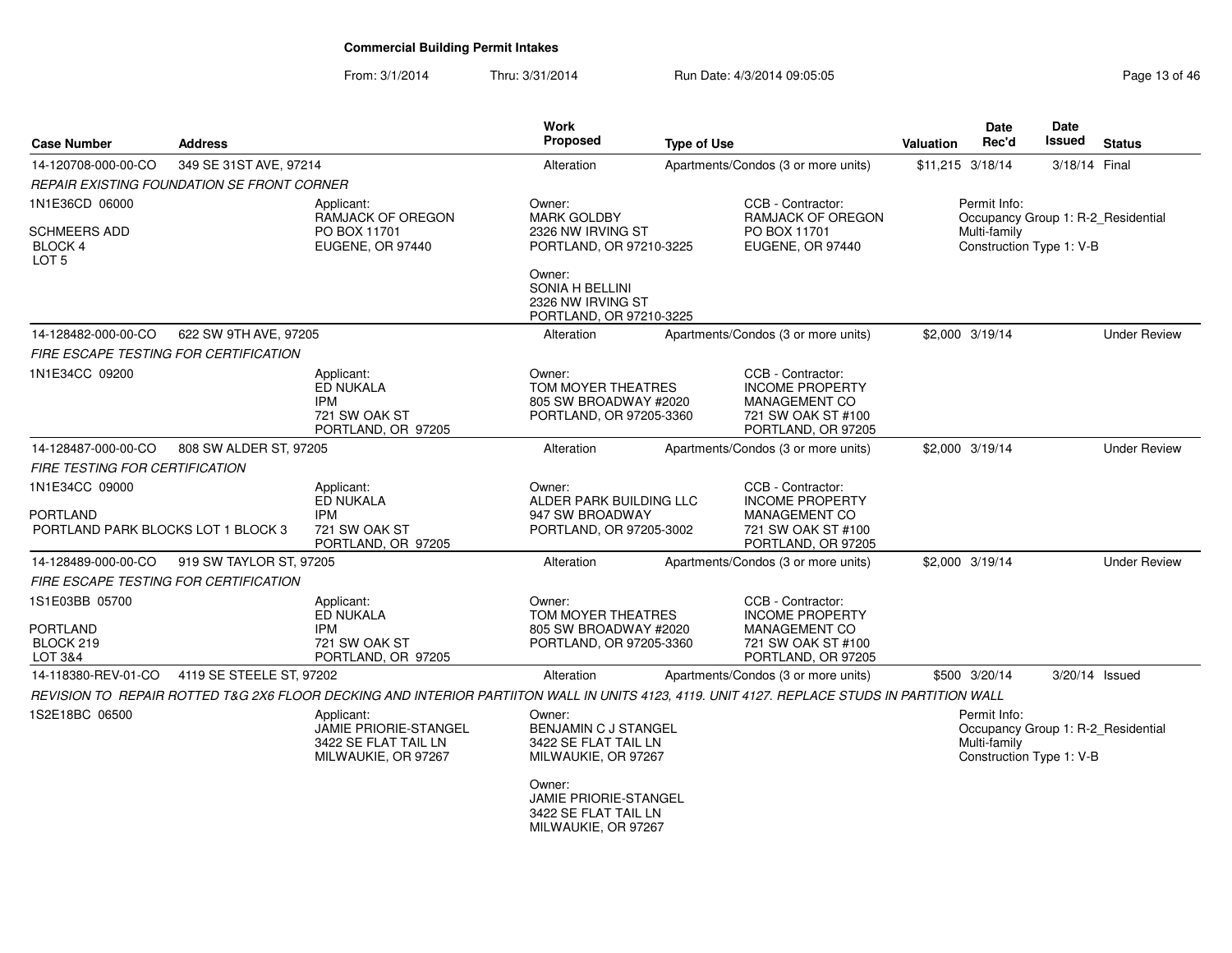From: 3/1/2014Thru: 3/31/2014 Run Date: 4/3/2014 09:05:05 Research 2010 13 of 46

| <b>Case Number</b>                                               | <b>Address</b>                             |                                                                                                                                             | <b>Work</b><br><b>Proposed</b>                                                        | <b>Type of Use</b> |                                                                                                                 | Valuation        | Date<br>Rec'd                                            | <b>Date</b><br>Issued | <b>Status</b>                      |
|------------------------------------------------------------------|--------------------------------------------|---------------------------------------------------------------------------------------------------------------------------------------------|---------------------------------------------------------------------------------------|--------------------|-----------------------------------------------------------------------------------------------------------------|------------------|----------------------------------------------------------|-----------------------|------------------------------------|
| 14-120708-000-00-CO                                              | 349 SE 31ST AVE, 97214                     |                                                                                                                                             | Alteration                                                                            |                    | Apartments/Condos (3 or more units)                                                                             | \$11,215 3/18/14 |                                                          | 3/18/14 Final         |                                    |
|                                                                  | REPAIR EXISTING FOUNDATION SE FRONT CORNER |                                                                                                                                             |                                                                                       |                    |                                                                                                                 |                  |                                                          |                       |                                    |
| 1N1E36CD 06000                                                   |                                            | Applicant:<br>RAMJACK OF OREGON                                                                                                             | Owner:<br><b>MARK GOLDBY</b>                                                          |                    | CCB - Contractor:<br>RAMJACK OF OREGON                                                                          |                  | Permit Info:                                             |                       | Occupancy Group 1: R-2 Residential |
| SCHMEERS ADD<br>BLOCK 4<br>LOT <sub>5</sub>                      |                                            | PO BOX 11701<br>EUGENE, OR 97440                                                                                                            | 2326 NW IRVING ST<br>PORTLAND, OR 97210-3225                                          |                    | PO BOX 11701<br>EUGENE, OR 97440                                                                                |                  | Multi-family<br>Construction Type 1: V-B                 |                       |                                    |
|                                                                  |                                            |                                                                                                                                             | Owner:<br>SONIA H BELLINI<br>2326 NW IRVING ST<br>PORTLAND, OR 97210-3225             |                    |                                                                                                                 |                  |                                                          |                       |                                    |
| 14-128482-000-00-CO                                              | 622 SW 9TH AVE, 97205                      |                                                                                                                                             | Alteration                                                                            |                    | Apartments/Condos (3 or more units)                                                                             | \$2,000 3/19/14  |                                                          |                       | <b>Under Review</b>                |
| FIRE ESCAPE TESTING FOR CERTIFICATION                            |                                            |                                                                                                                                             |                                                                                       |                    |                                                                                                                 |                  |                                                          |                       |                                    |
| 1N1E34CC 09200                                                   |                                            | Applicant:<br>ED NUKALA<br><b>IPM</b><br>721 SW OAK ST<br>PORTLAND, OR 97205                                                                | Owner:<br>TOM MOYER THEATRES<br>805 SW BROADWAY #2020<br>PORTLAND, OR 97205-3360      |                    | CCB - Contractor:<br><b>INCOME PROPERTY</b><br><b>MANAGEMENT CO</b><br>721 SW OAK ST #100<br>PORTLAND, OR 97205 |                  |                                                          |                       |                                    |
| 14-128487-000-00-CO                                              | 808 SW ALDER ST, 97205                     |                                                                                                                                             | Alteration                                                                            |                    | Apartments/Condos (3 or more units)                                                                             | \$2,000 3/19/14  |                                                          |                       | <b>Under Review</b>                |
| FIRE TESTING FOR CERTIFICATION                                   |                                            |                                                                                                                                             |                                                                                       |                    |                                                                                                                 |                  |                                                          |                       |                                    |
| 1N1E34CC 09000<br>PORTLAND<br>PORTLAND PARK BLOCKS LOT 1 BLOCK 3 |                                            | Applicant:<br>ED NUKALA<br><b>IPM</b><br>721 SW OAK ST<br>PORTLAND, OR 97205                                                                | Owner:<br>ALDER PARK BUILDING LLC<br>947 SW BROADWAY<br>PORTLAND, OR 97205-3002       |                    | CCB - Contractor:<br><b>INCOME PROPERTY</b><br><b>MANAGEMENT CO</b><br>721 SW OAK ST #100<br>PORTLAND, OR 97205 |                  |                                                          |                       |                                    |
| 14-128489-000-00-CO                                              | 919 SW TAYLOR ST, 97205                    |                                                                                                                                             | Alteration                                                                            |                    | Apartments/Condos (3 or more units)                                                                             | \$2,000 3/19/14  |                                                          |                       | <b>Under Review</b>                |
| FIRE ESCAPE TESTING FOR CERTIFICATION                            |                                            |                                                                                                                                             |                                                                                       |                    |                                                                                                                 |                  |                                                          |                       |                                    |
| 1S1E03BB 05700<br>PORTLAND<br>BLOCK 219<br>LOT 3&4               |                                            | Applicant:<br>ED NUKALA<br>IPM<br>721 SW OAK ST<br>PORTLAND, OR 97205                                                                       | Owner:<br>TOM MOYER THEATRES<br>805 SW BROADWAY #2020<br>PORTLAND, OR 97205-3360      |                    | CCB - Contractor:<br><b>INCOME PROPERTY</b><br><b>MANAGEMENT CO</b><br>721 SW OAK ST #100<br>PORTLAND, OR 97205 |                  |                                                          |                       |                                    |
| 14-118380-REV-01-CO                                              | 4119 SE STEELE ST, 97202                   |                                                                                                                                             | Alteration                                                                            |                    | Apartments/Condos (3 or more units)                                                                             |                  | \$500 3/20/14                                            | 3/20/14 Issued        |                                    |
|                                                                  |                                            | REVISION TO REPAIR ROTTED T&G 2X6 FLOOR DECKING AND INTERIOR PARTIITON WALL IN UNITS 4123, 4119. UNIT 4127. REPLACE STUDS IN PARTITION WALL |                                                                                       |                    |                                                                                                                 |                  |                                                          |                       |                                    |
| 1S2E18BC 06500                                                   |                                            | Applicant:<br><b>JAMIE PRIORIE-STANGEL</b><br>3422 SE FLAT TAIL LN<br>MILWAUKIE, OR 97267                                                   | Owner:<br>BENJAMIN C J STANGEL<br>3422 SE FLAT TAIL LN<br>MILWAUKIE, OR 97267         |                    |                                                                                                                 |                  | Permit Info:<br>Multi-family<br>Construction Type 1: V-B |                       | Occupancy Group 1: R-2_Residential |
|                                                                  |                                            |                                                                                                                                             | Owner:<br><b>JAMIE PRIORIE-STANGEL</b><br>3422 SE FLAT TAIL LN<br>MILWAUKIE, OR 97267 |                    |                                                                                                                 |                  |                                                          |                       |                                    |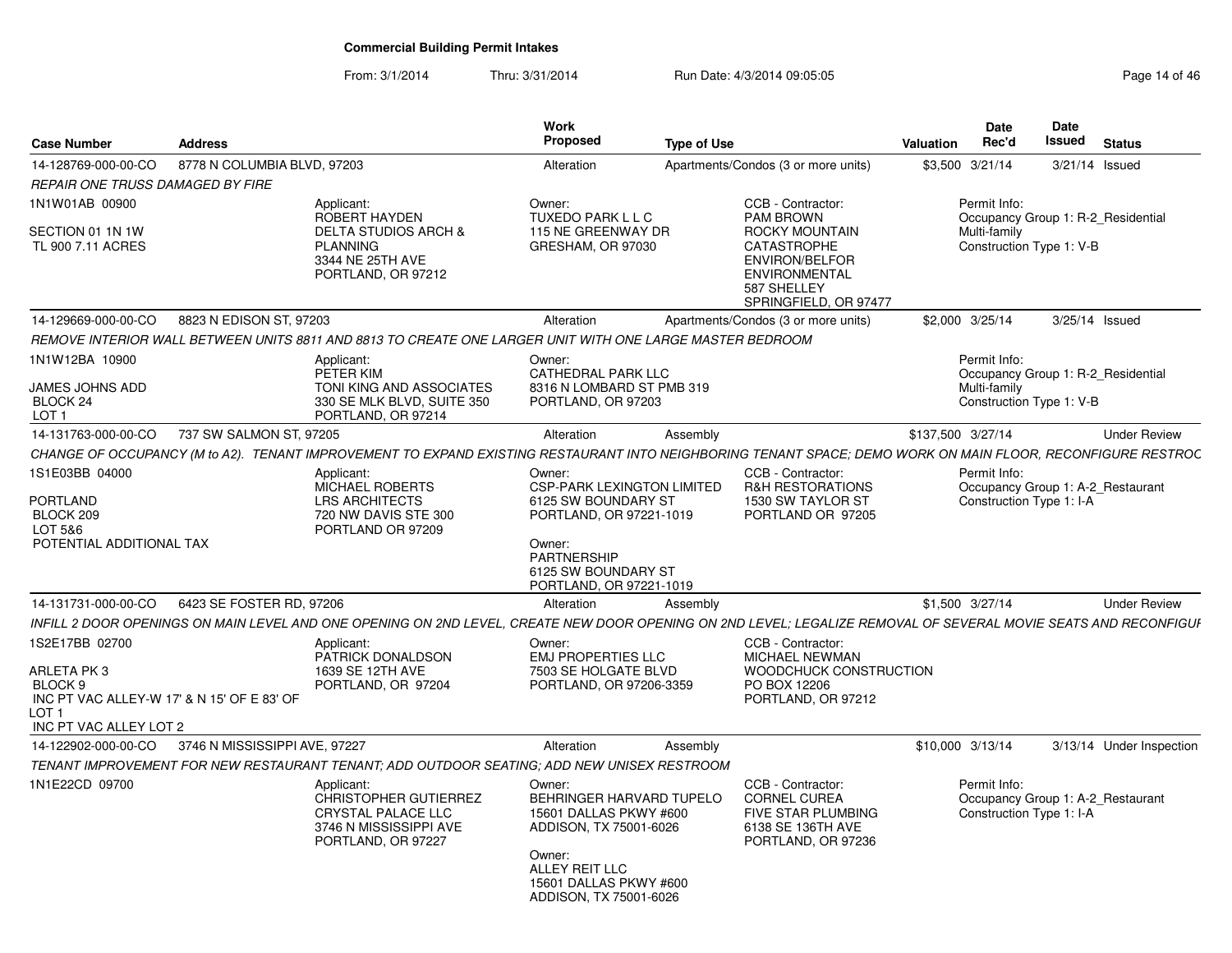From: 3/1/2014Thru: 3/31/2014 Run Date: 4/3/2014 09:05:05 Research 2010 14:05 Page 14 of 46

| <b>Case Number</b>                                                                                                              | <b>Address</b>                                    |                                                                                                                                                                 | Work<br><b>Proposed</b>                                                                                                                                                  | <b>Type of Use</b> |                                                                                                                                        | Valuation         | Date<br>Rec'd                                            | <b>Date</b><br>Issued<br><b>Status</b> |
|---------------------------------------------------------------------------------------------------------------------------------|---------------------------------------------------|-----------------------------------------------------------------------------------------------------------------------------------------------------------------|--------------------------------------------------------------------------------------------------------------------------------------------------------------------------|--------------------|----------------------------------------------------------------------------------------------------------------------------------------|-------------------|----------------------------------------------------------|----------------------------------------|
| 14-128769-000-00-CO                                                                                                             | 8778 N COLUMBIA BLVD, 97203                       |                                                                                                                                                                 | Alteration                                                                                                                                                               |                    | Apartments/Condos (3 or more units)                                                                                                    |                   | \$3,500 3/21/14                                          | 3/21/14 Issued                         |
| REPAIR ONE TRUSS DAMAGED BY FIRE                                                                                                |                                                   |                                                                                                                                                                 |                                                                                                                                                                          |                    |                                                                                                                                        |                   |                                                          |                                        |
| 1N1W01AB 00900<br>SECTION 01 1N 1W<br>TL 900 7.11 ACRES                                                                         |                                                   | Applicant:<br><b>ROBERT HAYDEN</b><br>DELTA STUDIOS ARCH &<br>PLANNING<br>3344 NE 25TH AVE<br>PORTLAND, OR 97212                                                | Owner:<br>TUXEDO PARK L L C<br>115 NE GREENWAY DR<br>GRESHAM, OR 97030                                                                                                   |                    | CCB - Contractor:<br><b>PAM BROWN</b><br>ROCKY MOUNTAIN<br>CATASTROPHE<br><b>ENVIRON/BELFOR</b><br><b>ENVIRONMENTAL</b><br>587 SHELLEY |                   | Permit Info:<br>Multi-family<br>Construction Type 1: V-B | Occupancy Group 1: R-2 Residential     |
|                                                                                                                                 |                                                   |                                                                                                                                                                 |                                                                                                                                                                          |                    | SPRINGFIELD, OR 97477                                                                                                                  |                   |                                                          |                                        |
| 14-129669-000-00-CO                                                                                                             | 8823 N EDISON ST, 97203                           |                                                                                                                                                                 | Alteration                                                                                                                                                               |                    | Apartments/Condos (3 or more units)                                                                                                    |                   | \$2,000 3/25/14                                          | 3/25/14 Issued                         |
|                                                                                                                                 |                                                   | REMOVE INTERIOR WALL BETWEEN UNITS 8811 AND 8813 TO CREATE ONE LARGER UNIT WITH ONE LARGE MASTER BEDROOM                                                        |                                                                                                                                                                          |                    |                                                                                                                                        |                   |                                                          |                                        |
| 1N1W12BA 10900<br>JAMES JOHNS ADD<br>BLOCK 24<br>LOT <sub>1</sub>                                                               |                                                   | Applicant:<br>PETER KIM<br>TONI KING AND ASSOCIATES<br>330 SE MLK BLVD, SUITE 350<br>PORTLAND, OR 97214                                                         | Owner:<br>CATHEDRAL PARK LLC<br>8316 N LOMBARD ST PMB 319<br>PORTLAND, OR 97203                                                                                          |                    |                                                                                                                                        |                   | Permit Info:<br>Multi-family<br>Construction Type 1: V-B | Occupancy Group 1: R-2_Residential     |
| 14-131763-000-00-CO                                                                                                             | 737 SW SALMON ST, 97205                           |                                                                                                                                                                 | Alteration                                                                                                                                                               | Assembly           |                                                                                                                                        | \$137,500 3/27/14 |                                                          | <b>Under Review</b>                    |
|                                                                                                                                 |                                                   | CHANGE OF OCCUPANCY (M to A2). TENANT IMPROVEMENT TO EXPAND EXISTING RESTAURANT INTO NEIGHBORING TENANT SPACE; DEMO WORK ON MAIN FLOOR, RECONFIGURE RESTROC     |                                                                                                                                                                          |                    |                                                                                                                                        |                   |                                                          |                                        |
| 1S1E03BB 04000<br>PORTLAND<br>BLOCK 209<br>LOT 5&6<br>POTENTIAL ADDITIONAL TAX                                                  |                                                   | Applicant:<br><b>MICHAEL ROBERTS</b><br><b>LRS ARCHITECTS</b><br>720 NW DAVIS STE 300<br>PORTLAND OR 97209                                                      | Owner:<br><b>CSP-PARK LEXINGTON LIMITED</b><br>6125 SW BOUNDARY ST<br>PORTLAND, OR 97221-1019<br>Owner:<br>PARTNERSHIP<br>6125 SW BOUNDARY ST<br>PORTLAND, OR 97221-1019 |                    | CCB - Contractor:<br><b>R&amp;H RESTORATIONS</b><br>1530 SW TAYLOR ST<br>PORTLAND OR 97205                                             |                   | Permit Info:<br>Construction Type 1: I-A                 | Occupancy Group 1: A-2_Restaurant      |
| 14-131731-000-00-CO                                                                                                             | 6423 SE FOSTER RD. 97206                          |                                                                                                                                                                 | Alteration                                                                                                                                                               | Assembly           |                                                                                                                                        |                   | \$1,500 3/27/14                                          | <b>Under Review</b>                    |
|                                                                                                                                 |                                                   | INFILL 2 DOOR OPENINGS ON MAIN LEVEL AND ONE OPENING ON 2ND LEVEL, CREATE NEW DOOR OPENING ON 2ND LEVEL; LEGALIZE REMOVAL OF SEVERAL MOVIE SEATS AND RECONFIGUP |                                                                                                                                                                          |                    |                                                                                                                                        |                   |                                                          |                                        |
| 1S2E17BB 02700<br><b>ARLETA PK3</b><br>BLOCK 9<br>INC PT VAC ALLEY-W 17' & N 15' OF E 83' OF<br>LOT 1<br>INC PT VAC ALLEY LOT 2 |                                                   | Applicant:<br>PATRICK DONALDSON<br>1639 SE 12TH AVE<br>PORTLAND, OR 97204                                                                                       | Owner:<br><b>EMJ PROPERTIES LLC</b><br>7503 SE HOLGATE BLVD<br>PORTLAND, OR 97206-3359                                                                                   |                    | CCB - Contractor:<br><b>MICHAEL NEWMAN</b><br>WOODCHUCK CONSTRUCTION<br>PO BOX 12206<br>PORTLAND, OR 97212                             |                   |                                                          |                                        |
|                                                                                                                                 | 14-122902-000-00-CO 3746 N MISSISSIPPI AVE, 97227 |                                                                                                                                                                 | Alteration                                                                                                                                                               | Assembly           |                                                                                                                                        |                   | \$10,000 3/13/14                                         | 3/13/14 Under Inspection               |
|                                                                                                                                 |                                                   | TENANT IMPROVEMENT FOR NEW RESTAURANT TENANT; ADD OUTDOOR SEATING; ADD NEW UNISEX RESTROOM                                                                      |                                                                                                                                                                          |                    |                                                                                                                                        |                   |                                                          |                                        |
| 1N1E22CD 09700                                                                                                                  |                                                   | Applicant:<br><b>CHRISTOPHER GUTIERREZ</b><br>CRYSTAL PALACE LLC<br>3746 N MISSISSIPPI AVE<br>PORTLAND, OR 97227                                                | Owner:<br>BEHRINGER HARVARD TUPELO<br>15601 DALLAS PKWY #600<br>ADDISON, TX 75001-6026<br>Owner:<br>ALLEY REIT LLC<br>15601 DALLAS PKWY #600<br>ADDISON, TX 75001-6026   |                    | CCB - Contractor:<br><b>CORNEL CUREA</b><br>FIVE STAR PLUMBING<br>6138 SE 136TH AVE<br>PORTLAND, OR 97236                              |                   | Permit Info:<br>Construction Type 1: I-A                 | Occupancy Group 1: A-2_Restaurant      |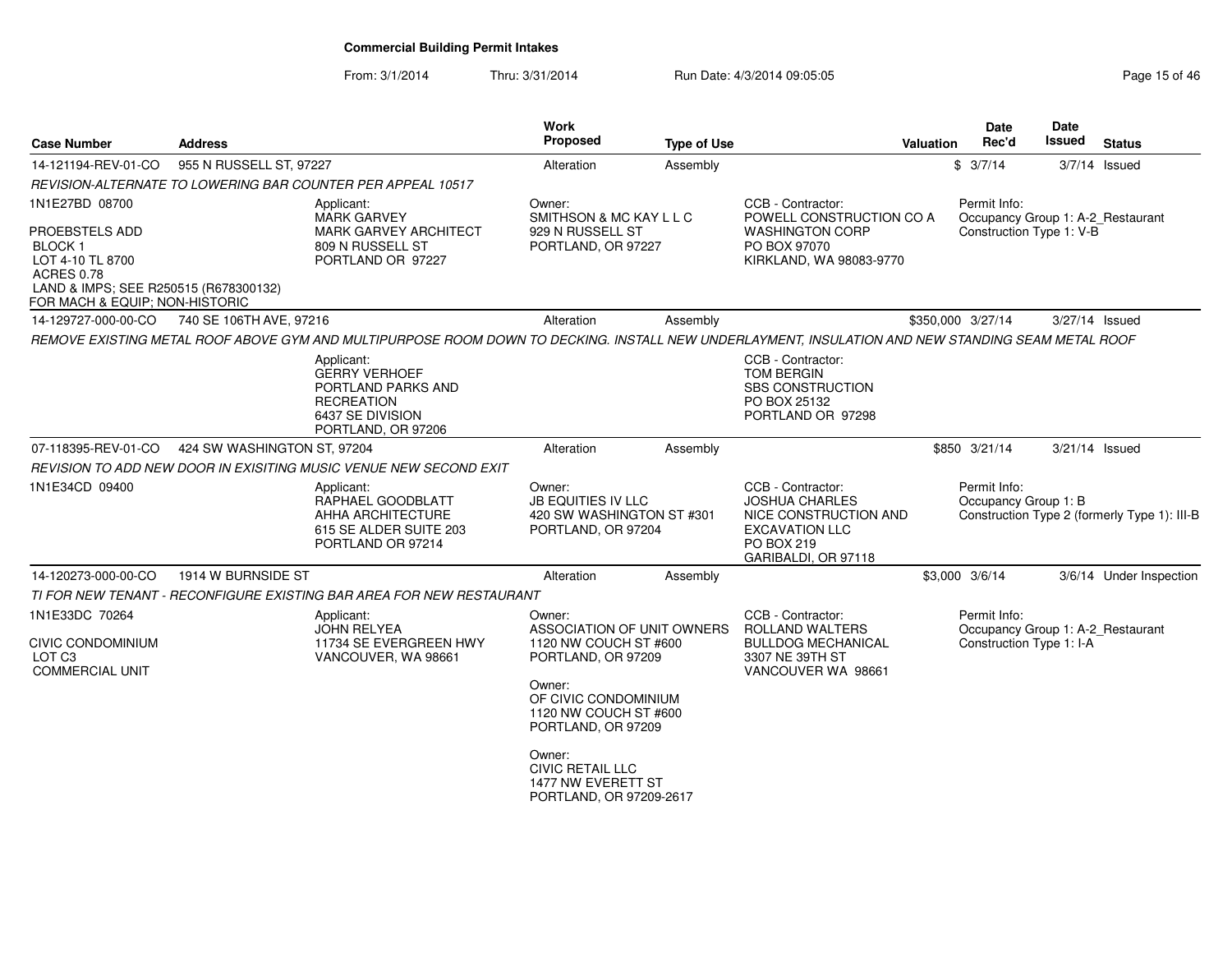From: 3/1/2014

Thru: 3/31/2014 Run Date: 4/3/2014 09:05:05 Research 20 and 2008 Page 15 of 46

| <b>Case Number</b>                                                                                                                                                         | <b>Address</b>              |                                                                                                                                                   | Work<br><b>Proposed</b>                                                                | <b>Type of Use</b> |                                                                                                                                   | Valuation | <b>Date</b><br>Rec'd                                                          | Date<br><b>Issued</b> | <b>Status</b>                                |
|----------------------------------------------------------------------------------------------------------------------------------------------------------------------------|-----------------------------|---------------------------------------------------------------------------------------------------------------------------------------------------|----------------------------------------------------------------------------------------|--------------------|-----------------------------------------------------------------------------------------------------------------------------------|-----------|-------------------------------------------------------------------------------|-----------------------|----------------------------------------------|
| 14-121194-REV-01-CO                                                                                                                                                        | 955 N RUSSELL ST, 97227     |                                                                                                                                                   | Alteration                                                                             | Assembly           |                                                                                                                                   |           | \$3/7/14                                                                      |                       | $3/7/14$ Issued                              |
|                                                                                                                                                                            |                             | REVISION-ALTERNATE TO LOWERING BAR COUNTER PER APPEAL 10517                                                                                       |                                                                                        |                    |                                                                                                                                   |           |                                                                               |                       |                                              |
| 1N1E27BD 08700<br>PROEBSTELS ADD<br>BLOCK <sub>1</sub><br>LOT 4-10 TL 8700<br><b>ACRES 0.78</b><br>LAND & IMPS; SEE R250515 (R678300132)<br>FOR MACH & EQUIP; NON-HISTORIC |                             | Applicant:<br><b>MARK GARVEY</b><br>MARK GARVEY ARCHITECT<br>809 N RUSSELL ST<br>PORTLAND OR 97227                                                | Owner:<br>SMITHSON & MC KAY L L C<br>929 N RUSSELL ST<br>PORTLAND, OR 97227            |                    | CCB - Contractor:<br>POWELL CONSTRUCTION CO A<br><b>WASHINGTON CORP</b><br>PO BOX 97070<br>KIRKLAND, WA 98083-9770                |           | Permit Info:<br>Occupancy Group 1: A-2_Restaurant<br>Construction Type 1: V-B |                       |                                              |
| 14-129727-000-00-CO                                                                                                                                                        | 740 SE 106TH AVE, 97216     |                                                                                                                                                   | Alteration                                                                             | Assembly           |                                                                                                                                   |           | \$350,000 3/27/14                                                             | 3/27/14 Issued        |                                              |
|                                                                                                                                                                            |                             | REMOVE EXISTING METAL ROOF ABOVE GYM AND MULTIPURPOSE ROOM DOWN TO DECKING. INSTALL NEW UNDERLAYMENT, INSULATION AND NEW STANDING SEAM METAL ROOF |                                                                                        |                    |                                                                                                                                   |           |                                                                               |                       |                                              |
|                                                                                                                                                                            |                             | Applicant:<br><b>GERRY VERHOEF</b><br>PORTLAND PARKS AND<br><b>RECREATION</b><br>6437 SE DIVISION<br>PORTLAND, OR 97206                           |                                                                                        |                    | CCB - Contractor:<br><b>TOM BERGIN</b><br><b>SBS CONSTRUCTION</b><br>PO BOX 25132<br>PORTLAND OR 97298                            |           |                                                                               |                       |                                              |
| 07-118395-REV-01-CO                                                                                                                                                        | 424 SW WASHINGTON ST, 97204 |                                                                                                                                                   | Alteration                                                                             | Assembly           |                                                                                                                                   |           | \$850 3/21/14                                                                 | 3/21/14 Issued        |                                              |
|                                                                                                                                                                            |                             | REVISION TO ADD NEW DOOR IN EXISITING MUSIC VENUE NEW SECOND EXIT                                                                                 |                                                                                        |                    |                                                                                                                                   |           |                                                                               |                       |                                              |
| 1N1E34CD 09400                                                                                                                                                             |                             | Applicant:<br>RAPHAEL GOODBLATT<br>AHHA ARCHITECTURE<br>615 SE ALDER SUITE 203<br>PORTLAND OR 97214                                               | Owner:<br><b>JB EQUITIES IV LLC</b><br>420 SW WASHINGTON ST #301<br>PORTLAND, OR 97204 |                    | CCB - Contractor:<br><b>JOSHUA CHARLES</b><br>NICE CONSTRUCTION AND<br><b>EXCAVATION LLC</b><br>PO BOX 219<br>GARIBALDI, OR 97118 |           | Permit Info:<br>Occupancy Group 1: B                                          |                       | Construction Type 2 (formerly Type 1): III-B |
| 14-120273-000-00-CO                                                                                                                                                        | 1914 W BURNSIDE ST          |                                                                                                                                                   | Alteration                                                                             | Assembly           |                                                                                                                                   |           | \$3,000 3/6/14                                                                |                       | 3/6/14 Under Inspection                      |
|                                                                                                                                                                            |                             | TI FOR NEW TENANT - RECONFIGURE EXISTING BAR AREA FOR NEW RESTAURANT                                                                              |                                                                                        |                    |                                                                                                                                   |           |                                                                               |                       |                                              |
| 1N1E33DC 70264                                                                                                                                                             |                             | Applicant:<br>JOHN RELYEA                                                                                                                         | Owner:<br>ASSOCIATION OF UNIT OWNERS                                                   |                    | CCB - Contractor:<br>ROLLAND WALTERS                                                                                              |           | Permit Info:<br>Occupancy Group 1: A-2_Restaurant                             |                       |                                              |
| CIVIC CONDOMINIUM<br>LOT <sub>C3</sub><br><b>COMMERCIAL UNIT</b>                                                                                                           |                             | 11734 SE EVERGREEN HWY<br>VANCOUVER, WA 98661                                                                                                     | 1120 NW COUCH ST #600<br>PORTLAND, OR 97209                                            |                    | <b>BULLDOG MECHANICAL</b><br>3307 NE 39TH ST<br>VANCOUVER WA 98661                                                                |           | Construction Type 1: I-A                                                      |                       |                                              |
|                                                                                                                                                                            |                             |                                                                                                                                                   | Owner:<br>OF CIVIC CONDOMINIUM<br>1120 NW COUCH ST #600<br>PORTLAND, OR 97209          |                    |                                                                                                                                   |           |                                                                               |                       |                                              |
|                                                                                                                                                                            |                             |                                                                                                                                                   | Owner:<br><b>CIVIC RETAIL LLC</b><br>1477 NW EVERETT ST<br>PORTLAND, OR 97209-2617     |                    |                                                                                                                                   |           |                                                                               |                       |                                              |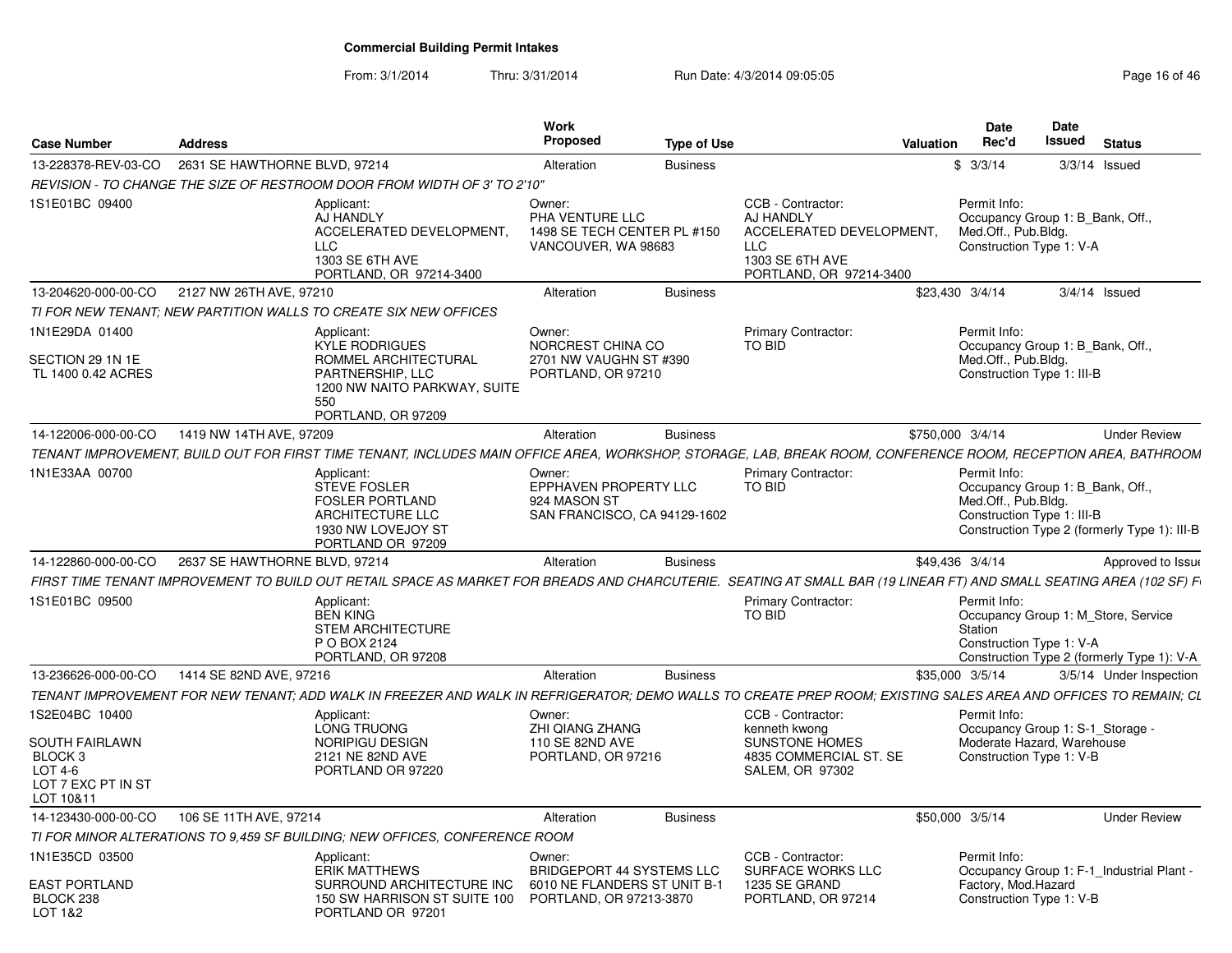From: 3/1/2014Thru: 3/31/2014 Run Date: 4/3/2014 09:05:05 Research 2010 12:05:05

| <b>Case Number</b>                                                                        | <b>Address</b>                |                                                                                                                                                                     | Work<br>Proposed                                                                | <b>Type of Use</b> |                                                                                                                        | <b>Valuation</b> | Date<br>Rec'd                                                                                         | <b>Date</b><br>Issued | <b>Status</b>                                                                     |  |
|-------------------------------------------------------------------------------------------|-------------------------------|---------------------------------------------------------------------------------------------------------------------------------------------------------------------|---------------------------------------------------------------------------------|--------------------|------------------------------------------------------------------------------------------------------------------------|------------------|-------------------------------------------------------------------------------------------------------|-----------------------|-----------------------------------------------------------------------------------|--|
| 13-228378-REV-03-CO                                                                       | 2631 SE HAWTHORNE BLVD, 97214 |                                                                                                                                                                     | Alteration                                                                      | <b>Business</b>    |                                                                                                                        |                  | \$3/3/14                                                                                              |                       | $3/3/14$ Issued                                                                   |  |
|                                                                                           |                               | REVISION - TO CHANGE THE SIZE OF RESTROOM DOOR FROM WIDTH OF 3' TO 2'10"                                                                                            |                                                                                 |                    |                                                                                                                        |                  |                                                                                                       |                       |                                                                                   |  |
| 1S1E01BC 09400                                                                            |                               | Applicant:<br>AJ HANDLY<br>ACCELERATED DEVELOPMENT,<br>LLC<br>1303 SE 6TH AVE<br>PORTLAND, OR 97214-3400                                                            | Owner:<br>PHA VENTURE LLC<br>1498 SE TECH CENTER PL #150<br>VANCOUVER, WA 98683 |                    | CCB - Contractor:<br>AJ HANDLY<br>ACCELERATED DEVELOPMENT,<br><b>LLC</b><br>1303 SE 6TH AVE<br>PORTLAND, OR 97214-3400 |                  | Permit Info:<br>Occupancy Group 1: B Bank, Off.,<br>Med.Off., Pub.Bldg.<br>Construction Type 1: V-A   |                       |                                                                                   |  |
| 13-204620-000-00-CO                                                                       | 2127 NW 26TH AVE, 97210       |                                                                                                                                                                     | Alteration                                                                      | <b>Business</b>    |                                                                                                                        |                  | \$23,430 3/4/14                                                                                       |                       | $3/4/14$ Issued                                                                   |  |
|                                                                                           |                               | TI FOR NEW TENANT: NEW PARTITION WALLS TO CREATE SIX NEW OFFICES                                                                                                    |                                                                                 |                    |                                                                                                                        |                  |                                                                                                       |                       |                                                                                   |  |
| 1N1E29DA 01400                                                                            |                               | Applicant:<br><b>KYLE RODRIGUES</b>                                                                                                                                 | Owner:<br>NORCREST CHINA CO                                                     |                    | Primary Contractor:<br>TO BID                                                                                          |                  | Permit Info:<br>Occupancy Group 1: B Bank, Off.,                                                      |                       |                                                                                   |  |
| SECTION 29 1N 1E<br>TL 1400 0.42 ACRES                                                    |                               | ROMMEL ARCHITECTURAL<br>PARTNERSHIP, LLC<br>1200 NW NAITO PARKWAY, SUITE<br>550                                                                                     | 2701 NW VAUGHN ST #390<br>PORTLAND, OR 97210                                    |                    |                                                                                                                        |                  | Med.Off., Pub.Bldg.<br>Construction Type 1: III-B                                                     |                       |                                                                                   |  |
|                                                                                           |                               | PORTLAND, OR 97209                                                                                                                                                  |                                                                                 |                    |                                                                                                                        |                  |                                                                                                       |                       |                                                                                   |  |
| 14-122006-000-00-CO                                                                       | 1419 NW 14TH AVE, 97209       |                                                                                                                                                                     | Alteration                                                                      | <b>Business</b>    |                                                                                                                        | \$750,000 3/4/14 |                                                                                                       |                       | <b>Under Review</b>                                                               |  |
|                                                                                           |                               | TENANT IMPROVEMENT, BUILD OUT FOR FIRST TIME TENANT, INCLUDES MAIN OFFICE AREA, WORKSHOP, STORAGE, LAB, BREAK ROOM, CONFERENCE ROOM, RECEPTION AREA, BATHROOM       |                                                                                 |                    |                                                                                                                        |                  |                                                                                                       |                       |                                                                                   |  |
| 1N1E33AA 00700                                                                            |                               | Applicant:<br>STEVE FOSLER<br><b>FOSLER PORTLAND</b><br>ARCHITECTURE LLC<br>1930 NW LOVEJOY ST<br>PORTLAND OR 97209                                                 | Owner:<br>EPPHAVEN PROPERTY LLC<br>924 MASON ST<br>SAN FRANCISCO, CA 94129-1602 |                    | Primary Contractor:<br>TO BID                                                                                          |                  | Permit Info:<br>Occupancy Group 1: B_Bank, Off.,<br>Med.Off., Pub.Bldg.<br>Construction Type 1: III-B |                       | Construction Type 2 (formerly Type 1): III-B                                      |  |
| 14-122860-000-00-CO                                                                       | 2637 SE HAWTHORNE BLVD, 97214 |                                                                                                                                                                     | Alteration                                                                      | <b>Business</b>    |                                                                                                                        |                  | \$49,436 3/4/14                                                                                       |                       | Approved to Issue                                                                 |  |
|                                                                                           |                               | FIRST TIME TENANT IMPROVEMENT TO BUILD OUT RETAIL SPACE AS MARKET FOR BREADS AND CHARCUTERIE. SEATING AT SMALL BAR (19 LINEAR FT) AND SMALL SEATING AREA (102 SF) F |                                                                                 |                    |                                                                                                                        |                  |                                                                                                       |                       |                                                                                   |  |
| 1S1E01BC 09500                                                                            |                               | Applicant:<br><b>BEN KING</b><br><b>STEM ARCHITECTURE</b><br>P O BOX 2124<br>PORTLAND, OR 97208                                                                     |                                                                                 |                    | <b>Primary Contractor:</b><br>TO BID                                                                                   |                  | Permit Info:<br>Station<br>Construction Type 1: V-A                                                   |                       | Occupancy Group 1: M Store, Service<br>Construction Type 2 (formerly Type 1): V-A |  |
| 13-236626-000-00-CO                                                                       | 1414 SE 82ND AVE, 97216       |                                                                                                                                                                     | Alteration                                                                      | <b>Business</b>    |                                                                                                                        |                  | \$35,000 3/5/14                                                                                       |                       | 3/5/14 Under Inspection                                                           |  |
|                                                                                           |                               | TENANT IMPROVEMENT FOR NEW TENANT; ADD WALK IN FREEZER AND WALK IN REFRIGERATOR; DEMO WALLS TO CREATE PREP ROOM; EXISTING SALES AREA AND OFFICES TO REMAIN; CL      |                                                                                 |                    |                                                                                                                        |                  |                                                                                                       |                       |                                                                                   |  |
| 1S2E04BC 10400                                                                            |                               | Applicant:<br>LONG TRUONG                                                                                                                                           | Owner:<br>ZHI QIANG ZHANG                                                       |                    | CCB - Contractor:<br>kenneth kwong                                                                                     |                  | Permit Info:<br>Occupancy Group 1: S-1 Storage -                                                      |                       |                                                                                   |  |
| <b>SOUTH FAIRLAWN</b><br>BLOCK <sub>3</sub><br>LOT 4-6<br>LOT 7 EXC PT IN ST<br>LOT 10&11 |                               | NORIPIGU DESIGN<br>2121 NE 82ND AVE<br>PORTLAND OR 97220                                                                                                            | 110 SE 82ND AVE<br>PORTLAND, OR 97216                                           |                    | <b>SUNSTONE HOMES</b><br>4835 COMMERCIAL ST. SE<br>SALEM, OR 97302                                                     |                  | Moderate Hazard, Warehouse<br>Construction Type 1: V-B                                                |                       |                                                                                   |  |
| 14-123430-000-00-CO                                                                       | 106 SE 11TH AVE, 97214        |                                                                                                                                                                     | Alteration                                                                      | <b>Business</b>    |                                                                                                                        |                  | \$50,000 3/5/14                                                                                       |                       | <b>Under Review</b>                                                               |  |
|                                                                                           |                               | TI FOR MINOR ALTERATIONS TO 9,459 SF BUILDING; NEW OFFICES, CONFERENCE ROOM                                                                                         |                                                                                 |                    |                                                                                                                        |                  |                                                                                                       |                       |                                                                                   |  |
| 1N1E35CD 03500                                                                            |                               | Applicant:<br><b>ERIK MATTHEWS</b>                                                                                                                                  | Owner:<br>BRIDGEPORT 44 SYSTEMS LLC                                             |                    | CCB - Contractor:<br>SURFACE WORKS LLC                                                                                 |                  | Permit Info:                                                                                          |                       | Occupancy Group 1: F-1 Industrial Plant -                                         |  |
| <b>EAST PORTLAND</b><br>BLOCK 238<br>LOT 1&2                                              |                               | SURROUND ARCHITECTURE INC<br>150 SW HARRISON ST SUITE 100<br>PORTLAND OR 97201                                                                                      | 6010 NE FLANDERS ST UNIT B-1<br>PORTLAND, OR 97213-3870                         |                    | 1235 SE GRAND<br>PORTLAND, OR 97214                                                                                    |                  | Factory, Mod.Hazard<br>Construction Type 1: V-B                                                       |                       |                                                                                   |  |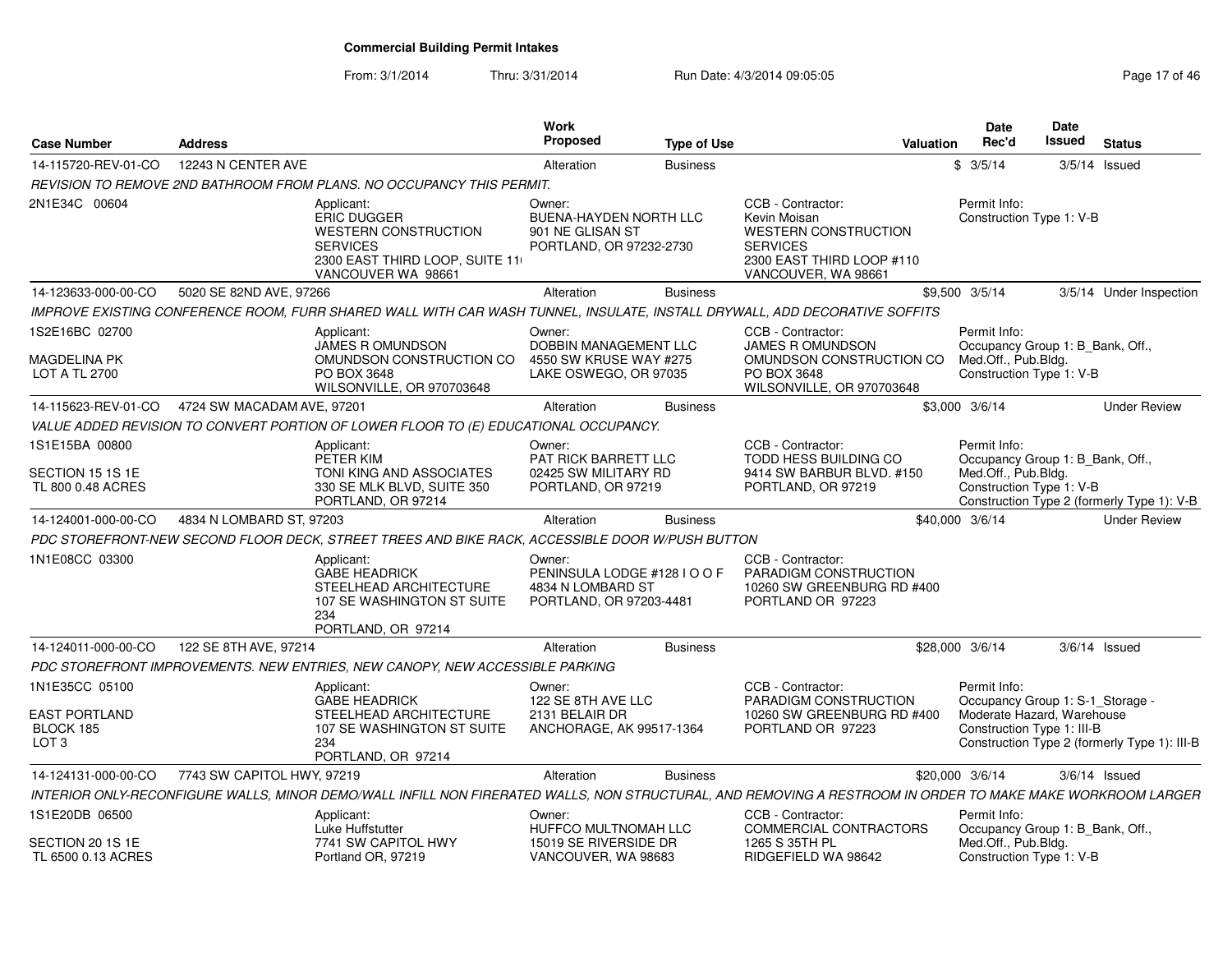From: 3/1/2014Thru: 3/31/2014 Run Date: 4/3/2014 09:05:05 Research 2010 17 of 46

| <b>Case Number</b>                                    | <b>Address</b>                                                                                                                                             | Work<br><b>Proposed</b>                                                                | <b>Type of Use</b> |                                                                                                                                         | <b>Valuation</b> | Date<br>Rec'd                                                           | Date<br>Issued | <b>Status</b>                                |
|-------------------------------------------------------|------------------------------------------------------------------------------------------------------------------------------------------------------------|----------------------------------------------------------------------------------------|--------------------|-----------------------------------------------------------------------------------------------------------------------------------------|------------------|-------------------------------------------------------------------------|----------------|----------------------------------------------|
| 14-115720-REV-01-CO                                   | 12243 N CENTER AVE                                                                                                                                         | Alteration                                                                             | <b>Business</b>    |                                                                                                                                         |                  | \$3/5/14                                                                |                | $3/5/14$ Issued                              |
|                                                       | REVISION TO REMOVE 2ND BATHROOM FROM PLANS. NO OCCUPANCY THIS PERMIT.                                                                                      |                                                                                        |                    |                                                                                                                                         |                  |                                                                         |                |                                              |
| 2N1E34C 00604                                         | Applicant:<br><b>ERIC DUGGER</b><br><b>WESTERN CONSTRUCTION</b><br><b>SERVICES</b><br>2300 EAST THIRD LOOP, SUITE 11<br>VANCOUVER WA 98661                 | Owner:<br><b>BUENA-HAYDEN NORTH LLC</b><br>901 NE GLISAN ST<br>PORTLAND, OR 97232-2730 |                    | CCB - Contractor:<br>Kevin Moisan<br><b>WESTERN CONSTRUCTION</b><br><b>SERVICES</b><br>2300 EAST THIRD LOOP #110<br>VANCOUVER, WA 98661 |                  | Permit Info:<br>Construction Type 1: V-B                                |                |                                              |
| 14-123633-000-00-CO                                   | 5020 SE 82ND AVE, 97266                                                                                                                                    | Alteration                                                                             | <b>Business</b>    |                                                                                                                                         |                  | \$9,500 3/5/14                                                          |                | 3/5/14 Under Inspection                      |
|                                                       | IMPROVE EXISTING CONFERENCE ROOM, FURR SHARED WALL WITH CAR WASH TUNNEL, INSULATE, INSTALL DRYWALL, ADD DECORATIVE SOFFITS                                 |                                                                                        |                    |                                                                                                                                         |                  |                                                                         |                |                                              |
| 1S2E16BC 02700<br><b>MAGDELINA PK</b>                 | Applicant:<br><b>JAMES R OMUNDSON</b><br>OMUNDSON CONSTRUCTION CO                                                                                          | Owner:<br>DOBBIN MANAGEMENT LLC<br>4550 SW KRUSE WAY #275                              |                    | CCB - Contractor:<br><b>JAMES R OMUNDSON</b><br>OMUNDSON CONSTRUCTION CO                                                                |                  | Permit Info:<br>Occupancy Group 1: B_Bank, Off.,<br>Med.Off., Pub.Bldg. |                |                                              |
| <b>LOT A TL 2700</b>                                  | PO BOX 3648<br>WILSONVILLE, OR 970703648                                                                                                                   | LAKE OSWEGO, OR 97035                                                                  |                    | PO BOX 3648<br>WILSONVILLE, OR 970703648                                                                                                |                  | Construction Type 1: V-B                                                |                |                                              |
| 14-115623-REV-01-CO                                   | 4724 SW MACADAM AVE, 97201                                                                                                                                 | Alteration                                                                             | <b>Business</b>    |                                                                                                                                         |                  | \$3,000 3/6/14                                                          |                | <b>Under Review</b>                          |
|                                                       | VALUE ADDED REVISION TO CONVERT PORTION OF LOWER FLOOR TO (E) EDUCATIONAL OCCUPANCY.                                                                       |                                                                                        |                    |                                                                                                                                         |                  |                                                                         |                |                                              |
| 1S1E15BA 00800                                        | Applicant:<br>PETER KIM                                                                                                                                    | Owner:<br>PAT RICK BARRETT LLC                                                         |                    | CCB - Contractor:<br><b>TODD HESS BUILDING CO</b>                                                                                       |                  | Permit Info:<br>Occupancy Group 1: B_Bank, Off.,                        |                |                                              |
| SECTION 15 1S 1E<br>TL 800 0.48 ACRES                 | TONI KING AND ASSOCIATES<br>330 SE MLK BLVD, SUITE 350<br>PORTLAND, OR 97214                                                                               | 02425 SW MILITARY RD<br>PORTLAND, OR 97219                                             |                    | 9414 SW BARBUR BLVD, #150<br>PORTLAND, OR 97219                                                                                         |                  | Med.Off., Pub.Bldg.<br>Construction Type 1: V-B                         |                | Construction Type 2 (formerly Type 1): V-B   |
| 14-124001-000-00-CO                                   | 4834 N LOMBARD ST, 97203                                                                                                                                   | Alteration                                                                             | <b>Business</b>    |                                                                                                                                         |                  | \$40,000 3/6/14                                                         |                | <b>Under Review</b>                          |
|                                                       | PDC STOREFRONT-NEW SECOND FLOOR DECK, STREET TREES AND BIKE RACK, ACCESSIBLE DOOR W/PUSH BUTTON                                                            |                                                                                        |                    |                                                                                                                                         |                  |                                                                         |                |                                              |
| 1N1E08CC 03300                                        | Applicant:<br><b>GABE HEADRICK</b><br>STEELHEAD ARCHITECTURE<br>107 SE WASHINGTON ST SUITE<br>234<br>PORTLAND, OR 97214                                    | Owner:<br>PENINSULA LODGE #128 I O O F<br>4834 N LOMBARD ST<br>PORTLAND, OR 97203-4481 |                    | CCB - Contractor:<br>PARADIGM CONSTRUCTION<br>10260 SW GREENBURG RD #400<br>PORTLAND OR 97223                                           |                  |                                                                         |                |                                              |
| 14-124011-000-00-CO                                   | 122 SE 8TH AVE, 97214                                                                                                                                      | Alteration                                                                             | <b>Business</b>    |                                                                                                                                         |                  | \$28,000 3/6/14                                                         |                | $3/6/14$ Issued                              |
|                                                       | PDC STOREFRONT IMPROVEMENTS. NEW ENTRIES, NEW CANOPY, NEW ACCESSIBLE PARKING                                                                               |                                                                                        |                    |                                                                                                                                         |                  |                                                                         |                |                                              |
| 1N1E35CC 05100                                        | Applicant:<br><b>GABE HEADRICK</b>                                                                                                                         | Owner:<br>122 SE 8TH AVE LLC                                                           |                    | CCB - Contractor:<br>PARADIGM CONSTRUCTION                                                                                              |                  | Permit Info:<br>Occupancy Group 1: S-1_Storage -                        |                |                                              |
| <b>EAST PORTLAND</b><br>BLOCK 185<br>LOT <sub>3</sub> | STEELHEAD ARCHITECTURE<br>107 SE WASHINGTON ST SUITE<br>234<br>PORTLAND, OR 97214                                                                          | 2131 BELAIR DR<br>ANCHORAGE, AK 99517-1364                                             |                    | 10260 SW GREENBURG RD #400<br>PORTLAND OR 97223                                                                                         |                  | Moderate Hazard, Warehouse<br>Construction Type 1: III-B                |                | Construction Type 2 (formerly Type 1): III-B |
| 14-124131-000-00-CO                                   | 7743 SW CAPITOL HWY, 97219                                                                                                                                 | Alteration                                                                             | <b>Business</b>    |                                                                                                                                         |                  | \$20,000 3/6/14                                                         |                | $3/6/14$ Issued                              |
|                                                       | INTERIOR ONLY-RECONFIGURE WALLS, MINOR DEMO/WALL INFILL NON FIRERATED WALLS, NON STRUCTURAL, AND REMOVING A RESTROOM IN ORDER TO MAKE MAKE WORKROOM LARGER |                                                                                        |                    |                                                                                                                                         |                  |                                                                         |                |                                              |
| 1S1E20DB 06500                                        | Applicant:<br>Luke Huffstutter                                                                                                                             | Owner:<br>HUFFCO MULTNOMAH LLC                                                         |                    | CCB - Contractor:<br>COMMERCIAL CONTRACTORS                                                                                             |                  | Permit Info:<br>Occupancy Group 1: B Bank, Off.,                        |                |                                              |
| SECTION 20 1S 1E<br>TL 6500 0.13 ACRES                | 7741 SW CAPITOL HWY<br>Portland OR, 97219                                                                                                                  | 15019 SE RIVERSIDE DR<br>VANCOUVER, WA 98683                                           |                    | 1265 S 35TH PL<br>RIDGEFIELD WA 98642                                                                                                   |                  | Med.Off., Pub.Bldg.<br>Construction Type 1: V-B                         |                |                                              |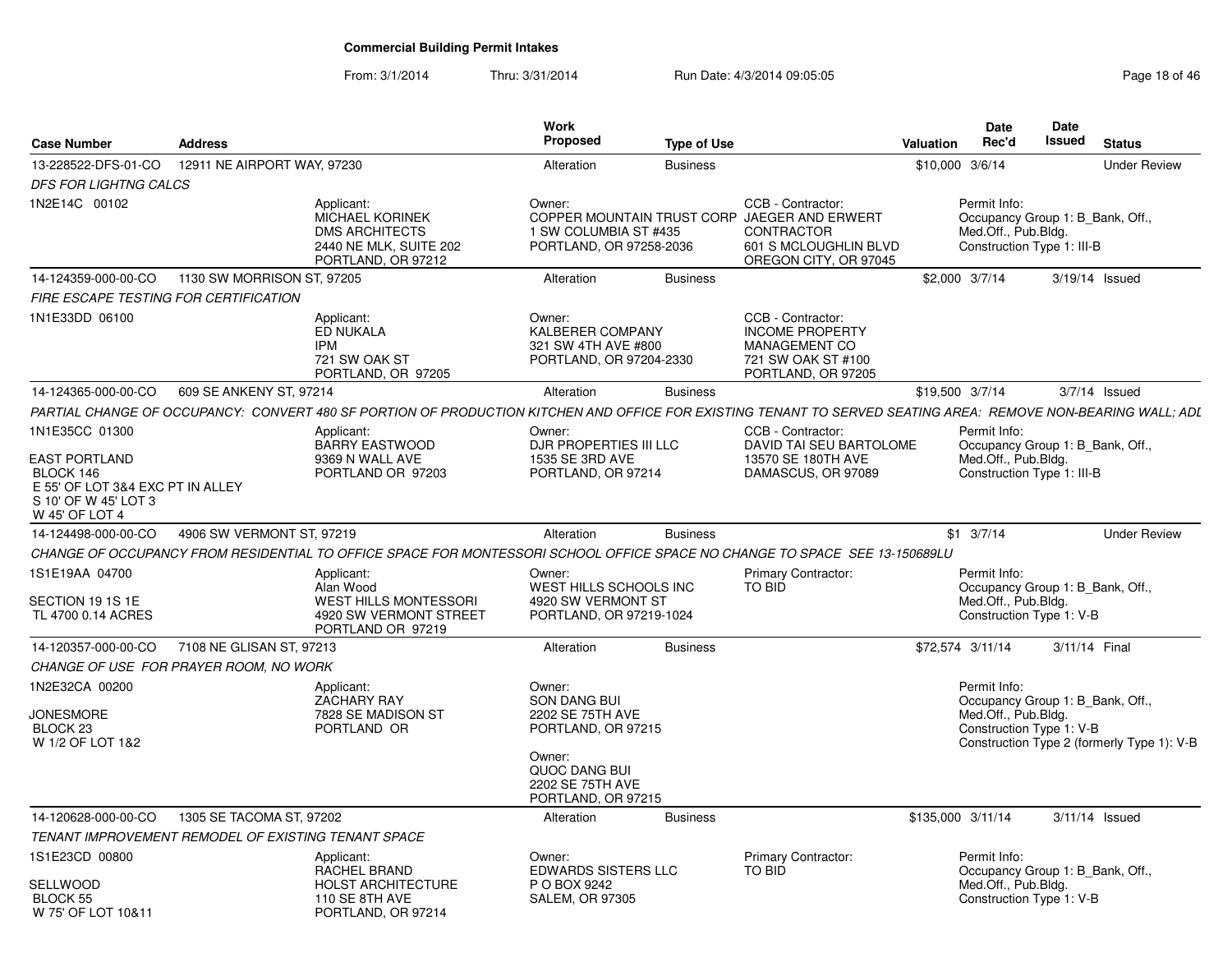From: 3/1/2014Thru: 3/31/2014 Run Date: 4/3/2014 09:05:05 Research 2010 18:04 8 Page 18 of 46

| <b>Case Number</b>                                                                      | <b>Address</b>              |                                                                                                                                                               | Work<br><b>Proposed</b>                                                           | <b>Type of Use</b> |                                                                                                                                          | <b>Valuation</b>  | <b>Date</b><br>Rec'd                                                                                  | Date<br>Issued | <b>Status</b>                              |
|-----------------------------------------------------------------------------------------|-----------------------------|---------------------------------------------------------------------------------------------------------------------------------------------------------------|-----------------------------------------------------------------------------------|--------------------|------------------------------------------------------------------------------------------------------------------------------------------|-------------------|-------------------------------------------------------------------------------------------------------|----------------|--------------------------------------------|
| 13-228522-DFS-01-CO                                                                     | 12911 NE AIRPORT WAY, 97230 |                                                                                                                                                               | Alteration                                                                        | <b>Business</b>    |                                                                                                                                          | \$10,000 3/6/14   |                                                                                                       |                | <b>Under Review</b>                        |
| <b>DFS FOR LIGHTNG CALCS</b>                                                            |                             |                                                                                                                                                               |                                                                                   |                    |                                                                                                                                          |                   |                                                                                                       |                |                                            |
| 1N2E14C 00102                                                                           |                             | Applicant:<br>MICHAEL KORINEK<br><b>DMS ARCHITECTS</b><br>2440 NE MLK, SUITE 202<br>PORTLAND, OR 97212                                                        | Owner:<br>1 SW COLUMBIA ST #435<br>PORTLAND, OR 97258-2036                        |                    | CCB - Contractor:<br>COPPER MOUNTAIN TRUST CORP JAEGER AND ERWERT<br><b>CONTRACTOR</b><br>601 S MCLOUGHLIN BLVD<br>OREGON CITY, OR 97045 |                   | Permit Info:<br>Occupancy Group 1: B_Bank, Off.,<br>Med.Off., Pub.Bldg.<br>Construction Type 1: III-B |                |                                            |
| 14-124359-000-00-CO                                                                     | 1130 SW MORRISON ST, 97205  |                                                                                                                                                               | Alteration                                                                        | <b>Business</b>    |                                                                                                                                          |                   | \$2,000 3/7/14                                                                                        |                | 3/19/14 Issued                             |
| FIRE ESCAPE TESTING FOR CERTIFICATION                                                   |                             |                                                                                                                                                               |                                                                                   |                    |                                                                                                                                          |                   |                                                                                                       |                |                                            |
| 1N1E33DD 06100                                                                          |                             | Applicant:<br>ED NUKALA<br><b>IPM</b><br>721 SW OAK ST<br>PORTLAND, OR 97205                                                                                  | Owner:<br>KALBERER COMPANY<br>321 SW 4TH AVE #800<br>PORTLAND, OR 97204-2330      |                    | CCB - Contractor:<br><b>INCOME PROPERTY</b><br>MANAGEMENT CO<br>721 SW OAK ST #100<br>PORTLAND, OR 97205                                 |                   |                                                                                                       |                |                                            |
| 14-124365-000-00-CO                                                                     | 609 SE ANKENY ST, 97214     |                                                                                                                                                               | Alteration                                                                        | <b>Business</b>    |                                                                                                                                          | \$19,500 3/7/14   |                                                                                                       |                | $3/7/14$ Issued                            |
|                                                                                         |                             | PARTIAL CHANGE OF OCCUPANCY: CONVERT 480 SF PORTION OF PRODUCTION KITCHEN AND OFFICE FOR EXISTING TENANT TO SERVED SEATING AREA: REMOVE NON-BEARING WALL; ADL |                                                                                   |                    |                                                                                                                                          |                   |                                                                                                       |                |                                            |
| 1N1E35CC 01300<br><b>EAST PORTLAND</b>                                                  |                             | Applicant:<br><b>BARRY EASTWOOD</b><br>9369 N WALL AVE                                                                                                        | Owner:<br>DJR PROPERTIES III LLC<br>1535 SE 3RD AVE                               |                    | CCB - Contractor:<br>DAVID TAI SEU BARTOLOME<br>13570 SE 180TH AVE                                                                       |                   | Permit Info:<br>Occupancy Group 1: B_Bank, Off.,<br>Med.Off., Pub.Bldg.                               |                |                                            |
| BLOCK 146<br>E 55' OF LOT 3&4 EXC PT IN ALLEY<br>S 10' OF W 45' LOT 3<br>W 45' OF LOT 4 |                             | PORTLAND OR 97203                                                                                                                                             | PORTLAND, OR 97214                                                                |                    | DAMASCUS, OR 97089                                                                                                                       |                   | Construction Type 1: III-B                                                                            |                |                                            |
| 14-124498-000-00-CO                                                                     | 4906 SW VERMONT ST, 97219   |                                                                                                                                                               | Alteration                                                                        | <b>Business</b>    |                                                                                                                                          |                   | $$1 \t3/7/14$                                                                                         |                | <b>Under Review</b>                        |
|                                                                                         |                             | CHANGE OF OCCUPANCY FROM RESIDENTIAL TO OFFICE SPACE FOR MONTESSORI SCHOOL OFFICE SPACE NO CHANGE TO SPACE SEE 13-150689LU                                    |                                                                                   |                    |                                                                                                                                          |                   |                                                                                                       |                |                                            |
| 1S1E19AA 04700<br>SECTION 19 1S 1E<br>TL 4700 0.14 ACRES                                |                             | Applicant:<br>Alan Wood<br><b>WEST HILLS MONTESSORI</b><br>4920 SW VERMONT STREET                                                                             | Owner:<br>WEST HILLS SCHOOLS INC<br>4920 SW VERMONT ST<br>PORTLAND, OR 97219-1024 |                    | <b>Primary Contractor:</b><br><b>TO BID</b>                                                                                              |                   | Permit Info:<br>Occupancy Group 1: B Bank, Off.,<br>Med.Off., Pub.Bldg.<br>Construction Type 1: V-B   |                |                                            |
|                                                                                         |                             | PORTLAND OR 97219                                                                                                                                             |                                                                                   |                    |                                                                                                                                          |                   |                                                                                                       |                |                                            |
| 14-120357-000-00-CO                                                                     | 7108 NE GLISAN ST, 97213    |                                                                                                                                                               | Alteration                                                                        | <b>Business</b>    |                                                                                                                                          |                   | \$72,574 3/11/14                                                                                      | 3/11/14 Final  |                                            |
| CHANGE OF USE FOR PRAYER ROOM, NO WORK                                                  |                             |                                                                                                                                                               |                                                                                   |                    |                                                                                                                                          |                   |                                                                                                       |                |                                            |
| 1N2E32CA 00200<br><b>JONESMORE</b><br>BLOCK <sub>23</sub><br>W 1/2 OF LOT 1&2           |                             | Applicant:<br><b>ZACHARY RAY</b><br>7828 SE MADISON ST<br>PORTLAND OR                                                                                         | Owner:<br><b>SON DANG BUI</b><br>2202 SE 75TH AVE<br>PORTLAND, OR 97215           |                    |                                                                                                                                          |                   | Permit Info:<br>Occupancy Group 1: B Bank, Off.,<br>Med.Off., Pub.Bldg.<br>Construction Type 1: V-B   |                | Construction Type 2 (formerly Type 1): V-B |
|                                                                                         |                             |                                                                                                                                                               | Owner:<br>QUOC DANG BUI<br>2202 SE 75TH AVE<br>PORTLAND, OR 97215                 |                    |                                                                                                                                          |                   |                                                                                                       |                |                                            |
| 14-120628-000-00-CO                                                                     | 1305 SE TACOMA ST, 97202    |                                                                                                                                                               | Alteration                                                                        | <b>Business</b>    |                                                                                                                                          | \$135,000 3/11/14 |                                                                                                       |                | 3/11/14 Issued                             |
| TENANT IMPROVEMENT REMODEL OF EXISTING TENANT SPACE                                     |                             |                                                                                                                                                               |                                                                                   |                    |                                                                                                                                          |                   |                                                                                                       |                |                                            |
| 1S1E23CD 00800                                                                          |                             | Applicant:<br>RACHEL BRAND                                                                                                                                    | Owner:<br><b>EDWARDS SISTERS LLC</b>                                              |                    | Primary Contractor:<br>TO BID                                                                                                            |                   | Permit Info:<br>Occupancy Group 1: B Bank, Off.,                                                      |                |                                            |
| SELLWOOD<br>BLOCK 55<br>W 75' OF LOT 10&11                                              |                             | <b>HOLST ARCHITECTURE</b><br>110 SE 8TH AVE<br>PORTLAND, OR 97214                                                                                             | P O BOX 9242<br><b>SALEM, OR 97305</b>                                            |                    |                                                                                                                                          |                   | Med.Off., Pub.Bldg.<br>Construction Type 1: V-B                                                       |                |                                            |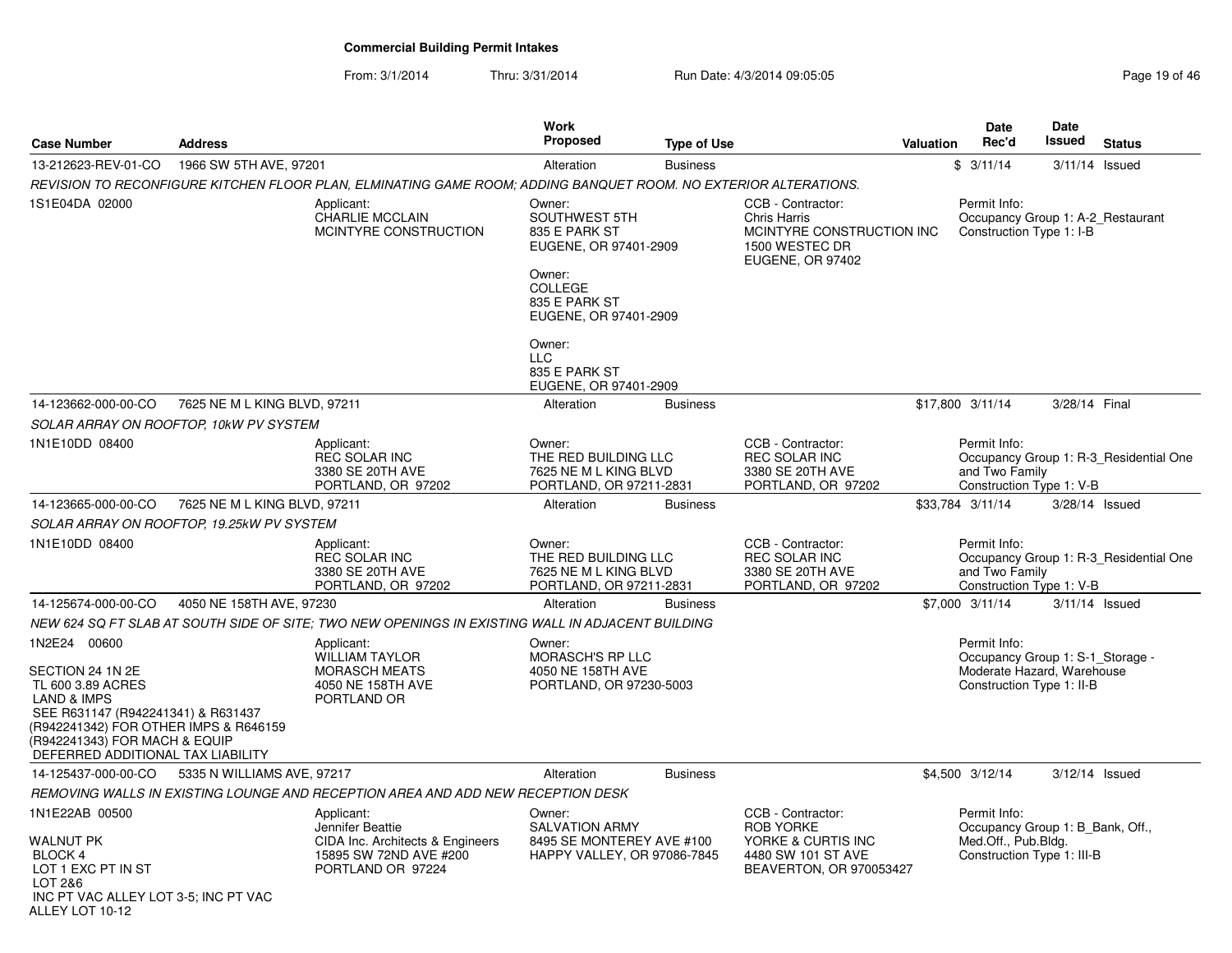From: 3/1/2014Thru: 3/31/2014 Run Date: 4/3/2014 09:05:05 Research 20 and 2008 Page 19 of 46

| <b>Case Number</b>                                                                                                                                                                                                   | <b>Address</b>               |                                                                                                                   | <b>Work</b><br>Proposed                                                                                        | <b>Type of Use</b> |                                                                                                                    | <b>Valuation</b> | <b>Date</b><br>Rec'd                                                                                  | <b>Date</b><br><b>Issued</b> | <b>Status</b>                          |
|----------------------------------------------------------------------------------------------------------------------------------------------------------------------------------------------------------------------|------------------------------|-------------------------------------------------------------------------------------------------------------------|----------------------------------------------------------------------------------------------------------------|--------------------|--------------------------------------------------------------------------------------------------------------------|------------------|-------------------------------------------------------------------------------------------------------|------------------------------|----------------------------------------|
| 13-212623-REV-01-CO                                                                                                                                                                                                  | 1966 SW 5TH AVE, 97201       |                                                                                                                   | Alteration                                                                                                     | <b>Business</b>    |                                                                                                                    |                  | \$3/11/14                                                                                             | 3/11/14                      | Issued                                 |
|                                                                                                                                                                                                                      |                              | REVISION TO RECONFIGURE KITCHEN FLOOR PLAN, ELMINATING GAME ROOM; ADDING BANQUET ROOM. NO EXTERIOR ALTERATIONS.   |                                                                                                                |                    |                                                                                                                    |                  |                                                                                                       |                              |                                        |
| 1S1E04DA 02000                                                                                                                                                                                                       |                              | Applicant:<br><b>CHARLIE MCCLAIN</b><br>MCINTYRE CONSTRUCTION                                                     | Owner:<br>SOUTHWEST 5TH<br>835 E PARK ST<br>EUGENE, OR 97401-2909<br>Owner:<br><b>COLLEGE</b><br>835 E PARK ST |                    | CCB - Contractor:<br><b>Chris Harris</b><br>MCINTYRE CONSTRUCTION INC<br>1500 WESTEC DR<br><b>EUGENE, OR 97402</b> |                  | Permit Info:<br>Occupancy Group 1: A-2_Restaurant<br>Construction Type 1: I-B                         |                              |                                        |
|                                                                                                                                                                                                                      |                              |                                                                                                                   | EUGENE, OR 97401-2909                                                                                          |                    |                                                                                                                    |                  |                                                                                                       |                              |                                        |
|                                                                                                                                                                                                                      |                              |                                                                                                                   | Owner:<br><b>LLC</b><br>835 E PARK ST<br>EUGENE, OR 97401-2909                                                 |                    |                                                                                                                    |                  |                                                                                                       |                              |                                        |
| 14-123662-000-00-CO                                                                                                                                                                                                  | 7625 NE M L KING BLVD, 97211 |                                                                                                                   | Alteration                                                                                                     | <b>Business</b>    |                                                                                                                    |                  | \$17,800 3/11/14                                                                                      | 3/28/14 Final                |                                        |
| SOLAR ARRAY ON ROOFTOP, 10kW PV SYSTEM                                                                                                                                                                               |                              |                                                                                                                   |                                                                                                                |                    |                                                                                                                    |                  |                                                                                                       |                              |                                        |
| 1N1E10DD 08400                                                                                                                                                                                                       |                              | Applicant:<br><b>REC SOLAR INC</b><br>3380 SE 20TH AVE                                                            | Owner:<br>THE RED BUILDING LLC<br>7625 NE M L KING BLVD                                                        |                    | CCB - Contractor:<br><b>REC SOLAR INC</b><br>3380 SE 20TH AVE                                                      |                  | Permit Info:<br>and Two Family                                                                        |                              | Occupancy Group 1: R-3 Residential One |
|                                                                                                                                                                                                                      |                              | PORTLAND, OR 97202                                                                                                | PORTLAND, OR 97211-2831                                                                                        |                    | PORTLAND, OR 97202                                                                                                 |                  | Construction Type 1: V-B                                                                              |                              |                                        |
| 14-123665-000-00-CO                                                                                                                                                                                                  | 7625 NE M L KING BLVD, 97211 |                                                                                                                   | Alteration                                                                                                     | <b>Business</b>    |                                                                                                                    |                  | \$33,784 3/11/14                                                                                      | 3/28/14 Issued               |                                        |
| SOLAR ARRAY ON ROOFTOP, 19.25kW PV SYSTEM                                                                                                                                                                            |                              |                                                                                                                   |                                                                                                                |                    |                                                                                                                    |                  |                                                                                                       |                              |                                        |
| 1N1E10DD 08400                                                                                                                                                                                                       |                              | Applicant:<br><b>REC SOLAR INC</b><br>3380 SE 20TH AVE<br>PORTLAND, OR 97202                                      | Owner:<br>THE RED BUILDING LLC<br>7625 NE M L KING BLVD<br>PORTLAND, OR 97211-2831                             |                    | CCB - Contractor:<br><b>REC SOLAR INC</b><br>3380 SE 20TH AVE<br>PORTLAND, OR 97202                                |                  | Permit Info:<br>and Two Family<br>Construction Type 1: V-B                                            |                              | Occupancy Group 1: R-3_Residential One |
| 14-125674-000-00-CO                                                                                                                                                                                                  | 4050 NE 158TH AVE, 97230     |                                                                                                                   | Alteration                                                                                                     | <b>Business</b>    |                                                                                                                    |                  | \$7,000 3/11/14                                                                                       | $3/11/14$ Issued             |                                        |
|                                                                                                                                                                                                                      |                              | NEW 624 SQ FT SLAB AT SOUTH SIDE OF SITE: TWO NEW OPENINGS IN EXISTING WALL IN ADJACENT BUILDING                  |                                                                                                                |                    |                                                                                                                    |                  |                                                                                                       |                              |                                        |
| 1N2E24 00600                                                                                                                                                                                                         |                              | Applicant:                                                                                                        | Owner:                                                                                                         |                    |                                                                                                                    |                  | Permit Info:                                                                                          |                              |                                        |
| SECTION 24 1N 2E<br>TL 600 3.89 ACRES<br><b>LAND &amp; IMPS</b><br>SEE R631147 (R942241341) & R631437<br>(R942241342) FOR OTHER IMPS & R646159<br>(R942241343) FOR MACH & EQUIP<br>DEFERRED ADDITIONAL TAX LIABILITY |                              | <b>WILLIAM TAYLOR</b><br><b>MORASCH MEATS</b><br>4050 NE 158TH AVE<br>PORTLAND OR                                 | MORASCH'S RP LLC<br>4050 NE 158TH AVE<br>PORTLAND, OR 97230-5003                                               |                    |                                                                                                                    |                  | Occupancy Group 1: S-1 Storage -<br>Moderate Hazard, Warehouse<br>Construction Type 1: II-B           |                              |                                        |
| 14-125437-000-00-CO                                                                                                                                                                                                  | 5335 N WILLIAMS AVE, 97217   |                                                                                                                   | Alteration                                                                                                     | <b>Business</b>    |                                                                                                                    |                  | \$4,500 3/12/14                                                                                       | $3/12/14$ Issued             |                                        |
|                                                                                                                                                                                                                      |                              | REMOVING WALLS IN EXISTING LOUNGE AND RECEPTION AREA AND ADD NEW RECEPTION DESK                                   |                                                                                                                |                    |                                                                                                                    |                  |                                                                                                       |                              |                                        |
| 1N1E22AB 00500<br><b>WALNUT PK</b><br>BLOCK 4<br>LOT 1 EXC PT IN ST<br>LOT 2&6<br>INC PT VAC ALLEY LOT 3-5; INC PT VAC<br>ALLEY LOT 10-12                                                                            |                              | Applicant:<br>Jennifer Beattie<br>CIDA Inc. Architects & Engineers<br>15895 SW 72ND AVE #200<br>PORTLAND OR 97224 | Owner:<br><b>SALVATION ARMY</b><br>8495 SE MONTEREY AVE #100<br>HAPPY VALLEY, OR 97086-7845                    |                    | CCB - Contractor:<br><b>ROB YORKE</b><br>YORKE & CURTIS INC<br>4480 SW 101 ST AVE<br>BEAVERTON, OR 970053427       |                  | Permit Info:<br>Occupancy Group 1: B Bank, Off.,<br>Med.Off., Pub.Bldg.<br>Construction Type 1: III-B |                              |                                        |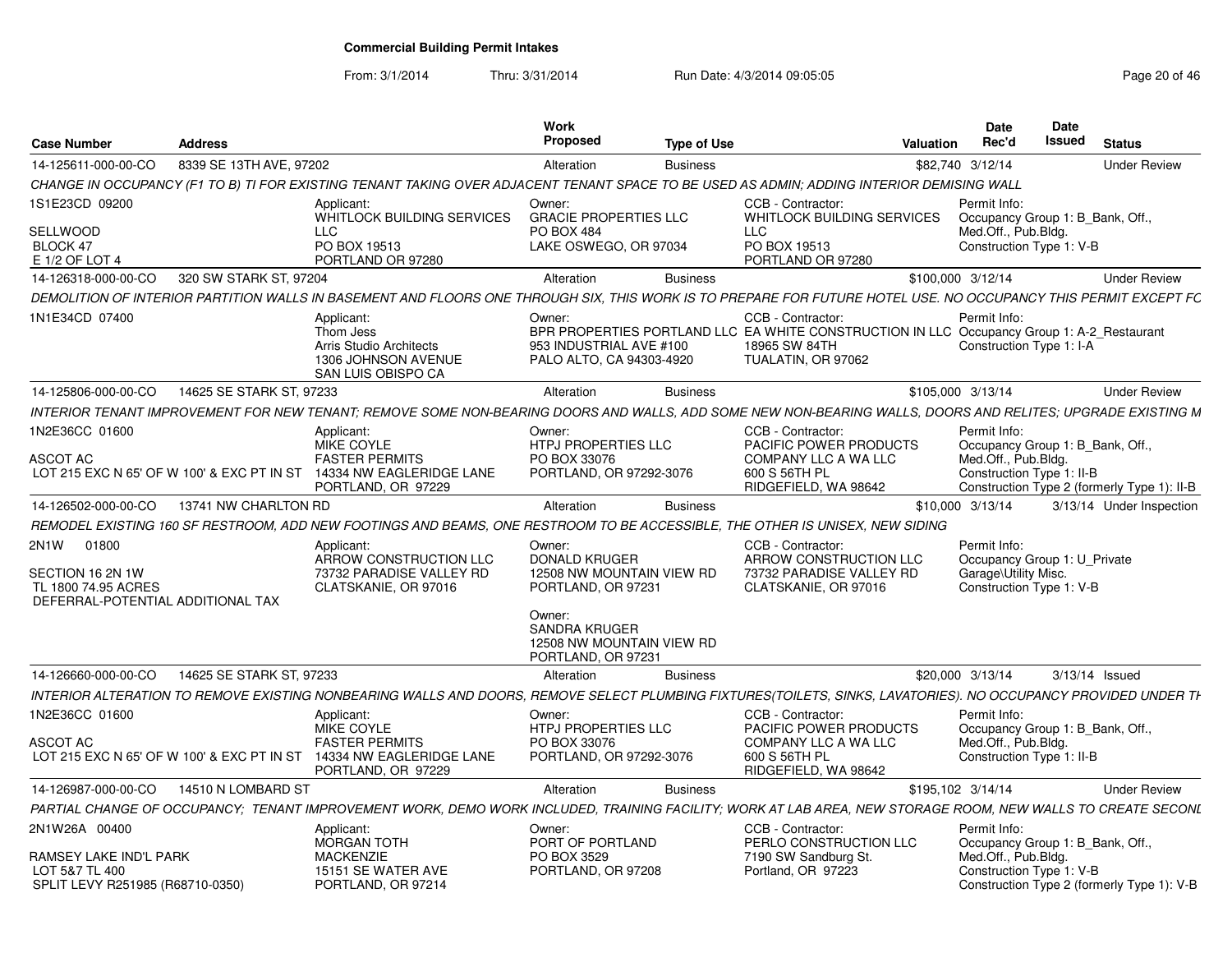From: 3/1/2014

Thru: 3/31/2014 Run Date: 4/3/2014 09:05:05 Research 20 of 46

| <b>Case Number</b>                                                                         | <b>Address</b>                             |                                                                                                                                                                 | Work<br><b>Proposed</b>                                                                     | <b>Type of Use</b> |                                                                                                                                                        | Valuation         | <b>Date</b><br>Rec'd                                             | Date<br><b>Issued</b> | <b>Status</b>                                                                  |                     |
|--------------------------------------------------------------------------------------------|--------------------------------------------|-----------------------------------------------------------------------------------------------------------------------------------------------------------------|---------------------------------------------------------------------------------------------|--------------------|--------------------------------------------------------------------------------------------------------------------------------------------------------|-------------------|------------------------------------------------------------------|-----------------------|--------------------------------------------------------------------------------|---------------------|
| 14-125611-000-00-CO                                                                        | 8339 SE 13TH AVE, 97202                    |                                                                                                                                                                 | Alteration                                                                                  | <b>Business</b>    |                                                                                                                                                        | \$82,740 3/12/14  |                                                                  |                       |                                                                                | <b>Under Review</b> |
|                                                                                            |                                            | CHANGE IN OCCUPANCY (F1 TO B) TI FOR EXISTING TENANT TAKING OVER ADJACENT TENANT SPACE TO BE USED AS ADMIN: ADDING INTERIOR DEMISING WALL                       |                                                                                             |                    |                                                                                                                                                        |                   |                                                                  |                       |                                                                                |                     |
| 1S1E23CD 09200<br>SELLWOOD<br>BLOCK 47<br>E 1/2 OF LOT 4                                   |                                            | Applicant:<br><b>WHITLOCK BUILDING SERVICES</b><br><b>LLC</b><br>PO BOX 19513<br>PORTLAND OR 97280                                                              | Owner:<br><b>GRACIE PROPERTIES LLC</b><br><b>PO BOX 484</b><br>LAKE OSWEGO, OR 97034        |                    | CCB - Contractor:<br><b>WHITLOCK BUILDING SERVICES</b><br><b>LLC</b><br>PO BOX 19513<br>PORTLAND OR 97280                                              |                   | Permit Info:<br>Med.Off., Pub.Bldg.<br>Construction Type 1: V-B  |                       | Occupancy Group 1: B Bank, Off.                                                |                     |
| 14-126318-000-00-CO                                                                        | 320 SW STARK ST, 97204                     |                                                                                                                                                                 | Alteration                                                                                  | <b>Business</b>    |                                                                                                                                                        | \$100,000 3/12/14 |                                                                  |                       |                                                                                | <b>Under Review</b> |
|                                                                                            |                                            | DEMOLITION OF INTERIOR PARTITION WALLS IN BASEMENT AND FLOORS ONE THROUGH SIX. THIS WORK IS TO PREPARE FOR FUTURE HOTEL USE. NO OCCUPANCY THIS PERMIT EXCEPT FC |                                                                                             |                    |                                                                                                                                                        |                   |                                                                  |                       |                                                                                |                     |
| 1N1E34CD 07400                                                                             |                                            | Applicant:<br>Thom Jess<br>Arris Studio Architects<br>1306 JOHNSON AVENUE<br>SAN LUIS OBISPO CA                                                                 | Owner:<br>953 INDUSTRIAL AVE #100<br>PALO ALTO, CA 94303-4920                               |                    | CCB - Contractor:<br>BPR PROPERTIES PORTLAND LLC EA WHITE CONSTRUCTION IN LLC Occupancy Group 1: A-2_Restaurant<br>18965 SW 84TH<br>TUALATIN, OR 97062 |                   | Permit Info:<br>Construction Type 1: I-A                         |                       |                                                                                |                     |
| 14-125806-000-00-CO                                                                        | 14625 SE STARK ST. 97233                   |                                                                                                                                                                 | Alteration                                                                                  | <b>Business</b>    |                                                                                                                                                        | \$105,000 3/13/14 |                                                                  |                       |                                                                                | <b>Under Review</b> |
|                                                                                            |                                            | INTERIOR TENANT IMPROVEMENT FOR NEW TENANT: REMOVE SOME NON-BEARING DOORS AND WALLS, ADD SOME NEW NON-BEARING WALLS, DOORS AND RELITES; UPGRADE EXISTING M      |                                                                                             |                    |                                                                                                                                                        |                   |                                                                  |                       |                                                                                |                     |
| 1N2E36CC 01600<br><b>ASCOT AC</b>                                                          | LOT 215 EXC N 65' OF W 100' & EXC PT IN ST | Applicant:<br>MIKE COYLE<br><b>FASTER PERMITS</b><br>14334 NW EAGLERIDGE LANE<br>PORTLAND, OR 97229                                                             | Owner:<br><b>HTPJ PROPERTIES LLC</b><br>PO BOX 33076<br>PORTLAND, OR 97292-3076             |                    | CCB - Contractor:<br>PACIFIC POWER PRODUCTS<br>COMPANY LLC A WA LLC<br>600 S 56TH PL<br>RIDGEFIELD, WA 98642                                           |                   | Permit Info:<br>Med.Off., Pub.Bldg.<br>Construction Type 1: II-B |                       | Occupancy Group 1: B Bank, Off.<br>Construction Type 2 (formerly Type 1): II-B |                     |
| 14-126502-000-00-CO                                                                        | 13741 NW CHARLTON RD                       |                                                                                                                                                                 | Alteration                                                                                  | <b>Business</b>    |                                                                                                                                                        | \$10,000 3/13/14  |                                                                  |                       | 3/13/14 Under Inspection                                                       |                     |
|                                                                                            |                                            | REMODEL EXISTING 160 SF RESTROOM, ADD NEW FOOTINGS AND BEAMS, ONE RESTROOM TO BE ACCESSIBLE, THE OTHER IS UNISEX, NEW SIDING                                    |                                                                                             |                    |                                                                                                                                                        |                   |                                                                  |                       |                                                                                |                     |
| 2N1W 01800<br>SECTION 16 2N 1W<br>TL 1800 74.95 ACRES<br>DEFERRAL-POTENTIAL ADDITIONAL TAX |                                            | Applicant:<br>ARROW CONSTRUCTION LLC<br>73732 PARADISE VALLEY RD<br>CLATSKANIE, OR 97016                                                                        | Owner:<br><b>DONALD KRUGER</b><br>12508 NW MOUNTAIN VIEW RD<br>PORTLAND, OR 97231<br>Owner: |                    | CCB - Contractor:<br>ARROW CONSTRUCTION LLC<br>73732 PARADISE VALLEY RD<br>CLATSKANIE, OR 97016                                                        |                   | Permit Info:<br>Garage\Utility Misc.<br>Construction Type 1: V-B |                       | Occupancy Group 1: U Private                                                   |                     |
|                                                                                            |                                            |                                                                                                                                                                 | <b>SANDRA KRUGER</b><br>12508 NW MOUNTAIN VIEW RD<br>PORTLAND, OR 97231                     |                    |                                                                                                                                                        |                   |                                                                  |                       |                                                                                |                     |
| 14-126660-000-00-CO                                                                        | 14625 SE STARK ST, 97233                   |                                                                                                                                                                 | Alteration                                                                                  | <b>Business</b>    |                                                                                                                                                        | \$20,000 3/13/14  |                                                                  |                       | 3/13/14 Issued                                                                 |                     |
|                                                                                            |                                            | INTERIOR ALTERATION TO REMOVE EXISTING NONBEARING WALLS AND DOORS, REMOVE SELECT PLUMBING FIXTURES(TOILETS, SINKS, LAVATORIES). NO OCCUPANCY PROVIDED UNDER TH  |                                                                                             |                    |                                                                                                                                                        |                   |                                                                  |                       |                                                                                |                     |
| 1N2E36CC 01600                                                                             |                                            | Applicant:<br>MIKE COYLE                                                                                                                                        | Owner:<br><b>HTPJ PROPERTIES LLC</b>                                                        |                    | CCB - Contractor:<br>PACIFIC POWER PRODUCTS                                                                                                            |                   | Permit Info:                                                     |                       | Occupancy Group 1: B Bank, Off.                                                |                     |
| ASCOT AC                                                                                   | LOT 215 EXC N 65' OF W 100' & EXC PT IN ST | <b>FASTER PERMITS</b><br>14334 NW EAGLERIDGE LANE<br>PORTLAND, OR 97229                                                                                         | PO BOX 33076<br>PORTLAND, OR 97292-3076                                                     |                    | COMPANY LLC A WA LLC<br>600 S 56TH PL<br>RIDGEFIELD, WA 98642                                                                                          |                   | Med.Off., Pub.Bldg.<br>Construction Type 1: II-B                 |                       |                                                                                |                     |
| 14-126987-000-00-CO                                                                        | 14510 N LOMBARD ST                         |                                                                                                                                                                 | Alteration                                                                                  | <b>Business</b>    |                                                                                                                                                        | \$195.102 3/14/14 |                                                                  |                       |                                                                                | <b>Under Review</b> |
|                                                                                            |                                            | PARTIAL CHANGE OF OCCUPANCY: TENANT IMPROVEMENT WORK, DEMO WORK INCLUDED, TRAINING FACILITY; WORK AT LAB AREA, NEW STORAGE ROOM, NEW WALLS TO CREATE SECONL     |                                                                                             |                    |                                                                                                                                                        |                   |                                                                  |                       |                                                                                |                     |
| 2N1W26A 00400<br>RAMSEY LAKE IND'L PARK                                                    |                                            | Applicant:<br><b>MORGAN TOTH</b><br><b>MACKENZIE</b>                                                                                                            | Owner:<br>PORT OF PORTLAND<br>PO BOX 3529                                                   |                    | CCB - Contractor:<br>PERLO CONSTRUCTION LLC<br>7190 SW Sandburg St.                                                                                    |                   | Permit Info:<br>Med.Off., Pub.Bldg.                              |                       | Occupancy Group 1: B Bank, Off.                                                |                     |
| LOT 5&7 TL 400<br>SPLIT LEVY R251985 (R68710-0350)                                         |                                            | 15151 SE WATER AVE<br>PORTLAND, OR 97214                                                                                                                        | PORTLAND, OR 97208                                                                          |                    | Portland, OR 97223                                                                                                                                     |                   | Construction Type 1: V-B                                         |                       | Construction Type 2 (formerly Type 1): V-B                                     |                     |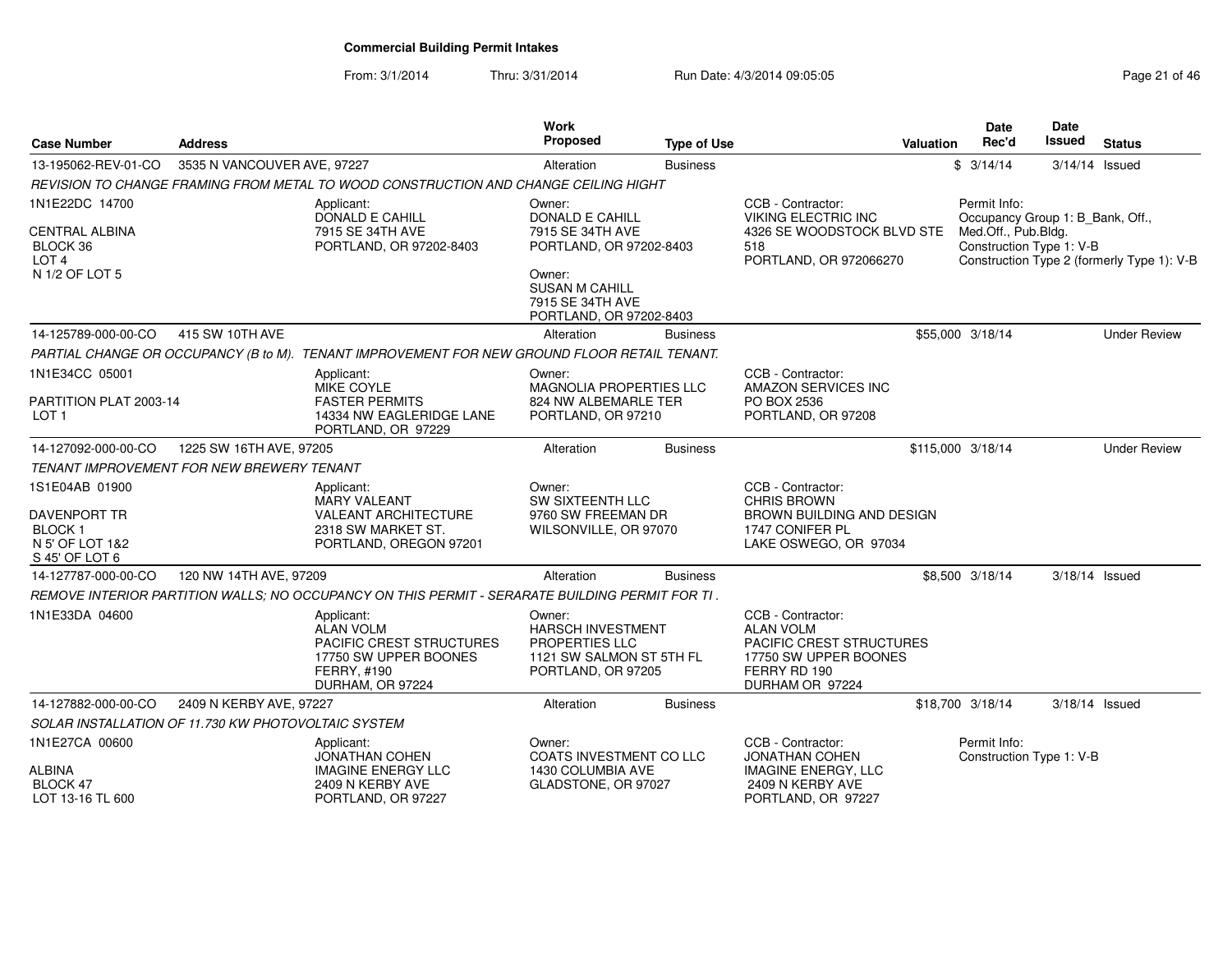From: 3/1/2014

Thru: 3/31/2014 Run Date: 4/3/2014 09:05:05 Research 2010 12:05:05

| Case Number                                                                               | <b>Address</b>              |                                                                                                                        | Work<br>Proposed                                                                                              | <b>Type of Use</b> |                                                                                                                               | <b>Valuation</b> | <b>Date</b><br>Rec'd                                                                                | <b>Date</b><br>Issued | <b>Status</b>                              |
|-------------------------------------------------------------------------------------------|-----------------------------|------------------------------------------------------------------------------------------------------------------------|---------------------------------------------------------------------------------------------------------------|--------------------|-------------------------------------------------------------------------------------------------------------------------------|------------------|-----------------------------------------------------------------------------------------------------|-----------------------|--------------------------------------------|
| 13-195062-REV-01-CO                                                                       | 3535 N VANCOUVER AVE, 97227 |                                                                                                                        | Alteration                                                                                                    | <b>Business</b>    |                                                                                                                               |                  | \$3/14/14                                                                                           | $3/14/14$ Issued      |                                            |
|                                                                                           |                             | REVISION TO CHANGE FRAMING FROM METAL TO WOOD CONSTRUCTION AND CHANGE CEILING HIGHT                                    |                                                                                                               |                    |                                                                                                                               |                  |                                                                                                     |                       |                                            |
| 1N1E22DC 14700<br><b>CENTRAL ALBINA</b><br>BLOCK 36<br>LOT <sub>4</sub><br>N 1/2 OF LOT 5 |                             | Applicant:<br><b>DONALD E CAHILL</b><br>7915 SE 34TH AVE<br>PORTLAND, OR 97202-8403                                    | Owner:<br><b>DONALD E CAHILL</b><br>7915 SE 34TH AVE<br>PORTLAND, OR 97202-8403<br>Owner:                     |                    | CCB - Contractor:<br><b>VIKING ELECTRIC INC</b><br>4326 SE WOODSTOCK BLVD STE<br>518<br>PORTLAND, OR 972066270                |                  | Permit Info:<br>Occupancy Group 1: B_Bank, Off.,<br>Med.Off., Pub.Bldg.<br>Construction Type 1: V-B |                       | Construction Type 2 (formerly Type 1): V-B |
|                                                                                           |                             |                                                                                                                        | <b>SUSAN M CAHILL</b><br>7915 SE 34TH AVE<br>PORTLAND, OR 97202-8403                                          |                    |                                                                                                                               |                  |                                                                                                     |                       |                                            |
| 14-125789-000-00-CO                                                                       | 415 SW 10TH AVE             |                                                                                                                        | Alteration                                                                                                    | <b>Business</b>    |                                                                                                                               |                  | \$55,000 3/18/14                                                                                    |                       | <b>Under Review</b>                        |
|                                                                                           |                             | PARTIAL CHANGE OR OCCUPANCY (B to M). TENANT IMPROVEMENT FOR NEW GROUND FLOOR RETAIL TENANT.                           |                                                                                                               |                    |                                                                                                                               |                  |                                                                                                     |                       |                                            |
| 1N1E34CC 05001<br>PARTITION PLAT 2003-14                                                  |                             | Applicant:<br>MIKE COYLE<br><b>FASTER PERMITS</b>                                                                      | Owner:<br>MAGNOLIA PROPERTIES LLC<br>824 NW ALBEMARLE TER                                                     |                    | CCB - Contractor:<br>AMAZON SERVICES INC<br>PO BOX 2536                                                                       |                  |                                                                                                     |                       |                                            |
| LOT 1                                                                                     |                             | 14334 NW EAGLERIDGE LANE<br>PORTLAND, OR 97229                                                                         | PORTLAND, OR 97210                                                                                            |                    | PORTLAND, OR 97208                                                                                                            |                  |                                                                                                     |                       |                                            |
| 14-127092-000-00-CO                                                                       | 1225 SW 16TH AVE, 97205     |                                                                                                                        | Alteration                                                                                                    | <b>Business</b>    |                                                                                                                               |                  | \$115,000 3/18/14                                                                                   |                       | <b>Under Review</b>                        |
| <b>TENANT IMPROVEMENT FOR NEW BREWERY TENANT</b>                                          |                             |                                                                                                                        |                                                                                                               |                    |                                                                                                                               |                  |                                                                                                     |                       |                                            |
| 1S1E04AB 01900<br>DAVENPORT TR<br>BLOCK <sub>1</sub><br>N 5' OF LOT 1&2<br>S 45' OF LOT 6 |                             | Applicant:<br><b>MARY VALEANT</b><br><b>VALEANT ARCHITECTURE</b><br>2318 SW MARKET ST.<br>PORTLAND, OREGON 97201       | Owner:<br>SW SIXTEENTH LLC<br>9760 SW FREEMAN DR<br>WILSONVILLE, OR 97070                                     |                    | CCB - Contractor:<br><b>CHRIS BROWN</b><br>BROWN BUILDING AND DESIGN<br>1747 CONIFER PL<br>LAKE OSWEGO, OR 97034              |                  |                                                                                                     |                       |                                            |
| 14-127787-000-00-CO                                                                       | 120 NW 14TH AVE, 97209      |                                                                                                                        | Alteration                                                                                                    | <b>Business</b>    |                                                                                                                               |                  | \$8,500 3/18/14                                                                                     | 3/18/14 Issued        |                                            |
|                                                                                           |                             | REMOVE INTERIOR PARTITION WALLS; NO OCCUPANCY ON THIS PERMIT - SERARATE BUILDING PERMIT FOR TI.                        |                                                                                                               |                    |                                                                                                                               |                  |                                                                                                     |                       |                                            |
| 1N1E33DA 04600                                                                            |                             | Applicant:<br><b>ALAN VOLM</b><br>PACIFIC CREST STRUCTURES<br>17750 SW UPPER BOONES<br>FERRY, #190<br>DURHAM, OR 97224 | Owner:<br><b>HARSCH INVESTMENT</b><br><b>PROPERTIES LLC</b><br>1121 SW SALMON ST 5TH FL<br>PORTLAND, OR 97205 |                    | CCB - Contractor:<br><b>ALAN VOLM</b><br>PACIFIC CREST STRUCTURES<br>17750 SW UPPER BOONES<br>FERRY RD 190<br>DURHAM OR 97224 |                  |                                                                                                     |                       |                                            |
| 14-127882-000-00-CO                                                                       | 2409 N KERBY AVE, 97227     |                                                                                                                        | Alteration                                                                                                    | <b>Business</b>    |                                                                                                                               |                  | \$18,700 3/18/14                                                                                    | 3/18/14 Issued        |                                            |
| SOLAR INSTALLATION OF 11.730 KW PHOTOVOLTAIC SYSTEM                                       |                             |                                                                                                                        |                                                                                                               |                    |                                                                                                                               |                  |                                                                                                     |                       |                                            |
| 1N1E27CA 00600                                                                            |                             | Applicant:<br>JONATHAN COHEN                                                                                           | Owner:<br><b>COATS INVESTMENT CO LLC</b>                                                                      |                    | CCB - Contractor:<br><b>JONATHAN COHEN</b>                                                                                    |                  | Permit Info:<br>Construction Type 1: V-B                                                            |                       |                                            |
| ALBINA<br>BLOCK 47<br>LOT 13-16 TL 600                                                    |                             | <b>IMAGINE ENERGY LLC</b><br>2409 N KERBY AVE<br>PORTLAND, OR 97227                                                    | 1430 COLUMBIA AVE<br>GLADSTONE, OR 97027                                                                      |                    | <b>IMAGINE ENERGY, LLC</b><br>2409 N KERBY AVE<br>PORTLAND, OR 97227                                                          |                  |                                                                                                     |                       |                                            |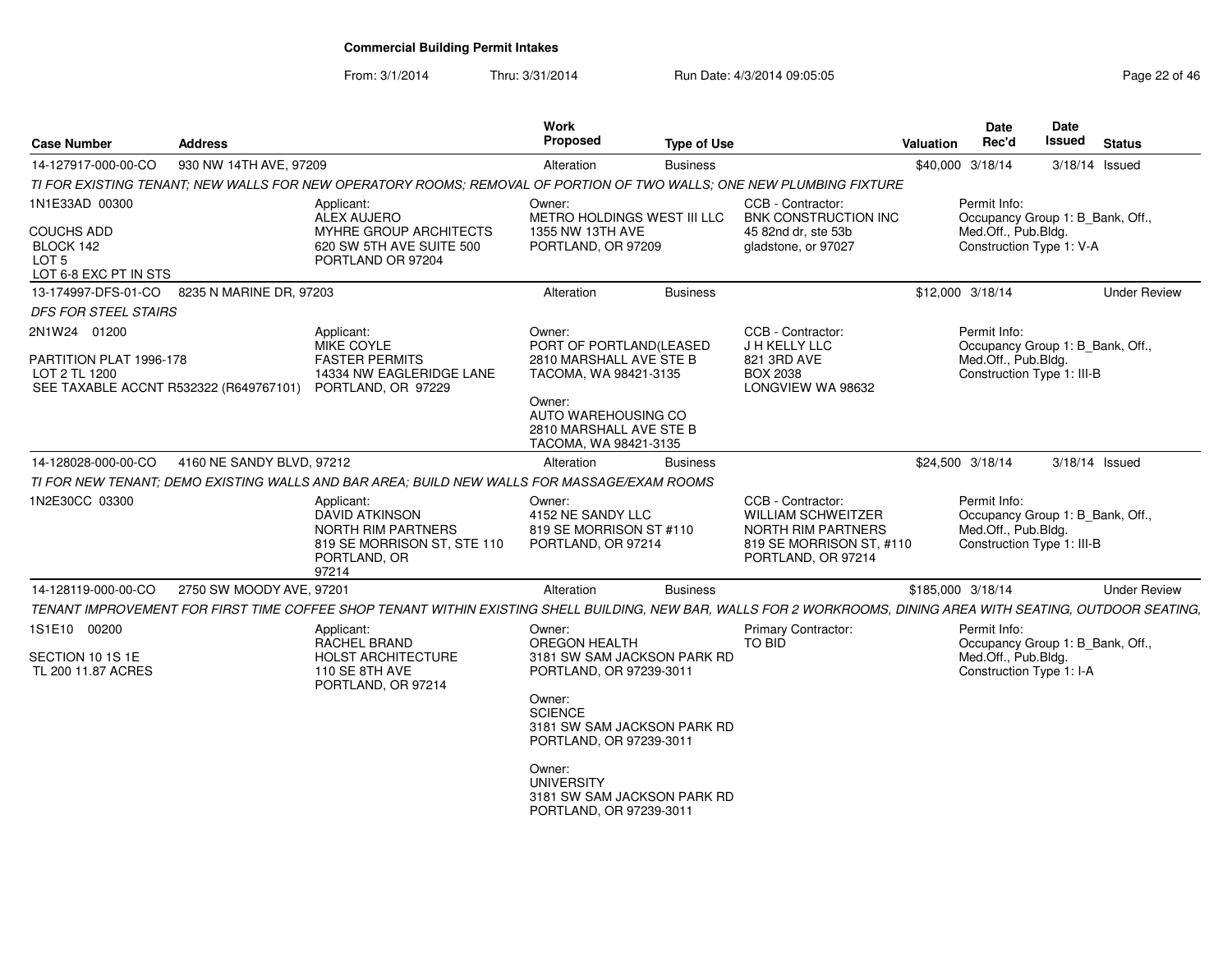From: 3/1/2014

Thru: 3/31/2014 Run Date: 4/3/2014 09:05:05 Research 20 and 22 of 46

| <b>Case Number</b>                                                                                                    | <b>Address</b>            |                                                                                                                                                                 | Work<br><b>Proposed</b>                                                               | <b>Type of Use</b> |                                                                                                                        | Valuation         | <b>Date</b><br>Rec'd                                                                                  | Date<br>Issued | <b>Status</b>       |
|-----------------------------------------------------------------------------------------------------------------------|---------------------------|-----------------------------------------------------------------------------------------------------------------------------------------------------------------|---------------------------------------------------------------------------------------|--------------------|------------------------------------------------------------------------------------------------------------------------|-------------------|-------------------------------------------------------------------------------------------------------|----------------|---------------------|
| 14-127917-000-00-CO                                                                                                   | 930 NW 14TH AVE, 97209    |                                                                                                                                                                 | Alteration                                                                            | <b>Business</b>    |                                                                                                                        |                   | \$40,000 3/18/14                                                                                      | 3/18/14 Issued |                     |
|                                                                                                                       |                           | TI FOR EXISTING TENANT: NEW WALLS FOR NEW OPERATORY ROOMS: REMOVAL OF PORTION OF TWO WALLS: ONE NEW PLUMBING FIXTURE                                            |                                                                                       |                    |                                                                                                                        |                   |                                                                                                       |                |                     |
| 1N1E33AD 00300                                                                                                        |                           | Applicant:<br>ALEX AUJERO                                                                                                                                       | Owner:<br>METRO HOLDINGS WEST III LLC                                                 |                    | CCB - Contractor:<br>BNK CONSTRUCTION INC                                                                              |                   | Permit Info:<br>Occupancy Group 1: B_Bank, Off.,                                                      |                |                     |
| COUCHS ADD<br>BLOCK 142<br>LOT <sub>5</sub><br>LOT 6-8 EXC PT IN STS                                                  |                           | MYHRE GROUP ARCHITECTS<br>620 SW 5TH AVE SUITE 500<br>PORTLAND OR 97204                                                                                         | 1355 NW 13TH AVE<br>PORTLAND, OR 97209                                                |                    | 45 82nd dr. ste 53b<br>gladstone, or 97027                                                                             |                   | Med.Off., Pub.Bldg.<br>Construction Type 1: V-A                                                       |                |                     |
| 13-174997-DFS-01-CO                                                                                                   | 8235 N MARINE DR, 97203   |                                                                                                                                                                 | Alteration                                                                            | <b>Business</b>    |                                                                                                                        |                   | \$12,000 3/18/14                                                                                      |                | <b>Under Review</b> |
| DFS FOR STEEL STAIRS                                                                                                  |                           |                                                                                                                                                                 |                                                                                       |                    |                                                                                                                        |                   |                                                                                                       |                |                     |
| 2N1W24 01200<br>PARTITION PLAT 1996-178<br>LOT 2 TL 1200<br>SEE TAXABLE ACCNT R532322 (R649767101) PORTLAND, OR 97229 |                           | Applicant:<br>MIKE COYLE<br><b>FASTER PERMITS</b><br>14334 NW EAGLERIDGE LANE                                                                                   | Owner:<br>PORT OF PORTLAND(LEASED<br>2810 MARSHALL AVE STE B<br>TACOMA, WA 98421-3135 |                    | CCB - Contractor:<br>J H KELLY LLC<br>821 3RD AVE<br><b>BOX 2038</b><br>LONGVIEW WA 98632                              |                   | Permit Info:<br>Occupancy Group 1: B_Bank, Off.,<br>Med.Off., Pub.Bldg.<br>Construction Type 1: III-B |                |                     |
|                                                                                                                       |                           |                                                                                                                                                                 | Owner:<br>AUTO WAREHOUSING CO<br>2810 MARSHALL AVE STE B<br>TACOMA, WA 98421-3135     |                    |                                                                                                                        |                   |                                                                                                       |                |                     |
| 14-128028-000-00-CO                                                                                                   | 4160 NE SANDY BLVD, 97212 |                                                                                                                                                                 | Alteration                                                                            | <b>Business</b>    |                                                                                                                        |                   | \$24.500 3/18/14                                                                                      | 3/18/14 Issued |                     |
|                                                                                                                       |                           | TI FOR NEW TENANT: DEMO EXISTING WALLS AND BAR AREA: BUILD NEW WALLS FOR MASSAGE/EXAM ROOMS                                                                     |                                                                                       |                    |                                                                                                                        |                   |                                                                                                       |                |                     |
| 1N2E30CC 03300                                                                                                        |                           | Applicant:<br>DAVID ATKINSON<br>NORTH RIM PARTNERS<br>819 SE MORRISON ST, STE 110<br>PORTLAND, OR<br>97214                                                      | Owner:<br>4152 NE SANDY LLC<br>819 SE MORRISON ST #110<br>PORTLAND, OR 97214          |                    | CCB - Contractor:<br>WILLIAM SCHWEITZER<br><b>NORTH RIM PARTNERS</b><br>819 SE MORRISON ST, #110<br>PORTLAND, OR 97214 |                   | Permit Info:<br>Occupancy Group 1: B_Bank, Off.,<br>Med.Off., Pub.Bldg.<br>Construction Type 1: III-B |                |                     |
| 14-128119-000-00-CO                                                                                                   | 2750 SW MOODY AVE, 97201  |                                                                                                                                                                 | Alteration                                                                            | <b>Business</b>    |                                                                                                                        | \$185,000 3/18/14 |                                                                                                       |                | <b>Under Review</b> |
|                                                                                                                       |                           | TENANT IMPROVEMENT FOR FIRST TIME COFFEE SHOP TENANT WITHIN EXISTING SHELL BUILDING, NEW BAR, WALLS FOR 2 WORKROOMS, DINING AREA WITH SEATING, OUTDOOR SEATING, |                                                                                       |                    |                                                                                                                        |                   |                                                                                                       |                |                     |
| 1S1E10 00200                                                                                                          |                           | Applicant:<br><b>RACHEL BRAND</b>                                                                                                                               | Owner:<br><b>OREGON HEALTH</b>                                                        |                    | Primary Contractor:<br>TO BID                                                                                          |                   | Permit Info:<br>Occupancy Group 1: B_Bank, Off.,                                                      |                |                     |
| SECTION 10 1S 1E<br>TL 200 11.87 ACRES                                                                                |                           | <b>HOLST ARCHITECTURE</b><br><b>110 SE 8TH AVE</b><br>PORTLAND, OR 97214                                                                                        | 3181 SW SAM JACKSON PARK RD<br>PORTLAND, OR 97239-3011                                |                    |                                                                                                                        |                   | Med.Off., Pub.Bldg.<br>Construction Type 1: I-A                                                       |                |                     |
|                                                                                                                       |                           |                                                                                                                                                                 | Owner:<br><b>SCIENCE</b><br>3181 SW SAM JACKSON PARK RD<br>PORTLAND, OR 97239-3011    |                    |                                                                                                                        |                   |                                                                                                       |                |                     |
|                                                                                                                       |                           |                                                                                                                                                                 | Owner:<br><b>UNIVERSITY</b><br>3181 SW SAM JACKSON PARK RD<br>PORTLAND, OR 97239-3011 |                    |                                                                                                                        |                   |                                                                                                       |                |                     |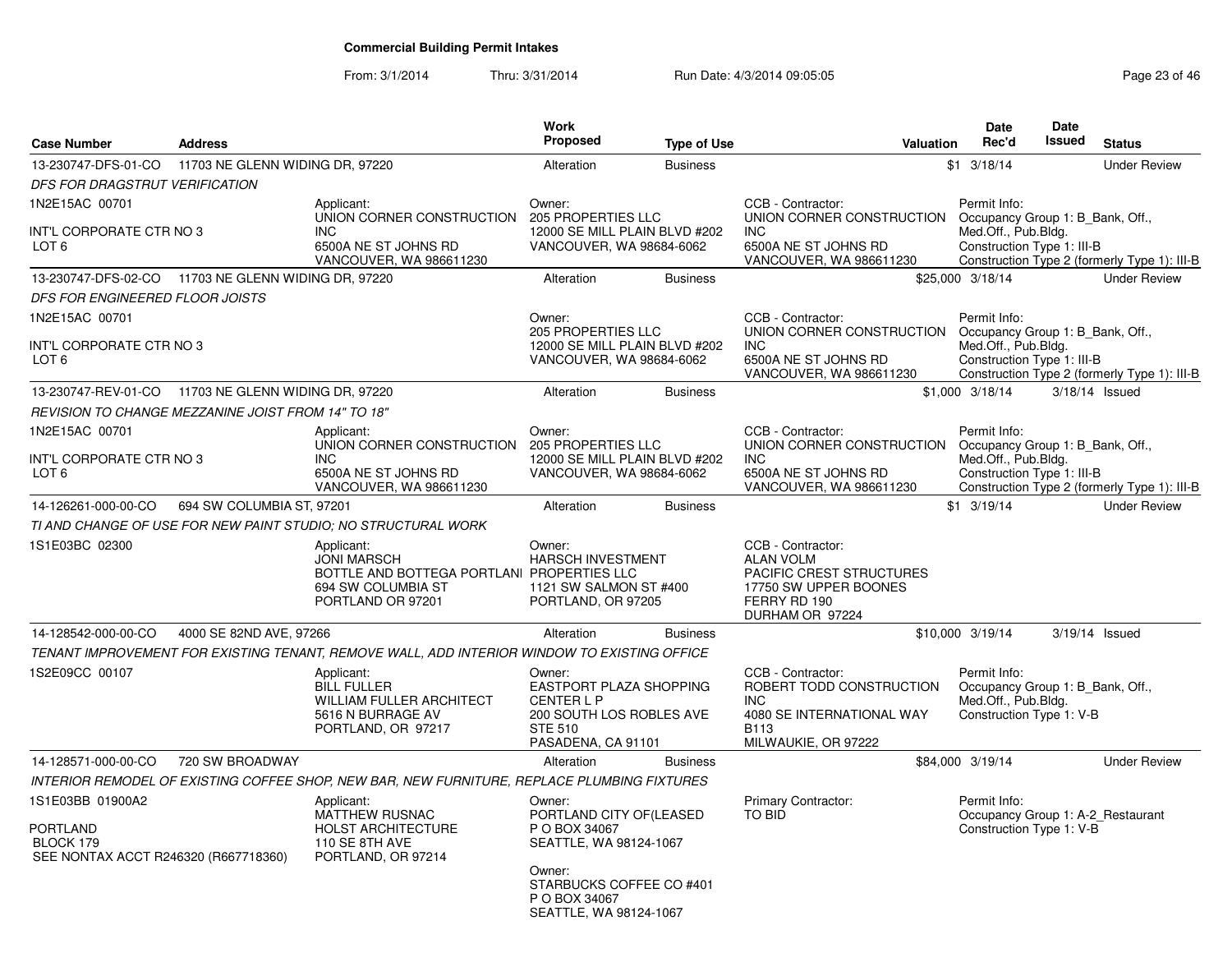From: 3/1/2014Thru: 3/31/2014 Run Date: 4/3/2014 09:05:05 Research 20 and 23 of 46

| <b>Case Number</b>                                                                       | <b>Address</b>                  |                                                                                                                           | Work<br><b>Proposed</b>                                                                                                                                        | <b>Type of Use</b>            | <b>Valuation</b>                                                                                                                                 | <b>Date</b><br>Rec'd                                                                                | Date<br><b>Issued</b> | <b>Status</b>                                |
|------------------------------------------------------------------------------------------|---------------------------------|---------------------------------------------------------------------------------------------------------------------------|----------------------------------------------------------------------------------------------------------------------------------------------------------------|-------------------------------|--------------------------------------------------------------------------------------------------------------------------------------------------|-----------------------------------------------------------------------------------------------------|-----------------------|----------------------------------------------|
| 13-230747-DFS-01-CO                                                                      | 11703 NE GLENN WIDING DR, 97220 |                                                                                                                           | Alteration                                                                                                                                                     | <b>Business</b>               |                                                                                                                                                  | $$1$ 3/18/14                                                                                        |                       | <b>Under Review</b>                          |
| DFS FOR DRAGSTRUT VERIFICATION                                                           |                                 |                                                                                                                           |                                                                                                                                                                |                               |                                                                                                                                                  |                                                                                                     |                       |                                              |
| 1N2E15AC 00701<br>INT'L CORPORATE CTR NO 3<br>LOT 6                                      |                                 | Applicant:<br>UNION CORNER CONSTRUCTION<br><b>INC</b><br>6500A NE ST JOHNS RD<br>VANCOUVER, WA 986611230                  | Owner:<br>205 PROPERTIES LLC<br>VANCOUVER, WA 98684-6062                                                                                                       | 12000 SE MILL PLAIN BLVD #202 | CCB - Contractor:<br>UNION CORNER CONSTRUCTION Occupancy Group 1: B Bank, Off.,<br><b>INC</b><br>6500A NE ST JOHNS RD<br>VANCOUVER, WA 986611230 | Permit Info:<br>Med.Off., Pub.Bldg.<br>Construction Type 1: III-B                                   |                       | Construction Type 2 (formerly Type 1): III-B |
| 13-230747-DFS-02-CO 11703 NE GLENN WIDING DR, 97220                                      |                                 |                                                                                                                           | Alteration                                                                                                                                                     | <b>Business</b>               |                                                                                                                                                  | \$25,000 3/18/14                                                                                    |                       | <b>Under Review</b>                          |
| DFS FOR ENGINEERED FLOOR JOISTS                                                          |                                 |                                                                                                                           |                                                                                                                                                                |                               |                                                                                                                                                  |                                                                                                     |                       |                                              |
| 1N2E15AC 00701                                                                           |                                 |                                                                                                                           | Owner:<br><b>205 PROPERTIES LLC</b>                                                                                                                            |                               | CCB - Contractor:<br>UNION CORNER CONSTRUCTION                                                                                                   | Permit Info:<br>Occupancy Group 1: B_Bank, Off.,                                                    |                       |                                              |
| INT'L CORPORATE CTR NO 3<br>LOT 6                                                        |                                 |                                                                                                                           | VANCOUVER, WA 98684-6062                                                                                                                                       | 12000 SE MILL PLAIN BLVD #202 | <b>INC</b><br>6500A NE ST JOHNS RD<br>VANCOUVER, WA 986611230                                                                                    | Med.Off., Pub.Bldg.<br>Construction Type 1: III-B                                                   |                       | Construction Type 2 (formerly Type 1): III-B |
| 13-230747-REV-01-CO 11703 NE GLENN WIDING DR, 97220                                      |                                 |                                                                                                                           | Alteration                                                                                                                                                     | <b>Business</b>               |                                                                                                                                                  | \$1,000 3/18/14                                                                                     |                       | 3/18/14 Issued                               |
| <b>REVISION TO CHANGE MEZZANINE JOIST FROM 14" TO 18"</b>                                |                                 |                                                                                                                           |                                                                                                                                                                |                               |                                                                                                                                                  |                                                                                                     |                       |                                              |
| 1N2E15AC 00701<br>INT'L CORPORATE CTR NO 3                                               |                                 | Applicant:<br>UNION CORNER CONSTRUCTION<br><b>INC</b>                                                                     | Owner:<br>205 PROPERTIES LLC                                                                                                                                   | 12000 SE MILL PLAIN BLVD #202 | CCB - Contractor:<br>UNION CORNER CONSTRUCTION<br>INC                                                                                            | Permit Info:<br>Occupancy Group 1: B_Bank, Off.,<br>Med.Off., Pub.Bldg.                             |                       |                                              |
| LOT 6                                                                                    |                                 | 6500A NE ST JOHNS RD<br>VANCOUVER, WA 986611230                                                                           | VANCOUVER, WA 98684-6062                                                                                                                                       |                               | 6500A NE ST JOHNS RD<br>VANCOUVER, WA 986611230                                                                                                  | Construction Type 1: III-B                                                                          |                       | Construction Type 2 (formerly Type 1): III-B |
| 14-126261-000-00-CO                                                                      | 694 SW COLUMBIA ST, 97201       |                                                                                                                           | Alteration                                                                                                                                                     | <b>Business</b>               |                                                                                                                                                  | $$1$ 3/19/14                                                                                        |                       | <b>Under Review</b>                          |
|                                                                                          |                                 | TI AND CHANGE OF USE FOR NEW PAINT STUDIO; NO STRUCTURAL WORK                                                             |                                                                                                                                                                |                               |                                                                                                                                                  |                                                                                                     |                       |                                              |
| 1S1E03BC 02300                                                                           |                                 | Applicant:<br><b>JONI MARSCH</b><br>BOTTLE AND BOTTEGA PORTLANI PROPERTIES LLC<br>694 SW COLUMBIA ST<br>PORTLAND OR 97201 | Owner:<br>HARSCH INVESTMENT<br>1121 SW SALMON ST #400<br>PORTLAND, OR 97205                                                                                    |                               | CCB - Contractor:<br><b>ALAN VOLM</b><br><b>PACIFIC CREST STRUCTURES</b><br>17750 SW UPPER BOONES<br>FERRY RD 190<br>DURHAM OR 97224             |                                                                                                     |                       |                                              |
| 14-128542-000-00-CO                                                                      | 4000 SE 82ND AVE, 97266         |                                                                                                                           | Alteration                                                                                                                                                     | <b>Business</b>               |                                                                                                                                                  | \$10,000 3/19/14                                                                                    |                       | 3/19/14 Issued                               |
|                                                                                          |                                 | TENANT IMPROVEMENT FOR EXISTING TENANT, REMOVE WALL, ADD INTERIOR WINDOW TO EXISTING OFFICE                               |                                                                                                                                                                |                               |                                                                                                                                                  |                                                                                                     |                       |                                              |
| 1S2E09CC 00107                                                                           |                                 | Applicant:<br><b>BILL FULLER</b><br><b>WILLIAM FULLER ARCHITECT</b><br>5616 N BURRAGE AV<br>PORTLAND, OR 97217            | Owner:<br>EASTPORT PLAZA SHOPPING<br><b>CENTERLP</b><br>200 SOUTH LOS ROBLES AVE<br><b>STE 510</b><br>PASADENA, CA 91101                                       |                               | CCB - Contractor:<br>ROBERT TODD CONSTRUCTION<br>INC<br>4080 SE INTERNATIONAL WAY<br><b>B113</b><br>MILWAUKIE, OR 97222                          | Permit Info:<br>Occupancy Group 1: B_Bank, Off.,<br>Med.Off., Pub.Bldg.<br>Construction Type 1: V-B |                       |                                              |
| 14-128571-000-00-CO                                                                      | 720 SW BROADWAY                 |                                                                                                                           | Alteration                                                                                                                                                     | <b>Business</b>               |                                                                                                                                                  | \$84,000 3/19/14                                                                                    |                       | <b>Under Review</b>                          |
|                                                                                          |                                 | INTERIOR REMODEL OF EXISTING COFFEE SHOP, NEW BAR, NEW FURNITURE, REPLACE PLUMBING FIXTURES                               |                                                                                                                                                                |                               |                                                                                                                                                  |                                                                                                     |                       |                                              |
| 1S1E03BB 01900A2<br><b>PORTLAND</b><br>BLOCK 179<br>SEE NONTAX ACCT R246320 (R667718360) |                                 | Applicant:<br><b>MATTHEW RUSNAC</b><br><b>HOLST ARCHITECTURE</b><br>110 SE 8TH AVE<br>PORTLAND, OR 97214                  | Owner:<br>PORTLAND CITY OF (LEASED<br>P O BOX 34067<br>SEATTLE, WA 98124-1067<br>Owner:<br>STARBUCKS COFFEE CO #401<br>P O BOX 34067<br>SEATTLE, WA 98124-1067 |                               | Primary Contractor:<br><b>TO BID</b>                                                                                                             | Permit Info:<br>Construction Type 1: V-B                                                            |                       | Occupancy Group 1: A-2_Restaurant            |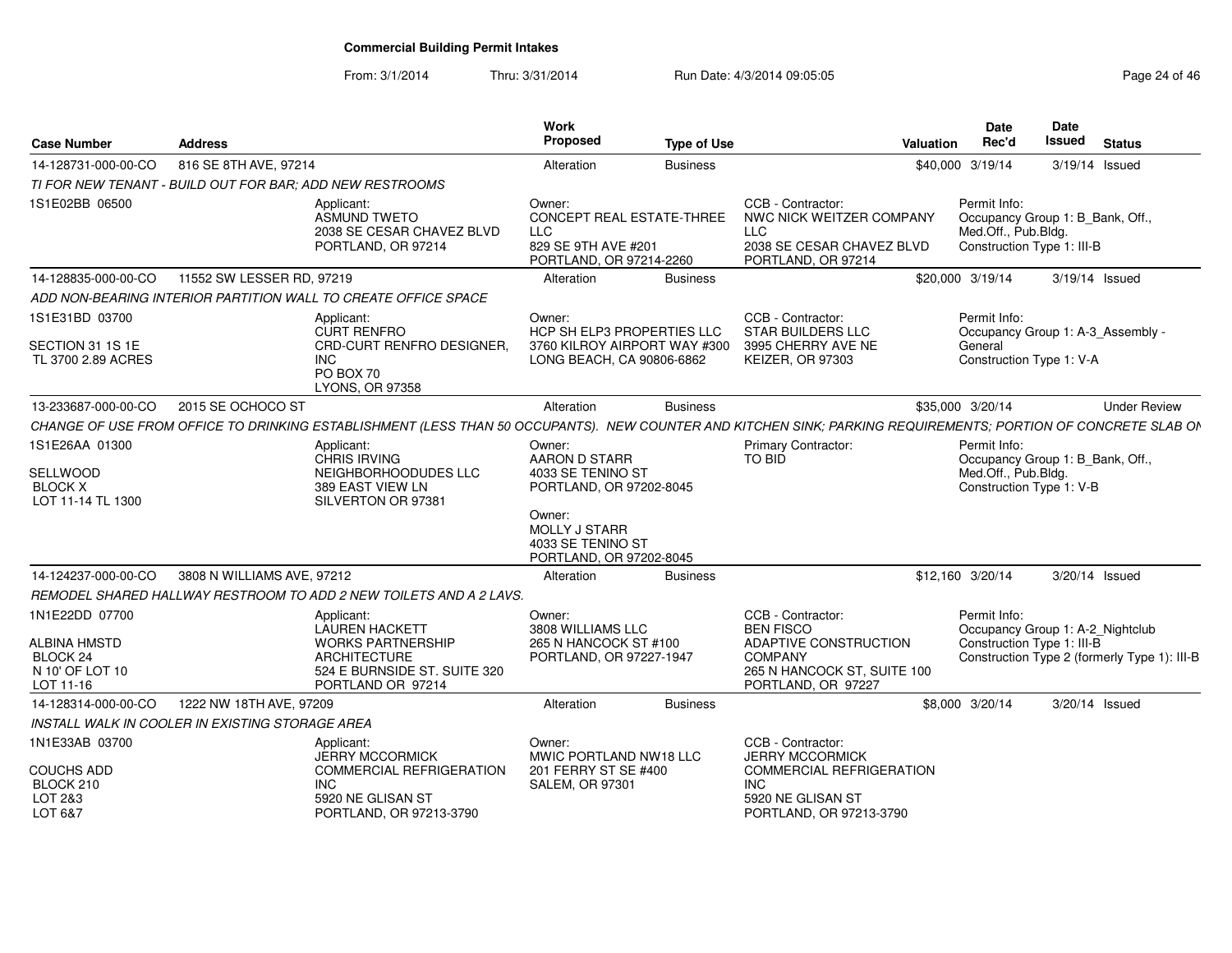From: 3/1/2014Thru: 3/31/2014 Run Date: 4/3/2014 09:05:05 Research 20 and 24 of 46

| <b>Case Number</b>                                                     | <b>Address</b>                                           |                                                                                                                                                               | Work<br><b>Proposed</b>                                                                      | <b>Type of Use</b> |                                                                                                                | Valuation | <b>Date</b><br>Rec'd                                                                                  | <b>Date</b><br>Issued | <b>Status</b>                                |
|------------------------------------------------------------------------|----------------------------------------------------------|---------------------------------------------------------------------------------------------------------------------------------------------------------------|----------------------------------------------------------------------------------------------|--------------------|----------------------------------------------------------------------------------------------------------------|-----------|-------------------------------------------------------------------------------------------------------|-----------------------|----------------------------------------------|
| 14-128731-000-00-CO                                                    | 816 SE 8TH AVE, 97214                                    |                                                                                                                                                               | Alteration                                                                                   | <b>Business</b>    |                                                                                                                |           | \$40,000 3/19/14                                                                                      |                       | 3/19/14 Issued                               |
|                                                                        | TI FOR NEW TENANT - BUILD OUT FOR BAR; ADD NEW RESTROOMS |                                                                                                                                                               |                                                                                              |                    |                                                                                                                |           |                                                                                                       |                       |                                              |
| 1S1E02BB 06500                                                         |                                                          | Applicant:<br><b>ASMUND TWETO</b><br>2038 SE CESAR CHAVEZ BLVD<br>PORTLAND, OR 97214                                                                          | Owner:<br>CONCEPT REAL ESTATE-THREE<br>LLC<br>829 SE 9TH AVE #201<br>PORTLAND, OR 97214-2260 |                    | CCB - Contractor:<br>NWC NICK WEITZER COMPANY<br><b>LLC</b><br>2038 SE CESAR CHAVEZ BLVD<br>PORTLAND, OR 97214 |           | Permit Info:<br>Occupancy Group 1: B Bank, Off.,<br>Med.Off., Pub.Blda.<br>Construction Type 1: III-B |                       |                                              |
| 14-128835-000-00-CO                                                    | 11552 SW LESSER RD, 97219                                |                                                                                                                                                               | Alteration                                                                                   | <b>Business</b>    |                                                                                                                |           | \$20,000 3/19/14                                                                                      |                       | $3/19/14$ Issued                             |
|                                                                        |                                                          | ADD NON-BEARING INTERIOR PARTITION WALL TO CREATE OFFICE SPACE                                                                                                |                                                                                              |                    |                                                                                                                |           |                                                                                                       |                       |                                              |
| 1S1E31BD 03700<br>SECTION 31 1S 1E                                     |                                                          | Applicant:<br><b>CURT RENFRO</b><br>CRD-CURT RENFRO DESIGNER.                                                                                                 | Owner:<br>HCP SH ELP3 PROPERTIES LLC<br>3760 KILROY AIRPORT WAY #300                         |                    | CCB - Contractor:<br><b>STAR BUILDERS LLC</b><br>3995 CHERRY AVE NE                                            |           | Permit Info:<br>General                                                                               |                       | Occupancy Group 1: A-3_Assembly -            |
| TL 3700 2.89 ACRES                                                     |                                                          | <b>INC</b><br>PO BOX 70<br>LYONS, OR 97358                                                                                                                    | LONG BEACH, CA 90806-6862                                                                    |                    | <b>KEIZER, OR 97303</b>                                                                                        |           | Construction Type 1: V-A                                                                              |                       |                                              |
| 13-233687-000-00-CO                                                    | 2015 SE OCHOCO ST                                        |                                                                                                                                                               | Alteration                                                                                   | <b>Business</b>    |                                                                                                                |           | \$35,000 3/20/14                                                                                      |                       | <b>Under Review</b>                          |
|                                                                        |                                                          | CHANGE OF USE FROM OFFICE TO DRINKING ESTABLISHMENT (LESS THAN 50 OCCUPANTS). NEW COUNTER AND KITCHEN SINK; PARKING REQUIREMENTS; PORTION OF CONCRETE SLAB ON |                                                                                              |                    |                                                                                                                |           |                                                                                                       |                       |                                              |
| 1S1E26AA 01300<br>SELLWOOD<br><b>BLOCK X</b><br>LOT 11-14 TL 1300      |                                                          | Applicant:<br>CHRIS IRVING<br>NEIGHBORHOODUDES LLC<br>389 EAST VIEW LN<br>SILVERTON OR 97381                                                                  | Owner:<br>AARON D STARR<br>4033 SE TENINO ST<br>PORTLAND, OR 97202-8045                      |                    | Primary Contractor:<br>TO BID                                                                                  |           | Permit Info:<br>Occupancy Group 1: B_Bank, Off.,<br>Med.Off., Pub.Bldg.<br>Construction Type 1: V-B   |                       |                                              |
|                                                                        |                                                          |                                                                                                                                                               | Owner:<br><b>MOLLY J STARR</b><br>4033 SE TENINO ST<br>PORTLAND, OR 97202-8045               |                    |                                                                                                                |           |                                                                                                       |                       |                                              |
| 14-124237-000-00-CO                                                    | 3808 N WILLIAMS AVE, 97212                               |                                                                                                                                                               | Alteration                                                                                   | <b>Business</b>    |                                                                                                                |           | \$12,160 3/20/14                                                                                      |                       | 3/20/14 Issued                               |
|                                                                        |                                                          | REMODEL SHARED HALLWAY RESTROOM TO ADD 2 NEW TOILETS AND A 2 LAVS.                                                                                            |                                                                                              |                    |                                                                                                                |           |                                                                                                       |                       |                                              |
| 1N1E22DD 07700                                                         |                                                          | Applicant:<br><b>LAUREN HACKETT</b>                                                                                                                           | Owner:<br>3808 WILLIAMS LLC                                                                  |                    | CCB - Contractor:<br><b>BEN FISCO</b>                                                                          |           | Permit Info:<br>Occupancy Group 1: A-2_Nightclub                                                      |                       |                                              |
| <b>ALBINA HMSTD</b><br><b>BLOCK 24</b><br>N 10' OF LOT 10<br>LOT 11-16 |                                                          | <b>WORKS PARTNERSHIP</b><br><b>ARCHITECTURE</b><br>524 E BURNSIDE ST. SUITE 320<br>PORTLAND OR 97214                                                          | 265 N HANCOCK ST #100<br>PORTLAND, OR 97227-1947                                             |                    | ADAPTIVE CONSTRUCTION<br><b>COMPANY</b><br>265 N HANCOCK ST. SUITE 100<br>PORTLAND, OR 97227                   |           | Construction Type 1: III-B                                                                            |                       | Construction Type 2 (formerly Type 1): III-B |
| 14-128314-000-00-CO                                                    | 1222 NW 18TH AVE, 97209                                  |                                                                                                                                                               | Alteration                                                                                   | <b>Business</b>    |                                                                                                                |           | \$8,000 3/20/14                                                                                       |                       | 3/20/14 Issued                               |
|                                                                        | INSTALL WALK IN COOLER IN EXISTING STORAGE AREA          |                                                                                                                                                               |                                                                                              |                    |                                                                                                                |           |                                                                                                       |                       |                                              |
| 1N1E33AB 03700                                                         |                                                          | Applicant:<br><b>JERRY MCCORMICK</b>                                                                                                                          | Owner:<br>MWIC PORTLAND NW18 LLC                                                             |                    | CCB - Contractor:<br><b>JERRY MCCORMICK</b>                                                                    |           |                                                                                                       |                       |                                              |
| <b>COUCHS ADD</b><br>BLOCK 210<br>LOT 2&3<br>LOT 6&7                   |                                                          | <b>COMMERCIAL REFRIGERATION</b><br><b>INC</b><br>5920 NE GLISAN ST<br>PORTLAND, OR 97213-3790                                                                 | 201 FERRY ST SE #400<br><b>SALEM, OR 97301</b>                                               |                    | <b>COMMERCIAL REFRIGERATION</b><br><b>INC</b><br>5920 NE GLISAN ST<br>PORTLAND, OR 97213-3790                  |           |                                                                                                       |                       |                                              |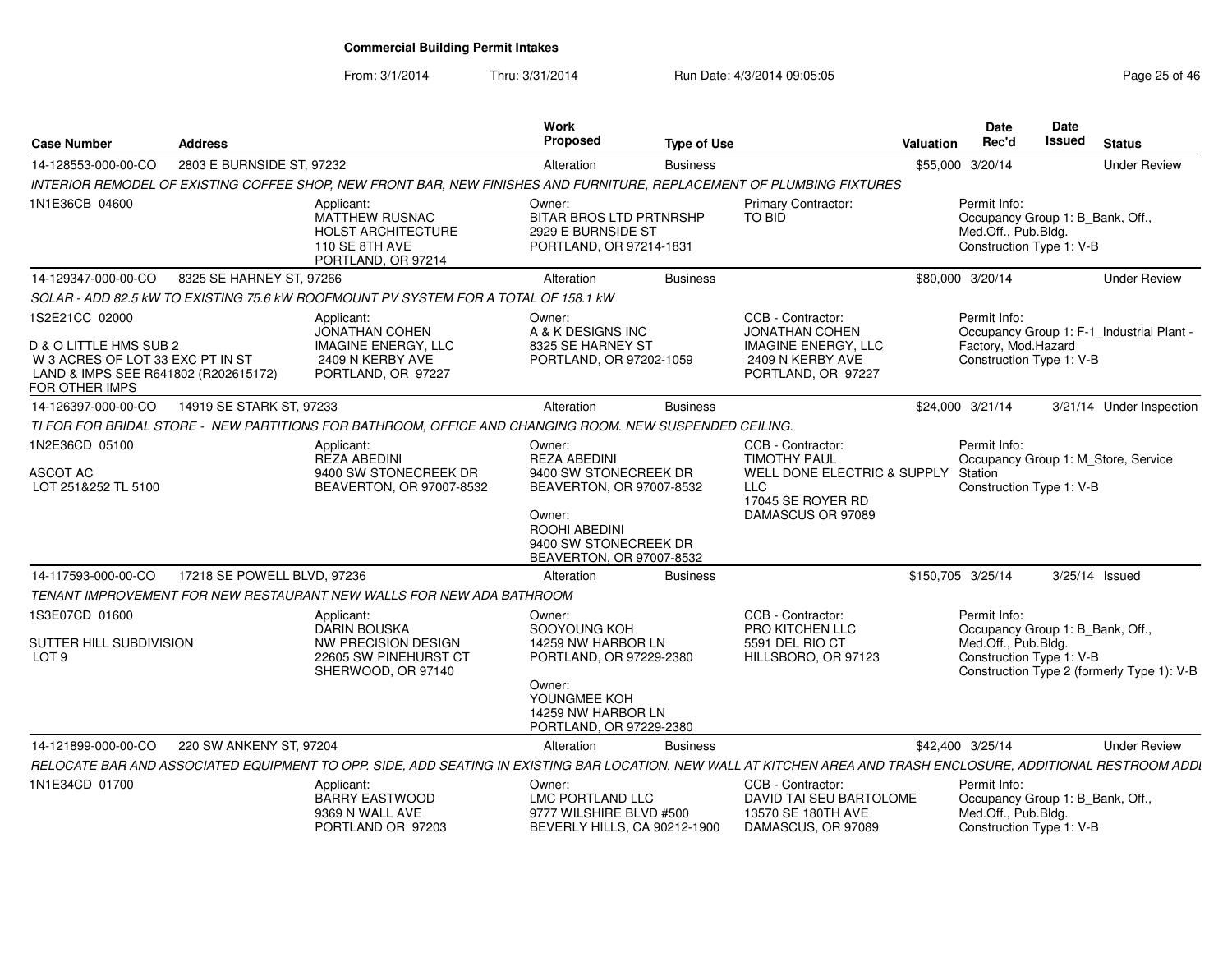From: 3/1/2014Thru: 3/31/2014 Run Date: 4/3/2014 09:05:05 Research 20 and 25 of 46

| <b>Case Number</b>                                                                                                                     | <b>Address</b>              |                                                                                                                                                                  | Work<br><b>Proposed</b>                                                                                                                                            | <b>Type of Use</b> |                                                                                                                                 | Valuation         | Date<br>Rec'd                                                                                       | Date<br>Issued | <b>Status</b>                              |
|----------------------------------------------------------------------------------------------------------------------------------------|-----------------------------|------------------------------------------------------------------------------------------------------------------------------------------------------------------|--------------------------------------------------------------------------------------------------------------------------------------------------------------------|--------------------|---------------------------------------------------------------------------------------------------------------------------------|-------------------|-----------------------------------------------------------------------------------------------------|----------------|--------------------------------------------|
| 14-128553-000-00-CO                                                                                                                    | 2803 E BURNSIDE ST, 97232   |                                                                                                                                                                  | Alteration                                                                                                                                                         | <b>Business</b>    |                                                                                                                                 |                   | \$55,000 3/20/14                                                                                    |                | <b>Under Review</b>                        |
|                                                                                                                                        |                             | INTERIOR REMODEL OF EXISTING COFFEE SHOP, NEW FRONT BAR, NEW FINISHES AND FURNITURE, REPLACEMENT OF PLUMBING FIXTURES                                            |                                                                                                                                                                    |                    |                                                                                                                                 |                   |                                                                                                     |                |                                            |
| 1N1E36CB 04600                                                                                                                         |                             | Applicant:<br>MATTHEW RUSNAC<br><b>HOLST ARCHITECTURE</b><br>110 SE 8TH AVE<br>PORTLAND, OR 97214                                                                | Owner:<br><b>BITAR BROS LTD PRTNRSHP</b><br>2929 E BURNSIDE ST<br>PORTLAND, OR 97214-1831                                                                          |                    | Primary Contractor:<br><b>TO BID</b>                                                                                            |                   | Permit Info:<br>Occupancy Group 1: B_Bank, Off.,<br>Med.Off., Pub.Bldg.<br>Construction Type 1: V-B |                |                                            |
| 14-129347-000-00-CO                                                                                                                    | 8325 SE HARNEY ST, 97266    |                                                                                                                                                                  | Alteration                                                                                                                                                         | <b>Business</b>    |                                                                                                                                 |                   | \$80,000 3/20/14                                                                                    |                | <b>Under Review</b>                        |
|                                                                                                                                        |                             | SOLAR - ADD 82.5 kW TO EXISTING 75.6 kW ROOFMOUNT PV SYSTEM FOR A TOTAL OF 158.1 KW                                                                              |                                                                                                                                                                    |                    |                                                                                                                                 |                   |                                                                                                     |                |                                            |
| 1S2E21CC 02000<br>D & O LITTLE HMS SUB 2<br>W 3 ACRES OF LOT 33 EXC PT IN ST<br>LAND & IMPS SEE R641802 (R202615172)<br>FOR OTHER IMPS |                             | Applicant:<br><b>JONATHAN COHEN</b><br><b>IMAGINE ENERGY, LLC</b><br>2409 N KERBY AVE<br>PORTLAND, OR 97227                                                      | Owner:<br>A & K DESIGNS INC<br>8325 SE HARNEY ST<br>PORTLAND, OR 97202-1059                                                                                        |                    | CCB - Contractor:<br><b>JONATHAN COHEN</b><br><b>IMAGINE ENERGY, LLC</b><br>2409 N KERBY AVE<br>PORTLAND, OR 97227              |                   | Permit Info:<br>Factory, Mod.Hazard<br>Construction Type 1: V-B                                     |                | Occupancy Group 1: F-1_Industrial Plant -  |
| 14-126397-000-00-CO                                                                                                                    | 14919 SE STARK ST, 97233    |                                                                                                                                                                  | Alteration                                                                                                                                                         | <b>Business</b>    |                                                                                                                                 |                   | \$24,000 3/21/14                                                                                    |                | 3/21/14 Under Inspection                   |
|                                                                                                                                        |                             | TI FOR FOR BRIDAL STORE - NEW PARTITIONS FOR BATHROOM, OFFICE AND CHANGING ROOM. NEW SUSPENDED CEILING.                                                          |                                                                                                                                                                    |                    |                                                                                                                                 |                   |                                                                                                     |                |                                            |
| 1N2E36CD 05100<br>ASCOT AC<br>LOT 251&252 TL 5100                                                                                      |                             | Applicant:<br><b>REZA ABEDINI</b><br>9400 SW STONECREEK DR<br>BEAVERTON, OR 97007-8532                                                                           | Owner:<br><b>REZA ABEDINI</b><br>9400 SW STONECREEK DR<br>BEAVERTON, OR 97007-8532<br>Owner:<br>ROOHI ABEDINI<br>9400 SW STONECREEK DR<br>BEAVERTON, OR 97007-8532 |                    | CCB - Contractor:<br><b>TIMOTHY PAUL</b><br>WELL DONE ELECTRIC & SUPPLY<br><b>LLC</b><br>17045 SE ROYER RD<br>DAMASCUS OR 97089 |                   | Permit Info:<br>Station<br>Construction Type 1: V-B                                                 |                | Occupancy Group 1: M Store, Service        |
| 14-117593-000-00-CO                                                                                                                    | 17218 SE POWELL BLVD, 97236 |                                                                                                                                                                  | Alteration                                                                                                                                                         | <b>Business</b>    |                                                                                                                                 | \$150,705 3/25/14 |                                                                                                     |                | 3/25/14 Issued                             |
|                                                                                                                                        |                             | TENANT IMPROVEMENT FOR NEW RESTAURANT NEW WALLS FOR NEW ADA BATHROOM                                                                                             |                                                                                                                                                                    |                    |                                                                                                                                 |                   |                                                                                                     |                |                                            |
| 1S3E07CD 01600<br>SUTTER HILL SUBDIVISION<br>LOT <sub>9</sub>                                                                          |                             | Applicant:<br><b>DARIN BOUSKA</b><br><b>NW PRECISION DESIGN</b><br>22605 SW PINEHURST CT<br>SHERWOOD, OR 97140                                                   | Owner:<br>SOOYOUNG KOH<br>14259 NW HARBOR LN<br>PORTLAND, OR 97229-2380<br>Owner:<br>YOUNGMEE KOH<br>14259 NW HARBOR LN<br>PORTLAND, OR 97229-2380                 |                    | CCB - Contractor:<br>PRO KITCHEN LLC<br>5591 DEL RIO CT<br>HILLSBORO, OR 97123                                                  |                   | Permit Info:<br>Occupancy Group 1: B_Bank, Off.,<br>Med.Off., Pub.Bldg.<br>Construction Type 1: V-B |                | Construction Type 2 (formerly Type 1): V-B |
| 14-121899-000-00-CO                                                                                                                    | 220 SW ANKENY ST, 97204     |                                                                                                                                                                  | Alteration                                                                                                                                                         | <b>Business</b>    |                                                                                                                                 |                   | \$42,400 3/25/14                                                                                    |                | <b>Under Review</b>                        |
|                                                                                                                                        |                             | RELOCATE BAR AND ASSOCIATED EQUIPMENT TO OPP. SIDE, ADD SEATING IN EXISTING BAR LOCATION, NEW WALL AT KITCHEN AREA AND TRASH ENCLOSURE, ADDITIONAL RESTROOM ADDI |                                                                                                                                                                    |                    |                                                                                                                                 |                   |                                                                                                     |                |                                            |
| 1N1E34CD 01700                                                                                                                         |                             | Applicant:<br><b>BARRY EASTWOOD</b><br>9369 N WALL AVE<br>PORTLAND OR 97203                                                                                      | Owner:<br>LMC PORTLAND LLC<br>9777 WILSHIRE BLVD #500<br>BEVERLY HILLS, CA 90212-1900                                                                              |                    | CCB - Contractor:<br>DAVID TAI SEU BARTOLOME<br>13570 SE 180TH AVE<br>DAMASCUS, OR 97089                                        |                   | Permit Info:<br>Occupancy Group 1: B_Bank, Off.,<br>Med.Off., Pub.Bldg.<br>Construction Type 1: V-B |                |                                            |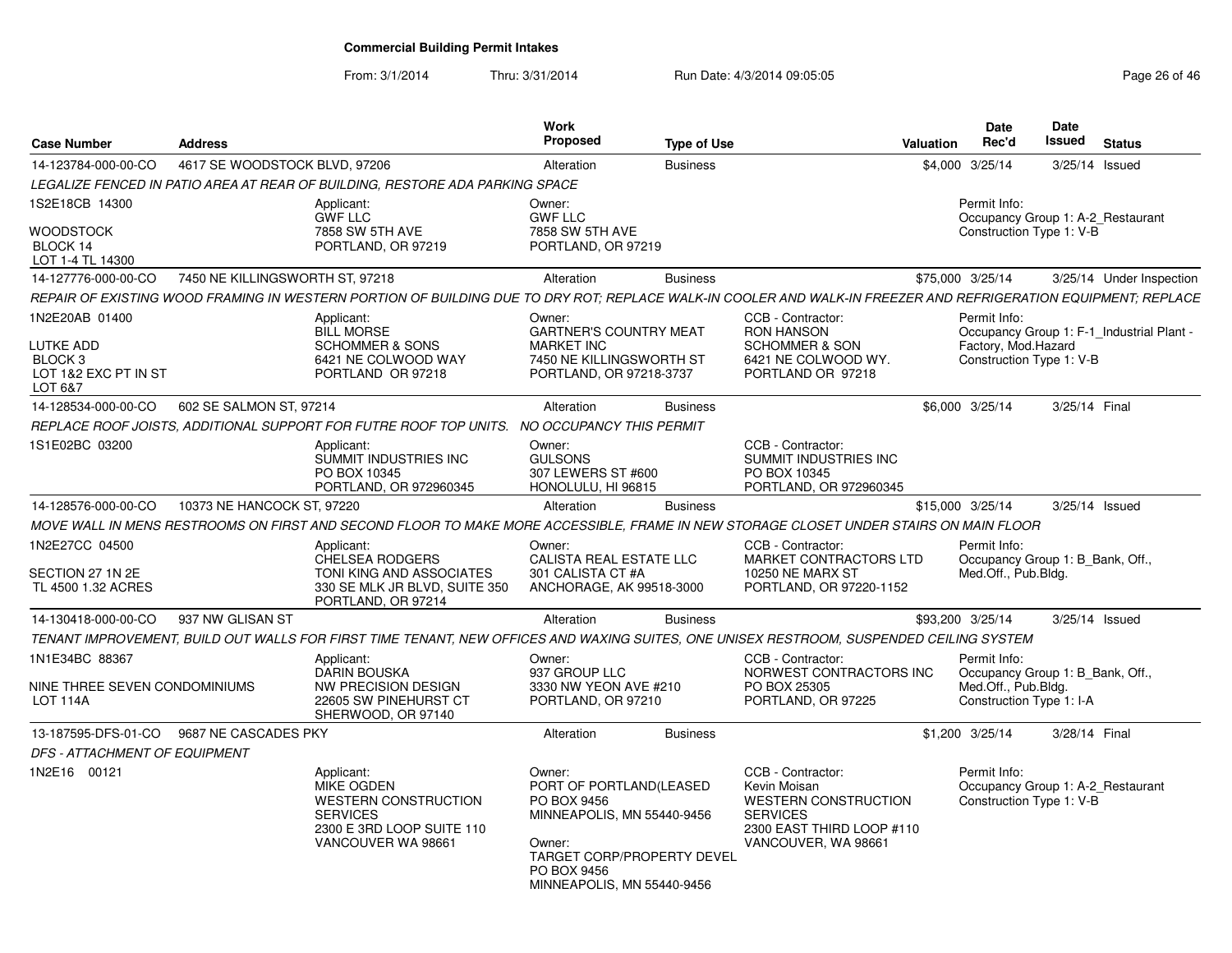From: 3/1/2014

Thru: 3/31/2014 Run Date: 4/3/2014 09:05:05 Research 20 and 26 of 46

| <b>Case Number</b>                                                                   | <b>Address</b>                                                                                                                                                 |                                                                                                           | <b>Work</b><br><b>Proposed</b>                                                                                                | <b>Type of Use</b> |                                                                                                                                         | <b>Valuation</b> | Date<br>Rec'd                                                                                       | Date<br>Issued | <b>Status</b>                             |
|--------------------------------------------------------------------------------------|----------------------------------------------------------------------------------------------------------------------------------------------------------------|-----------------------------------------------------------------------------------------------------------|-------------------------------------------------------------------------------------------------------------------------------|--------------------|-----------------------------------------------------------------------------------------------------------------------------------------|------------------|-----------------------------------------------------------------------------------------------------|----------------|-------------------------------------------|
| 14-123784-000-00-CO                                                                  | 4617 SE WOODSTOCK BLVD, 97206                                                                                                                                  |                                                                                                           | Alteration                                                                                                                    | <b>Business</b>    |                                                                                                                                         | \$4,000          | 3/25/14                                                                                             | 3/25/14 Issued |                                           |
|                                                                                      | LEGALIZE FENCED IN PATIO AREA AT REAR OF BUILDING, RESTORE ADA PARKING SPACE                                                                                   |                                                                                                           |                                                                                                                               |                    |                                                                                                                                         |                  |                                                                                                     |                |                                           |
| 1S2E18CB 14300<br><b>WOODSTOCK</b><br>BLOCK 14<br>LOT 1-4 TL 14300                   | Applicant:<br><b>GWF LLC</b>                                                                                                                                   | 7858 SW 5TH AVE<br>PORTLAND, OR 97219                                                                     | Owner:<br><b>GWF LLC</b><br>7858 SW 5TH AVE<br>PORTLAND, OR 97219                                                             |                    |                                                                                                                                         |                  | Permit Info:<br>Occupancy Group 1: A-2 Restaurant<br>Construction Type 1: V-B                       |                |                                           |
| 14-127776-000-00-CO                                                                  | 7450 NE KILLINGSWORTH ST, 97218                                                                                                                                |                                                                                                           | Alteration                                                                                                                    | <b>Business</b>    |                                                                                                                                         | \$75,000 3/25/14 |                                                                                                     |                | 3/25/14 Under Inspection                  |
|                                                                                      | REPAIR OF EXISTING WOOD FRAMING IN WESTERN PORTION OF BUILDING DUE TO DRY ROT; REPLACE WALK-IN COOLER AND WALK-IN FREEZER AND REFRIGERATION EQUIPMENT; REPLACE |                                                                                                           |                                                                                                                               |                    |                                                                                                                                         |                  |                                                                                                     |                |                                           |
| 1N2E20AB 01400<br>LUTKE ADD<br>BLOCK <sub>3</sub><br>LOT 1&2 EXC PT IN ST<br>LOT 6&7 | Applicant:<br><b>BILL MORSE</b>                                                                                                                                | SCHOMMER & SONS<br>6421 NE COLWOOD WAY<br>PORTLAND OR 97218                                               | Owner:<br><b>GARTNER'S COUNTRY MEAT</b><br><b>MARKET INC</b><br>7450 NE KILLINGSWORTH ST<br>PORTLAND, OR 97218-3737           |                    | CCB - Contractor:<br><b>RON HANSON</b><br><b>SCHOMMER &amp; SON</b><br>6421 NE COLWOOD WY.<br>PORTLAND OR 97218                         |                  | Permit Info:<br>Factory, Mod.Hazard<br>Construction Type 1: V-B                                     |                | Occupancy Group 1: F-1_Industrial Plant - |
| 14-128534-000-00-CO                                                                  | 602 SE SALMON ST, 97214                                                                                                                                        |                                                                                                           | Alteration                                                                                                                    | <b>Business</b>    |                                                                                                                                         |                  | \$6,000 3/25/14                                                                                     | 3/25/14 Final  |                                           |
|                                                                                      | REPLACE ROOF JOISTS, ADDITIONAL SUPPORT FOR FUTRE ROOF TOP UNITS. NO OCCUPANCY THIS PERMIT                                                                     |                                                                                                           |                                                                                                                               |                    |                                                                                                                                         |                  |                                                                                                     |                |                                           |
| 1S1E02BC 03200                                                                       | Applicant:                                                                                                                                                     | SUMMIT INDUSTRIES INC<br>PO BOX 10345<br>PORTLAND, OR 972960345                                           | Owner:<br><b>GULSONS</b><br>307 LEWERS ST #600<br>HONOLULU, HI 96815                                                          |                    | CCB - Contractor:<br>SUMMIT INDUSTRIES INC<br>PO BOX 10345<br>PORTLAND, OR 972960345                                                    |                  |                                                                                                     |                |                                           |
| 14-128576-000-00-CO                                                                  | 10373 NE HANCOCK ST, 97220                                                                                                                                     |                                                                                                           | Alteration                                                                                                                    | <b>Business</b>    |                                                                                                                                         | \$15,000 3/25/14 |                                                                                                     | 3/25/14 Issued |                                           |
|                                                                                      | MOVE WALL IN MENS RESTROOMS ON FIRST AND SECOND FLOOR TO MAKE MORE ACCESSIBLE, FRAME IN NEW STORAGE CLOSET UNDER STAIRS ON MAIN FLOOR                          |                                                                                                           |                                                                                                                               |                    |                                                                                                                                         |                  |                                                                                                     |                |                                           |
| 1N2E27CC 04500<br>SECTION 27 1N 2E<br>TL 4500 1.32 ACRES                             | Applicant:                                                                                                                                                     | <b>CHELSEA RODGERS</b><br>TONI KING AND ASSOCIATES<br>330 SE MLK JR BLVD, SUITE 350<br>PORTLAND, OR 97214 | Owner:<br>CALISTA REAL ESTATE LLC<br>301 CALISTA CT #A<br>ANCHORAGE, AK 99518-3000                                            |                    | CCB - Contractor:<br>MARKET CONTRACTORS LTD<br><b>10250 NE MARX ST</b><br>PORTLAND, OR 97220-1152                                       |                  | Permit Info:<br>Occupancy Group 1: B_Bank, Off.,<br>Med.Off., Pub.Bldg.                             |                |                                           |
| 14-130418-000-00-CO                                                                  | 937 NW GLISAN ST                                                                                                                                               |                                                                                                           | Alteration                                                                                                                    | <b>Business</b>    |                                                                                                                                         | \$93,200 3/25/14 |                                                                                                     | 3/25/14 Issued |                                           |
|                                                                                      | TENANT IMPROVEMENT, BUILD OUT WALLS FOR FIRST TIME TENANT, NEW OFFICES AND WAXING SUITES, ONE UNISEX RESTROOM, SUSPENDED CEILING SYSTEM                        |                                                                                                           |                                                                                                                               |                    |                                                                                                                                         |                  |                                                                                                     |                |                                           |
| 1N1E34BC 88367<br>NINE THREE SEVEN CONDOMINIUMS<br><b>LOT 114A</b>                   | Applicant:                                                                                                                                                     | <b>DARIN BOUSKA</b><br>NW PRECISION DESIGN<br>22605 SW PINEHURST CT<br>SHERWOOD, OR 97140                 | Owner:<br>937 GROUP LLC<br>3330 NW YEON AVE #210<br>PORTLAND, OR 97210                                                        |                    | CCB - Contractor:<br>NORWEST CONTRACTORS INC<br>PO BOX 25305<br>PORTLAND, OR 97225                                                      |                  | Permit Info:<br>Occupancy Group 1: B_Bank, Off.,<br>Med.Off., Pub.Bldg.<br>Construction Type 1: I-A |                |                                           |
|                                                                                      | 13-187595-DFS-01-CO 9687 NE CASCADES PKY                                                                                                                       |                                                                                                           | Alteration                                                                                                                    | <b>Business</b>    |                                                                                                                                         |                  | \$1,200 3/25/14                                                                                     | 3/28/14 Final  |                                           |
| DFS - ATTACHMENT OF EQUIPMENT                                                        |                                                                                                                                                                |                                                                                                           |                                                                                                                               |                    |                                                                                                                                         |                  |                                                                                                     |                |                                           |
| 1N2E16 00121                                                                         | Applicant:<br><b>SERVICES</b>                                                                                                                                  | <b>MIKE OGDEN</b><br><b>WESTERN CONSTRUCTION</b><br>2300 E 3RD LOOP SUITE 110<br>VANCOUVER WA 98661       | Owner:<br>PORT OF PORTLAND(LEASED<br>PO BOX 9456<br>MINNEAPOLIS, MN 55440-9456<br>Owner:<br><b>TARGET CORP/PROPERTY DEVEL</b> |                    | CCB - Contractor:<br>Kevin Moisan<br><b>WESTERN CONSTRUCTION</b><br><b>SERVICES</b><br>2300 EAST THIRD LOOP #110<br>VANCOUVER, WA 98661 |                  | Permit Info:<br>Occupancy Group 1: A-2_Restaurant<br>Construction Type 1: V-B                       |                |                                           |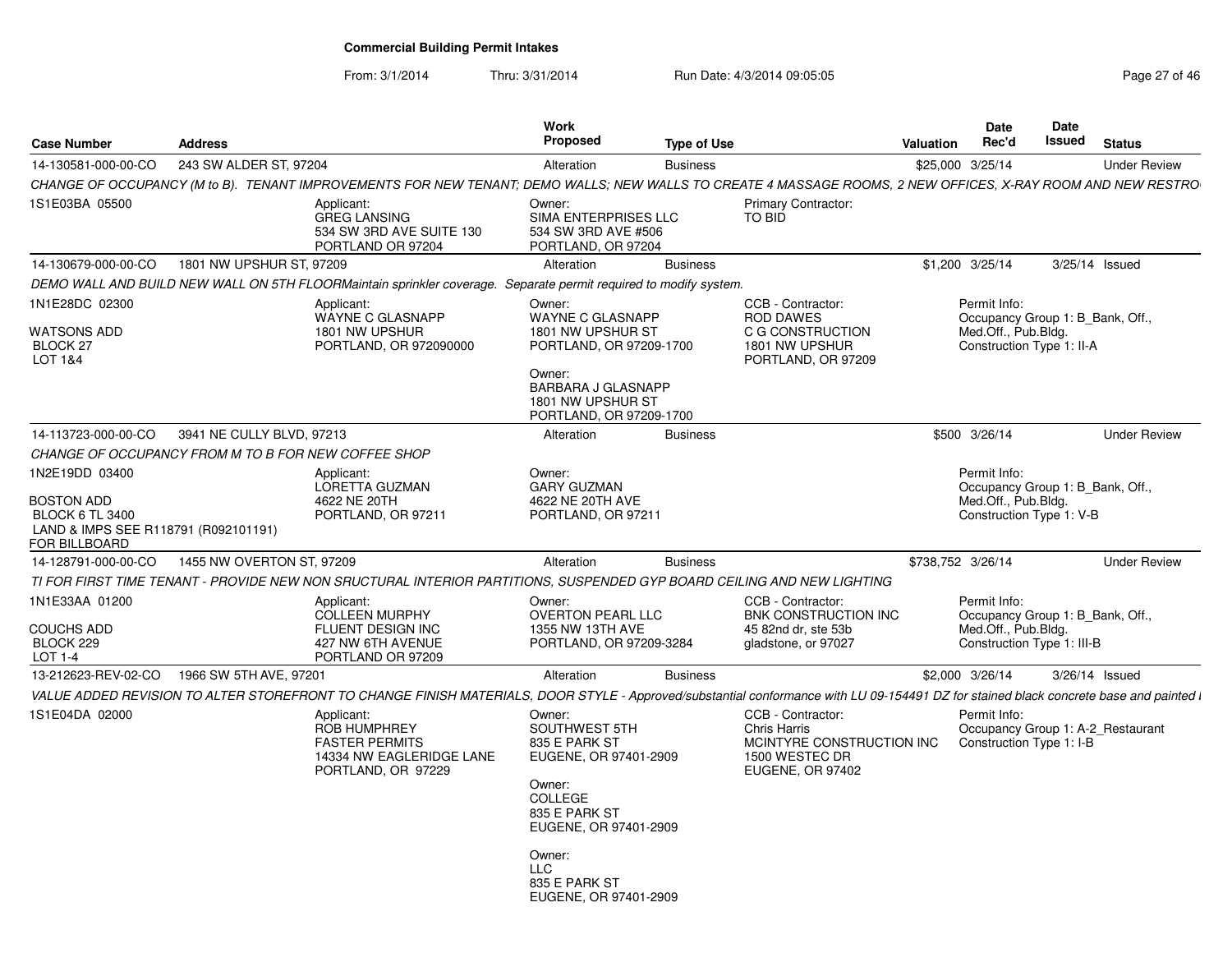From: 3/1/2014

Thru: 3/31/2014 Run Date: 4/3/2014 09:05:05 Research 2010 12:05:05

| 243 SW ALDER ST, 97204<br>14-130581-000-00-CO<br>\$25,000 3/25/14<br><b>Under Review</b><br>Alteration<br><b>Business</b><br>IS1E03BA 05500<br>Applicant:<br><b>Primary Contractor:</b><br>Owner:<br><b>GREG LANSING</b><br>TO BID<br>SIMA ENTERPRISES LLC<br>534 SW 3RD AVE SUITE 130<br>534 SW 3RD AVE #506<br>PORTLAND OR 97204<br>PORTLAND, OR 97204<br>1801 NW UPSHUR ST, 97209<br>Alteration<br>\$1,200 3/25/14<br>3/25/14 Issued<br><b>Business</b><br>DEMO WALL AND BUILD NEW WALL ON 5TH FLOORMaintain sprinkler coverage. Separate permit required to modify system.<br>Owner:<br>CCB - Contractor:<br>Permit Info:<br>Applicant:<br>WAYNE C GLASNAPP<br><b>WAYNE C GLASNAPP</b><br><b>ROD DAWES</b><br>Occupancy Group 1: B Bank, Off.,<br>1801 NW UPSHUR<br>1801 NW UPSHUR ST<br>C G CONSTRUCTION<br>Med.Off., Pub.Bldg.<br>1801 NW UPSHUR<br>PORTLAND, OR 972090000<br>PORTLAND, OR 97209-1700<br>Construction Type 1: II-A<br>BLOCK <sub>27</sub><br>PORTLAND, OR 97209<br>Owner:<br><b>BARBARA J GLASNAPP</b><br>1801 NW UPSHUR ST<br>PORTLAND, OR 97209-1700<br>14-113723-000-00-CO<br>3941 NE CULLY BLVD, 97213<br>\$500 3/26/14<br><b>Under Review</b><br>Alteration<br><b>Business</b><br>CHANGE OF OCCUPANCY FROM M TO B FOR NEW COFFEE SHOP<br>1N2E19DD 03400<br>Owner:<br>Permit Info:<br>Applicant:<br>LORETTA GUZMAN<br><b>GARY GUZMAN</b><br>Occupancy Group 1: B_Bank, Off.,<br>Med.Off., Pub.Bldg.<br>4622 NE 20TH<br>4622 NE 20TH AVE<br>PORTLAND, OR 97211<br>PORTLAND, OR 97211<br>Construction Type 1: V-B<br>LAND & IMPS SEE R118791 (R092101191)<br>1455 NW OVERTON ST, 97209<br>\$738.752 3/26/14<br><b>Under Review</b><br>Alteration<br><b>Business</b><br>TI FOR FIRST TIME TENANT - PROVIDE NEW NON SRUCTURAL INTERIOR PARTITIONS, SUSPENDED GYP BOARD CEILING AND NEW LIGHTING<br>Owner:<br>CCB - Contractor:<br>Permit Info:<br>Applicant:<br><b>OVERTON PEARL LLC</b><br>BNK CONSTRUCTION INC<br><b>COLLEEN MURPHY</b><br>Occupancy Group 1: B Bank, Off.,<br>FLUENT DESIGN INC<br>1355 NW 13TH AVE<br>Med.Off., Pub.Bldg.<br>45 82nd dr. ste 53b<br>BLOCK 229<br>427 NW 6TH AVENUE<br>PORTLAND, OR 97209-3284<br>gladstone, or 97027<br>Construction Type 1: III-B<br>PORTLAND OR 97209<br>LOT 1-4<br>13-212623-REV-02-CO<br>1966 SW 5TH AVE, 97201<br>Alteration<br>\$2,000 3/26/14<br>3/26/14 Issued<br><b>Business</b><br>CCB - Contractor:<br>Permit Info:<br>Applicant:<br>Owner:<br>Chris Harris<br><b>ROB HUMPHREY</b><br>SOUTHWEST 5TH<br>Occupancy Group 1: A-2 Restaurant<br><b>FASTER PERMITS</b><br>MCINTYRE CONSTRUCTION INC<br>Construction Type 1: I-B<br>835 E PARK ST<br>1500 WESTEC DR<br>14334 NW EAGLERIDGE LANE<br>EUGENE, OR 97401-2909<br>PORTLAND, OR 97229<br>EUGENE, OR 97402<br>Owner:<br><b>COLLEGE</b><br>835 E PARK ST<br>EUGENE, OR 97401-2909<br>Owner:<br><b>LLC</b><br>835 E PARK ST<br>EUGENE, OR 97401-2909 | <b>Case Number</b>                                    | <b>Address</b> | <b>Work</b><br><b>Proposed</b> | <b>Type of Use</b> | Valuation | <b>Date</b><br>Rec'd | Date<br>Issued | <b>Status</b> |
|-------------------------------------------------------------------------------------------------------------------------------------------------------------------------------------------------------------------------------------------------------------------------------------------------------------------------------------------------------------------------------------------------------------------------------------------------------------------------------------------------------------------------------------------------------------------------------------------------------------------------------------------------------------------------------------------------------------------------------------------------------------------------------------------------------------------------------------------------------------------------------------------------------------------------------------------------------------------------------------------------------------------------------------------------------------------------------------------------------------------------------------------------------------------------------------------------------------------------------------------------------------------------------------------------------------------------------------------------------------------------------------------------------------------------------------------------------------------------------------------------------------------------------------------------------------------------------------------------------------------------------------------------------------------------------------------------------------------------------------------------------------------------------------------------------------------------------------------------------------------------------------------------------------------------------------------------------------------------------------------------------------------------------------------------------------------------------------------------------------------------------------------------------------------------------------------------------------------------------------------------------------------------------------------------------------------------------------------------------------------------------------------------------------------------------------------------------------------------------------------------------------------------------------------------------------------------------------------------------------------------------------------------------------------------------------------------------------------------------------------------------------------------------------------------------------------------------------------------------------------------------------------|-------------------------------------------------------|----------------|--------------------------------|--------------------|-----------|----------------------|----------------|---------------|
| CHANGE OF OCCUPANCY (M to B). TENANT IMPROVEMENTS FOR NEW TENANT; DEMO WALLS; NEW WALLS TO CREATE 4 MASSAGE ROOMS, 2 NEW OFFICES, X-RAY ROOM AND NEW RESTRO                                                                                                                                                                                                                                                                                                                                                                                                                                                                                                                                                                                                                                                                                                                                                                                                                                                                                                                                                                                                                                                                                                                                                                                                                                                                                                                                                                                                                                                                                                                                                                                                                                                                                                                                                                                                                                                                                                                                                                                                                                                                                                                                                                                                                                                                                                                                                                                                                                                                                                                                                                                                                                                                                                                               |                                                       |                |                                |                    |           |                      |                |               |
|                                                                                                                                                                                                                                                                                                                                                                                                                                                                                                                                                                                                                                                                                                                                                                                                                                                                                                                                                                                                                                                                                                                                                                                                                                                                                                                                                                                                                                                                                                                                                                                                                                                                                                                                                                                                                                                                                                                                                                                                                                                                                                                                                                                                                                                                                                                                                                                                                                                                                                                                                                                                                                                                                                                                                                                                                                                                                           |                                                       |                |                                |                    |           |                      |                |               |
| VALUE ADDED REVISION TO ALTER STOREFRONT TO CHANGE FINISH MATERIALS, DOOR STYLE - Approved/substantial conformance with LU 09-154491 DZ for stained black concrete base and painted i                                                                                                                                                                                                                                                                                                                                                                                                                                                                                                                                                                                                                                                                                                                                                                                                                                                                                                                                                                                                                                                                                                                                                                                                                                                                                                                                                                                                                                                                                                                                                                                                                                                                                                                                                                                                                                                                                                                                                                                                                                                                                                                                                                                                                                                                                                                                                                                                                                                                                                                                                                                                                                                                                                     |                                                       |                |                                |                    |           |                      |                |               |
|                                                                                                                                                                                                                                                                                                                                                                                                                                                                                                                                                                                                                                                                                                                                                                                                                                                                                                                                                                                                                                                                                                                                                                                                                                                                                                                                                                                                                                                                                                                                                                                                                                                                                                                                                                                                                                                                                                                                                                                                                                                                                                                                                                                                                                                                                                                                                                                                                                                                                                                                                                                                                                                                                                                                                                                                                                                                                           | 14-130679-000-00-CO                                   |                |                                |                    |           |                      |                |               |
|                                                                                                                                                                                                                                                                                                                                                                                                                                                                                                                                                                                                                                                                                                                                                                                                                                                                                                                                                                                                                                                                                                                                                                                                                                                                                                                                                                                                                                                                                                                                                                                                                                                                                                                                                                                                                                                                                                                                                                                                                                                                                                                                                                                                                                                                                                                                                                                                                                                                                                                                                                                                                                                                                                                                                                                                                                                                                           |                                                       |                |                                |                    |           |                      |                |               |
|                                                                                                                                                                                                                                                                                                                                                                                                                                                                                                                                                                                                                                                                                                                                                                                                                                                                                                                                                                                                                                                                                                                                                                                                                                                                                                                                                                                                                                                                                                                                                                                                                                                                                                                                                                                                                                                                                                                                                                                                                                                                                                                                                                                                                                                                                                                                                                                                                                                                                                                                                                                                                                                                                                                                                                                                                                                                                           | 1N1E28DC 02300<br>WATSONS ADD<br>LOT 1&4              |                |                                |                    |           |                      |                |               |
|                                                                                                                                                                                                                                                                                                                                                                                                                                                                                                                                                                                                                                                                                                                                                                                                                                                                                                                                                                                                                                                                                                                                                                                                                                                                                                                                                                                                                                                                                                                                                                                                                                                                                                                                                                                                                                                                                                                                                                                                                                                                                                                                                                                                                                                                                                                                                                                                                                                                                                                                                                                                                                                                                                                                                                                                                                                                                           |                                                       |                |                                |                    |           |                      |                |               |
|                                                                                                                                                                                                                                                                                                                                                                                                                                                                                                                                                                                                                                                                                                                                                                                                                                                                                                                                                                                                                                                                                                                                                                                                                                                                                                                                                                                                                                                                                                                                                                                                                                                                                                                                                                                                                                                                                                                                                                                                                                                                                                                                                                                                                                                                                                                                                                                                                                                                                                                                                                                                                                                                                                                                                                                                                                                                                           |                                                       |                |                                |                    |           |                      |                |               |
|                                                                                                                                                                                                                                                                                                                                                                                                                                                                                                                                                                                                                                                                                                                                                                                                                                                                                                                                                                                                                                                                                                                                                                                                                                                                                                                                                                                                                                                                                                                                                                                                                                                                                                                                                                                                                                                                                                                                                                                                                                                                                                                                                                                                                                                                                                                                                                                                                                                                                                                                                                                                                                                                                                                                                                                                                                                                                           | BOSTON ADD<br><b>BLOCK 6 TL 3400</b><br>FOR BILLBOARD |                |                                |                    |           |                      |                |               |
|                                                                                                                                                                                                                                                                                                                                                                                                                                                                                                                                                                                                                                                                                                                                                                                                                                                                                                                                                                                                                                                                                                                                                                                                                                                                                                                                                                                                                                                                                                                                                                                                                                                                                                                                                                                                                                                                                                                                                                                                                                                                                                                                                                                                                                                                                                                                                                                                                                                                                                                                                                                                                                                                                                                                                                                                                                                                                           | 14-128791-000-00-CO                                   |                |                                |                    |           |                      |                |               |
|                                                                                                                                                                                                                                                                                                                                                                                                                                                                                                                                                                                                                                                                                                                                                                                                                                                                                                                                                                                                                                                                                                                                                                                                                                                                                                                                                                                                                                                                                                                                                                                                                                                                                                                                                                                                                                                                                                                                                                                                                                                                                                                                                                                                                                                                                                                                                                                                                                                                                                                                                                                                                                                                                                                                                                                                                                                                                           |                                                       |                |                                |                    |           |                      |                |               |
|                                                                                                                                                                                                                                                                                                                                                                                                                                                                                                                                                                                                                                                                                                                                                                                                                                                                                                                                                                                                                                                                                                                                                                                                                                                                                                                                                                                                                                                                                                                                                                                                                                                                                                                                                                                                                                                                                                                                                                                                                                                                                                                                                                                                                                                                                                                                                                                                                                                                                                                                                                                                                                                                                                                                                                                                                                                                                           | 1N1E33AA 01200<br>COUCHS ADD                          |                |                                |                    |           |                      |                |               |
|                                                                                                                                                                                                                                                                                                                                                                                                                                                                                                                                                                                                                                                                                                                                                                                                                                                                                                                                                                                                                                                                                                                                                                                                                                                                                                                                                                                                                                                                                                                                                                                                                                                                                                                                                                                                                                                                                                                                                                                                                                                                                                                                                                                                                                                                                                                                                                                                                                                                                                                                                                                                                                                                                                                                                                                                                                                                                           |                                                       |                |                                |                    |           |                      |                |               |
|                                                                                                                                                                                                                                                                                                                                                                                                                                                                                                                                                                                                                                                                                                                                                                                                                                                                                                                                                                                                                                                                                                                                                                                                                                                                                                                                                                                                                                                                                                                                                                                                                                                                                                                                                                                                                                                                                                                                                                                                                                                                                                                                                                                                                                                                                                                                                                                                                                                                                                                                                                                                                                                                                                                                                                                                                                                                                           |                                                       |                |                                |                    |           |                      |                |               |
|                                                                                                                                                                                                                                                                                                                                                                                                                                                                                                                                                                                                                                                                                                                                                                                                                                                                                                                                                                                                                                                                                                                                                                                                                                                                                                                                                                                                                                                                                                                                                                                                                                                                                                                                                                                                                                                                                                                                                                                                                                                                                                                                                                                                                                                                                                                                                                                                                                                                                                                                                                                                                                                                                                                                                                                                                                                                                           | 1S1E04DA 02000                                        |                |                                |                    |           |                      |                |               |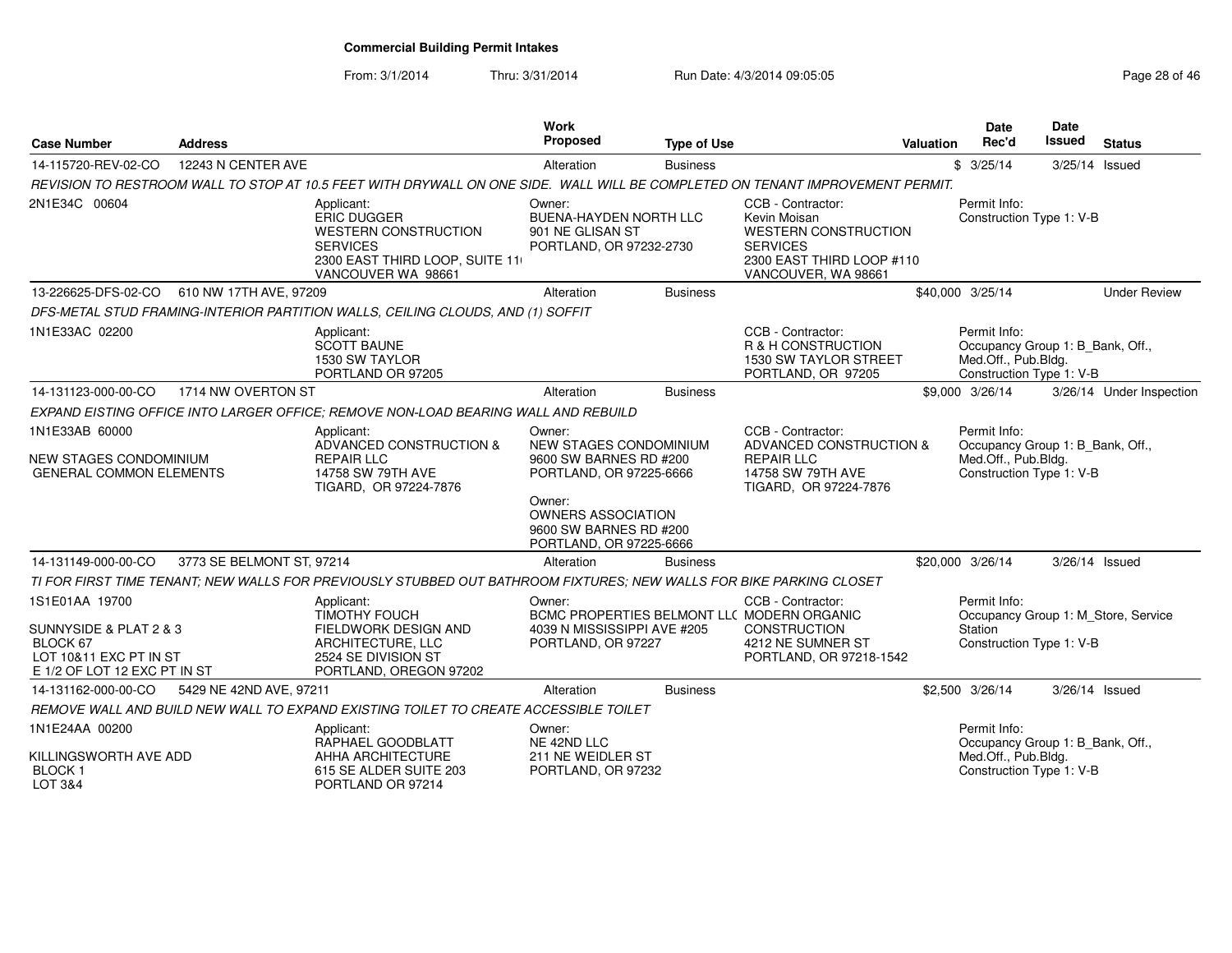From: 3/1/2014

Thru: 3/31/2014 Run Date: 4/3/2014 09:05:05 Research 20 and 28 of 46

| <b>Case Number</b>                                                                                             | <b>Address</b>            |                                                                                                                                     | Work<br>Proposed                                                                       | <b>Type of Use</b> |                                                                                                                                         | Valuation | Date<br>Rec'd                                                                                       | <b>Date</b><br>Issued | <b>Status</b>                       |
|----------------------------------------------------------------------------------------------------------------|---------------------------|-------------------------------------------------------------------------------------------------------------------------------------|----------------------------------------------------------------------------------------|--------------------|-----------------------------------------------------------------------------------------------------------------------------------------|-----------|-----------------------------------------------------------------------------------------------------|-----------------------|-------------------------------------|
| 14-115720-REV-02-CO                                                                                            | 12243 N CENTER AVE        |                                                                                                                                     | Alteration                                                                             | <b>Business</b>    |                                                                                                                                         |           | \$3/25/14                                                                                           | 3/25/14 Issued        |                                     |
|                                                                                                                |                           | REVISION TO RESTROOM WALL TO STOP AT 10.5 FEET WITH DRYWALL ON ONE SIDE. WALL WILL BE COMPLETED ON TENANT IMPROVEMENT PERMIT.       |                                                                                        |                    |                                                                                                                                         |           |                                                                                                     |                       |                                     |
| 2N1E34C 00604                                                                                                  |                           | Applicant:<br>ERIC DUGGER<br><b>WESTERN CONSTRUCTION</b><br><b>SERVICES</b><br>2300 EAST THIRD LOOP, SUITE 11<br>VANCOUVER WA 98661 | Owner:<br><b>BUENA-HAYDEN NORTH LLC</b><br>901 NE GLISAN ST<br>PORTLAND, OR 97232-2730 |                    | CCB - Contractor:<br>Kevin Moisan<br><b>WESTERN CONSTRUCTION</b><br><b>SERVICES</b><br>2300 EAST THIRD LOOP #110<br>VANCOUVER, WA 98661 |           | Permit Info:<br>Construction Type 1: V-B                                                            |                       |                                     |
| 13-226625-DFS-02-CO                                                                                            | 610 NW 17TH AVE, 97209    |                                                                                                                                     | Alteration                                                                             | <b>Business</b>    |                                                                                                                                         |           | \$40,000 3/25/14                                                                                    |                       | <b>Under Review</b>                 |
|                                                                                                                |                           | DFS-METAL STUD FRAMING-INTERIOR PARTITION WALLS, CEILING CLOUDS, AND (1) SOFFIT                                                     |                                                                                        |                    |                                                                                                                                         |           |                                                                                                     |                       |                                     |
| 1N1E33AC 02200                                                                                                 |                           | Applicant:<br><b>SCOTT BAUNE</b><br>1530 SW TAYLOR<br>PORTLAND OR 97205                                                             |                                                                                        |                    | CCB - Contractor:<br>R & H CONSTRUCTION<br>1530 SW TAYLOR STREET<br>PORTLAND, OR 97205                                                  |           | Permit Info:<br>Occupancy Group 1: B Bank, Off.,<br>Med.Off., Pub.Bldg.<br>Construction Type 1: V-B |                       |                                     |
| 14-131123-000-00-CO                                                                                            | 1714 NW OVERTON ST        |                                                                                                                                     | Alteration                                                                             | <b>Business</b>    |                                                                                                                                         |           | \$9.000 3/26/14                                                                                     |                       | 3/26/14 Under Inspection            |
|                                                                                                                |                           | EXPAND EISTING OFFICE INTO LARGER OFFICE; REMOVE NON-LOAD BEARING WALL AND REBUILD                                                  |                                                                                        |                    |                                                                                                                                         |           |                                                                                                     |                       |                                     |
| 1N1E33AB 60000<br>NEW STAGES CONDOMINIUM<br><b>GENERAL COMMON ELEMENTS</b>                                     |                           | Applicant:<br>ADVANCED CONSTRUCTION &<br><b>REPAIR LLC</b><br>14758 SW 79TH AVE<br>TIGARD, OR 97224-7876                            | Owner:<br>NEW STAGES CONDOMINIUM<br>9600 SW BARNES RD #200<br>PORTLAND, OR 97225-6666  |                    | CCB - Contractor:<br>ADVANCED CONSTRUCTION &<br><b>REPAIR LLC</b><br>14758 SW 79TH AVE<br>TIGARD, OR 97224-7876                         |           | Permit Info:<br>Occupancy Group 1: B_Bank, Off.,<br>Med.Off., Pub.Bldg.<br>Construction Type 1: V-B |                       |                                     |
|                                                                                                                |                           |                                                                                                                                     | Owner:<br>OWNERS ASSOCIATION<br>9600 SW BARNES RD #200<br>PORTLAND, OR 97225-6666      |                    |                                                                                                                                         |           |                                                                                                     |                       |                                     |
| 14-131149-000-00-CO                                                                                            | 3773 SE BELMONT ST, 97214 |                                                                                                                                     | Alteration                                                                             | <b>Business</b>    |                                                                                                                                         |           | \$20,000 3/26/14                                                                                    | 3/26/14 Issued        |                                     |
|                                                                                                                |                           | TI FOR FIRST TIME TENANT: NEW WALLS FOR PREVIOUSLY STUBBED OUT BATHROOM FIXTURES: NEW WALLS FOR BIKE PARKING CLOSET                 |                                                                                        |                    |                                                                                                                                         |           |                                                                                                     |                       |                                     |
| 1S1E01AA 19700<br>SUNNYSIDE & PLAT 2 & 3<br>BLOCK 67<br>LOT 10&11 EXC PT IN ST<br>E 1/2 OF LOT 12 EXC PT IN ST |                           | Applicant:<br><b>TIMOTHY FOUCH</b><br>FIELDWORK DESIGN AND<br>ARCHITECTURE, LLC<br>2524 SE DIVISION ST<br>PORTLAND, OREGON 97202    | Owner:<br>4039 N MISSISSIPPI AVE #205<br>PORTLAND, OR 97227                            |                    | CCB - Contractor:<br>BCMC PROPERTIES BELMONT LLC MODERN ORGANIC<br><b>CONSTRUCTION</b><br>4212 NE SUMNER ST<br>PORTLAND, OR 97218-1542  |           | Permit Info:<br>Station<br>Construction Type 1: V-B                                                 |                       | Occupancy Group 1: M Store, Service |
| 14-131162-000-00-CO                                                                                            | 5429 NE 42ND AVE, 97211   |                                                                                                                                     | Alteration                                                                             | <b>Business</b>    |                                                                                                                                         |           | \$2,500 3/26/14                                                                                     | 3/26/14 Issued        |                                     |
|                                                                                                                |                           | REMOVE WALL AND BUILD NEW WALL TO EXPAND EXISTING TOILET TO CREATE ACCESSIBLE TOILET                                                |                                                                                        |                    |                                                                                                                                         |           |                                                                                                     |                       |                                     |
| 1N1E24AA 00200<br>KILLINGSWORTH AVE ADD<br>BLOCK 1<br>LOT 3&4                                                  |                           | Applicant:<br>RAPHAEL GOODBLATT<br>AHHA ARCHITECTURE<br>615 SE ALDER SUITE 203<br>PORTLAND OR 97214                                 | Owner:<br>NE 42ND LLC<br>211 NE WEIDLER ST<br>PORTLAND, OR 97232                       |                    |                                                                                                                                         |           | Permit Info:<br>Occupancy Group 1: B_Bank, Off.,<br>Med.Off., Pub.Bldg.<br>Construction Type 1: V-B |                       |                                     |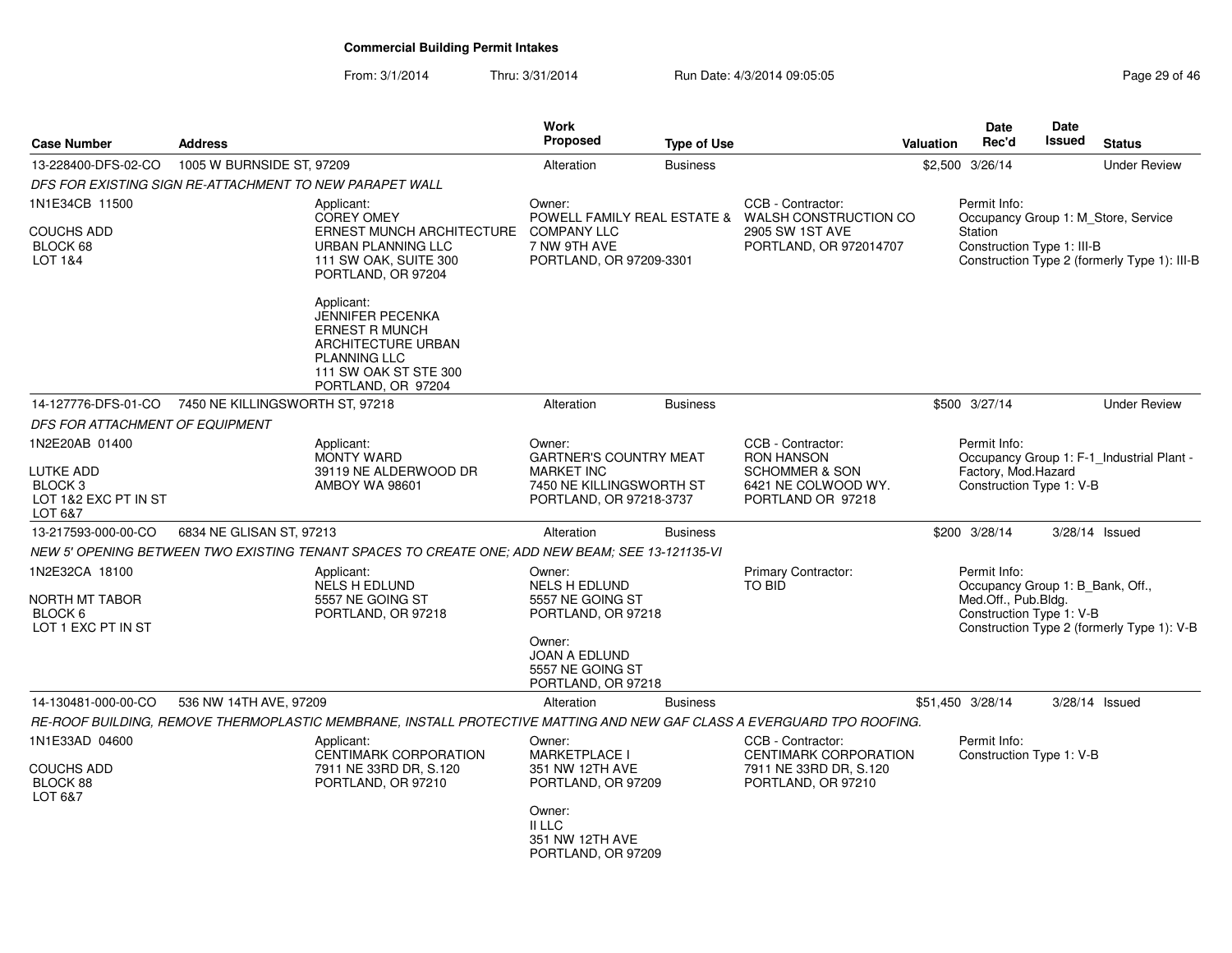From: 3/1/2014Thru: 3/31/2014 Run Date: 4/3/2014 09:05:05 Research 20 and 29 of 46

| <b>Case Number</b>                                                 | <b>Address</b>            |                                                                                                                                                            | <b>Work</b><br><b>Proposed</b>                                           | <b>Type of Use</b> |                                                                        | <b>Valuation</b> | Date<br>Rec'd                                                                       | Date<br><b>Issued</b> | <b>Status</b>                                |
|--------------------------------------------------------------------|---------------------------|------------------------------------------------------------------------------------------------------------------------------------------------------------|--------------------------------------------------------------------------|--------------------|------------------------------------------------------------------------|------------------|-------------------------------------------------------------------------------------|-----------------------|----------------------------------------------|
| 13-228400-DFS-02-CO                                                | 1005 W BURNSIDE ST, 97209 |                                                                                                                                                            | Alteration                                                               | <b>Business</b>    |                                                                        |                  | \$2,500 3/26/14                                                                     |                       | <b>Under Review</b>                          |
| DFS FOR EXISTING SIGN RE-ATTACHMENT TO NEW PARAPET WALL            |                           |                                                                                                                                                            |                                                                          |                    |                                                                        |                  |                                                                                     |                       |                                              |
| 1N1E34CB 11500                                                     |                           | Applicant:<br><b>COREY OMEY</b>                                                                                                                            | Owner:                                                                   |                    | CCB - Contractor:<br>POWELL FAMILY REAL ESTATE & WALSH CONSTRUCTION CO |                  | Permit Info:                                                                        |                       | Occupancy Group 1: M_Store, Service          |
| <b>COUCHS ADD</b><br>BLOCK 68<br>LOT 1&4                           |                           | <b>ERNEST MUNCH ARCHITECTURE</b><br>URBAN PLANNING LLC<br>111 SW OAK, SUITE 300<br>PORTLAND, OR 97204                                                      | <b>COMPANY LLC</b><br>7 NW 9TH AVE<br>PORTLAND, OR 97209-3301            |                    | 2905 SW 1ST AVE<br>PORTLAND, OR 972014707                              |                  | Station<br>Construction Type 1: III-B                                               |                       | Construction Type 2 (formerly Type 1): III-B |
|                                                                    |                           | Applicant:<br><b>JENNIFER PECENKA</b><br><b>ERNEST R MUNCH</b><br>ARCHITECTURE URBAN<br><b>PLANNING LLC</b><br>111 SW OAK ST STE 300<br>PORTLAND, OR 97204 |                                                                          |                    |                                                                        |                  |                                                                                     |                       |                                              |
| 14-127776-DFS-01-CO 7450 NE KILLINGSWORTH ST, 97218                |                           |                                                                                                                                                            | Alteration                                                               | <b>Business</b>    |                                                                        |                  | \$500 3/27/14                                                                       |                       | <b>Under Review</b>                          |
| DFS FOR ATTACHMENT OF EQUIPMENT                                    |                           |                                                                                                                                                            |                                                                          |                    |                                                                        |                  |                                                                                     |                       |                                              |
| 1N2E20AB 01400                                                     |                           | Applicant:<br><b>MONTY WARD</b>                                                                                                                            | Owner:<br><b>GARTNER'S COUNTRY MEAT</b>                                  |                    | CCB - Contractor:<br><b>RON HANSON</b>                                 |                  | Permit Info:                                                                        |                       | Occupancy Group 1: F-1_Industrial Plant -    |
| LUTKE ADD<br>BLOCK <sub>3</sub><br>LOT 1&2 EXC PT IN ST<br>LOT 6&7 |                           | 39119 NE ALDERWOOD DR<br><b>AMBOY WA 98601</b>                                                                                                             | <b>MARKET INC</b><br>7450 NE KILLINGSWORTH ST<br>PORTLAND, OR 97218-3737 |                    | <b>SCHOMMER &amp; SON</b><br>6421 NE COLWOOD WY.<br>PORTLAND OR 97218  |                  | Factory, Mod.Hazard<br>Construction Type 1: V-B                                     |                       |                                              |
| 13-217593-000-00-CO                                                | 6834 NE GLISAN ST, 97213  |                                                                                                                                                            | Alteration                                                               | <b>Business</b>    |                                                                        |                  | \$200 3/28/14                                                                       |                       | 3/28/14 Issued                               |
|                                                                    |                           | NEW 5' OPENING BETWEEN TWO EXISTING TENANT SPACES TO CREATE ONE; ADD NEW BEAM; SEE 13-121135-VI                                                            |                                                                          |                    |                                                                        |                  |                                                                                     |                       |                                              |
| 1N2E32CA 18100                                                     |                           | Applicant:                                                                                                                                                 | Owner:                                                                   |                    | Primary Contractor:                                                    |                  | Permit Info:                                                                        |                       |                                              |
| NORTH MT TABOR<br>BLOCK 6<br>LOT 1 EXC PT IN ST                    |                           | <b>NELS H EDLUND</b><br>5557 NE GOING ST<br>PORTLAND, OR 97218                                                                                             | <b>NELS H EDLUND</b><br>5557 NE GOING ST<br>PORTLAND, OR 97218           |                    | <b>TO BID</b>                                                          |                  | Occupancy Group 1: B_Bank, Off.,<br>Med.Off., Pub.Bldg.<br>Construction Type 1: V-B |                       | Construction Type 2 (formerly Type 1): V-B   |
|                                                                    |                           |                                                                                                                                                            | Owner:<br><b>JOAN A EDLUND</b><br>5557 NE GOING ST<br>PORTLAND, OR 97218 |                    |                                                                        |                  |                                                                                     |                       |                                              |
| 14-130481-000-00-CO                                                | 536 NW 14TH AVE, 97209    |                                                                                                                                                            | Alteration                                                               | <b>Business</b>    |                                                                        |                  | \$51,450 3/28/14                                                                    |                       | $3/28/14$ Issued                             |
|                                                                    |                           | RE-ROOF BUILDING, REMOVE THERMOPLASTIC MEMBRANE, INSTALL PROTECTIVE MATTING AND NEW GAF CLASS A EVERGUARD TPO ROOFING.                                     |                                                                          |                    |                                                                        |                  |                                                                                     |                       |                                              |
| 1N1E33AD 04600                                                     |                           | Applicant:<br>CENTIMARK CORPORATION                                                                                                                        | Owner:<br><b>MARKETPLACE I</b>                                           |                    | CCB - Contractor:<br>CENTIMARK CORPORATION                             |                  | Permit Info:<br>Construction Type 1: V-B                                            |                       |                                              |
| <b>COUCHS ADD</b><br>BLOCK 88<br>LOT 6&7                           |                           | 7911 NE 33RD DR, S.120<br>PORTLAND, OR 97210                                                                                                               | 351 NW 12TH AVE<br>PORTLAND, OR 97209                                    |                    | 7911 NE 33RD DR, S.120<br>PORTLAND, OR 97210                           |                  |                                                                                     |                       |                                              |
|                                                                    |                           |                                                                                                                                                            | Owner:<br>II LLC<br>351 NW 12TH AVE<br>PORTLAND, OR 97209                |                    |                                                                        |                  |                                                                                     |                       |                                              |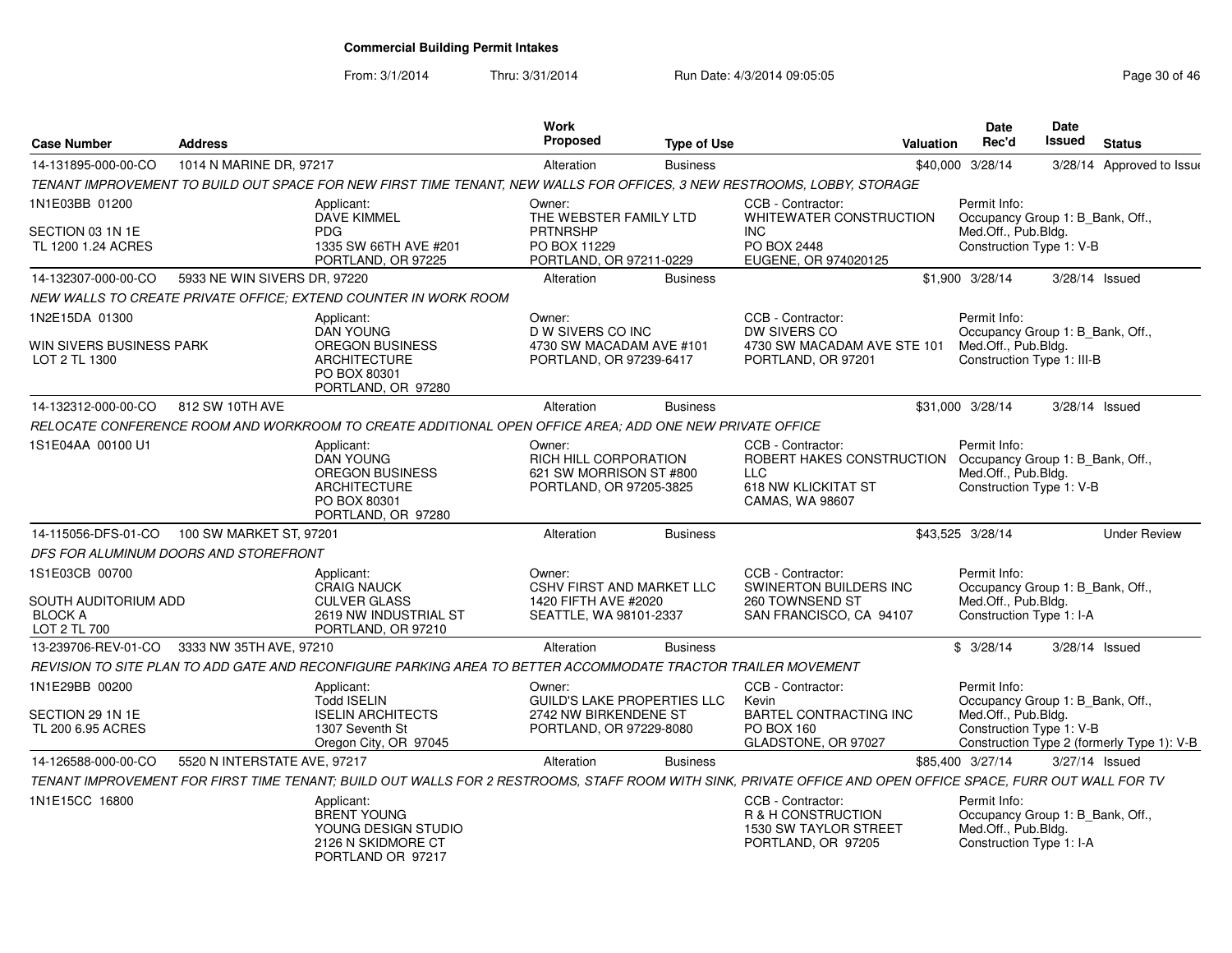From: 3/1/2014

Thru: 3/31/2014 Run Date: 4/3/2014 09:05:05 Research 2010 12:05:05

| <b>Case Number</b>                                                       | <b>Address</b>                        |                                                                                                                                                             | <b>Work</b><br><b>Proposed</b>                                                                   | <b>Type of Use</b> | <b>Valuation</b>                                                                                       | <b>Date</b><br>Rec'd                                                                                  | <b>Date</b><br>Issued | <b>Status</b>                              |
|--------------------------------------------------------------------------|---------------------------------------|-------------------------------------------------------------------------------------------------------------------------------------------------------------|--------------------------------------------------------------------------------------------------|--------------------|--------------------------------------------------------------------------------------------------------|-------------------------------------------------------------------------------------------------------|-----------------------|--------------------------------------------|
| 14-131895-000-00-CO                                                      | 1014 N MARINE DR, 97217               |                                                                                                                                                             | Alteration                                                                                       | <b>Business</b>    |                                                                                                        | \$40,000 3/28/14                                                                                      |                       | 3/28/14 Approved to Issue                  |
|                                                                          |                                       | TENANT IMPROVEMENT TO BUILD OUT SPACE FOR NEW FIRST TIME TENANT, NEW WALLS FOR OFFICES, 3 NEW RESTROOMS, LOBBY, STORAGE                                     |                                                                                                  |                    |                                                                                                        |                                                                                                       |                       |                                            |
| 1N1E03BB 01200                                                           |                                       | Applicant:                                                                                                                                                  | Owner:                                                                                           |                    | CCB - Contractor:                                                                                      | Permit Info:                                                                                          |                       |                                            |
| SECTION 03 1N 1E<br>TL 1200 1.24 ACRES                                   |                                       | <b>DAVE KIMMEL</b><br><b>PDG</b><br>1335 SW 66TH AVE #201<br>PORTLAND, OR 97225                                                                             | THE WEBSTER FAMILY LTD<br><b>PRTNRSHP</b><br>PO BOX 11229<br>PORTLAND, OR 97211-0229             |                    | WHITEWATER CONSTRUCTION<br><b>INC</b><br>PO BOX 2448<br>EUGENE, OR 974020125                           | Occupancy Group 1: B_Bank, Off.,<br>Med.Off., Pub.Bldg.<br>Construction Type 1: V-B                   |                       |                                            |
| 14-132307-000-00-CO                                                      | 5933 NE WIN SIVERS DR, 97220          |                                                                                                                                                             | Alteration                                                                                       | <b>Business</b>    |                                                                                                        | \$1,900 3/28/14                                                                                       |                       | 3/28/14 Issued                             |
|                                                                          |                                       | NEW WALLS TO CREATE PRIVATE OFFICE; EXTEND COUNTER IN WORK ROOM                                                                                             |                                                                                                  |                    |                                                                                                        |                                                                                                       |                       |                                            |
| 1N2E15DA 01300<br>WIN SIVERS BUSINESS PARK<br>LOT 2 TL 1300              |                                       | Applicant:<br><b>DAN YOUNG</b><br><b>OREGON BUSINESS</b><br>ARCHITECTURE<br>PO BOX 80301<br>PORTLAND, OR 97280                                              | Owner:<br>D W SIVERS CO INC<br>4730 SW MACADAM AVE #101<br>PORTLAND, OR 97239-6417               |                    | CCB - Contractor:<br>DW SIVERS CO<br>4730 SW MACADAM AVE STE 101<br>PORTLAND, OR 97201                 | Permit Info:<br>Occupancy Group 1: B_Bank, Off.,<br>Med.Off., Pub.Bldg.<br>Construction Type 1: III-B |                       |                                            |
| 14-132312-000-00-CO                                                      | 812 SW 10TH AVE                       |                                                                                                                                                             | Alteration                                                                                       | <b>Business</b>    |                                                                                                        | \$31,000 3/28/14                                                                                      | 3/28/14 Issued        |                                            |
|                                                                          |                                       | RELOCATE CONFERENCE ROOM AND WORKROOM TO CREATE ADDITIONAL OPEN OFFICE AREA; ADD ONE NEW PRIVATE OFFICE                                                     |                                                                                                  |                    |                                                                                                        |                                                                                                       |                       |                                            |
| 1S1E04AA 00100 U1                                                        |                                       | Applicant:<br><b>DAN YOUNG</b><br><b>OREGON BUSINESS</b><br>ARCHITECTURE<br>PO BOX 80301<br>PORTLAND, OR 97280                                              | Owner:<br>RICH HILL CORPORATION<br>621 SW MORRISON ST #800<br>PORTLAND, OR 97205-3825            |                    | CCB - Contractor:<br>ROBERT HAKES CONSTRUCTION<br><b>LLC</b><br>618 NW KLICKITAT ST<br>CAMAS, WA 98607 | Permit Info:<br>Occupancy Group 1: B_Bank, Off.,<br>Med.Off., Pub.Bldg.<br>Construction Type 1: V-B   |                       |                                            |
| 14-115056-DFS-01-CO  100 SW MARKET ST, 97201                             |                                       |                                                                                                                                                             | Alteration                                                                                       | <b>Business</b>    |                                                                                                        | \$43,525 3/28/14                                                                                      |                       | <b>Under Review</b>                        |
|                                                                          | DFS FOR ALUMINUM DOORS AND STOREFRONT |                                                                                                                                                             |                                                                                                  |                    |                                                                                                        |                                                                                                       |                       |                                            |
| 1S1E03CB 00700<br>SOUTH AUDITORIUM ADD<br><b>BLOCK A</b><br>LOT 2 TL 700 |                                       | Applicant:<br><b>CRAIG NAUCK</b><br><b>CULVER GLASS</b><br>2619 NW INDUSTRIAL ST<br>PORTLAND, OR 97210                                                      | Owner:<br><b>CSHV FIRST AND MARKET LLC</b><br>1420 FIFTH AVE #2020<br>SEATTLE, WA 98101-2337     |                    | CCB - Contractor:<br>SWINERTON BUILDERS INC<br>260 TOWNSEND ST<br>SAN FRANCISCO, CA 94107              | Permit Info:<br>Occupancy Group 1: B Bank, Off.,<br>Med.Off., Pub.Bldg.<br>Construction Type 1: I-A   |                       |                                            |
| 13-239706-REV-01-CO 3333 NW 35TH AVE, 97210                              |                                       |                                                                                                                                                             | Alteration                                                                                       | <b>Business</b>    |                                                                                                        | \$3/28/14                                                                                             |                       | 3/28/14 Issued                             |
|                                                                          |                                       | REVISION TO SITE PLAN TO ADD GATE AND RECONFIGURE PARKING AREA TO BETTER ACCOMMODATE TRACTOR TRAILER MOVEMENT                                               |                                                                                                  |                    |                                                                                                        |                                                                                                       |                       |                                            |
| 1N1E29BB 00200<br>SECTION 29 1N 1E<br>TL 200 6.95 ACRES                  |                                       | Applicant:<br><b>Todd ISELIN</b><br><b>ISELIN ARCHITECTS</b><br>1307 Seventh St<br>Oregon City, OR 97045                                                    | Owner:<br><b>GUILD'S LAKE PROPERTIES LLC</b><br>2742 NW BIRKENDENE ST<br>PORTLAND, OR 97229-8080 |                    | CCB - Contractor:<br>Kevin<br>BARTEL CONTRACTING INC<br>PO BOX 160<br>GLADSTONE, OR 97027              | Permit Info:<br>Occupancy Group 1: B_Bank, Off.,<br>Med.Off., Pub.Bldg.<br>Construction Type 1: V-B   |                       | Construction Type 2 (formerly Type 1): V-B |
| 14-126588-000-00-CO                                                      | 5520 N INTERSTATE AVE, 97217          |                                                                                                                                                             | Alteration                                                                                       | <b>Business</b>    |                                                                                                        | \$85,400 3/27/14                                                                                      | 3/27/14 Issued        |                                            |
|                                                                          |                                       | TENANT IMPROVEMENT FOR FIRST TIME TENANT: BUILD OUT WALLS FOR 2 RESTROOMS. STAFF ROOM WITH SINK. PRIVATE OFFICE AND OPEN OFFICE SPACE. FURR OUT WALL FOR TV |                                                                                                  |                    |                                                                                                        |                                                                                                       |                       |                                            |
| 1N1E15CC 16800                                                           |                                       | Applicant:<br><b>BRENT YOUNG</b><br>YOUNG DESIGN STUDIO<br>2126 N SKIDMORE CT<br>PORTLAND OR 97217                                                          |                                                                                                  |                    | CCB - Contractor:<br>R & H CONSTRUCTION<br>1530 SW TAYLOR STREET<br>PORTLAND, OR 97205                 | Permit Info:<br>Occupancy Group 1: B_Bank, Off.,<br>Med.Off., Pub.Bldg.<br>Construction Type 1: I-A   |                       |                                            |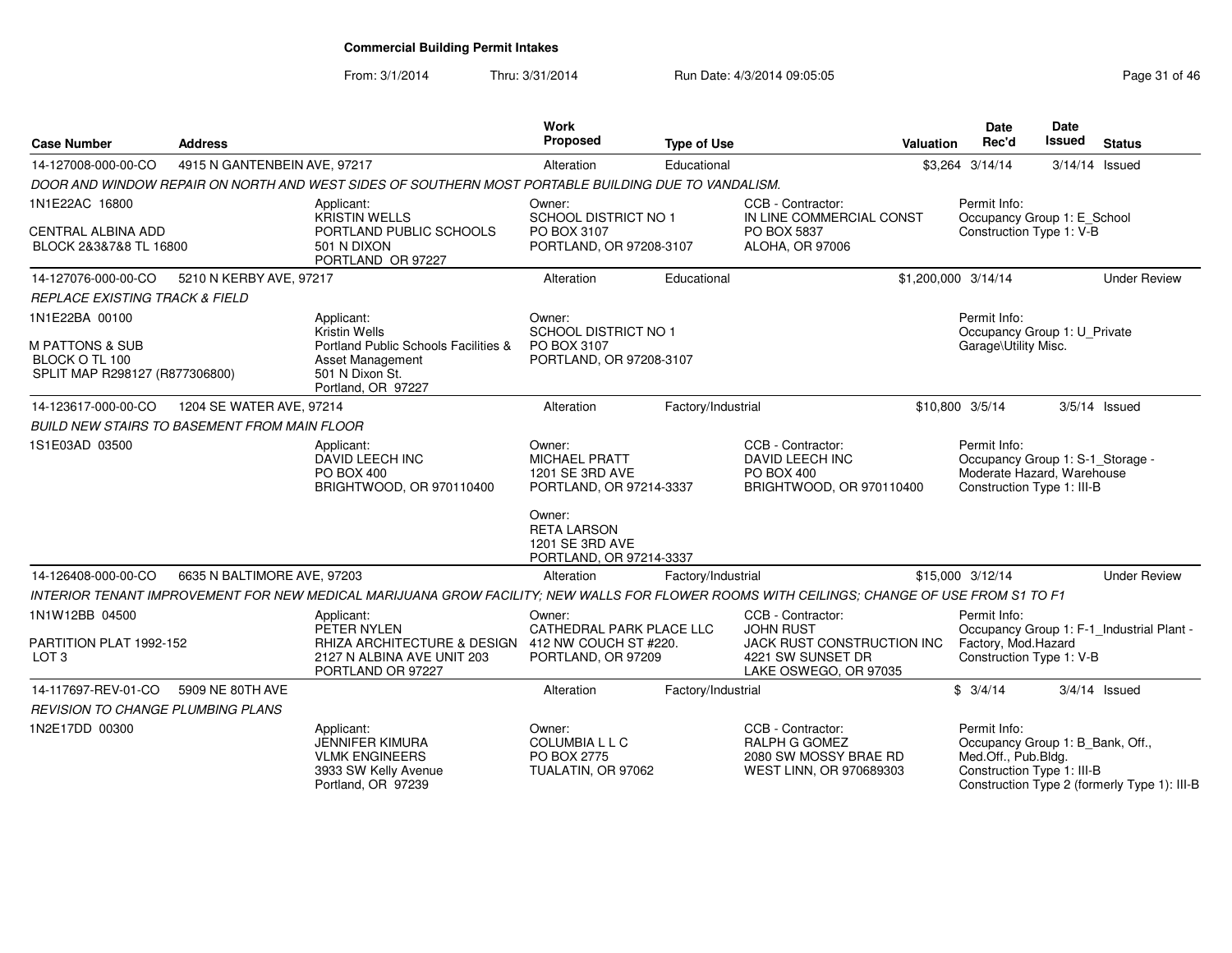From: 3/1/2014

Thru: 3/31/2014 Run Date: 4/3/2014 09:05:05 Research 2010 12:05:05

| <b>Case Number</b>                                                                               | <b>Address</b>               |                                                                                                                                            | <b>Work</b><br>Proposed                                                                                      | <b>Type of Use</b> | <b>Valuation</b>                                                                                                  | <b>Date</b><br>Rec'd                                                                                         | <b>Date</b><br><b>Issued</b> | <b>Status</b>                                |
|--------------------------------------------------------------------------------------------------|------------------------------|--------------------------------------------------------------------------------------------------------------------------------------------|--------------------------------------------------------------------------------------------------------------|--------------------|-------------------------------------------------------------------------------------------------------------------|--------------------------------------------------------------------------------------------------------------|------------------------------|----------------------------------------------|
| 14-127008-000-00-CO                                                                              | 4915 N GANTENBEIN AVE, 97217 |                                                                                                                                            | Alteration                                                                                                   | Educational        |                                                                                                                   | \$3.264 3/14/14                                                                                              | 3/14/14 Issued               |                                              |
|                                                                                                  |                              | DOOR AND WINDOW REPAIR ON NORTH AND WEST SIDES OF SOUTHERN MOST PORTABLE BUILDING DUE TO VANDALISM.                                        |                                                                                                              |                    |                                                                                                                   |                                                                                                              |                              |                                              |
| 1N1E22AC 16800<br><b>CENTRAL ALBINA ADD</b><br>BLOCK 2&3&7&8 TL 16800                            |                              | Applicant:<br><b>KRISTIN WELLS</b><br>PORTLAND PUBLIC SCHOOLS<br>501 N DIXON<br>PORTLAND OR 97227                                          | Owner:<br>SCHOOL DISTRICT NO 1<br>PO BOX 3107<br>PORTLAND, OR 97208-3107                                     |                    | CCB - Contractor:<br>IN LINE COMMERCIAL CONST<br>PO BOX 5837<br>ALOHA, OR 97006                                   | Permit Info:<br>Occupancy Group 1: E_School<br>Construction Type 1: V-B                                      |                              |                                              |
| 14-127076-000-00-CO                                                                              | 5210 N KERBY AVE, 97217      |                                                                                                                                            | Alteration                                                                                                   | Educational        |                                                                                                                   | \$1,200,000 3/14/14                                                                                          |                              | <b>Under Review</b>                          |
| <b>REPLACE EXISTING TRACK &amp; FIELD</b>                                                        |                              |                                                                                                                                            |                                                                                                              |                    |                                                                                                                   |                                                                                                              |                              |                                              |
| 1N1E22BA 00100<br><b>M PATTONS &amp; SUB</b><br>BLOCK O TL 100<br>SPLIT MAP R298127 (R877306800) |                              | Applicant:<br>Kristin Wells<br>Portland Public Schools Facilities &<br>Asset Management<br>501 N Dixon St.<br>Portland, OR 97227           | Owner:<br>SCHOOL DISTRICT NO 1<br>PO BOX 3107<br>PORTLAND, OR 97208-3107                                     |                    |                                                                                                                   | Permit Info:<br>Occupancy Group 1: U_Private<br>Garage\Utility Misc.                                         |                              |                                              |
| 14-123617-000-00-CO                                                                              | 1204 SE WATER AVE, 97214     |                                                                                                                                            | Alteration                                                                                                   | Factory/Industrial |                                                                                                                   | \$10,800 3/5/14                                                                                              |                              | $3/5/14$ Issued                              |
| <b>BUILD NEW STAIRS TO BASEMENT FROM MAIN FLOOR</b>                                              |                              |                                                                                                                                            |                                                                                                              |                    |                                                                                                                   |                                                                                                              |                              |                                              |
| 1S1E03AD 03500                                                                                   |                              | Applicant:<br><b>DAVID LEECH INC</b><br><b>PO BOX 400</b><br>BRIGHTWOOD, OR 970110400                                                      | Owner:<br><b>MICHAEL PRATT</b><br>1201 SE 3RD AVE<br>PORTLAND, OR 97214-3337<br>Owner:<br><b>RETA LARSON</b> |                    | CCB - Contractor:<br>DAVID LEECH INC<br>PO BOX 400<br>BRIGHTWOOD, OR 970110400                                    | Permit Info:<br>Occupancy Group 1: S-1_Storage -<br>Moderate Hazard, Warehouse<br>Construction Type 1: III-B |                              |                                              |
|                                                                                                  |                              |                                                                                                                                            | 1201 SE 3RD AVE<br>PORTLAND, OR 97214-3337                                                                   |                    |                                                                                                                   |                                                                                                              |                              |                                              |
| 14-126408-000-00-CO                                                                              | 6635 N BALTIMORE AVE, 97203  |                                                                                                                                            | Alteration                                                                                                   | Factory/Industrial |                                                                                                                   | \$15,000 3/12/14                                                                                             |                              | <b>Under Review</b>                          |
|                                                                                                  |                              | INTERIOR TENANT IMPROVEMENT FOR NEW MEDICAL MARIJUANA GROW FACILITY; NEW WALLS FOR FLOWER ROOMS WITH CEILINGS; CHANGE OF USE FROM S1 TO F1 |                                                                                                              |                    |                                                                                                                   |                                                                                                              |                              |                                              |
| 1N1W12BB 04500<br>PARTITION PLAT 1992-152<br>LOT <sub>3</sub>                                    |                              | Applicant:<br>PETER NYLEN<br>RHIZA ARCHITECTURE & DESIGN 412 NW COUCH ST #220.<br>2127 N ALBINA AVE UNIT 203<br>PORTLAND OR 97227          | Owner:<br>CATHEDRAL PARK PLACE LLC<br>PORTLAND, OR 97209                                                     |                    | CCB - Contractor:<br><b>JOHN RUST</b><br>JACK RUST CONSTRUCTION INC<br>4221 SW SUNSET DR<br>LAKE OSWEGO, OR 97035 | Permit Info:<br>Factory, Mod. Hazard<br>Construction Type 1: V-B                                             |                              | Occupancy Group 1: F-1_Industrial Plant -    |
| 14-117697-REV-01-CO                                                                              | 5909 NE 80TH AVE             |                                                                                                                                            | Alteration                                                                                                   | Factory/Industrial |                                                                                                                   | \$3/4/14                                                                                                     |                              | $3/4/14$ Issued                              |
| <b>REVISION TO CHANGE PLUMBING PLANS</b>                                                         |                              |                                                                                                                                            |                                                                                                              |                    |                                                                                                                   |                                                                                                              |                              |                                              |
| 1N2E17DD 00300                                                                                   |                              | Applicant:<br><b>JENNIFER KIMURA</b><br><b>VLMK ENGINEERS</b><br>3933 SW Kelly Avenue<br>Portland, OR 97239                                | Owner:<br><b>COLUMBIALLC</b><br>PO BOX 2775<br>TUALATIN, OR 97062                                            |                    | CCB - Contractor:<br>RALPH G GOMEZ<br>2080 SW MOSSY BRAE RD<br>WEST LINN, OR 970689303                            | Permit Info:<br>Occupancy Group 1: B_Bank, Off.,<br>Med.Off., Pub.Bldg.<br>Construction Type 1: III-B        |                              | Construction Type 2 (formerly Type 1): III-B |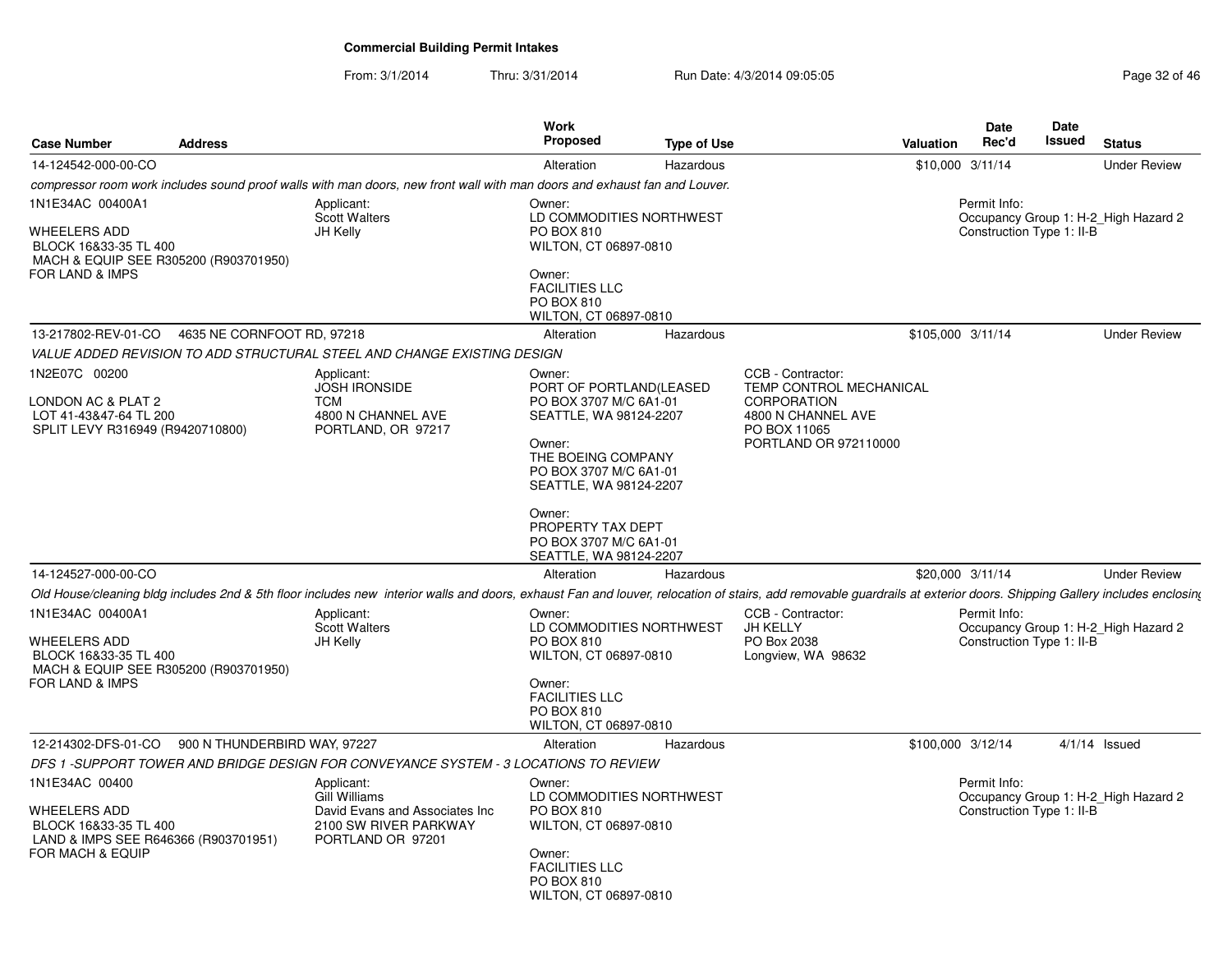From: 3/1/2014Thru: 3/31/2014 Run Date: 4/3/2014 09:05:05 Research 20 and 20 and 20 and 20 and 20 and 20 and 20 and 20 and 20

| <b>Case Number</b>                                                                                                           | <b>Address</b>               |                                                                                                                                                                                                                       | <b>Work</b><br><b>Proposed</b>                                                                                                                                                                                                                               | <b>Type of Use</b> |                                                                                                                                   | Valuation | Date<br>Rec'd                             | Date<br><b>Issued</b> | <b>Status</b>                        |
|------------------------------------------------------------------------------------------------------------------------------|------------------------------|-----------------------------------------------------------------------------------------------------------------------------------------------------------------------------------------------------------------------|--------------------------------------------------------------------------------------------------------------------------------------------------------------------------------------------------------------------------------------------------------------|--------------------|-----------------------------------------------------------------------------------------------------------------------------------|-----------|-------------------------------------------|-----------------------|--------------------------------------|
| 14-124542-000-00-CO                                                                                                          |                              |                                                                                                                                                                                                                       | Alteration                                                                                                                                                                                                                                                   | Hazardous          |                                                                                                                                   |           | $$10,000$ 3/11/14                         |                       | <b>Under Review</b>                  |
|                                                                                                                              |                              | compressor room work includes sound proof walls with man doors, new front wall with man doors and exhaust fan and Louver.                                                                                             |                                                                                                                                                                                                                                                              |                    |                                                                                                                                   |           |                                           |                       |                                      |
| 1N1E34AC 00400A1<br><b>WHEELERS ADD</b><br>BLOCK 16&33-35 TL 400<br>MACH & EQUIP SEE R305200 (R903701950)<br>FOR LAND & IMPS |                              | Applicant:<br><b>Scott Walters</b><br>JH Kelly                                                                                                                                                                        | Owner:<br>LD COMMODITIES NORTHWEST<br><b>PO BOX 810</b><br>WILTON, CT 06897-0810<br>Owner:<br><b>FACILITIES LLC</b><br>PO BOX 810<br>WILTON, CT 06897-0810                                                                                                   |                    |                                                                                                                                   |           | Permit Info:<br>Construction Type 1: II-B |                       | Occupancy Group 1: H-2 High Hazard 2 |
| 13-217802-REV-01-CO                                                                                                          | 4635 NE CORNFOOT RD, 97218   |                                                                                                                                                                                                                       | Alteration                                                                                                                                                                                                                                                   | Hazardous          |                                                                                                                                   |           | \$105,000 3/11/14                         |                       | <b>Under Review</b>                  |
|                                                                                                                              |                              | VALUE ADDED REVISION TO ADD STRUCTURAL STEEL AND CHANGE EXISTING DESIGN                                                                                                                                               |                                                                                                                                                                                                                                                              |                    |                                                                                                                                   |           |                                           |                       |                                      |
| 1N2E07C 00200<br>LONDON AC & PLAT 2<br>LOT 41-43&47-64 TL 200<br>SPLIT LEVY R316949 (R9420710800)                            |                              | Applicant:<br><b>JOSH IRONSIDE</b><br><b>TCM</b><br>4800 N CHANNEL AVE<br>PORTLAND, OR 97217                                                                                                                          | Owner:<br>PORT OF PORTLAND(LEASED<br>PO BOX 3707 M/C 6A1-01<br>SEATTLE, WA 98124-2207<br>Owner:<br>THE BOEING COMPANY<br>PO BOX 3707 M/C 6A1-01<br>SEATTLE, WA 98124-2207<br>Owner:<br>PROPERTY TAX DEPT<br>PO BOX 3707 M/C 6A1-01<br>SEATTLE, WA 98124-2207 |                    | CCB - Contractor:<br>TEMP CONTROL MECHANICAL<br><b>CORPORATION</b><br>4800 N CHANNEL AVE<br>PO BOX 11065<br>PORTLAND OR 972110000 |           |                                           |                       |                                      |
| 14-124527-000-00-CO                                                                                                          |                              |                                                                                                                                                                                                                       | Alteration                                                                                                                                                                                                                                                   | Hazardous          |                                                                                                                                   |           | \$20,000 3/11/14                          |                       | <b>Under Review</b>                  |
|                                                                                                                              |                              | Old House/cleaning bldg includes 2nd & 5th floor includes new interior walls and doors, exhaust Fan and louver, relocation of stairs, add removable guardrails at exterior doors. Shipping Gallery includes enclosing |                                                                                                                                                                                                                                                              |                    |                                                                                                                                   |           |                                           |                       |                                      |
| 1N1E34AC 00400A1<br><b>WHEELERS ADD</b><br>BLOCK 16&33-35 TL 400<br>MACH & EQUIP SEE R305200 (R903701950)<br>FOR LAND & IMPS |                              | Applicant:<br><b>Scott Walters</b><br>JH Kelly                                                                                                                                                                        | Owner:<br>LD COMMODITIES NORTHWEST<br>PO BOX 810<br>WILTON, CT 06897-0810<br>Owner:<br><b>FACILITIES LLC</b><br>PO BOX 810<br>WILTON, CT 06897-0810                                                                                                          |                    | CCB - Contractor:<br>JH KELLY<br>PO Box 2038<br>Longview, WA 98632                                                                |           | Permit Info:<br>Construction Type 1: II-B |                       | Occupancy Group 1: H-2 High Hazard 2 |
| 12-214302-DFS-01-CO                                                                                                          | 900 N THUNDERBIRD WAY, 97227 |                                                                                                                                                                                                                       | Alteration                                                                                                                                                                                                                                                   | Hazardous          |                                                                                                                                   |           | \$100,000 3/12/14                         |                       | $4/1/14$ Issued                      |
|                                                                                                                              |                              | DFS 1 -SUPPORT TOWER AND BRIDGE DESIGN FOR CONVEYANCE SYSTEM - 3 LOCATIONS TO REVIEW                                                                                                                                  |                                                                                                                                                                                                                                                              |                    |                                                                                                                                   |           |                                           |                       |                                      |
| 1N1E34AC 00400<br><b>WHEELERS ADD</b><br>BLOCK 16&33-35 TL 400<br>LAND & IMPS SEE R646366 (R903701951)<br>FOR MACH & EQUIP   |                              | Applicant:<br><b>Gill Williams</b><br>David Evans and Associates Inc<br>2100 SW RIVER PARKWAY<br>PORTLAND OR 97201                                                                                                    | Owner:<br>LD COMMODITIES NORTHWEST<br>PO BOX 810<br>WILTON, CT 06897-0810<br>Owner:<br><b>FACILITIES LLC</b><br><b>PO BOX 810</b><br>WILTON, CT 06897-0810                                                                                                   |                    |                                                                                                                                   |           | Permit Info:<br>Construction Type 1: II-B |                       | Occupancy Group 1: H-2_High Hazard 2 |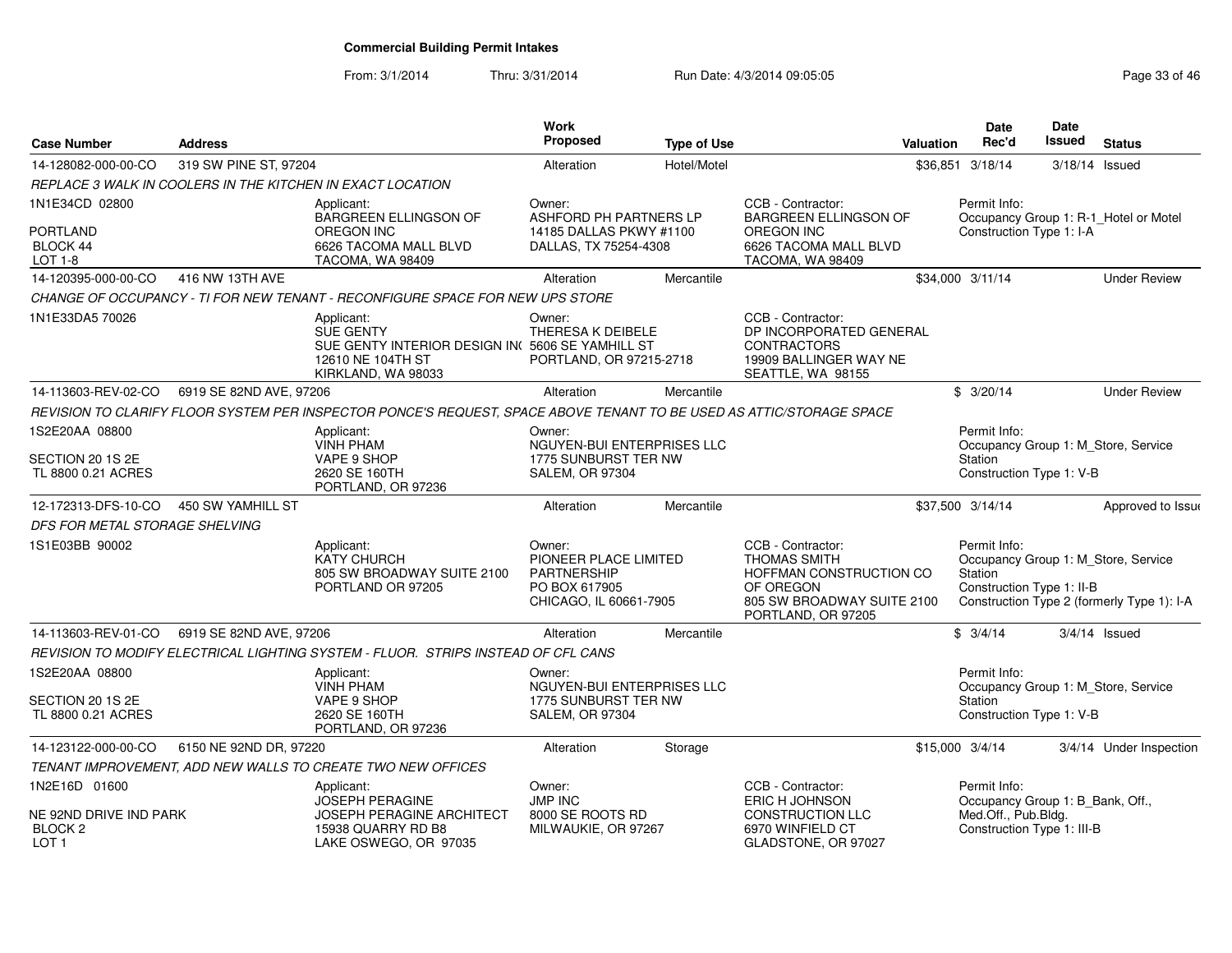From: 3/1/2014Thru: 3/31/2014 Run Date: 4/3/2014 09:05:05 Research 20 and 2008 Page 33 of 46

| <b>Case Number</b>                                               | <b>Address</b>          |                                                                                                                              | <b>Work</b><br><b>Proposed</b>                                                                   | <b>Type of Use</b> |                                                                                                                                      | <b>Valuation</b> | <b>Date</b><br>Rec'd                                                                  | <b>Date</b><br>Issued | <b>Status</b>                                                                     |
|------------------------------------------------------------------|-------------------------|------------------------------------------------------------------------------------------------------------------------------|--------------------------------------------------------------------------------------------------|--------------------|--------------------------------------------------------------------------------------------------------------------------------------|------------------|---------------------------------------------------------------------------------------|-----------------------|-----------------------------------------------------------------------------------|
| 14-128082-000-00-CO                                              | 319 SW PINE ST, 97204   |                                                                                                                              | Alteration                                                                                       | Hotel/Motel        |                                                                                                                                      |                  | \$36,851 3/18/14                                                                      | $3/18/14$ Issued      |                                                                                   |
|                                                                  |                         | REPLACE 3 WALK IN COOLERS IN THE KITCHEN IN EXACT LOCATION                                                                   |                                                                                                  |                    |                                                                                                                                      |                  |                                                                                       |                       |                                                                                   |
| 1N1E34CD 02800                                                   |                         | Applicant:<br><b>BARGREEN ELLINGSON OF</b>                                                                                   | Owner:<br>ASHFORD PH PARTNERS LP                                                                 |                    | CCB - Contractor:<br><b>BARGREEN ELLINGSON OF</b>                                                                                    |                  | Permit Info:                                                                          |                       | Occupancy Group 1: R-1_Hotel or Motel                                             |
| PORTLAND<br>BLOCK 44<br><b>LOT 1-8</b>                           |                         | <b>OREGON INC</b><br>6626 TACOMA MALL BLVD<br>TACOMA, WA 98409                                                               | 14185 DALLAS PKWY #1100<br>DALLAS, TX 75254-4308                                                 |                    | OREGON INC<br>6626 TACOMA MALL BLVD<br>TACOMA, WA 98409                                                                              |                  | Construction Type 1: I-A                                                              |                       |                                                                                   |
| 14-120395-000-00-CO                                              | 416 NW 13TH AVE         |                                                                                                                              | Alteration                                                                                       | Mercantile         |                                                                                                                                      |                  | \$34,000 3/11/14                                                                      |                       | <b>Under Review</b>                                                               |
|                                                                  |                         | CHANGE OF OCCUPANCY - TI FOR NEW TENANT - RECONFIGURE SPACE FOR NEW UPS STORE                                                |                                                                                                  |                    |                                                                                                                                      |                  |                                                                                       |                       |                                                                                   |
| 1N1E33DA5 70026                                                  |                         | Applicant:<br><b>SUE GENTY</b><br>SUE GENTY INTERIOR DESIGN IN(5606 SE YAMHILL ST<br>12610 NE 104TH ST<br>KIRKLAND, WA 98033 | Owner:<br>THERESA K DEIBELE<br>PORTLAND, OR 97215-2718                                           |                    | CCB - Contractor:<br>DP INCORPORATED GENERAL<br><b>CONTRACTORS</b><br>19909 BALLINGER WAY NE<br>SEATTLE, WA 98155                    |                  |                                                                                       |                       |                                                                                   |
| 14-113603-REV-02-CO                                              | 6919 SE 82ND AVE, 97206 |                                                                                                                              | Alteration                                                                                       | Mercantile         |                                                                                                                                      |                  | \$3/20/14                                                                             |                       | <b>Under Review</b>                                                               |
|                                                                  |                         | REVISION TO CLARIFY FLOOR SYSTEM PER INSPECTOR PONCE'S REQUEST, SPACE ABOVE TENANT TO BE USED AS ATTIC/STORAGE SPACE         |                                                                                                  |                    |                                                                                                                                      |                  |                                                                                       |                       |                                                                                   |
| 1S2E20AA 08800                                                   |                         | Applicant:                                                                                                                   | Owner:                                                                                           |                    |                                                                                                                                      |                  | Permit Info:                                                                          |                       |                                                                                   |
| SECTION 20 1S 2E                                                 |                         | <b>VINH PHAM</b><br>VAPE 9 SHOP                                                                                              | NGUYEN-BUI ENTERPRISES LLC<br>1775 SUNBURST TER NW                                               |                    |                                                                                                                                      |                  | Station                                                                               |                       | Occupancy Group 1: M_Store, Service                                               |
| TL 8800 0.21 ACRES                                               |                         | 2620 SE 160TH<br>PORTLAND, OR 97236                                                                                          | <b>SALEM, OR 97304</b>                                                                           |                    |                                                                                                                                      |                  | Construction Type 1: V-B                                                              |                       |                                                                                   |
| 12-172313-DFS-10-CO                                              | 450 SW YAMHILL ST       |                                                                                                                              | Alteration                                                                                       | Mercantile         |                                                                                                                                      |                  | \$37,500 3/14/14                                                                      |                       | Approved to Issue                                                                 |
| DFS FOR METAL STORAGE SHELVING                                   |                         |                                                                                                                              |                                                                                                  |                    |                                                                                                                                      |                  |                                                                                       |                       |                                                                                   |
| 1S1E03BB 90002                                                   |                         | Applicant:<br><b>KATY CHURCH</b><br>805 SW BROADWAY SUITE 2100<br>PORTLAND OR 97205                                          | Owner:<br>PIONEER PLACE LIMITED<br><b>PARTNERSHIP</b><br>PO BOX 617905<br>CHICAGO, IL 60661-7905 |                    | CCB - Contractor:<br><b>THOMAS SMITH</b><br>HOFFMAN CONSTRUCTION CO<br>OF OREGON<br>805 SW BROADWAY SUITE 2100<br>PORTLAND, OR 97205 |                  | Permit Info:<br>Station<br>Construction Type 1: II-B                                  |                       | Occupancy Group 1: M_Store, Service<br>Construction Type 2 (formerly Type 1): I-A |
| 14-113603-REV-01-CO                                              | 6919 SE 82ND AVE, 97206 |                                                                                                                              | Alteration                                                                                       | Mercantile         |                                                                                                                                      |                  | \$3/4/14                                                                              |                       | $3/4/14$ Issued                                                                   |
|                                                                  |                         | REVISION TO MODIFY ELECTRICAL LIGHTING SYSTEM - FLUOR. STRIPS INSTEAD OF CFL CANS                                            |                                                                                                  |                    |                                                                                                                                      |                  |                                                                                       |                       |                                                                                   |
| 1S2E20AA 08800                                                   |                         | Applicant:<br><b>VINH PHAM</b>                                                                                               | Owner:<br>NGUYEN-BUI ENTERPRISES LLC                                                             |                    |                                                                                                                                      |                  | Permit Info:                                                                          |                       | Occupancy Group 1: M_Store, Service                                               |
| SECTION 20 1S 2E<br>TL 8800 0.21 ACRES                           |                         | VAPE 9 SHOP<br>2620 SE 160TH<br>PORTLAND, OR 97236                                                                           | 1775 SUNBURST TER NW<br><b>SALEM, OR 97304</b>                                                   |                    |                                                                                                                                      |                  | Station<br>Construction Type 1: V-B                                                   |                       |                                                                                   |
| 14-123122-000-00-CO                                              | 6150 NE 92ND DR, 97220  |                                                                                                                              | Alteration                                                                                       | Storage            |                                                                                                                                      |                  | \$15,000 3/4/14                                                                       |                       | 3/4/14 Under Inspection                                                           |
|                                                                  |                         | TENANT IMPROVEMENT, ADD NEW WALLS TO CREATE TWO NEW OFFICES                                                                  |                                                                                                  |                    |                                                                                                                                      |                  |                                                                                       |                       |                                                                                   |
| 1N2E16D 01600                                                    |                         | Applicant:                                                                                                                   | Owner:                                                                                           |                    | CCB - Contractor:                                                                                                                    |                  | Permit Info:                                                                          |                       |                                                                                   |
| NE 92ND DRIVE IND PARK<br>BLOCK <sub>2</sub><br>LOT <sub>1</sub> |                         | <b>JOSEPH PERAGINE</b><br><b>JOSEPH PERAGINE ARCHITECT</b><br>15938 QUARRY RD B8<br>LAKE OSWEGO, OR 97035                    | <b>JMP INC</b><br>8000 SE ROOTS RD<br>MILWAUKIE, OR 97267                                        |                    | ERIC H JOHNSON<br><b>CONSTRUCTION LLC</b><br>6970 WINFIELD CT<br>GLADSTONE, OR 97027                                                 |                  | Occupancy Group 1: B Bank, Off.,<br>Med.Off., Pub.Bldg.<br>Construction Type 1: III-B |                       |                                                                                   |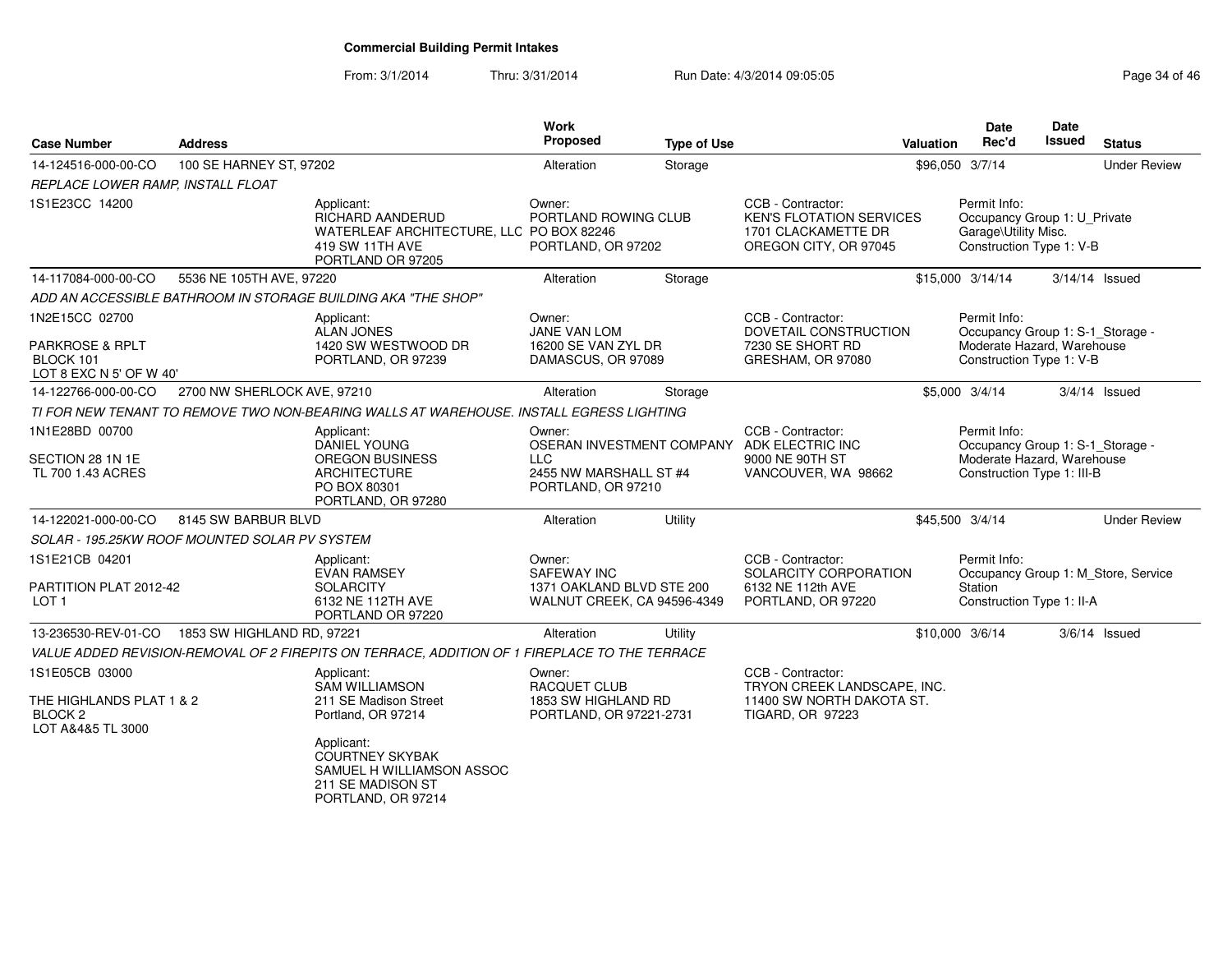From: 3/1/2014Thru: 3/31/2014 Run Date: 4/3/2014 09:05:05 Research 2010 12:05:05

| <b>Case Number</b>                                                  | <b>Address</b>                                |                                                                                                                    | <b>Work</b><br>Proposed                                               | <b>Type of Use</b> |                                                                                                      | <b>Valuation</b> | Date<br>Rec'd                                                                                    | <b>Date</b><br>Issued | <b>Status</b>                       |
|---------------------------------------------------------------------|-----------------------------------------------|--------------------------------------------------------------------------------------------------------------------|-----------------------------------------------------------------------|--------------------|------------------------------------------------------------------------------------------------------|------------------|--------------------------------------------------------------------------------------------------|-----------------------|-------------------------------------|
| 14-124516-000-00-CO                                                 | 100 SE HARNEY ST, 97202                       |                                                                                                                    | Alteration                                                            | Storage            |                                                                                                      | \$96,050 3/7/14  |                                                                                                  |                       | <b>Under Review</b>                 |
| REPLACE LOWER RAMP, INSTALL FLOAT                                   |                                               |                                                                                                                    |                                                                       |                    |                                                                                                      |                  |                                                                                                  |                       |                                     |
| 1S1E23CC 14200                                                      |                                               | Applicant:<br>RICHARD AANDERUD<br>WATERLEAF ARCHITECTURE, LLC PO BOX 82246<br>419 SW 11TH AVE<br>PORTLAND OR 97205 | Owner:<br>PORTLAND ROWING CLUB<br>PORTLAND, OR 97202                  |                    | CCB - Contractor:<br><b>KEN'S FLOTATION SERVICES</b><br>1701 CLACKAMETTE DR<br>OREGON CITY, OR 97045 |                  | Permit Info:<br>Occupancy Group 1: U_Private<br>Garage\Utility Misc.<br>Construction Type 1: V-B |                       |                                     |
| 14-117084-000-00-CO                                                 | 5536 NE 105TH AVE, 97220                      |                                                                                                                    | Alteration                                                            | Storage            |                                                                                                      |                  | \$15,000 3/14/14                                                                                 |                       | $3/14/14$ Issued                    |
|                                                                     |                                               | ADD AN ACCESSIBLE BATHROOM IN STORAGE BUILDING AKA "THE SHOP"                                                      |                                                                       |                    |                                                                                                      |                  |                                                                                                  |                       |                                     |
| 1N2E15CC 02700                                                      |                                               | Applicant:<br><b>ALAN JONES</b>                                                                                    | Owner:<br>JANE VAN LOM                                                |                    | CCB - Contractor:<br>DOVETAIL CONSTRUCTION                                                           |                  | Permit Info:<br>Occupancy Group 1: S-1_Storage -                                                 |                       |                                     |
| <b>PARKROSE &amp; RPLT</b><br>BLOCK 101<br>LOT 8 EXC N 5' OF W 40'  |                                               | 1420 SW WESTWOOD DR<br>PORTLAND, OR 97239                                                                          | 16200 SE VAN ZYL DR<br>DAMASCUS, OR 97089                             |                    | 7230 SE SHORT RD<br>GRESHAM, OR 97080                                                                |                  | Moderate Hazard, Warehouse<br>Construction Type 1: V-B                                           |                       |                                     |
| 14-122766-000-00-CO                                                 | 2700 NW SHERLOCK AVE, 97210                   |                                                                                                                    | Alteration                                                            | Storage            |                                                                                                      |                  | \$5,000 3/4/14                                                                                   |                       | $3/4/14$ Issued                     |
|                                                                     |                                               | TI FOR NEW TENANT TO REMOVE TWO NON-BEARING WALLS AT WAREHOUSE. INSTALL EGRESS LIGHTING                            |                                                                       |                    |                                                                                                      |                  |                                                                                                  |                       |                                     |
| 1N1E28BD 00700                                                      |                                               | Applicant:<br><b>DANIEL YOUNG</b>                                                                                  | Owner:<br>OSERAN INVESTMENT COMPANY                                   |                    | CCB - Contractor:<br>ADK ELECTRIC INC                                                                |                  | Permit Info:<br>Occupancy Group 1: S-1_Storage -                                                 |                       |                                     |
| SECTION 28 1N 1E<br>TL 700 1.43 ACRES                               |                                               | <b>OREGON BUSINESS</b><br><b>ARCHITECTURE</b><br>PO BOX 80301<br>PORTLAND, OR 97280                                | H G<br>2455 NW MARSHALL ST #4<br>PORTLAND, OR 97210                   |                    | 9000 NE 90TH ST<br>VANCOUVER, WA 98662                                                               |                  | Moderate Hazard, Warehouse<br>Construction Type 1: III-B                                         |                       |                                     |
| 14-122021-000-00-CO                                                 | 8145 SW BARBUR BLVD                           |                                                                                                                    | Alteration                                                            | Utility            |                                                                                                      | \$45,500 3/4/14  |                                                                                                  |                       | <b>Under Review</b>                 |
|                                                                     | SOLAR - 195.25KW ROOF MOUNTED SOLAR PV SYSTEM |                                                                                                                    |                                                                       |                    |                                                                                                      |                  |                                                                                                  |                       |                                     |
| 1S1E21CB 04201                                                      |                                               | Applicant:<br><b>EVAN RAMSEY</b>                                                                                   | Owner:<br>SAFEWAY INC                                                 |                    | CCB - Contractor:<br>SOLARCITY CORPORATION                                                           |                  | Permit Info:                                                                                     |                       | Occupancy Group 1: M Store, Service |
| PARTITION PLAT 2012-42<br>LOT <sub>1</sub>                          |                                               | <b>SOLARCITY</b><br>6132 NE 112TH AVE<br>PORTLAND OR 97220                                                         | 1371 OAKLAND BLVD STE 200<br>WALNUT CREEK, CA 94596-4349              |                    | 6132 NE 112th AVE<br>PORTLAND, OR 97220                                                              |                  | <b>Station</b><br>Construction Type 1: II-A                                                      |                       |                                     |
| 13-236530-REV-01-CO                                                 | 1853 SW HIGHLAND RD, 97221                    |                                                                                                                    | Alteration                                                            | Utility            |                                                                                                      | \$10,000 3/6/14  |                                                                                                  |                       | $3/6/14$ Issued                     |
|                                                                     |                                               | VALUE ADDED REVISION-REMOVAL OF 2 FIREPITS ON TERRACE, ADDITION OF 1 FIREPLACE TO THE TERRACE                      |                                                                       |                    |                                                                                                      |                  |                                                                                                  |                       |                                     |
| 1S1E05CB 03000                                                      |                                               | Applicant:                                                                                                         | Owner:                                                                |                    | CCB - Contractor:                                                                                    |                  |                                                                                                  |                       |                                     |
| THE HIGHLANDS PLAT 1 & 2<br>BLOCK <sub>2</sub><br>LOT A&4&5 TL 3000 |                                               | <b>SAM WILLIAMSON</b><br>211 SE Madison Street<br>Portland, OR 97214                                               | <b>RACQUET CLUB</b><br>1853 SW HIGHLAND RD<br>PORTLAND, OR 97221-2731 |                    | TRYON CREEK LANDSCAPE, INC.<br>11400 SW NORTH DAKOTA ST.<br><b>TIGARD, OR 97223</b>                  |                  |                                                                                                  |                       |                                     |
|                                                                     |                                               | Applicant:<br><b>COURTNEY SKYBAK</b><br>SAMUEL H WILLIAMSON ASSOC<br>211 SE MADISON ST<br>PORTLAND, OR 97214       |                                                                       |                    |                                                                                                      |                  |                                                                                                  |                       |                                     |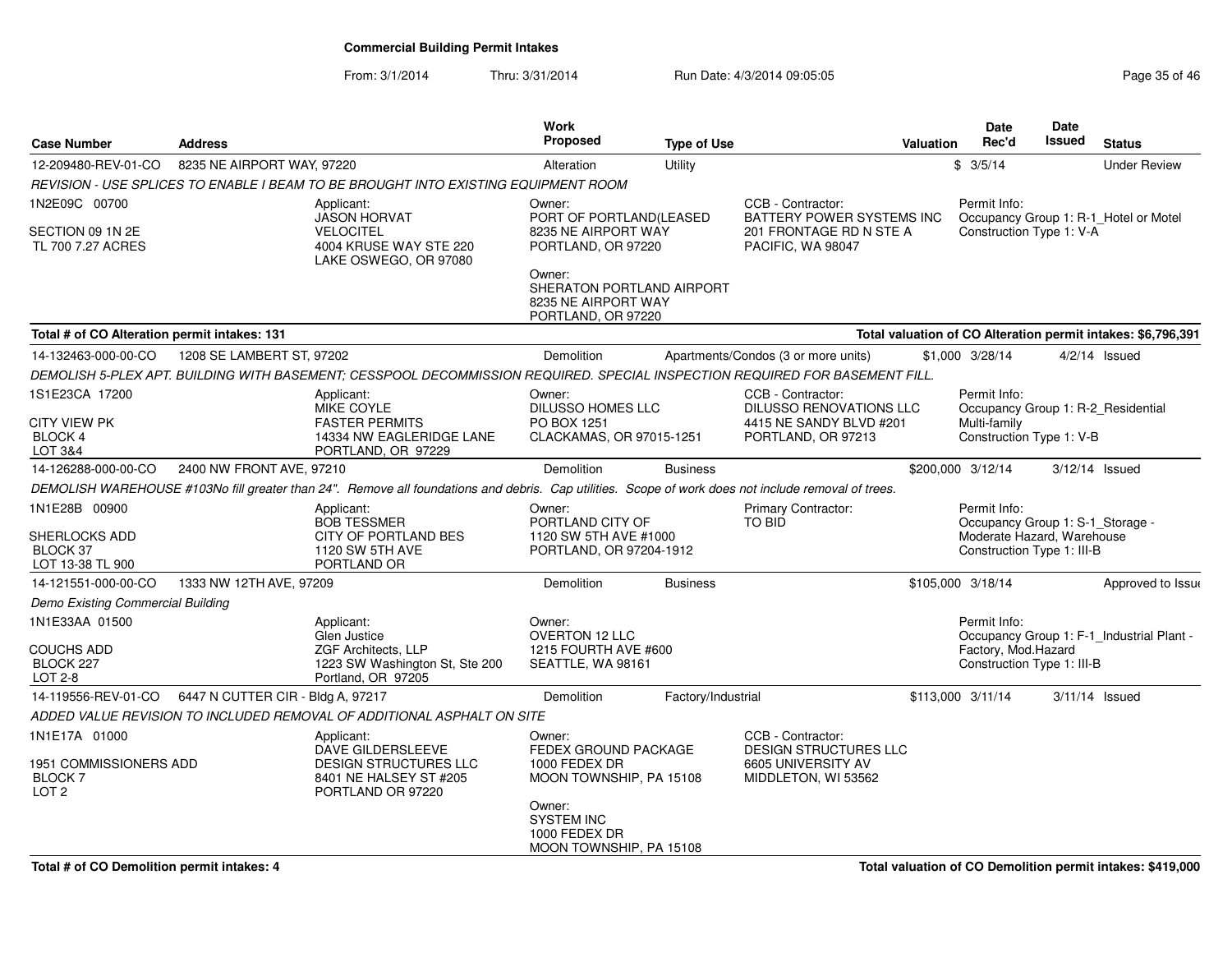From: 3/1/2014Thru: 3/31/2014 Run Date: 4/3/2014 09:05:05 Run Date: 4/3/2014 09:05:05

| <b>Address</b>                               |                                                                                                                | Work<br><b>Proposed</b>                                                                                                                                                    |                                                                                                                                                              |                                                                                                                                                                                                                                                                                                                                                                                |                                                                                                                                                                                                                                        | <b>Date</b><br>Rec'd                                                                                                                                                                                                                                                      | Date<br><b>Issued</b>                                                                                   | <b>Status</b>                                                                                                                                                                                                                                                                                                                                                                                         |
|----------------------------------------------|----------------------------------------------------------------------------------------------------------------|----------------------------------------------------------------------------------------------------------------------------------------------------------------------------|--------------------------------------------------------------------------------------------------------------------------------------------------------------|--------------------------------------------------------------------------------------------------------------------------------------------------------------------------------------------------------------------------------------------------------------------------------------------------------------------------------------------------------------------------------|----------------------------------------------------------------------------------------------------------------------------------------------------------------------------------------------------------------------------------------|---------------------------------------------------------------------------------------------------------------------------------------------------------------------------------------------------------------------------------------------------------------------------|---------------------------------------------------------------------------------------------------------|-------------------------------------------------------------------------------------------------------------------------------------------------------------------------------------------------------------------------------------------------------------------------------------------------------------------------------------------------------------------------------------------------------|
|                                              |                                                                                                                | Alteration                                                                                                                                                                 | Utility                                                                                                                                                      |                                                                                                                                                                                                                                                                                                                                                                                |                                                                                                                                                                                                                                        |                                                                                                                                                                                                                                                                           |                                                                                                         | <b>Under Review</b>                                                                                                                                                                                                                                                                                                                                                                                   |
|                                              |                                                                                                                |                                                                                                                                                                            |                                                                                                                                                              |                                                                                                                                                                                                                                                                                                                                                                                |                                                                                                                                                                                                                                        |                                                                                                                                                                                                                                                                           |                                                                                                         |                                                                                                                                                                                                                                                                                                                                                                                                       |
|                                              | Applicant:                                                                                                     | Owner:                                                                                                                                                                     |                                                                                                                                                              | CCB - Contractor:                                                                                                                                                                                                                                                                                                                                                              |                                                                                                                                                                                                                                        | Permit Info:                                                                                                                                                                                                                                                              |                                                                                                         |                                                                                                                                                                                                                                                                                                                                                                                                       |
|                                              | <b>VELOCITEL</b><br>4004 KRUSE WAY STE 220<br>LAKE OSWEGO, OR 97080                                            |                                                                                                                                                                            |                                                                                                                                                              | PACIFIC, WA 98047                                                                                                                                                                                                                                                                                                                                                              |                                                                                                                                                                                                                                        |                                                                                                                                                                                                                                                                           |                                                                                                         |                                                                                                                                                                                                                                                                                                                                                                                                       |
|                                              |                                                                                                                | Owner:                                                                                                                                                                     |                                                                                                                                                              |                                                                                                                                                                                                                                                                                                                                                                                |                                                                                                                                                                                                                                        |                                                                                                                                                                                                                                                                           |                                                                                                         |                                                                                                                                                                                                                                                                                                                                                                                                       |
| Total # of CO Alteration permit intakes: 131 |                                                                                                                |                                                                                                                                                                            |                                                                                                                                                              |                                                                                                                                                                                                                                                                                                                                                                                |                                                                                                                                                                                                                                        |                                                                                                                                                                                                                                                                           |                                                                                                         |                                                                                                                                                                                                                                                                                                                                                                                                       |
|                                              |                                                                                                                | Demolition                                                                                                                                                                 |                                                                                                                                                              |                                                                                                                                                                                                                                                                                                                                                                                |                                                                                                                                                                                                                                        |                                                                                                                                                                                                                                                                           |                                                                                                         | $4/2/14$ Issued                                                                                                                                                                                                                                                                                                                                                                                       |
|                                              |                                                                                                                |                                                                                                                                                                            |                                                                                                                                                              |                                                                                                                                                                                                                                                                                                                                                                                |                                                                                                                                                                                                                                        |                                                                                                                                                                                                                                                                           |                                                                                                         |                                                                                                                                                                                                                                                                                                                                                                                                       |
|                                              | Applicant:<br><b>MIKE COYLE</b>                                                                                | Owner:                                                                                                                                                                     |                                                                                                                                                              | CCB - Contractor:                                                                                                                                                                                                                                                                                                                                                              |                                                                                                                                                                                                                                        | Permit Info:                                                                                                                                                                                                                                                              |                                                                                                         |                                                                                                                                                                                                                                                                                                                                                                                                       |
|                                              | <b>FASTER PERMITS</b><br>14334 NW EAGLERIDGE LANE<br>PORTLAND, OR 97229                                        | PO BOX 1251                                                                                                                                                                |                                                                                                                                                              | PORTLAND, OR 97213                                                                                                                                                                                                                                                                                                                                                             |                                                                                                                                                                                                                                        | Multi-family                                                                                                                                                                                                                                                              |                                                                                                         |                                                                                                                                                                                                                                                                                                                                                                                                       |
|                                              |                                                                                                                | Demolition                                                                                                                                                                 | <b>Business</b>                                                                                                                                              |                                                                                                                                                                                                                                                                                                                                                                                |                                                                                                                                                                                                                                        |                                                                                                                                                                                                                                                                           |                                                                                                         | $3/12/14$ Issued                                                                                                                                                                                                                                                                                                                                                                                      |
|                                              |                                                                                                                |                                                                                                                                                                            |                                                                                                                                                              |                                                                                                                                                                                                                                                                                                                                                                                |                                                                                                                                                                                                                                        |                                                                                                                                                                                                                                                                           |                                                                                                         |                                                                                                                                                                                                                                                                                                                                                                                                       |
|                                              | Applicant:<br><b>BOB TESSMER</b><br><b>CITY OF PORTLAND BES</b><br>1120 SW 5TH AVE<br>PORTLAND OR              | Owner:                                                                                                                                                                     |                                                                                                                                                              | <b>Primary Contractor:</b><br><b>TO BID</b>                                                                                                                                                                                                                                                                                                                                    |                                                                                                                                                                                                                                        | Permit Info:                                                                                                                                                                                                                                                              |                                                                                                         |                                                                                                                                                                                                                                                                                                                                                                                                       |
|                                              |                                                                                                                | Demolition                                                                                                                                                                 | <b>Business</b>                                                                                                                                              |                                                                                                                                                                                                                                                                                                                                                                                |                                                                                                                                                                                                                                        |                                                                                                                                                                                                                                                                           |                                                                                                         | Approved to Issue                                                                                                                                                                                                                                                                                                                                                                                     |
| Demo Existing Commercial Building            |                                                                                                                |                                                                                                                                                                            |                                                                                                                                                              |                                                                                                                                                                                                                                                                                                                                                                                |                                                                                                                                                                                                                                        |                                                                                                                                                                                                                                                                           |                                                                                                         |                                                                                                                                                                                                                                                                                                                                                                                                       |
|                                              | Applicant:<br>Glen Justice<br>ZGF Architects, LLP<br>1223 SW Washington St, Ste 200<br>Portland, OR 97205      | Owner:<br><b>OVERTON 12 LLC</b>                                                                                                                                            |                                                                                                                                                              |                                                                                                                                                                                                                                                                                                                                                                                |                                                                                                                                                                                                                                        | Permit Info:                                                                                                                                                                                                                                                              |                                                                                                         |                                                                                                                                                                                                                                                                                                                                                                                                       |
|                                              |                                                                                                                | Demolition                                                                                                                                                                 |                                                                                                                                                              |                                                                                                                                                                                                                                                                                                                                                                                |                                                                                                                                                                                                                                        |                                                                                                                                                                                                                                                                           |                                                                                                         | $3/11/14$ Issued                                                                                                                                                                                                                                                                                                                                                                                      |
|                                              |                                                                                                                |                                                                                                                                                                            |                                                                                                                                                              |                                                                                                                                                                                                                                                                                                                                                                                |                                                                                                                                                                                                                                        |                                                                                                                                                                                                                                                                           |                                                                                                         |                                                                                                                                                                                                                                                                                                                                                                                                       |
| 1951 COMMISSIONERS ADD                       | Applicant:<br>DAVE GILDERSLEEVE<br><b>DESIGN STRUCTURES LLC</b><br>8401 NE HALSEY ST #205<br>PORTLAND OR 97220 | Owner:<br>1000 FEDEX DR<br>Owner:<br><b>SYSTEM INC</b><br>1000 FEDEX DR<br>MOON TOWNSHIP, PA 15108                                                                         |                                                                                                                                                              | CCB - Contractor:<br>6605 UNIVERSITY AV<br>MIDDLETON, WI 53562                                                                                                                                                                                                                                                                                                                 |                                                                                                                                                                                                                                        |                                                                                                                                                                                                                                                                           |                                                                                                         |                                                                                                                                                                                                                                                                                                                                                                                                       |
|                                              |                                                                                                                | 8235 NE AIRPORT WAY, 97220<br><b>JASON HORVAT</b><br>1208 SE LAMBERT ST, 97202<br>2400 NW FRONT AVE, 97210<br>1333 NW 12TH AVE, 97209<br>6447 N CUTTER CIR - Bldg A, 97217 | REVISION - USE SPLICES TO ENABLE I BEAM TO BE BROUGHT INTO EXISTING EQUIPMENT ROOM<br>ADDED VALUE REVISION TO INCLUDED REMOVAL OF ADDITIONAL ASPHALT ON SITE | PORT OF PORTLAND(LEASED<br>8235 NE AIRPORT WAY<br>PORTLAND, OR 97220<br>SHERATON PORTLAND AIRPORT<br>8235 NE AIRPORT WAY<br>PORTLAND, OR 97220<br><b>DILUSSO HOMES LLC</b><br>CLACKAMAS, OR 97015-1251<br>PORTLAND CITY OF<br>1120 SW 5TH AVE #1000<br>PORTLAND, OR 97204-1912<br>1215 FOURTH AVE #600<br>SEATTLE, WA 98161<br>FEDEX GROUND PACKAGE<br>MOON TOWNSHIP, PA 15108 | <b>Type of Use</b><br>Apartments/Condos (3 or more units)<br>DEMOLISH WAREHOUSE #103No fill greater than 24". Remove all foundations and debris. Cap utilities. Scope of work does not include removal of trees.<br>Factory/Industrial | BATTERY POWER SYSTEMS INC<br>201 FRONTAGE RD N STE A<br>DEMOLISH 5-PLEX APT. BUILDING WITH BASEMENT; CESSPOOL DECOMMISSION REQUIRED. SPECIAL INSPECTION REQUIRED FOR BASEMENT FILL.<br>DILUSSO RENOVATIONS LLC<br>4415 NE SANDY BLVD #201<br><b>DESIGN STRUCTURES LLC</b> | Valuation<br>\$3/5/14<br>\$1,000 3/28/14<br>\$200,000 3/12/14<br>\$105,000 3/18/14<br>\$113,000 3/11/14 | Occupancy Group 1: R-1_Hotel or Motel<br>Construction Type 1: V-A<br>Total valuation of CO Alteration permit intakes: \$6,796,391<br>Occupancy Group 1: R-2 Residential<br>Construction Type 1: V-B<br>Occupancy Group 1: S-1_Storage -<br>Moderate Hazard, Warehouse<br>Construction Type 1: III-B<br>Occupancy Group 1: F-1_Industrial Plant -<br>Factory, Mod.Hazard<br>Construction Type 1: III-B |

**Total valuation of CO Demolition permit intakes: \$419,000**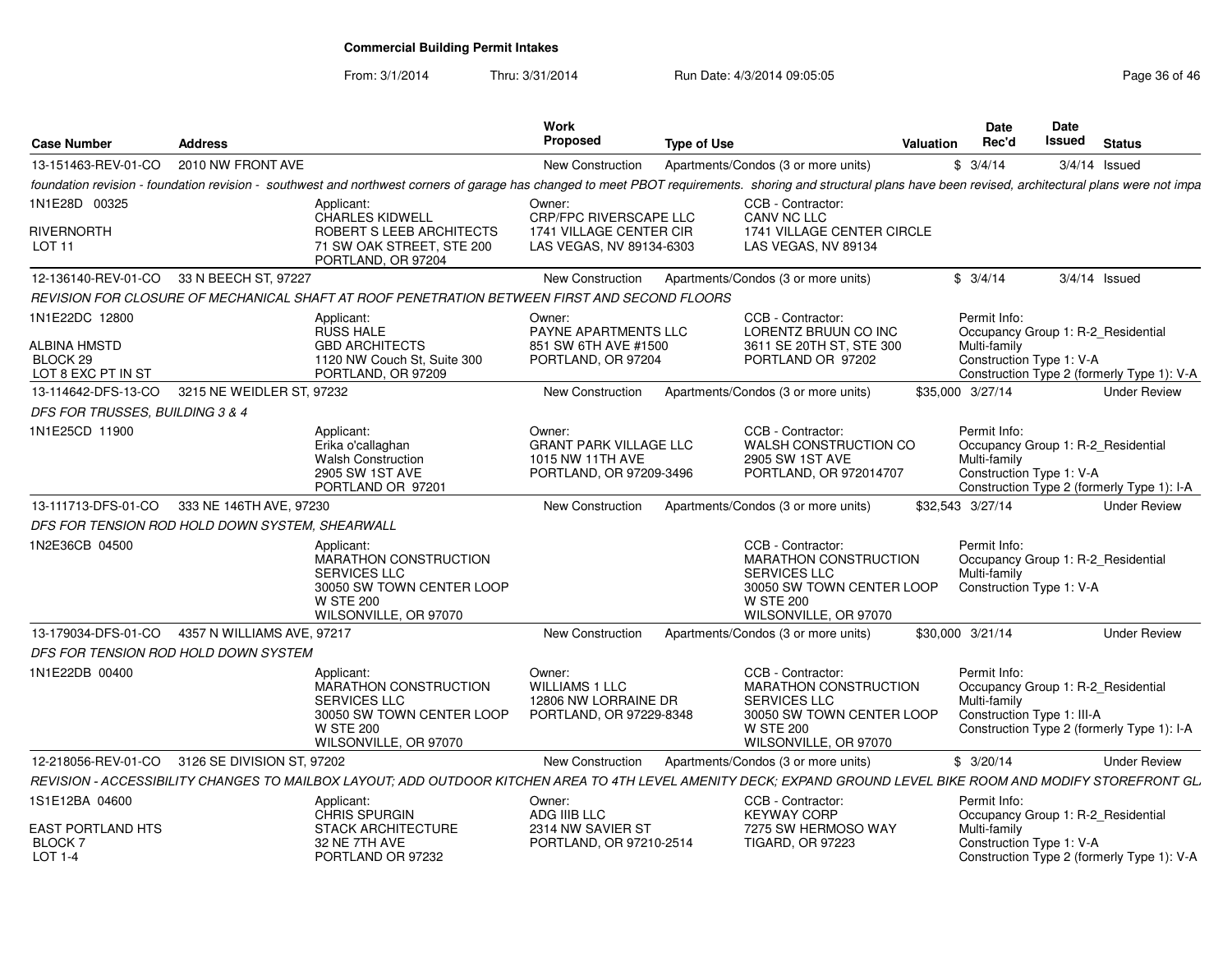From: 3/1/2014

Thru: 3/31/2014 Run Date: 4/3/2014 09:05:05 Research 20 and 2008 Page 36 of 46

| <b>Case Number</b>                             | <b>Address</b>                                  |                                                                                                                                                                                                                | <b>Work</b><br>Proposed                                                                | <b>Type of Use</b> |                                                                                                                                                    | <b>Valuation</b> | Date<br>Rec'd                                              | Date<br>Issued | <b>Status</b>                                                                    |
|------------------------------------------------|-------------------------------------------------|----------------------------------------------------------------------------------------------------------------------------------------------------------------------------------------------------------------|----------------------------------------------------------------------------------------|--------------------|----------------------------------------------------------------------------------------------------------------------------------------------------|------------------|------------------------------------------------------------|----------------|----------------------------------------------------------------------------------|
| 13-151463-REV-01-CO                            | 2010 NW FRONT AVE                               |                                                                                                                                                                                                                | <b>New Construction</b>                                                                |                    | Apartments/Condos (3 or more units)                                                                                                                |                  | \$3/4/14                                                   |                | $3/4/14$ Issued                                                                  |
|                                                |                                                 | foundation revision - foundation revision - southwest and northwest corners of garage has changed to meet PBOT requirements. shoring and structural plans have been revised, architectural plans were not impa |                                                                                        |                    |                                                                                                                                                    |                  |                                                            |                |                                                                                  |
| 1N1E28D 00325                                  |                                                 | Applicant:<br><b>CHARLES KIDWELL</b>                                                                                                                                                                           | Owner:<br>CRP/FPC RIVERSCAPE LLC                                                       |                    | CCB - Contractor:<br>CANV NC LLC                                                                                                                   |                  |                                                            |                |                                                                                  |
| rivernorth<br>LOT <sub>11</sub>                |                                                 | ROBERT S LEEB ARCHITECTS<br>71 SW OAK STREET, STE 200<br>PORTLAND, OR 97204                                                                                                                                    | 1741 VILLAGE CENTER CIR<br>LAS VEGAS, NV 89134-6303                                    |                    | 1741 VILLAGE CENTER CIRCLE<br>LAS VEGAS, NV 89134                                                                                                  |                  |                                                            |                |                                                                                  |
| 12-136140-REV-01-CO                            | 33 N BEECH ST, 97227                            |                                                                                                                                                                                                                | <b>New Construction</b>                                                                |                    | Apartments/Condos (3 or more units)                                                                                                                |                  | \$3/4/14                                                   |                | $3/4/14$ Issued                                                                  |
|                                                |                                                 | REVISION FOR CLOSURE OF MECHANICAL SHAFT AT ROOF PENETRATION BETWEEN FIRST AND SECOND FLOORS                                                                                                                   |                                                                                        |                    |                                                                                                                                                    |                  |                                                            |                |                                                                                  |
| 1N1E22DC 12800                                 |                                                 | Applicant:<br><b>RUSS HALE</b>                                                                                                                                                                                 | Owner:<br><b>PAYNE APARTMENTS LLC</b>                                                  |                    | CCB - Contractor:<br>LORENTZ BRUUN CO INC                                                                                                          |                  | Permit Info:                                               |                | Occupancy Group 1: R-2 Residential                                               |
| ALBINA HMSTD<br>BLOCK 29<br>LOT 8 EXC PT IN ST |                                                 | <b>GBD ARCHITECTS</b><br>1120 NW Couch St, Suite 300<br>PORTLAND, OR 97209                                                                                                                                     | 851 SW 6TH AVE #1500<br>PORTLAND, OR 97204                                             |                    | 3611 SE 20TH ST, STE 300<br>PORTLAND OR 97202                                                                                                      |                  | Multi-family<br>Construction Type 1: V-A                   |                | Construction Type 2 (formerly Type 1): V-A                                       |
| 13-114642-DFS-13-CO                            | 3215 NE WEIDLER ST, 97232                       |                                                                                                                                                                                                                | New Construction                                                                       |                    | Apartments/Condos (3 or more units)                                                                                                                |                  | \$35,000 3/27/14                                           |                | <b>Under Review</b>                                                              |
| DFS FOR TRUSSES, BUILDING 3 & 4                |                                                 |                                                                                                                                                                                                                |                                                                                        |                    |                                                                                                                                                    |                  |                                                            |                |                                                                                  |
| 1N1E25CD 11900                                 |                                                 | Applicant:<br>Erika o'callaghan<br><b>Walsh Construction</b><br>2905 SW 1ST AVE<br>PORTLAND OR 97201                                                                                                           | Owner:<br><b>GRANT PARK VILLAGE LLC</b><br>1015 NW 11TH AVE<br>PORTLAND, OR 97209-3496 |                    | CCB - Contractor:<br>WALSH CONSTRUCTION CO<br>2905 SW 1ST AVE<br>PORTLAND, OR 972014707                                                            |                  | Permit Info:<br>Multi-family<br>Construction Type 1: V-A   |                | Occupancy Group 1: R-2 Residential<br>Construction Type 2 (formerly Type 1): I-A |
| 13-111713-DFS-01-CO                            | 333 NE 146TH AVE, 97230                         |                                                                                                                                                                                                                | New Construction                                                                       |                    | Apartments/Condos (3 or more units)                                                                                                                |                  | \$32,543 3/27/14                                           |                | <b>Under Review</b>                                                              |
|                                                | DFS FOR TENSION ROD HOLD DOWN SYSTEM. SHEARWALL |                                                                                                                                                                                                                |                                                                                        |                    |                                                                                                                                                    |                  |                                                            |                |                                                                                  |
| 1N2E36CB 04500                                 |                                                 | Applicant:<br>MARATHON CONSTRUCTION<br><b>SERVICES LLC</b><br>30050 SW TOWN CENTER LOOP<br><b>W STE 200</b><br>WILSONVILLE, OR 97070                                                                           |                                                                                        |                    | CCB - Contractor:<br>MARATHON CONSTRUCTION<br><b>SERVICES LLC</b><br>30050 SW TOWN CENTER LOOP<br><b>W STE 200</b><br>WILSONVILLE, OR 97070        |                  | Permit Info:<br>Multi-family<br>Construction Type 1: V-A   |                | Occupancy Group 1: R-2 Residential                                               |
| 13-179034-DFS-01-CO                            | 4357 N WILLIAMS AVE, 97217                      |                                                                                                                                                                                                                | New Construction                                                                       |                    | Apartments/Condos (3 or more units)                                                                                                                |                  | \$30,000 3/21/14                                           |                | <b>Under Review</b>                                                              |
|                                                | DFS FOR TENSION ROD HOLD DOWN SYSTEM            |                                                                                                                                                                                                                |                                                                                        |                    |                                                                                                                                                    |                  |                                                            |                |                                                                                  |
| 1N1E22DB 00400                                 |                                                 | Applicant:<br><b>MARATHON CONSTRUCTION</b><br><b>SERVICES LLC</b><br>30050 SW TOWN CENTER LOOP<br><b>W STE 200</b><br>WILSONVILLE, OR 97070                                                                    | Owner:<br><b>WILLIAMS 1 LLC</b><br>12806 NW LORRAINE DR<br>PORTLAND, OR 97229-8348     |                    | CCB - Contractor:<br><b>MARATHON CONSTRUCTION</b><br><b>SERVICES LLC</b><br>30050 SW TOWN CENTER LOOP<br><b>W STE 200</b><br>WILSONVILLE, OR 97070 |                  | Permit Info:<br>Multi-family<br>Construction Type 1: III-A |                | Occupancy Group 1: R-2 Residential<br>Construction Type 2 (formerly Type 1): I-A |
| 12-218056-REV-01-CO                            | 3126 SE DIVISION ST, 97202                      |                                                                                                                                                                                                                | <b>New Construction</b>                                                                |                    | Apartments/Condos (3 or more units)                                                                                                                |                  | \$3/20/14                                                  |                | <b>Under Review</b>                                                              |
|                                                |                                                 | REVISION - ACCESSIBILITY CHANGES TO MAILBOX LAYOUT; ADD OUTDOOR KITCHEN AREA TO 4TH LEVEL AMENITY DECK; EXPAND GROUND LEVEL BIKE ROOM AND MODIFY STOREFRONT GL.                                                |                                                                                        |                    |                                                                                                                                                    |                  |                                                            |                |                                                                                  |
| 1S1E12BA 04600                                 |                                                 | Applicant:<br>CHRIS SPURGIN                                                                                                                                                                                    | Owner:<br>ADG IIIB LLC                                                                 |                    | CCB - Contractor:<br><b>KEYWAY CORP</b>                                                                                                            |                  | Permit Info:                                               |                | Occupancy Group 1: R-2_Residential                                               |
| EAST PORTLAND HTS<br><b>BLOCK7</b><br>LOT 1-4  |                                                 | <b>STACK ARCHITECTURE</b><br>32 NE 7TH AVE<br>PORTLAND OR 97232                                                                                                                                                | 2314 NW SAVIER ST<br>PORTLAND, OR 97210-2514                                           |                    | 7275 SW HERMOSO WAY<br><b>TIGARD, OR 97223</b>                                                                                                     |                  | Multi-family<br>Construction Type 1: V-A                   |                | Construction Type 2 (formerly Type 1): V-A                                       |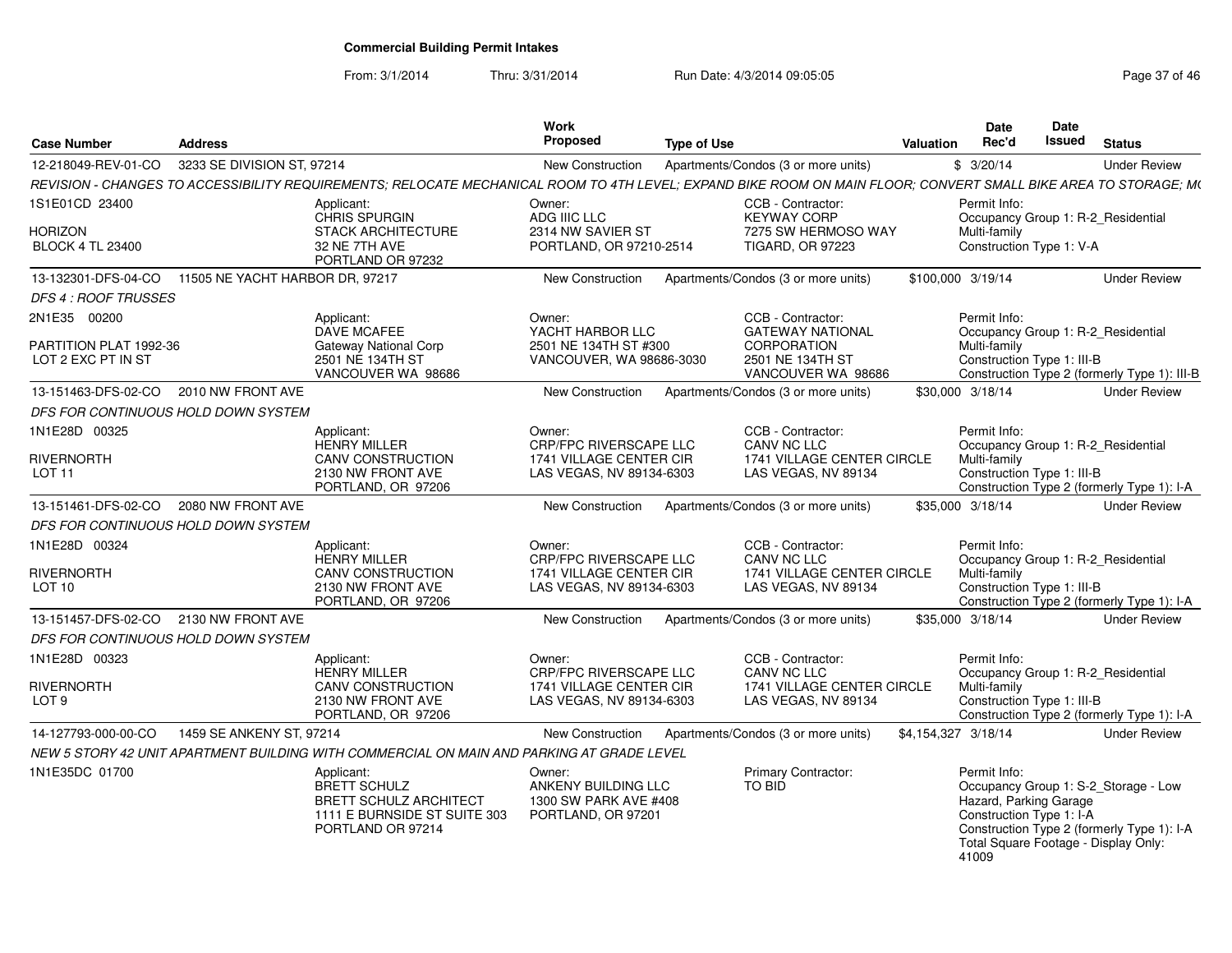From: 3/1/2014Thru: 3/31/2014 Run Date: 4/3/2014 09:05:05 Research 2010 12:05:05

| <b>Case Number</b>                                   | <b>Address</b>                  |                                                                                                                                                                 | Work<br><b>Proposed</b>                                                      | <b>Type of Use</b> |                                                                                           | Valuation           | Date<br>Rec'd                                                                                                       | Date<br><b>Issued</b> | <b>Status</b>                                                                      |
|------------------------------------------------------|---------------------------------|-----------------------------------------------------------------------------------------------------------------------------------------------------------------|------------------------------------------------------------------------------|--------------------|-------------------------------------------------------------------------------------------|---------------------|---------------------------------------------------------------------------------------------------------------------|-----------------------|------------------------------------------------------------------------------------|
| 12-218049-REV-01-CO                                  | 3233 SE DIVISION ST, 97214      |                                                                                                                                                                 | New Construction                                                             |                    | Apartments/Condos (3 or more units)                                                       |                     | \$3/20/14                                                                                                           |                       | <b>Under Review</b>                                                                |
|                                                      |                                 | REVISION - CHANGES TO ACCESSIBILITY REQUIREMENTS; RELOCATE MECHANICAL ROOM TO 4TH LEVEL; EXPAND BIKE ROOM ON MAIN FLOOR; CONVERT SMALL BIKE AREA TO STORAGE; M( |                                                                              |                    |                                                                                           |                     |                                                                                                                     |                       |                                                                                    |
| 1S1E01CD 23400<br>Horizon<br><b>BLOCK 4 TL 23400</b> |                                 | Applicant:<br><b>CHRIS SPURGIN</b><br><b>STACK ARCHITECTURE</b><br>32 NE 7TH AVE                                                                                | Owner:<br>ADG IIIC LLC<br>2314 NW SAVIER ST<br>PORTLAND, OR 97210-2514       |                    | CCB - Contractor:<br><b>KEYWAY CORP</b><br>7275 SW HERMOSO WAY<br><b>TIGARD, OR 97223</b> |                     | Permit Info:<br>Occupancy Group 1: R-2 Residential<br>Multi-family<br>Construction Type 1: V-A                      |                       |                                                                                    |
|                                                      |                                 | PORTLAND OR 97232                                                                                                                                               |                                                                              |                    |                                                                                           |                     |                                                                                                                     |                       |                                                                                    |
| 13-132301-DFS-04-CO<br><b>DFS 4 : ROOF TRUSSES</b>   | 11505 NE YACHT HARBOR DR. 97217 |                                                                                                                                                                 | <b>New Construction</b>                                                      |                    | Apartments/Condos (3 or more units)                                                       |                     | \$100,000 3/19/14                                                                                                   |                       | <b>Under Review</b>                                                                |
| 2N1E35 00200                                         |                                 | Applicant:                                                                                                                                                      | Owner:                                                                       |                    | CCB - Contractor:                                                                         |                     | Permit Info:                                                                                                        |                       |                                                                                    |
| PARTITION PLAT 1992-36<br>LOT 2 EXC PT IN ST         |                                 | DAVE MCAFEE<br><b>Gateway National Corp</b><br>2501 NE 134TH ST<br>VANCOUVER WA 98686                                                                           | YACHT HARBOR LLC<br>2501 NE 134TH ST #300<br>VANCOUVER, WA 98686-3030        |                    | <b>GATEWAY NATIONAL</b><br><b>CORPORATION</b><br>2501 NE 134TH ST<br>VANCOUVER WA 98686   |                     | Occupancy Group 1: R-2_Residential<br>Multi-family<br>Construction Type 1: III-B                                    |                       | Construction Type 2 (formerly Type 1): III-B                                       |
| 13-151463-DFS-02-CO                                  | 2010 NW FRONT AVE               |                                                                                                                                                                 | New Construction                                                             |                    | Apartments/Condos (3 or more units)                                                       |                     | \$30,000 3/18/14                                                                                                    |                       | <b>Under Review</b>                                                                |
| DFS FOR CONTINUOUS HOLD DOWN SYSTEM                  |                                 |                                                                                                                                                                 |                                                                              |                    |                                                                                           |                     |                                                                                                                     |                       |                                                                                    |
| 1N1E28D 00325                                        |                                 | Applicant:<br>HENRY MILLER                                                                                                                                      | Owner:<br>CRP/FPC RIVERSCAPE LLC                                             |                    | CCB - Contractor:<br>CANV NC LLC                                                          |                     | Permit Info:<br>Occupancy Group 1: R-2_Residential                                                                  |                       |                                                                                    |
| <b>RIVERNORTH</b><br>LOT <sub>11</sub>               |                                 | <b>CANV CONSTRUCTION</b><br>2130 NW FRONT AVE<br>PORTLAND, OR 97206                                                                                             | 1741 VILLAGE CENTER CIR<br>LAS VEGAS, NV 89134-6303                          |                    | 1741 VILLAGE CENTER CIRCLE<br>LAS VEGAS, NV 89134                                         |                     | Multi-family<br>Construction Type 1: III-B                                                                          |                       | Construction Type 2 (formerly Type 1): I-A                                         |
| 13-151461-DFS-02-CO                                  | 2080 NW FRONT AVE               |                                                                                                                                                                 | New Construction                                                             |                    | Apartments/Condos (3 or more units)                                                       |                     | \$35,000 3/18/14                                                                                                    |                       | <b>Under Review</b>                                                                |
| DFS FOR CONTINUOUS HOLD DOWN SYSTEM                  |                                 |                                                                                                                                                                 |                                                                              |                    |                                                                                           |                     |                                                                                                                     |                       |                                                                                    |
| 1N1E28D 00324                                        |                                 | Applicant:<br><b>HENRY MILLER</b>                                                                                                                               | Owner:<br><b>CRP/FPC RIVERSCAPE LLC</b>                                      |                    | CCB - Contractor:<br>CANV NC LLC                                                          |                     | Permit Info:<br>Occupancy Group 1: R-2_Residential                                                                  |                       |                                                                                    |
| <b>RIVERNORTH</b><br>LOT <sub>10</sub>               |                                 | CANV CONSTRUCTION<br>2130 NW FRONT AVE<br>PORTLAND, OR 97206                                                                                                    | 1741 VILLAGE CENTER CIR<br>LAS VEGAS, NV 89134-6303                          |                    | 1741 VILLAGE CENTER CIRCLE<br>LAS VEGAS, NV 89134                                         |                     | Multi-family<br>Construction Type 1: III-B                                                                          |                       | Construction Type 2 (formerly Type 1): I-A                                         |
| 13-151457-DFS-02-CO                                  | 2130 NW FRONT AVE               |                                                                                                                                                                 | New Construction                                                             |                    | Apartments/Condos (3 or more units)                                                       |                     | \$35,000 3/18/14                                                                                                    |                       | <b>Under Review</b>                                                                |
| DFS FOR CONTINUOUS HOLD DOWN SYSTEM                  |                                 |                                                                                                                                                                 |                                                                              |                    |                                                                                           |                     |                                                                                                                     |                       |                                                                                    |
| 1N1E28D 00323                                        |                                 | Applicant:<br><b>HENRY MILLER</b>                                                                                                                               | Owner:<br><b>CRP/FPC RIVERSCAPE LLC</b>                                      |                    | CCB - Contractor:<br>CANV NC LLC                                                          |                     | Permit Info:<br>Occupancy Group 1: R-2 Residential                                                                  |                       |                                                                                    |
| <b>RIVERNORTH</b><br>LOT <sub>9</sub>                |                                 | <b>CANV CONSTRUCTION</b><br>2130 NW FRONT AVE<br>PORTLAND, OR 97206                                                                                             | 1741 VILLAGE CENTER CIR<br>LAS VEGAS, NV 89134-6303                          |                    | 1741 VILLAGE CENTER CIRCLE<br>LAS VEGAS, NV 89134                                         |                     | Multi-family<br>Construction Type 1: III-B                                                                          |                       | Construction Type 2 (formerly Type 1): I-A                                         |
| 14-127793-000-00-CO                                  | 1459 SE ANKENY ST, 97214        |                                                                                                                                                                 | New Construction                                                             |                    | Apartments/Condos (3 or more units)                                                       | \$4,154,327 3/18/14 |                                                                                                                     |                       | <b>Under Review</b>                                                                |
|                                                      |                                 | NEW 5 STORY 42 UNIT APARTMENT BUILDING WITH COMMERCIAL ON MAIN AND PARKING AT GRADE LEVEL                                                                       |                                                                              |                    |                                                                                           |                     |                                                                                                                     |                       |                                                                                    |
| 1N1E35DC 01700                                       |                                 | Applicant:<br><b>BRETT SCHULZ</b><br><b>BRETT SCHULZ ARCHITECT</b><br>1111 E BURNSIDE ST SUITE 303<br>PORTLAND OR 97214                                         | Owner:<br>ANKENY BUILDING LLC<br>1300 SW PARK AVE #408<br>PORTLAND, OR 97201 |                    | Primary Contractor:<br>TO BID                                                             |                     | Permit Info:<br>Hazard, Parking Garage<br>Construction Type 1: I-A<br>Total Square Footage - Display Only:<br>41009 |                       | Occupancy Group 1: S-2_Storage - Low<br>Construction Type 2 (formerly Type 1): I-A |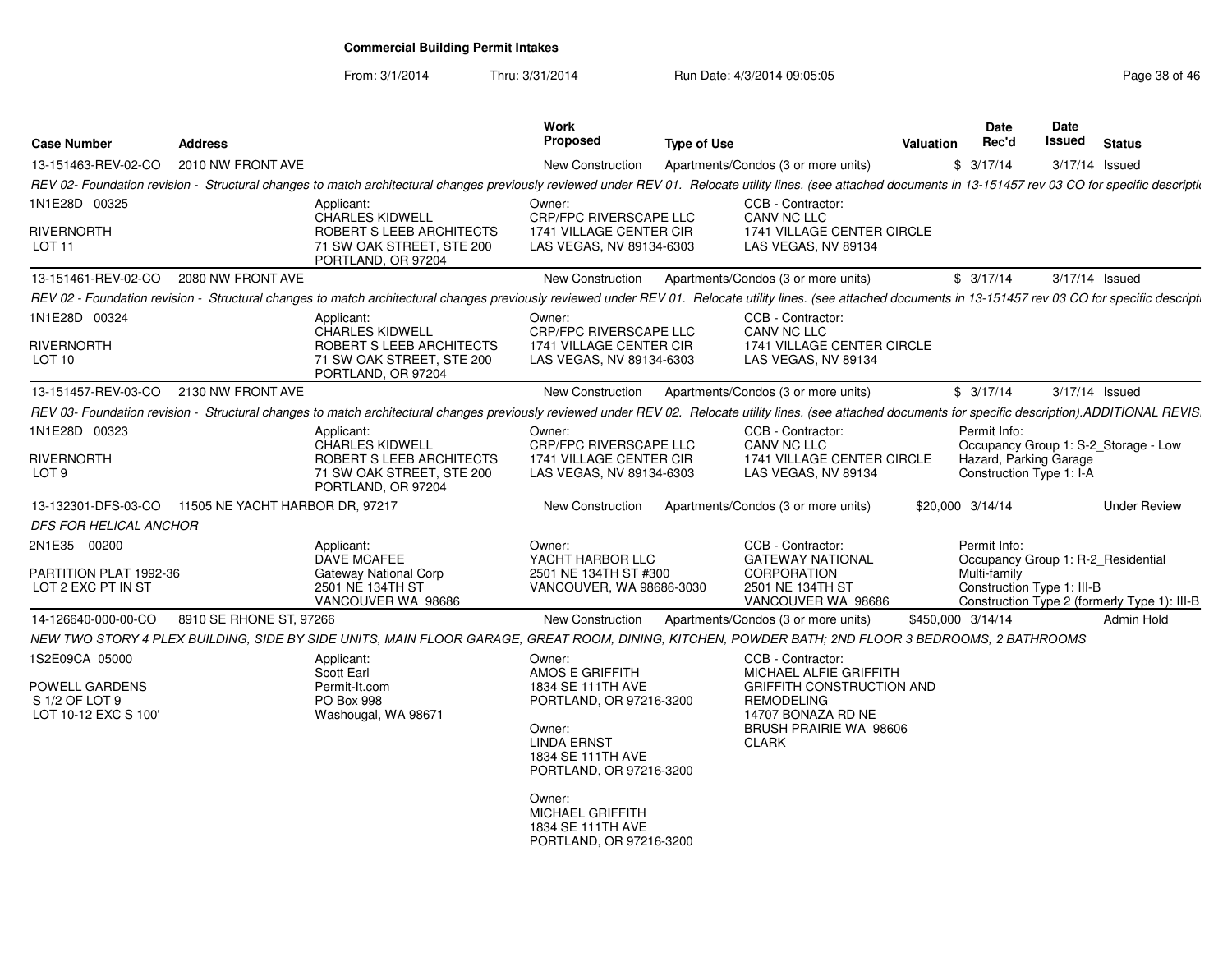From: 3/1/2014Thru: 3/31/2014 Run Date: 4/3/2014 09:05:05 Research 20 and 2008 146

| <b>Case Number</b>                                                                | <b>Address</b>          |                                                                                                                                                                                                                     | Work<br><b>Proposed</b>                                                                                                                                                                                             | <b>Type of Use</b>                  |                                                                                                                                               | Valuation         | <b>Date</b><br>Rec'd                               | Date<br>Issued | <b>Status</b>                                                                      |
|-----------------------------------------------------------------------------------|-------------------------|---------------------------------------------------------------------------------------------------------------------------------------------------------------------------------------------------------------------|---------------------------------------------------------------------------------------------------------------------------------------------------------------------------------------------------------------------|-------------------------------------|-----------------------------------------------------------------------------------------------------------------------------------------------|-------------------|----------------------------------------------------|----------------|------------------------------------------------------------------------------------|
| 13-151463-REV-02-CO                                                               | 2010 NW FRONT AVE       |                                                                                                                                                                                                                     | <b>New Construction</b>                                                                                                                                                                                             | Apartments/Condos (3 or more units) |                                                                                                                                               |                   | \$3/17/14                                          | 3/17/14 Issued |                                                                                    |
|                                                                                   |                         | REV 02- Foundation revision - Structural changes to match architectural changes previously reviewed under REV 01. Relocate utility lines. (see attached documents in 13-151457 rev 03 CO for specific descriptional |                                                                                                                                                                                                                     |                                     |                                                                                                                                               |                   |                                                    |                |                                                                                    |
| 1N1E28D 00325                                                                     |                         | Applicant:                                                                                                                                                                                                          | Owner:                                                                                                                                                                                                              |                                     | CCB - Contractor:                                                                                                                             |                   |                                                    |                |                                                                                    |
| <b>RIVERNORTH</b><br>LOT 11                                                       |                         | <b>CHARLES KIDWELL</b><br>ROBERT S LEEB ARCHITECTS<br>71 SW OAK STREET, STE 200<br>PORTLAND, OR 97204                                                                                                               | <b>CRP/FPC RIVERSCAPE LLC</b><br>1741 VILLAGE CENTER CIR<br>LAS VEGAS, NV 89134-6303                                                                                                                                |                                     | <b>CANV NC LLC</b><br>1741 VILLAGE CENTER CIRCLE<br>LAS VEGAS, NV 89134                                                                       |                   |                                                    |                |                                                                                    |
| 13-151461-REV-02-CO                                                               | 2080 NW FRONT AVE       |                                                                                                                                                                                                                     | New Construction                                                                                                                                                                                                    | Apartments/Condos (3 or more units) |                                                                                                                                               |                   | \$3/17/14                                          | 3/17/14 Issued |                                                                                    |
|                                                                                   |                         | REV 02 - Foundation revision - Structural changes to match architectural changes previously reviewed under REV 01. Relocate utility lines. (see attached documents in 13-151457 rev 03 CO for specific descript.    |                                                                                                                                                                                                                     |                                     |                                                                                                                                               |                   |                                                    |                |                                                                                    |
| 1N1E28D 00324                                                                     |                         | Applicant:                                                                                                                                                                                                          | Owner:                                                                                                                                                                                                              |                                     | CCB - Contractor:                                                                                                                             |                   |                                                    |                |                                                                                    |
| <b>RIVERNORTH</b><br>LOT 10                                                       |                         | <b>CHARLES KIDWELL</b><br>ROBERT S LEEB ARCHITECTS<br>71 SW OAK STREET, STE 200<br>PORTLAND, OR 97204                                                                                                               | <b>CRP/FPC RIVERSCAPE LLC</b><br>1741 VILLAGE CENTER CIR<br>LAS VEGAS, NV 89134-6303                                                                                                                                |                                     | CANV NC LLC<br>1741 VILLAGE CENTER CIRCLE<br>LAS VEGAS, NV 89134                                                                              |                   |                                                    |                |                                                                                    |
| 13-151457-REV-03-CO                                                               | 2130 NW FRONT AVE       |                                                                                                                                                                                                                     | New Construction                                                                                                                                                                                                    | Apartments/Condos (3 or more units) |                                                                                                                                               |                   | \$3/17/14                                          | 3/17/14 Issued |                                                                                    |
|                                                                                   |                         | REV 03- Foundation revision - Structural changes to match architectural changes previously reviewed under REV 02. Relocate utility lines. (see attached documents for specific description).ADDITIONAL REVIS.       |                                                                                                                                                                                                                     |                                     |                                                                                                                                               |                   |                                                    |                |                                                                                    |
| 1N1E28D 00323                                                                     |                         | Applicant:                                                                                                                                                                                                          | Owner:                                                                                                                                                                                                              |                                     | CCB - Contractor:                                                                                                                             |                   | Permit Info:                                       |                |                                                                                    |
| <b>RIVERNORTH</b><br>LOT <sub>9</sub>                                             |                         | <b>CHARLES KIDWELL</b><br>ROBERT S LEEB ARCHITECTS<br>71 SW OAK STREET, STE 200<br>PORTLAND, OR 97204                                                                                                               | CRP/FPC RIVERSCAPE LLC<br>1741 VILLAGE CENTER CIR<br>LAS VEGAS, NV 89134-6303                                                                                                                                       |                                     | CANV NC LLC<br>1741 VILLAGE CENTER CIRCLE<br>LAS VEGAS, NV 89134                                                                              |                   | Hazard, Parking Garage<br>Construction Type 1: I-A |                | Occupancy Group 1: S-2_Storage - Low                                               |
| 13-132301-DFS-03-CO 11505 NE YACHT HARBOR DR, 97217                               |                         |                                                                                                                                                                                                                     | <b>New Construction</b>                                                                                                                                                                                             | Apartments/Condos (3 or more units) |                                                                                                                                               |                   | \$20,000 3/14/14                                   |                | <b>Under Review</b>                                                                |
| <b>DFS FOR HELICAL ANCHOR</b>                                                     |                         |                                                                                                                                                                                                                     |                                                                                                                                                                                                                     |                                     |                                                                                                                                               |                   |                                                    |                |                                                                                    |
| 2N1E35 00200                                                                      |                         | Applicant:                                                                                                                                                                                                          | Owner:                                                                                                                                                                                                              |                                     | CCB - Contractor:                                                                                                                             |                   | Permit Info:                                       |                |                                                                                    |
| PARTITION PLAT 1992-36<br>LOT 2 EXC PT IN ST                                      |                         | <b>DAVE MCAFEE</b><br><b>Gateway National Corp</b><br>2501 NE 134TH ST<br>VANCOUVER WA 98686                                                                                                                        | YACHT HARBOR LLC<br>2501 NE 134TH ST #300<br>VANCOUVER, WA 98686-3030                                                                                                                                               |                                     | <b>GATEWAY NATIONAL</b><br>CORPORATION<br>2501 NE 134TH ST<br>VANCOUVER WA 98686                                                              |                   | Multi-family<br>Construction Type 1: III-B         |                | Occupancy Group 1: R-2_Residential<br>Construction Type 2 (formerly Type 1): III-B |
| 14-126640-000-00-CO                                                               | 8910 SE RHONE ST, 97266 |                                                                                                                                                                                                                     | New Construction                                                                                                                                                                                                    | Apartments/Condos (3 or more units) |                                                                                                                                               | \$450,000 3/14/14 |                                                    |                | Admin Hold                                                                         |
|                                                                                   |                         | NEW TWO STORY 4 PLEX BUILDING, SIDE BY SIDE UNITS, MAIN FLOOR GARAGE, GREAT ROOM, DINING, KITCHEN, POWDER BATH; 2ND FLOOR 3 BEDROOMS, 2 BATHROOMS                                                                   |                                                                                                                                                                                                                     |                                     |                                                                                                                                               |                   |                                                    |                |                                                                                    |
| 1S2E09CA 05000<br><b>POWELL GARDENS</b><br>S 1/2 OF LOT 9<br>LOT 10-12 EXC S 100' |                         | Applicant:<br>Scott Earl<br>Permit-It.com<br><b>PO Box 998</b><br>Washougal, WA 98671                                                                                                                               | Owner:<br>AMOS E GRIFFITH<br>1834 SE 111TH AVE<br>PORTLAND, OR 97216-3200<br>Owner:<br><b>LINDA ERNST</b><br>1834 SE 111TH AVE<br>PORTLAND, OR 97216-3200<br>Owner:<br><b>MICHAEL GRIFFITH</b><br>1834 SE 111TH AVE | <b>CLARK</b>                        | CCB - Contractor:<br>MICHAEL ALFIE GRIFFITH<br><b>GRIFFITH CONSTRUCTION AND</b><br>REMODELING<br>14707 BONAZA RD NE<br>BRUSH PRAIRIE WA 98606 |                   |                                                    |                |                                                                                    |
|                                                                                   |                         |                                                                                                                                                                                                                     | PORTLAND, OR 97216-3200                                                                                                                                                                                             |                                     |                                                                                                                                               |                   |                                                    |                |                                                                                    |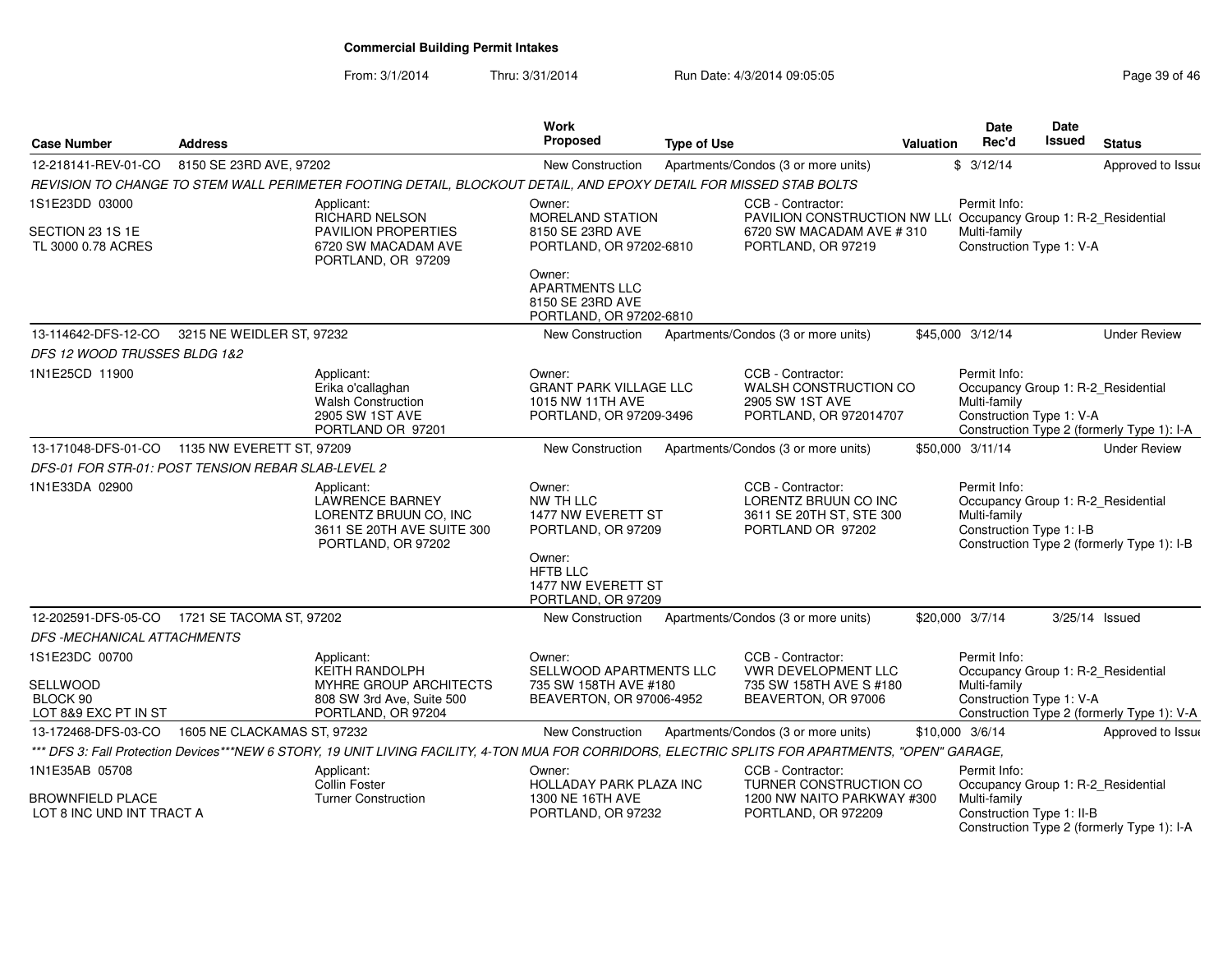From: 3/1/2014Thru: 3/31/2014 Run Date: 4/3/2014 09:05:05 Research 2010 12:05:05

| <b>Case Number</b>                                   | <b>Address</b>                                     |                                                                                                                                                    | Work<br><b>Proposed</b>                                                                                                                  | <b>Type of Use</b> |                                                                                            | <b>Valuation</b> | <b>Date</b><br>Rec'd                                                                           | Date<br><b>Issued</b> | <b>Status</b>                              |
|------------------------------------------------------|----------------------------------------------------|----------------------------------------------------------------------------------------------------------------------------------------------------|------------------------------------------------------------------------------------------------------------------------------------------|--------------------|--------------------------------------------------------------------------------------------|------------------|------------------------------------------------------------------------------------------------|-----------------------|--------------------------------------------|
| 12-218141-REV-01-CO                                  | 8150 SE 23RD AVE, 97202                            |                                                                                                                                                    | New Construction                                                                                                                         |                    | Apartments/Condos (3 or more units)                                                        |                  | \$3/12/14                                                                                      |                       | Approved to Issue                          |
|                                                      |                                                    | REVISION TO CHANGE TO STEM WALL PERIMETER FOOTING DETAIL, BLOCKOUT DETAIL, AND EPOXY DETAIL FOR MISSED STAB BOLTS                                  |                                                                                                                                          |                    |                                                                                            |                  |                                                                                                |                       |                                            |
| 1S1E23DD 03000                                       |                                                    | Applicant:<br><b>RICHARD NELSON</b>                                                                                                                | Owner:<br>MORELAND STATION                                                                                                               |                    | CCB - Contractor:<br>PAVILION CONSTRUCTION NW LL(Occupancy Group 1: R-2_Residential        |                  | Permit Info:                                                                                   |                       |                                            |
| SECTION 23 1S 1E                                     |                                                    | PAVILION PROPERTIES                                                                                                                                | 8150 SE 23RD AVE                                                                                                                         |                    | 6720 SW MACADAM AVE #310                                                                   |                  | Multi-family                                                                                   |                       |                                            |
| TL 3000 0.78 ACRES                                   |                                                    | 6720 SW MACADAM AVE<br>PORTLAND, OR 97209                                                                                                          | PORTLAND, OR 97202-6810                                                                                                                  |                    | PORTLAND, OR 97219                                                                         |                  | Construction Type 1: V-A                                                                       |                       |                                            |
|                                                      |                                                    |                                                                                                                                                    | Owner:<br><b>APARTMENTS LLC</b><br>8150 SE 23RD AVE<br>PORTLAND, OR 97202-6810                                                           |                    |                                                                                            |                  |                                                                                                |                       |                                            |
| 13-114642-DFS-12-CO                                  | 3215 NE WEIDLER ST, 97232                          |                                                                                                                                                    | <b>New Construction</b>                                                                                                                  |                    | Apartments/Condos (3 or more units)                                                        |                  | \$45,000 3/12/14                                                                               |                       | <b>Under Review</b>                        |
| DFS 12 WOOD TRUSSES BLDG 1&2                         |                                                    |                                                                                                                                                    |                                                                                                                                          |                    |                                                                                            |                  |                                                                                                |                       |                                            |
| 1N1E25CD 11900                                       |                                                    | Applicant:<br>Erika o'callaghan<br><b>Walsh Construction</b><br>2905 SW 1ST AVE<br>PORTLAND OR 97201                                               | Owner:<br><b>GRANT PARK VILLAGE LLC</b><br>1015 NW 11TH AVE<br>PORTLAND, OR 97209-3496                                                   |                    | CCB - Contractor:<br>WALSH CONSTRUCTION CO<br>2905 SW 1ST AVE<br>PORTLAND, OR 972014707    |                  | Permit Info:<br>Occupancy Group 1: R-2_Residential<br>Multi-family<br>Construction Type 1: V-A |                       | Construction Type 2 (formerly Type 1): I-A |
|                                                      | 13-171048-DFS-01-CO  1135 NW EVERETT ST, 97209     |                                                                                                                                                    | <b>New Construction</b>                                                                                                                  |                    | Apartments/Condos (3 or more units)                                                        |                  | \$50,000 3/11/14                                                                               |                       | <b>Under Review</b>                        |
|                                                      | DFS-01 FOR STR-01: POST TENSION REBAR SLAB-LEVEL 2 |                                                                                                                                                    |                                                                                                                                          |                    |                                                                                            |                  |                                                                                                |                       |                                            |
| 1N1E33DA 02900                                       |                                                    | Applicant:<br><b>LAWRENCE BARNEY</b><br>LORENTZ BRUUN CO, INC<br>3611 SE 20TH AVE SUITE 300<br>PORTLAND, OR 97202                                  | Owner:<br>NW TH LLC<br>1477 NW EVERETT ST<br>PORTLAND, OR 97209<br>Owner:<br><b>HFTB LLC</b><br>1477 NW EVERETT ST<br>PORTLAND, OR 97209 |                    | CCB - Contractor:<br>LORENTZ BRUUN CO INC<br>3611 SE 20TH ST, STE 300<br>PORTLAND OR 97202 |                  | Permit Info:<br>Occupancy Group 1: R-2_Residential<br>Multi-family<br>Construction Type 1: I-B |                       | Construction Type 2 (formerly Type 1): I-B |
|                                                      | 12-202591-DFS-05-CO 1721 SE TACOMA ST, 97202       |                                                                                                                                                    | <b>New Construction</b>                                                                                                                  |                    | Apartments/Condos (3 or more units)                                                        |                  | \$20,000 3/7/14                                                                                | 3/25/14 Issued        |                                            |
| DFS -MECHANICAL ATTACHMENTS                          |                                                    |                                                                                                                                                    |                                                                                                                                          |                    |                                                                                            |                  |                                                                                                |                       |                                            |
| 1S1E23DC 00700                                       |                                                    | Applicant:<br><b>KEITH RANDOLPH</b>                                                                                                                | Owner:<br>SELLWOOD APARTMENTS LLC                                                                                                        |                    | CCB - Contractor:<br><b>VWR DEVELOPMENT LLC</b>                                            |                  | Permit Info:<br>Occupancy Group 1: R-2_Residential                                             |                       |                                            |
| <b>SELLWOOD</b><br>BLOCK 90<br>LOT 8&9 EXC PT IN ST  |                                                    | MYHRE GROUP ARCHITECTS<br>808 SW 3rd Ave, Suite 500<br>PORTLAND, OR 97204                                                                          | 735 SW 158TH AVE #180<br>BEAVERTON, OR 97006-4952                                                                                        |                    | 735 SW 158TH AVE S #180<br>BEAVERTON, OR 97006                                             |                  | Multi-family<br>Construction Type 1: V-A                                                       |                       | Construction Type 2 (formerly Type 1): V-A |
| 13-172468-DFS-03-CO                                  | 1605 NE CLACKAMAS ST, 97232                        |                                                                                                                                                    | New Construction                                                                                                                         |                    | Apartments/Condos (3 or more units)                                                        |                  | \$10,000 3/6/14                                                                                |                       | Approved to Issue                          |
|                                                      |                                                    | *** DFS 3: Fall Protection Devices***NEW 6 STORY, 19 UNIT LIVING FACILITY, 4-TON MUA FOR CORRIDORS, ELECTRIC SPLITS FOR APARTMENTS, "OPEN" GARAGE, |                                                                                                                                          |                    |                                                                                            |                  |                                                                                                |                       |                                            |
| 1N1E35AB 05708                                       |                                                    | Applicant:<br>Collin Foster                                                                                                                        | Owner:<br>HOLLADAY PARK PLAZA INC                                                                                                        |                    | CCB - Contractor:<br>TURNER CONSTRUCTION CO                                                |                  | Permit Info:<br>Occupancy Group 1: R-2_Residential                                             |                       |                                            |
| <b>BROWNFIELD PLACE</b><br>LOT 8 INC UND INT TRACT A |                                                    | <b>Turner Construction</b>                                                                                                                         | 1300 NE 16TH AVE<br>PORTLAND, OR 97232                                                                                                   |                    | 1200 NW NAITO PARKWAY #300<br>PORTLAND, OR 972209                                          |                  | Multi-family<br>Construction Type 1: II-B                                                      |                       | Construction Type 2 (formerly Type 1): I-A |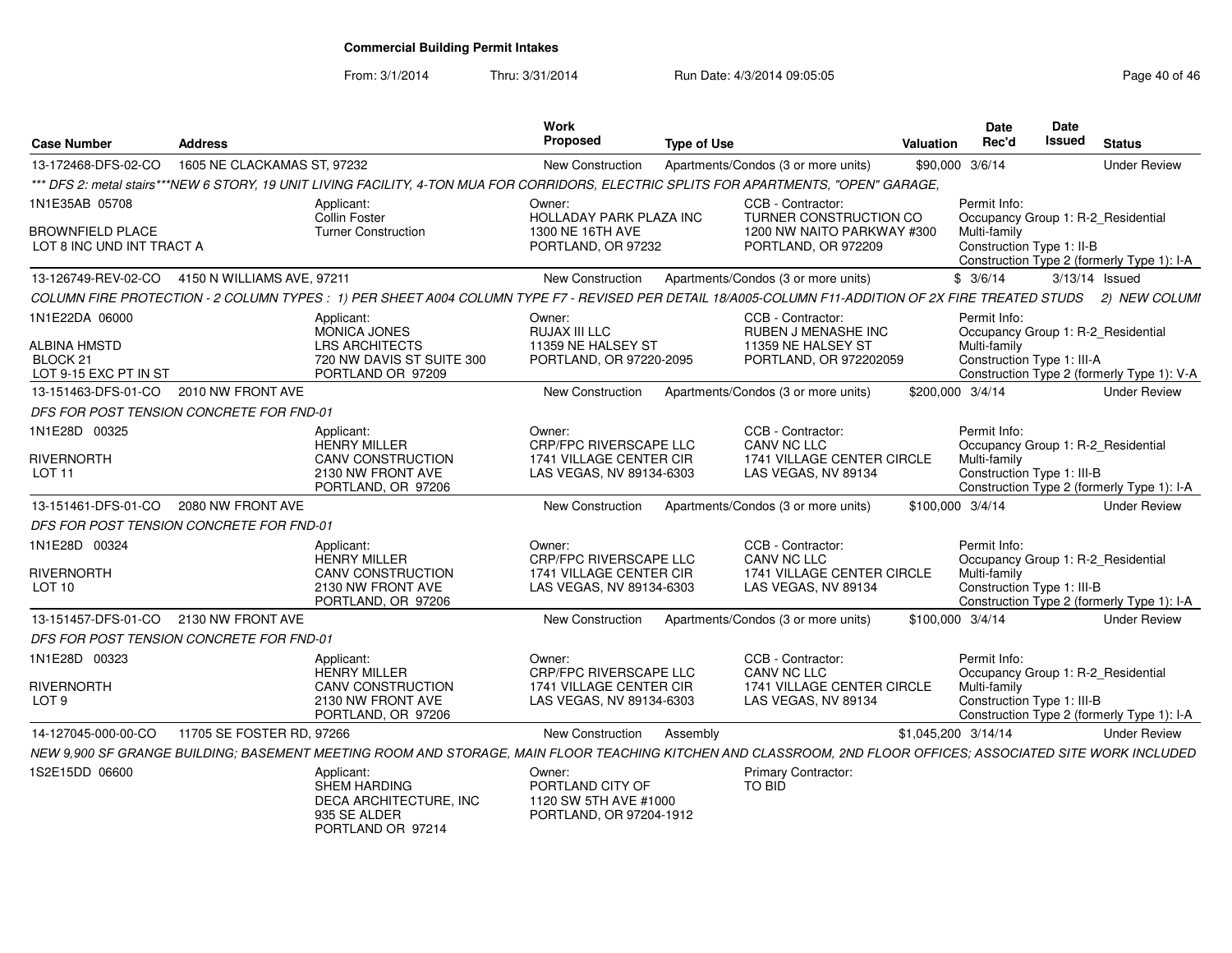From: 3/1/2014

Thru: 3/31/2014 Run Date: 4/3/2014 09:05:05 Research 2010 146

| <b>Case Number</b>                                           | <b>Address</b>                           |                                                                                                                                                                   | <b>Work</b><br>Proposed                                                                 | <b>Type of Use</b> |                                                                                              | Valuation           | Date<br>Rec'd                                                                                    | <b>Date</b><br>Issued | <b>Status</b>                              |
|--------------------------------------------------------------|------------------------------------------|-------------------------------------------------------------------------------------------------------------------------------------------------------------------|-----------------------------------------------------------------------------------------|--------------------|----------------------------------------------------------------------------------------------|---------------------|--------------------------------------------------------------------------------------------------|-----------------------|--------------------------------------------|
| 13-172468-DFS-02-CO                                          | 1605 NE CLACKAMAS ST, 97232              |                                                                                                                                                                   | New Construction                                                                        |                    | Apartments/Condos (3 or more units)                                                          |                     | \$90,000 3/6/14                                                                                  |                       | <b>Under Review</b>                        |
|                                                              |                                          | *** DFS 2: metal stairs***NEW 6 STORY, 19 UNIT LIVING FACILITY, 4-TON MUA FOR CORRIDORS, ELECTRIC SPLITS FOR APARTMENTS, "OPEN" GARAGE,                           |                                                                                         |                    |                                                                                              |                     |                                                                                                  |                       |                                            |
| 1N1E35AB 05708                                               |                                          | Applicant:<br>Collin Foster                                                                                                                                       | Owner:<br>HOLLADAY PARK PLAZA INC                                                       |                    | CCB - Contractor:<br>TURNER CONSTRUCTION CO                                                  |                     | Permit Info:<br>Occupancy Group 1: R-2_Residential                                               |                       |                                            |
| <b>BROWNFIELD PLACE</b><br>LOT 8 INC UND INT TRACT A         |                                          | <b>Turner Construction</b>                                                                                                                                        | 1300 NE 16TH AVE<br>PORTLAND, OR 97232                                                  |                    | 1200 NW NAITO PARKWAY #300<br>PORTLAND, OR 972209                                            |                     | Multi-family<br>Construction Type 1: II-B                                                        |                       | Construction Type 2 (formerly Type 1): I-A |
| 13-126749-REV-02-CO                                          | 4150 N WILLIAMS AVE, 97211               |                                                                                                                                                                   | New Construction                                                                        |                    | Apartments/Condos (3 or more units)                                                          |                     | \$3/6/14                                                                                         | $3/13/14$ Issued      |                                            |
|                                                              |                                          | COLUMN FIRE PROTECTION - 2 COLUMN TYPES: 1) PER SHEET A004 COLUMN TYPE F7 - REVISED PER DETAIL 18/A005-COLUMN F11-ADDITION OF 2X FIRE TREATED STUDS 2) NEW COLUMI |                                                                                         |                    |                                                                                              |                     |                                                                                                  |                       |                                            |
| 1N1E22DA 06000<br><b>ALBINA HMSTD</b><br>BLOCK <sub>21</sub> |                                          | Applicant:<br>MONICA JONES<br><b>LRS ARCHITECTS</b><br>720 NW DAVIS ST SUITE 300                                                                                  | Owner:<br>RUJAX III LLC<br>11359 NE HALSEY ST<br>PORTLAND, OR 97220-2095                |                    | CCB - Contractor:<br>RUBEN J MENASHE INC<br>11359 NE HALSEY ST<br>PORTLAND, OR 972202059     |                     | Permit Info:<br>Occupancy Group 1: R-2_Residential<br>Multi-family<br>Construction Type 1: III-A |                       |                                            |
| LOT 9-15 EXC PT IN ST                                        |                                          | PORTLAND OR 97209                                                                                                                                                 |                                                                                         |                    |                                                                                              |                     |                                                                                                  |                       | Construction Type 2 (formerly Type 1): V-A |
| 13-151463-DFS-01-CO                                          | 2010 NW FRONT AVE                        |                                                                                                                                                                   | New Construction                                                                        |                    | Apartments/Condos (3 or more units)                                                          | \$200,000 3/4/14    |                                                                                                  |                       | <b>Under Review</b>                        |
|                                                              | DFS FOR POST TENSION CONCRETE FOR FND-01 |                                                                                                                                                                   |                                                                                         |                    |                                                                                              |                     |                                                                                                  |                       |                                            |
| 1N1E28D 00325<br>RIVERNORTH<br>LOT <sub>11</sub>             |                                          | Applicant:<br><b>HENRY MILLER</b><br><b>CANV CONSTRUCTION</b><br>2130 NW FRONT AVE                                                                                | Owner:<br>CRP/FPC RIVERSCAPE LLC<br>1741 VILLAGE CENTER CIR<br>LAS VEGAS, NV 89134-6303 |                    | CCB - Contractor:<br><b>CANV NC LLC</b><br>1741 VILLAGE CENTER CIRCLE<br>LAS VEGAS, NV 89134 |                     | Permit Info:<br>Occupancy Group 1: R-2_Residential<br>Multi-family<br>Construction Type 1: III-B |                       |                                            |
|                                                              |                                          | PORTLAND, OR 97206                                                                                                                                                |                                                                                         |                    |                                                                                              |                     |                                                                                                  |                       | Construction Type 2 (formerly Type 1): I-A |
| 13-151461-DFS-01-CO                                          | 2080 NW FRONT AVE                        |                                                                                                                                                                   | New Construction                                                                        |                    | Apartments/Condos (3 or more units)                                                          | \$100,000 3/4/14    |                                                                                                  |                       | <b>Under Review</b>                        |
|                                                              | DFS FOR POST TENSION CONCRETE FOR FND-01 |                                                                                                                                                                   |                                                                                         |                    |                                                                                              |                     |                                                                                                  |                       |                                            |
| 1N1E28D 00324                                                |                                          | Applicant:<br><b>HENRY MILLER</b>                                                                                                                                 | Owner:<br>CRP/FPC RIVERSCAPE LLC                                                        |                    | CCB - Contractor:<br>CANV NC LLC                                                             |                     | Permit Info:<br>Occupancy Group 1: R-2 Residential                                               |                       |                                            |
| <b>RIVERNORTH</b><br>LOT <sub>10</sub>                       |                                          | CANV CONSTRUCTION<br>2130 NW FRONT AVE<br>PORTLAND, OR 97206                                                                                                      | 1741 VILLAGE CENTER CIR<br>LAS VEGAS, NV 89134-6303                                     |                    | 1741 VILLAGE CENTER CIRCLE<br>LAS VEGAS, NV 89134                                            |                     | Multi-family<br>Construction Type 1: III-B                                                       |                       | Construction Type 2 (formerly Type 1): I-A |
| 13-151457-DFS-01-CO 2130 NW FRONT AVE                        |                                          |                                                                                                                                                                   | New Construction                                                                        |                    | Apartments/Condos (3 or more units)                                                          | \$100,000 3/4/14    |                                                                                                  |                       | <b>Under Review</b>                        |
|                                                              | DFS FOR POST TENSION CONCRETE FOR FND-01 |                                                                                                                                                                   |                                                                                         |                    |                                                                                              |                     |                                                                                                  |                       |                                            |
| 1N1E28D 00323                                                |                                          | Applicant:<br><b>HENRY MILLER</b>                                                                                                                                 | Owner:<br>CRP/FPC RIVERSCAPE LLC                                                        |                    | CCB - Contractor:<br>CANV NC LLC                                                             |                     | Permit Info:<br>Occupancy Group 1: R-2_Residential                                               |                       |                                            |
| <b>RIVERNORTH</b><br>LOT <sub>9</sub>                        |                                          | <b>CANV CONSTRUCTION</b><br>2130 NW FRONT AVE<br>PORTLAND, OR 97206                                                                                               | 1741 VILLAGE CENTER CIR<br>LAS VEGAS, NV 89134-6303                                     |                    | 1741 VILLAGE CENTER CIRCLE<br>LAS VEGAS, NV 89134                                            |                     | Multi-family<br>Construction Type 1: III-B                                                       |                       | Construction Type 2 (formerly Type 1): I-A |
| 14-127045-000-00-CO                                          | 11705 SE FOSTER RD, 97266                |                                                                                                                                                                   | New Construction                                                                        | Assembly           |                                                                                              | \$1,045,200 3/14/14 |                                                                                                  |                       | <b>Under Review</b>                        |
|                                                              |                                          | NEW 9,900 SF GRANGE BUILDING; BASEMENT MEETING ROOM AND STORAGE, MAIN FLOOR TEACHING KITCHEN AND CLASSROOM, 2ND FLOOR OFFICES; ASSOCIATED SITE WORK INCLUDED      |                                                                                         |                    |                                                                                              |                     |                                                                                                  |                       |                                            |
| 1S2E15DD 06600                                               |                                          | Applicant:<br><b>SHEM HARDING</b><br>DECA ARCHITECTURE, INC<br>935 SE ALDER<br>PORTI AND OR 97214                                                                 | Owner:<br>PORTLAND CITY OF<br>1120 SW 5TH AVE #1000<br>PORTLAND, OR 97204-1912          |                    | <b>Primary Contractor:</b><br>TO BID                                                         |                     |                                                                                                  |                       |                                            |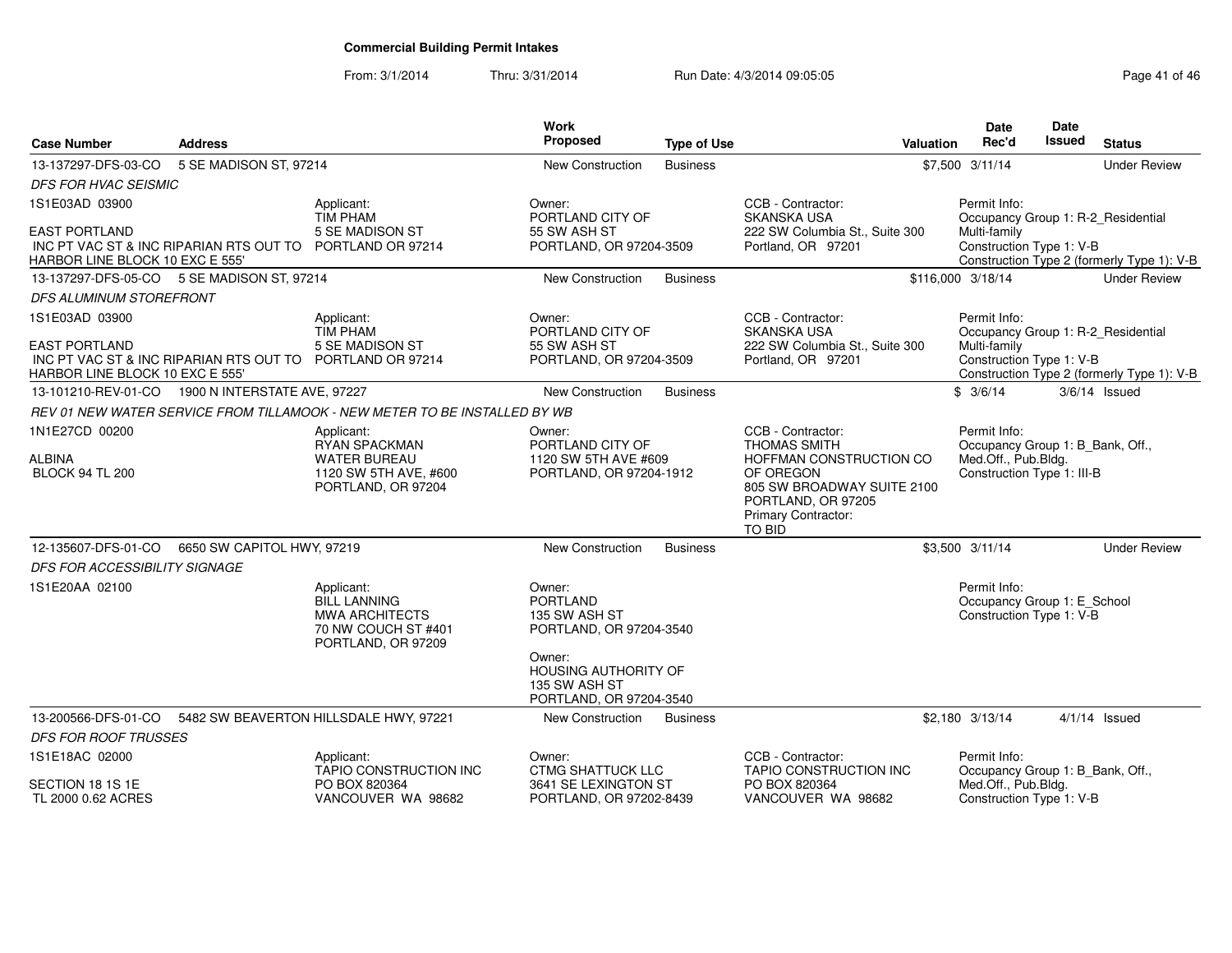From: 3/1/2014Thru: 3/31/2014 Run Date: 4/3/2014 09:05:05 Research 2010 12:05:05

| <b>Case Number</b>                                        | <b>Address</b>                                            |                                                                                                         | Work<br>Proposed                                                              | <b>Type of Use</b> | Valuation                                                                                                                                                                    | <b>Date</b><br>Rec'd                                                                                  | <b>Date</b><br>Issued | <b>Status</b>                              |
|-----------------------------------------------------------|-----------------------------------------------------------|---------------------------------------------------------------------------------------------------------|-------------------------------------------------------------------------------|--------------------|------------------------------------------------------------------------------------------------------------------------------------------------------------------------------|-------------------------------------------------------------------------------------------------------|-----------------------|--------------------------------------------|
| 13-137297-DFS-03-CO                                       | 5 SE MADISON ST, 97214                                    |                                                                                                         | <b>New Construction</b>                                                       | <b>Business</b>    |                                                                                                                                                                              | \$7,500 3/11/14                                                                                       |                       | <b>Under Review</b>                        |
| <b>DFS FOR HVAC SEISMIC</b>                               |                                                           |                                                                                                         |                                                                               |                    |                                                                                                                                                                              |                                                                                                       |                       |                                            |
| 1S1E03AD 03900                                            |                                                           | Applicant:<br><b>TIM PHAM</b>                                                                           | Owner:<br>PORTLAND CITY OF                                                    |                    | CCB - Contractor:<br><b>SKANSKA USA</b>                                                                                                                                      | Permit Info:                                                                                          |                       | Occupancy Group 1: R-2_Residential         |
| <b>EAST PORTLAND</b><br>HARBOR LINE BLOCK 10 EXC E 555'   | INC PT VAC ST & INC RIPARIAN RTS OUT TO PORTLAND OR 97214 | 5 SE MADISON ST                                                                                         | 55 SW ASH ST<br>PORTLAND, OR 97204-3509                                       |                    | 222 SW Columbia St., Suite 300<br>Portland, OR 97201                                                                                                                         | Multi-family<br>Construction Type 1: V-B                                                              |                       | Construction Type 2 (formerly Type 1): V-B |
| 13-137297-DFS-05-CO 5 SE MADISON ST, 97214                |                                                           |                                                                                                         | New Construction                                                              | <b>Business</b>    |                                                                                                                                                                              | \$116,000 3/18/14                                                                                     |                       | <b>Under Review</b>                        |
| <b>DFS ALUMINUM STOREFRONT</b>                            |                                                           |                                                                                                         |                                                                               |                    |                                                                                                                                                                              |                                                                                                       |                       |                                            |
| 1S1E03AD 03900                                            |                                                           | Applicant:<br><b>TIM PHAM</b>                                                                           | Owner:<br>PORTLAND CITY OF                                                    |                    | CCB - Contractor:<br><b>SKANSKA USA</b>                                                                                                                                      | Permit Info:                                                                                          |                       | Occupancy Group 1: R-2_Residential         |
| <b>EAST PORTLAND</b><br>HARBOR LINE BLOCK 10 EXC E 555'   | INC PT VAC ST & INC RIPARIAN RTS OUT TO                   | 5 SE MADISON ST<br>PORTLAND OR 97214                                                                    | 55 SW ASH ST<br>PORTLAND, OR 97204-3509                                       |                    | 222 SW Columbia St., Suite 300<br>Portland, OR 97201                                                                                                                         | Multi-family<br>Construction Type 1: V-B                                                              |                       | Construction Type 2 (formerly Type 1): V-B |
| 13-101210-REV-01-CO  1900 N INTERSTATE AVE, 97227         |                                                           |                                                                                                         | <b>New Construction</b>                                                       | <b>Business</b>    |                                                                                                                                                                              | \$3/6/14                                                                                              |                       | $3/6/14$ Issued                            |
|                                                           |                                                           | REV 01 NEW WATER SERVICE FROM TILLAMOOK - NEW METER TO BE INSTALLED BY WB                               |                                                                               |                    |                                                                                                                                                                              |                                                                                                       |                       |                                            |
| 1N1E27CD 00200<br><b>ALBINA</b><br><b>BLOCK 94 TL 200</b> |                                                           | Applicant:<br>RYAN SPACKMAN<br><b>WATER BUREAU</b><br>1120 SW 5TH AVE, #600<br>PORTLAND, OR 97204       | Owner:<br>PORTLAND CITY OF<br>1120 SW 5TH AVE #609<br>PORTLAND, OR 97204-1912 |                    | CCB - Contractor:<br><b>THOMAS SMITH</b><br>HOFFMAN CONSTRUCTION CO<br>OF OREGON<br>805 SW BROADWAY SUITE 2100<br>PORTLAND, OR 97205<br><b>Primary Contractor:</b><br>TO BID | Permit Info:<br>Occupancy Group 1: B_Bank, Off.,<br>Med.Off., Pub.Bldg.<br>Construction Type 1: III-B |                       |                                            |
| 12-135607-DFS-01-CO                                       | 6650 SW CAPITOL HWY, 97219                                |                                                                                                         | <b>New Construction</b>                                                       | <b>Business</b>    |                                                                                                                                                                              | \$3,500 3/11/14                                                                                       |                       | <b>Under Review</b>                        |
| DFS FOR ACCESSIBILITY SIGNAGE                             |                                                           |                                                                                                         |                                                                               |                    |                                                                                                                                                                              |                                                                                                       |                       |                                            |
| 1S1E20AA 02100                                            |                                                           | Applicant:<br><b>BILL LANNING</b><br><b>MWA ARCHITECTS</b><br>70 NW COUCH ST #401<br>PORTLAND, OR 97209 | Owner:<br><b>PORTLAND</b><br>135 SW ASH ST<br>PORTLAND, OR 97204-3540         |                    |                                                                                                                                                                              | Permit Info:<br>Occupancy Group 1: E_School<br>Construction Type 1: V-B                               |                       |                                            |
|                                                           |                                                           |                                                                                                         | Owner:<br>HOUSING AUTHORITY OF<br>135 SW ASH ST<br>PORTLAND, OR 97204-3540    |                    |                                                                                                                                                                              |                                                                                                       |                       |                                            |
| 13-200566-DFS-01-CO                                       |                                                           | 5482 SW BEAVERTON HILLSDALE HWY, 97221                                                                  | New Construction                                                              | <b>Business</b>    |                                                                                                                                                                              | \$2,180 3/13/14                                                                                       |                       | $4/1/14$ Issued                            |
| <b>DFS FOR ROOF TRUSSES</b>                               |                                                           |                                                                                                         |                                                                               |                    |                                                                                                                                                                              |                                                                                                       |                       |                                            |
| 1S1E18AC 02000                                            |                                                           | Applicant:<br><b>TAPIO CONSTRUCTION INC</b>                                                             | Owner:<br><b>CTMG SHATTUCK LLC</b>                                            |                    | CCB - Contractor:<br><b>TAPIO CONSTRUCTION INC</b>                                                                                                                           | Permit Info:<br>Occupancy Group 1: B_Bank, Off.,                                                      |                       |                                            |
| SECTION 18 1S 1E<br>TL 2000 0.62 ACRES                    |                                                           | PO BOX 820364<br>VANCOUVER WA 98682                                                                     | 3641 SE LEXINGTON ST<br>PORTLAND, OR 97202-8439                               |                    | PO BOX 820364<br>VANCOUVER WA 98682                                                                                                                                          | Med.Off., Pub.Bldg.<br>Construction Type 1: V-B                                                       |                       |                                            |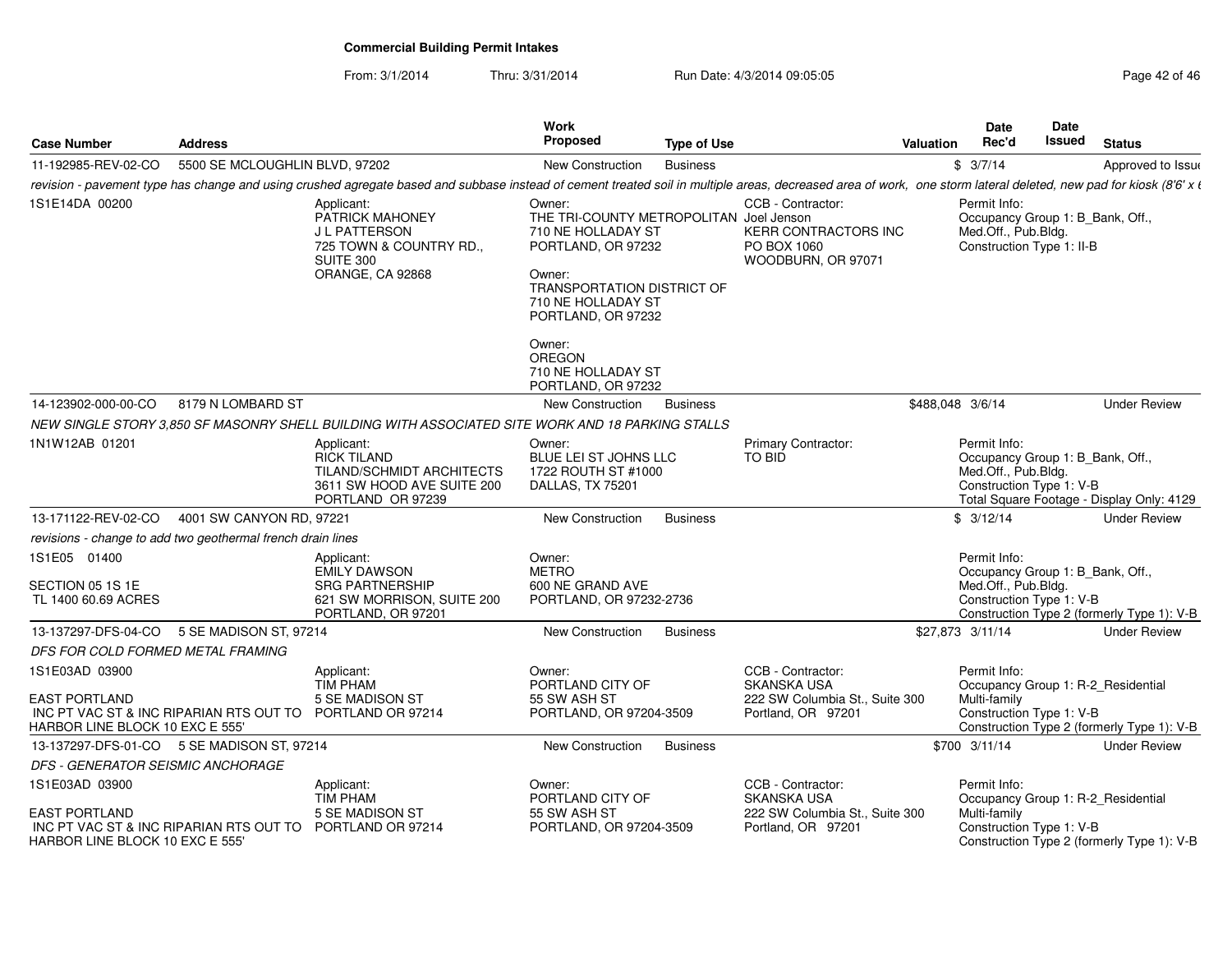From: 3/1/2014

Thru: 3/31/2014 Run Date: 4/3/2014 09:05:05 Research 2010 12:05:05

| <b>Case Number</b>                                                                                                              | <b>Address</b>                 |                                                                                                                                                                                                                   | Work<br><b>Proposed</b>                                                                                                                                                                                                                                  | <b>Type of Use</b> |                                                                                                 | Valuation        | Date<br>Rec'd                                                                                        | Date<br>Issued | <b>Status</b>                              |
|---------------------------------------------------------------------------------------------------------------------------------|--------------------------------|-------------------------------------------------------------------------------------------------------------------------------------------------------------------------------------------------------------------|----------------------------------------------------------------------------------------------------------------------------------------------------------------------------------------------------------------------------------------------------------|--------------------|-------------------------------------------------------------------------------------------------|------------------|------------------------------------------------------------------------------------------------------|----------------|--------------------------------------------|
| 11-192985-REV-02-CO                                                                                                             | 5500 SE MCLOUGHLIN BLVD, 97202 |                                                                                                                                                                                                                   | New Construction                                                                                                                                                                                                                                         | <b>Business</b>    |                                                                                                 |                  | \$3/7/14                                                                                             |                | Approved to Issue                          |
|                                                                                                                                 |                                | revision - pavement type has change and using crushed agregate based and subbase instead of cement treated soil in multiple areas, decreased area of work, one storm lateral deleted, new pad for kiosk (8'6' x t |                                                                                                                                                                                                                                                          |                    |                                                                                                 |                  |                                                                                                      |                |                                            |
| 1S1E14DA 00200                                                                                                                  |                                | Applicant:<br>PATRICK MAHONEY<br>J L PATTERSON<br>725 TOWN & COUNTRY RD.,<br>SUITE 300<br>ORANGE, CA 92868                                                                                                        | Owner:<br>THE TRI-COUNTY METROPOLITAN Joel Jenson<br>710 NE HOLLADAY ST<br>PORTLAND, OR 97232<br>Owner:<br>TRANSPORTATION DISTRICT OF<br>710 NE HOLLADAY ST<br>PORTLAND, OR 97232<br>Owner:<br><b>OREGON</b><br>710 NE HOLLADAY ST<br>PORTLAND, OR 97232 |                    | CCB - Contractor:<br><b>KERR CONTRACTORS INC</b><br>PO BOX 1060<br>WOODBURN, OR 97071           |                  | Permit Info:<br>Occupancy Group 1: B_Bank, Off.,<br>Med.Off., Pub.Bldg.<br>Construction Type 1: II-B |                |                                            |
| 14-123902-000-00-CO                                                                                                             | 8179 N LOMBARD ST              |                                                                                                                                                                                                                   | New Construction                                                                                                                                                                                                                                         | <b>Business</b>    |                                                                                                 | \$488,048 3/6/14 |                                                                                                      |                | <b>Under Review</b>                        |
|                                                                                                                                 |                                | NEW SINGLE STORY 3,850 SF MASONRY SHELL BUILDING WITH ASSOCIATED SITE WORK AND 18 PARKING STALLS                                                                                                                  |                                                                                                                                                                                                                                                          |                    |                                                                                                 |                  |                                                                                                      |                |                                            |
| 1N1W12AB 01201                                                                                                                  |                                | Applicant:<br><b>RICK TILAND</b><br>TILAND/SCHMIDT ARCHITECTS<br>3611 SW HOOD AVE SUITE 200<br>PORTLAND OR 97239                                                                                                  | Owner:<br>BLUE LEI ST JOHNS LLC<br>1722 ROUTH ST #1000<br>DALLAS, TX 75201                                                                                                                                                                               |                    | Primary Contractor:<br>TO BID                                                                   |                  | Permit Info:<br>Occupancy Group 1: B_Bank, Off.,<br>Med.Off., Pub.Bldg.<br>Construction Type 1: V-B  |                | Total Square Footage - Display Only: 4129  |
| 13-171122-REV-02-CO                                                                                                             | 4001 SW CANYON RD, 97221       |                                                                                                                                                                                                                   | New Construction                                                                                                                                                                                                                                         | <b>Business</b>    |                                                                                                 |                  | \$3/12/14                                                                                            |                | <b>Under Review</b>                        |
| revisions - change to add two geothermal french drain lines                                                                     |                                |                                                                                                                                                                                                                   |                                                                                                                                                                                                                                                          |                    |                                                                                                 |                  |                                                                                                      |                |                                            |
| 1S1E05 01400<br>SECTION 05 1S 1E<br>TL 1400 60.69 ACRES                                                                         |                                | Applicant:<br><b>EMILY DAWSON</b><br><b>SRG PARTNERSHIP</b><br>621 SW MORRISON, SUITE 200<br>PORTLAND, OR 97201                                                                                                   | Owner:<br><b>METRO</b><br>600 NE GRAND AVE<br>PORTLAND, OR 97232-2736                                                                                                                                                                                    |                    |                                                                                                 |                  | Permit Info:<br>Occupancy Group 1: B_Bank, Off.,<br>Med.Off., Pub.Bldg.<br>Construction Type 1: V-B  |                | Construction Type 2 (formerly Type 1): V-B |
| 13-137297-DFS-04-CO                                                                                                             | 5 SE MADISON ST, 97214         |                                                                                                                                                                                                                   | New Construction                                                                                                                                                                                                                                         | <b>Business</b>    |                                                                                                 |                  | \$27,873 3/11/14                                                                                     |                | <b>Under Review</b>                        |
| DFS FOR COLD FORMED METAL FRAMING                                                                                               |                                |                                                                                                                                                                                                                   |                                                                                                                                                                                                                                                          |                    |                                                                                                 |                  |                                                                                                      |                |                                            |
| 1S1E03AD 03900<br>EAST PORTLAND<br>INC PT VAC ST & INC RIPARIAN RTS OUT TO PORTLAND OR 97214<br>HARBOR LINE BLOCK 10 EXC E 555' |                                | Applicant:<br><b>TIM PHAM</b><br>5 SE MADISON ST                                                                                                                                                                  | Owner:<br>PORTLAND CITY OF<br>55 SW ASH ST<br>PORTLAND, OR 97204-3509                                                                                                                                                                                    |                    | CCB - Contractor:<br><b>SKANSKA USA</b><br>222 SW Columbia St., Suite 300<br>Portland, OR 97201 |                  | Permit Info:<br>Occupancy Group 1: R-2_Residential<br>Multi-family<br>Construction Type 1: V-B       |                | Construction Type 2 (formerly Type 1): V-B |
| 13-137297-DFS-01-CO 5 SE MADISON ST, 97214                                                                                      |                                |                                                                                                                                                                                                                   | New Construction                                                                                                                                                                                                                                         | <b>Business</b>    |                                                                                                 |                  | \$700 3/11/14                                                                                        |                | <b>Under Review</b>                        |
| DFS - GENERATOR SEISMIC ANCHORAGE                                                                                               |                                |                                                                                                                                                                                                                   |                                                                                                                                                                                                                                                          |                    |                                                                                                 |                  |                                                                                                      |                |                                            |
| 1S1E03AD 03900<br>EAST PORTLAND<br>INC PT VAC ST & INC RIPARIAN RTS OUT TO PORTLAND OR 97214<br>HARBOR LINE BLOCK 10 EXC E 555' |                                | Applicant:<br>TIM PHAM<br>5 SE MADISON ST                                                                                                                                                                         | Owner:<br>PORTLAND CITY OF<br>55 SW ASH ST<br>PORTLAND, OR 97204-3509                                                                                                                                                                                    |                    | CCB - Contractor:<br><b>SKANSKA USA</b><br>222 SW Columbia St., Suite 300<br>Portland, OR 97201 |                  | Permit Info:<br>Occupancy Group 1: R-2_Residential<br>Multi-family<br>Construction Type 1: V-B       |                | Construction Type 2 (formerly Type 1): V-B |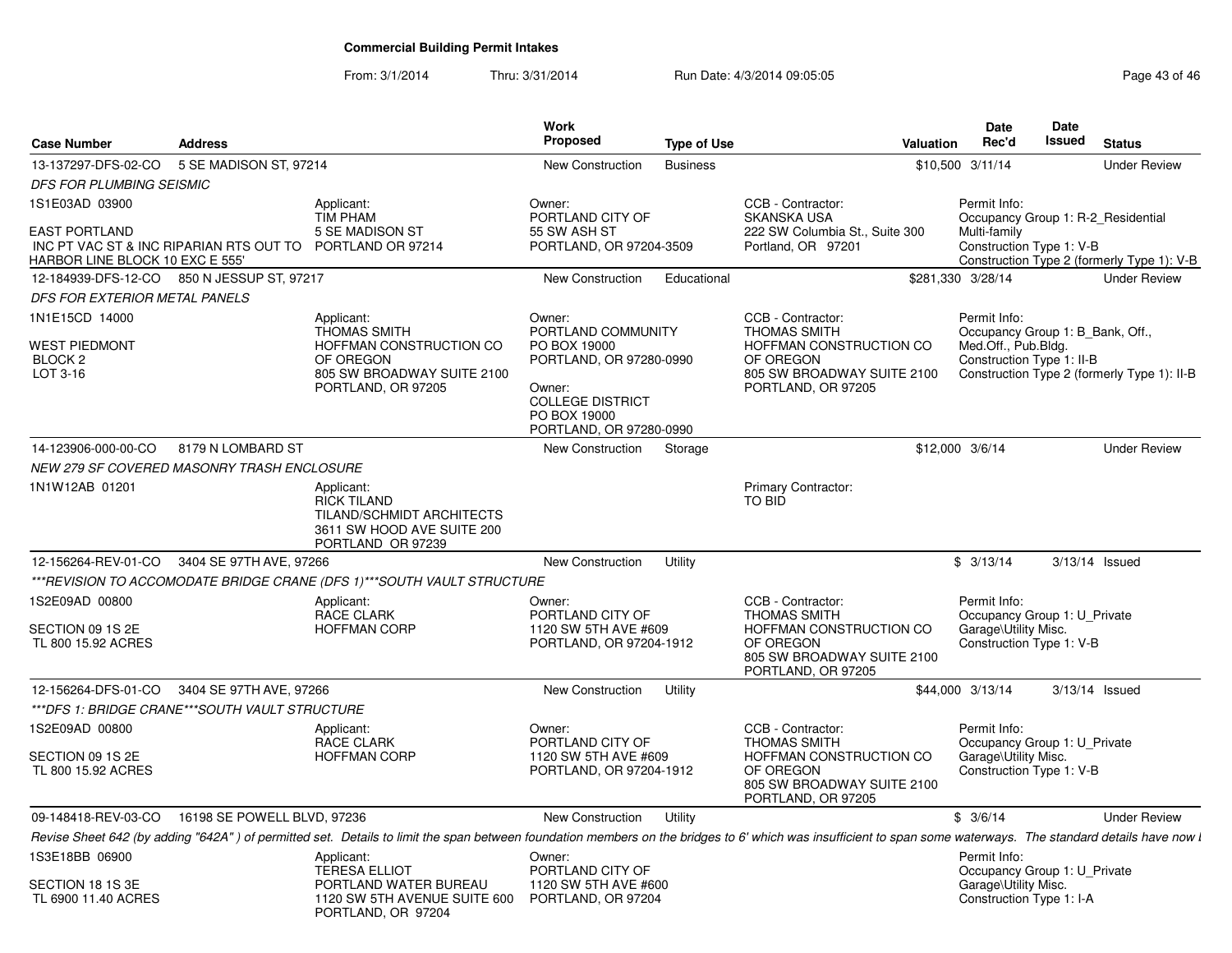From: 3/1/2014Thru: 3/31/2014 Run Date: 4/3/2014 09:05:05 Research 2010 12:05:05

| <b>Case Number</b>                                      | <b>Address</b>                                            |                                                                                                                                                                                                                | Work<br>Proposed                                                                                                        | <b>Type of Use</b> | Valuation                                                                                |                   | <b>Date</b><br>Rec'd                             | Date<br><b>Issued</b> | <b>Status</b>                               |
|---------------------------------------------------------|-----------------------------------------------------------|----------------------------------------------------------------------------------------------------------------------------------------------------------------------------------------------------------------|-------------------------------------------------------------------------------------------------------------------------|--------------------|------------------------------------------------------------------------------------------|-------------------|--------------------------------------------------|-----------------------|---------------------------------------------|
| 13-137297-DFS-02-CO                                     | 5 SE MADISON ST, 97214                                    |                                                                                                                                                                                                                | New Construction                                                                                                        | <b>Business</b>    |                                                                                          | \$10,500 3/11/14  |                                                  |                       | <b>Under Review</b>                         |
| DFS FOR PLUMBING SEISMIC                                |                                                           |                                                                                                                                                                                                                |                                                                                                                         |                    |                                                                                          |                   |                                                  |                       |                                             |
| 1S1E03AD 03900                                          |                                                           | Applicant:<br><b>TIM PHAM</b>                                                                                                                                                                                  | Owner:<br>PORTLAND CITY OF                                                                                              |                    | CCB - Contractor:<br><b>SKANSKA USA</b>                                                  |                   | Permit Info:                                     |                       | Occupancy Group 1: R-2_Residential          |
| <b>EAST PORTLAND</b><br>HARBOR LINE BLOCK 10 EXC E 555' | INC PT VAC ST & INC RIPARIAN RTS OUT TO PORTLAND OR 97214 | 5 SE MADISON ST                                                                                                                                                                                                | 55 SW ASH ST<br>PORTLAND, OR 97204-3509                                                                                 |                    | 222 SW Columbia St., Suite 300<br>Portland, OR 97201                                     |                   | Multi-family<br>Construction Type 1: V-B         |                       | Construction Type 2 (formerly Type 1): V-B  |
|                                                         | 12-184939-DFS-12-CO 850 N JESSUP ST, 97217                |                                                                                                                                                                                                                | New Construction                                                                                                        | Educational        |                                                                                          | \$281,330 3/28/14 |                                                  |                       | <b>Under Review</b>                         |
| DFS FOR EXTERIOR METAL PANELS                           |                                                           |                                                                                                                                                                                                                |                                                                                                                         |                    |                                                                                          |                   |                                                  |                       |                                             |
| 1N1E15CD 14000                                          |                                                           | Applicant:<br><b>THOMAS SMITH</b>                                                                                                                                                                              | Owner:<br>PORTLAND COMMUNITY                                                                                            |                    | CCB - Contractor:<br><b>THOMAS SMITH</b>                                                 |                   | Permit Info:<br>Occupancy Group 1: B_Bank, Off., |                       |                                             |
| <b>WEST PIEDMONT</b><br>BLOCK <sub>2</sub><br>LOT 3-16  |                                                           | HOFFMAN CONSTRUCTION CO<br>OF OREGON<br>805 SW BROADWAY SUITE 2100<br>PORTLAND, OR 97205                                                                                                                       | PO BOX 19000<br>PORTLAND, OR 97280-0990<br>Owner:<br><b>COLLEGE DISTRICT</b><br>PO BOX 19000<br>PORTLAND, OR 97280-0990 |                    | HOFFMAN CONSTRUCTION CO<br>OF OREGON<br>805 SW BROADWAY SUITE 2100<br>PORTLAND, OR 97205 |                   | Med.Off., Pub.Bldg.<br>Construction Type 1: II-B |                       | Construction Type 2 (formerly Type 1): II-B |
| 14-123906-000-00-CO                                     | 8179 N LOMBARD ST                                         |                                                                                                                                                                                                                | New Construction                                                                                                        | Storage            |                                                                                          | \$12,000 3/6/14   |                                                  |                       | <b>Under Review</b>                         |
|                                                         | NEW 279 SF COVERED MASONRY TRASH ENCLOSURE                |                                                                                                                                                                                                                |                                                                                                                         |                    |                                                                                          |                   |                                                  |                       |                                             |
| 1N1W12AB 01201                                          |                                                           | Applicant:<br><b>RICK TILAND</b><br>TILAND/SCHMIDT ARCHITECTS<br>3611 SW HOOD AVE SUITE 200<br>PORTLAND OR 97239                                                                                               |                                                                                                                         |                    | Primary Contractor:<br>TO BID                                                            |                   |                                                  |                       |                                             |
|                                                         | 12-156264-REV-01-CO 3404 SE 97TH AVE, 97266               |                                                                                                                                                                                                                | New Construction                                                                                                        | Utility            |                                                                                          |                   | \$3/13/14                                        | $3/13/14$ Issued      |                                             |
|                                                         |                                                           | ***REVISION TO ACCOMODATE BRIDGE CRANE (DFS 1)***SOUTH VAULT STRUCTURE                                                                                                                                         |                                                                                                                         |                    |                                                                                          |                   |                                                  |                       |                                             |
| 1S2E09AD 00800                                          |                                                           | Applicant:<br>RACE CLARK                                                                                                                                                                                       | Owner:<br>PORTLAND CITY OF                                                                                              |                    | CCB - Contractor:<br><b>THOMAS SMITH</b>                                                 |                   | Permit Info:<br>Occupancy Group 1: U_Private     |                       |                                             |
| SECTION 09 1S 2E<br>TL 800 15.92 ACRES                  |                                                           | <b>HOFFMAN CORP</b>                                                                                                                                                                                            | 1120 SW 5TH AVE #609<br>PORTLAND, OR 97204-1912                                                                         |                    | HOFFMAN CONSTRUCTION CO<br>OF OREGON<br>805 SW BROADWAY SUITE 2100<br>PORTLAND, OR 97205 |                   | Garage\Utility Misc.<br>Construction Type 1: V-B |                       |                                             |
|                                                         | 12-156264-DFS-01-CO 3404 SE 97TH AVE, 97266               |                                                                                                                                                                                                                | New Construction                                                                                                        | Utility            |                                                                                          | \$44,000 3/13/14  |                                                  | $3/13/14$ Issued      |                                             |
|                                                         | *** DFS 1: BRIDGE CRANE*** SOUTH VAULT STRUCTURE          |                                                                                                                                                                                                                |                                                                                                                         |                    |                                                                                          |                   |                                                  |                       |                                             |
| 1S2E09AD 00800                                          |                                                           | Applicant:<br><b>RACE CLARK</b>                                                                                                                                                                                | Owner:<br>PORTLAND CITY OF                                                                                              |                    | CCB - Contractor:<br><b>THOMAS SMITH</b>                                                 |                   | Permit Info:<br>Occupancy Group 1: U_Private     |                       |                                             |
| SECTION 09 1S 2E<br>TL 800 15.92 ACRES                  |                                                           | <b>HOFFMAN CORP</b>                                                                                                                                                                                            | 1120 SW 5TH AVE #609<br>PORTLAND, OR 97204-1912                                                                         |                    | HOFFMAN CONSTRUCTION CO<br>OF OREGON<br>805 SW BROADWAY SUITE 2100<br>PORTLAND, OR 97205 |                   | Garage\Utility Misc.<br>Construction Type 1: V-B |                       |                                             |
| 09-148418-REV-03-CO                                     | 16198 SE POWELL BLVD, 97236                               |                                                                                                                                                                                                                | New Construction                                                                                                        | Utility            |                                                                                          |                   | \$3/6/14                                         |                       | <b>Under Review</b>                         |
|                                                         |                                                           | Revise Sheet 642 (by adding "642A") of permitted set. Details to limit the span between foundation members on the bridges to 6' which was insufficient to span some waterways. The standard details have now l |                                                                                                                         |                    |                                                                                          |                   |                                                  |                       |                                             |
| 1S3E18BB 06900                                          |                                                           | Applicant:<br><b>TERESA ELLIOT</b>                                                                                                                                                                             | Owner:<br>PORTLAND CITY OF                                                                                              |                    |                                                                                          |                   | Permit Info:<br>Occupancy Group 1: U_Private     |                       |                                             |
| SECTION 18 1S 3E<br>TL 6900 11.40 ACRES                 |                                                           | PORTLAND WATER BUREAU<br>1120 SW 5TH AVENUE SUITE 600 PORTLAND, OR 97204<br>PORTLAND, OR 97204                                                                                                                 | 1120 SW 5TH AVE #600                                                                                                    |                    |                                                                                          |                   | Garage\Utility Misc.<br>Construction Type 1: I-A |                       |                                             |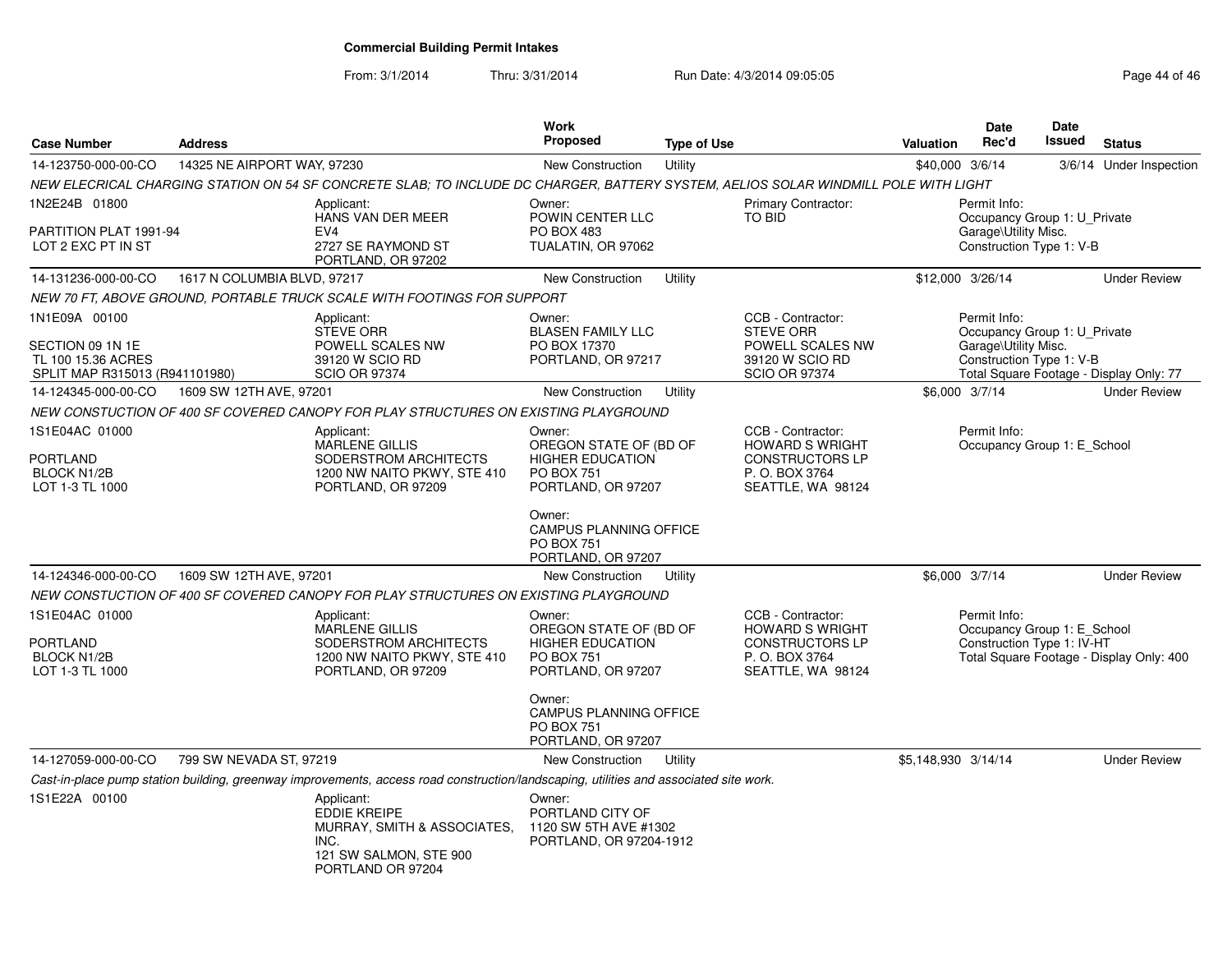From: 3/1/2014Thru: 3/31/2014 Run Date: 4/3/2014 09:05:05 Research 2010 12:05:05

| <b>Case Number</b>                                                                        | <b>Address</b>              |                                                                                                                                       | Work<br><b>Proposed</b>                                                                                                                                                                      | <b>Type of Use</b> |                                                                                                             | <b>Valuation</b>    | <b>Date</b><br>Rec'd                                                                             | Date<br>Issued | <b>Status</b>                            |
|-------------------------------------------------------------------------------------------|-----------------------------|---------------------------------------------------------------------------------------------------------------------------------------|----------------------------------------------------------------------------------------------------------------------------------------------------------------------------------------------|--------------------|-------------------------------------------------------------------------------------------------------------|---------------------|--------------------------------------------------------------------------------------------------|----------------|------------------------------------------|
| 14-123750-000-00-CO                                                                       | 14325 NE AIRPORT WAY, 97230 |                                                                                                                                       | <b>New Construction</b>                                                                                                                                                                      | Utility            |                                                                                                             | \$40,000 3/6/14     |                                                                                                  |                | 3/6/14 Under Inspection                  |
|                                                                                           |                             | NEW ELECRICAL CHARGING STATION ON 54 SF CONCRETE SLAB: TO INCLUDE DC CHARGER. BATTERY SYSTEM. AELIOS SOLAR WINDMILL POLE WITH LIGHT   |                                                                                                                                                                                              |                    |                                                                                                             |                     |                                                                                                  |                |                                          |
| 1N2E24B 01800                                                                             |                             | Applicant:                                                                                                                            | Owner:                                                                                                                                                                                       |                    | Primary Contractor:                                                                                         |                     | Permit Info:                                                                                     |                |                                          |
| PARTITION PLAT 1991-94<br>LOT 2 EXC PT IN ST                                              |                             | HANS VAN DER MEER<br>EV <sub>4</sub><br>2727 SE RAYMOND ST<br>PORTLAND, OR 97202                                                      | POWIN CENTER LLC<br><b>PO BOX 483</b><br>TUALATIN, OR 97062                                                                                                                                  |                    | TO BID                                                                                                      |                     | Occupancy Group 1: U_Private<br>Garage\Utility Misc.<br>Construction Type 1: V-B                 |                |                                          |
| 14-131236-000-00-CO                                                                       | 1617 N COLUMBIA BLVD, 97217 |                                                                                                                                       | New Construction                                                                                                                                                                             | Utility            |                                                                                                             | \$12,000 3/26/14    |                                                                                                  |                | <b>Under Review</b>                      |
|                                                                                           |                             | NEW 70 FT, ABOVE GROUND, PORTABLE TRUCK SCALE WITH FOOTINGS FOR SUPPORT                                                               |                                                                                                                                                                                              |                    |                                                                                                             |                     |                                                                                                  |                |                                          |
| 1N1E09A 00100<br>SECTION 09 1N 1E<br>TL 100 15.36 ACRES<br>SPLIT MAP R315013 (R941101980) |                             | Applicant:<br><b>STEVE ORR</b><br>POWELL SCALES NW<br>39120 W SCIO RD<br><b>SCIO OR 97374</b>                                         | Owner:<br><b>BLASEN FAMILY LLC</b><br>PO BOX 17370<br>PORTLAND, OR 97217                                                                                                                     |                    | CCB - Contractor:<br><b>STEVE ORR</b><br>POWELL SCALES NW<br>39120 W SCIO RD<br><b>SCIO OR 97374</b>        |                     | Permit Info:<br>Occupancy Group 1: U Private<br>Garage\Utility Misc.<br>Construction Type 1: V-B |                | Total Square Footage - Display Only: 77  |
| 14-124345-000-00-CO                                                                       | 1609 SW 12TH AVE, 97201     |                                                                                                                                       | New Construction                                                                                                                                                                             | Utility            |                                                                                                             | \$6,000 3/7/14      |                                                                                                  |                | <b>Under Review</b>                      |
|                                                                                           |                             | NEW CONSTUCTION OF 400 SF COVERED CANOPY FOR PLAY STRUCTURES ON EXISTING PLAYGROUND                                                   |                                                                                                                                                                                              |                    |                                                                                                             |                     |                                                                                                  |                |                                          |
| 1S1E04AC 01000<br>PORTLAND<br><b>BLOCK N1/2B</b><br>LOT 1-3 TL 1000                       |                             | Applicant:<br><b>MARLENE GILLIS</b><br>SODERSTROM ARCHITECTS<br>1200 NW NAITO PKWY, STE 410<br>PORTLAND, OR 97209                     | Owner:<br>OREGON STATE OF (BD OF<br><b>HIGHER EDUCATION</b><br><b>PO BOX 751</b><br>PORTLAND, OR 97207<br>Owner:<br><b>CAMPUS PLANNING OFFICE</b><br><b>PO BOX 751</b><br>PORTLAND, OR 97207 |                    | CCB - Contractor:<br><b>HOWARD S WRIGHT</b><br><b>CONSTRUCTORS LP</b><br>P.O. BOX 3764<br>SEATTLE, WA 98124 |                     | Permit Info:<br>Occupancy Group 1: E School                                                      |                |                                          |
| 14-124346-000-00-CO                                                                       | 1609 SW 12TH AVE, 97201     |                                                                                                                                       | New Construction                                                                                                                                                                             | Utility            |                                                                                                             | \$6,000 3/7/14      |                                                                                                  |                | <b>Under Review</b>                      |
|                                                                                           |                             | NEW CONSTUCTION OF 400 SF COVERED CANOPY FOR PLAY STRUCTURES ON EXISTING PLAYGROUND                                                   |                                                                                                                                                                                              |                    |                                                                                                             |                     |                                                                                                  |                |                                          |
| 1S1E04AC 01000<br>PORTLAND<br><b>BLOCK N1/2B</b><br>LOT 1-3 TL 1000                       |                             | Applicant:<br><b>MARLENE GILLIS</b><br>SODERSTROM ARCHITECTS<br>1200 NW NAITO PKWY, STE 410<br>PORTLAND, OR 97209                     | Owner:<br>OREGON STATE OF (BD OF<br><b>HIGHER EDUCATION</b><br><b>PO BOX 751</b><br>PORTLAND, OR 97207<br>Owner:<br><b>CAMPUS PLANNING OFFICE</b><br><b>PO BOX 751</b>                       |                    | CCB - Contractor:<br><b>HOWARD S WRIGHT</b><br>CONSTRUCTORS LP<br>P. O. BOX 3764<br>SEATTLE, WA 98124       |                     | Permit Info:<br>Occupancy Group 1: E_School<br>Construction Type 1: IV-HT                        |                | Total Square Footage - Display Only: 400 |
|                                                                                           |                             |                                                                                                                                       | PORTLAND, OR 97207                                                                                                                                                                           |                    |                                                                                                             |                     |                                                                                                  |                |                                          |
| 14-127059-000-00-CO                                                                       | 799 SW NEVADA ST, 97219     |                                                                                                                                       | New Construction                                                                                                                                                                             | Utility            |                                                                                                             | \$5,148,930 3/14/14 |                                                                                                  |                | <b>Under Review</b>                      |
|                                                                                           |                             | Cast-in-place pump station building, greenway improvements, access road construction/landscaping, utilities and associated site work. |                                                                                                                                                                                              |                    |                                                                                                             |                     |                                                                                                  |                |                                          |
| 1S1E22A 00100                                                                             |                             | Applicant:<br><b>EDDIE KREIPE</b><br>MURRAY, SMITH & ASSOCIATES,<br>INC.<br>121 SW SALMON, STE 900<br>PORTLAND OR 97204               | Owner:<br>PORTLAND CITY OF<br>1120 SW 5TH AVE #1302<br>PORTLAND, OR 97204-1912                                                                                                               |                    |                                                                                                             |                     |                                                                                                  |                |                                          |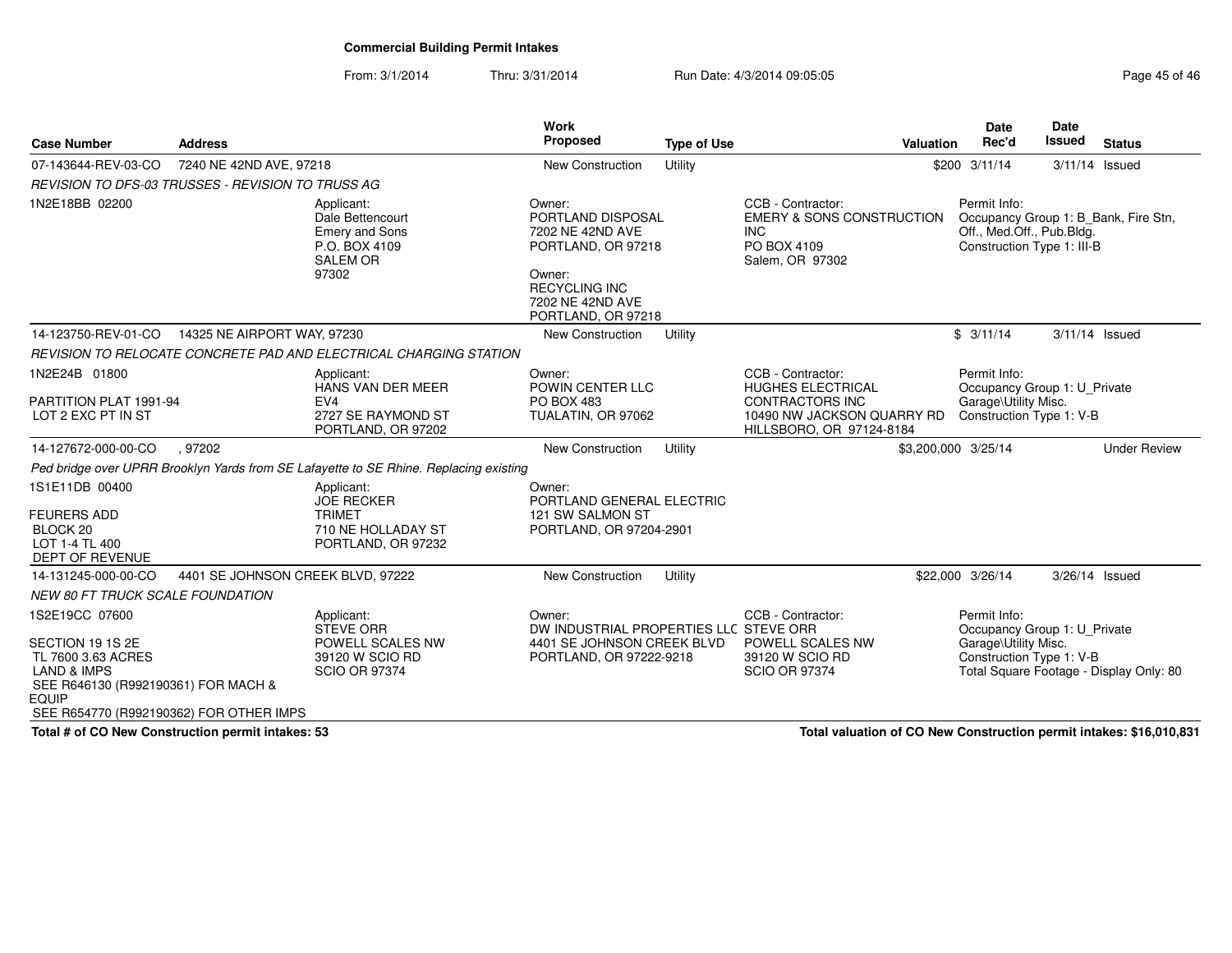From: 3/1/2014Thru: 3/31/2014 Run Date: 4/3/2014 09:05:05 Run Date: 4/3/2014 09:05:05

| <b>Case Number</b>                                                                                                                        | <b>Address</b>                                           |                                                                                                      | <b>Work</b><br><b>Proposed</b>                                                                                                                    | <b>Type of Use</b> | <b>Valuation</b>                                                                                                           | <b>Date</b><br>Rec'd                                                    | <b>Date</b><br><b>Issued</b><br><b>Status</b>                           |
|-------------------------------------------------------------------------------------------------------------------------------------------|----------------------------------------------------------|------------------------------------------------------------------------------------------------------|---------------------------------------------------------------------------------------------------------------------------------------------------|--------------------|----------------------------------------------------------------------------------------------------------------------------|-------------------------------------------------------------------------|-------------------------------------------------------------------------|
| 07-143644-REV-03-CO                                                                                                                       | 7240 NE 42ND AVE, 97218                                  |                                                                                                      | <b>New Construction</b>                                                                                                                           | Utility            |                                                                                                                            | $$200$ $3/11/14$                                                        | 3/11/14 Issued                                                          |
|                                                                                                                                           | <b>REVISION TO DFS-03 TRUSSES - REVISION TO TRUSS AG</b> |                                                                                                      |                                                                                                                                                   |                    |                                                                                                                            |                                                                         |                                                                         |
| 1N2E18BB 02200                                                                                                                            |                                                          | Applicant:<br>Dale Bettencourt<br><b>Emery and Sons</b><br>P.O. BOX 4109<br><b>SALEM OR</b><br>97302 | Owner:<br>PORTLAND DISPOSAL<br>7202 NE 42ND AVE<br>PORTLAND, OR 97218<br>Owner:<br><b>RECYCLING INC</b><br>7202 NE 42ND AVE<br>PORTLAND, OR 97218 |                    | CCB - Contractor:<br><b>EMERY &amp; SONS CONSTRUCTION</b><br><b>INC</b><br>PO BOX 4109<br>Salem, OR 97302                  | Permit Info:<br>Off., Med.Off., Pub.Bldg.<br>Construction Type 1: III-B | Occupancy Group 1: B_Bank, Fire Stn,                                    |
| 14-123750-REV-01-CO                                                                                                                       | 14325 NE AIRPORT WAY, 97230                              |                                                                                                      | New Construction                                                                                                                                  | Utility            |                                                                                                                            | \$3/11/14                                                               | 3/11/14 Issued                                                          |
|                                                                                                                                           |                                                          | REVISION TO RELOCATE CONCRETE PAD AND ELECTRICAL CHARGING STATION                                    |                                                                                                                                                   |                    |                                                                                                                            |                                                                         |                                                                         |
| 1N2E24B 01800<br>PARTITION PLAT 1991-94<br>LOT 2 EXC PT IN ST                                                                             |                                                          | Applicant:<br>HANS VAN DER MEER<br>EV4<br>2727 SE RAYMOND ST<br>PORTLAND, OR 97202                   | Owner:<br>POWIN CENTER LLC<br>PO BOX 483<br>TUALATIN, OR 97062                                                                                    |                    | CCB - Contractor:<br>HUGHES ELECTRICAL<br><b>CONTRACTORS INC</b><br>10490 NW JACKSON QUARRY RD<br>HILLSBORO, OR 97124-8184 | Permit Info:<br>Garage\Utility Misc.<br>Construction Type 1: V-B        | Occupancy Group 1: U_Private                                            |
| 14-127672-000-00-CO                                                                                                                       | .97202                                                   |                                                                                                      | New Construction                                                                                                                                  | Utility            |                                                                                                                            | \$3,200,000 3/25/14                                                     | <b>Under Review</b>                                                     |
|                                                                                                                                           |                                                          | Ped bridge over UPRR Brooklyn Yards from SE Lafayette to SE Rhine. Replacing existing                |                                                                                                                                                   |                    |                                                                                                                            |                                                                         |                                                                         |
| 1S1E11DB 00400<br><b>FEURERS ADD</b><br>BLOCK 20<br>LOT 1-4 TL 400<br><b>DEPT OF REVENUE</b>                                              |                                                          | Applicant:<br><b>JOE RECKER</b><br><b>TRIMET</b><br>710 NE HOLLADAY ST<br>PORTLAND, OR 97232         | Owner:<br>PORTLAND GENERAL ELECTRIC<br>121 SW SALMON ST<br>PORTLAND, OR 97204-2901                                                                |                    |                                                                                                                            |                                                                         |                                                                         |
| 14-131245-000-00-CO                                                                                                                       | 4401 SE JOHNSON CREEK BLVD, 97222                        |                                                                                                      | <b>New Construction</b>                                                                                                                           | Utility            |                                                                                                                            | \$22,000 3/26/14                                                        | 3/26/14 Issued                                                          |
| <b>NEW 80 FT TRUCK SCALE FOUNDATION</b>                                                                                                   |                                                          |                                                                                                      |                                                                                                                                                   |                    |                                                                                                                            |                                                                         |                                                                         |
| 1S2E19CC 07600<br>SECTION 19 1S 2E<br>TL 7600 3.63 ACRES<br><b>LAND &amp; IMPS</b><br>SEE R646130 (R992190361) FOR MACH &<br><b>EQUIP</b> | SEE R654770 (R992190362) FOR OTHER IMPS                  | Applicant:<br><b>STEVE ORR</b><br>POWELL SCALES NW<br>39120 W SCIO RD<br><b>SCIO OR 97374</b>        | Owner:<br>DW INDUSTRIAL PROPERTIES LLC STEVE ORR<br>4401 SE JOHNSON CREEK BLVD<br>PORTLAND, OR 97222-9218                                         |                    | CCB - Contractor:<br>POWELL SCALES NW<br>39120 W SCIO RD<br><b>SCIO OR 97374</b>                                           | Permit Info:<br>Garage\Utility Misc.<br>Construction Type 1: V-B        | Occupancy Group 1: U Private<br>Total Square Footage - Display Only: 80 |

**Total # of CO New Construction permit intakes: 53**

**Total valuation of CO New Construction permit intakes: \$16,010,831**